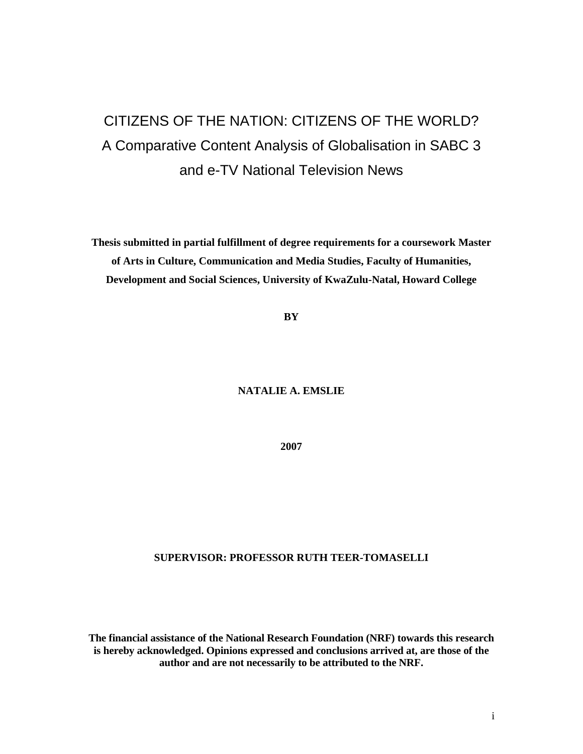# CITIZENS OF THE NATION: CITIZENS OF THE WORLD? A Comparative Content Analysis of Globalisation in SABC 3 and e-TV National Television News

**Thesis submitted in partial fulfillment of degree requirements for a coursework Master of Arts in Culture, Communication and Media Studies, Faculty of Humanities, Development and Social Sciences, University of KwaZulu-Natal, Howard College** 

**BY** 

**NATALIE A. EMSLIE** 

**2007** 

### **SUPERVISOR: PROFESSOR RUTH TEER-TOMASELLI**

**The financial assistance of the National Research Foundation (NRF) towards this research is hereby acknowledged. Opinions expressed and conclusions arrived at, are those of the author and are not necessarily to be attributed to the NRF.**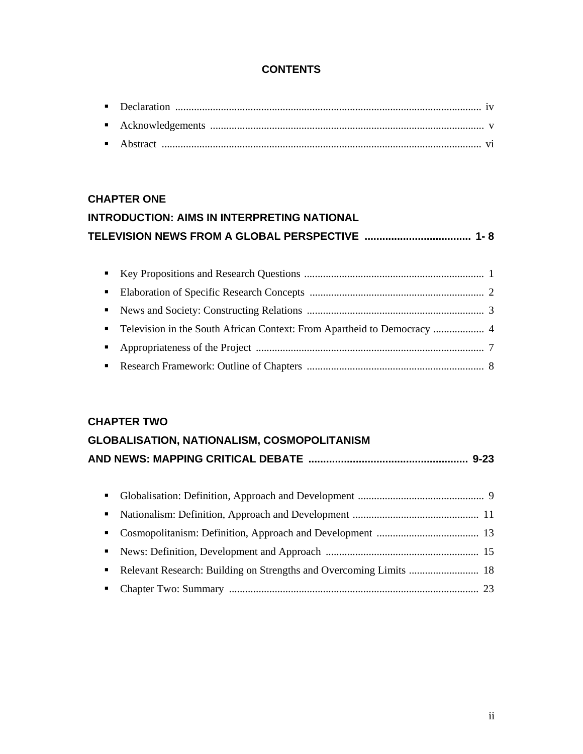## **CONTENTS**

# **CHAPTER ONE INTRODUCTION: AIMS IN INTERPRETING NATIONAL TELEVISION NEWS FROM A GLOBAL PERSPECTIVE .................................... 1- 8**

### **CHAPTER TWO**

| <b>GLOBALISATION, NATIONALISM, COSMOPOLITANISM</b> |  |
|----------------------------------------------------|--|
|                                                    |  |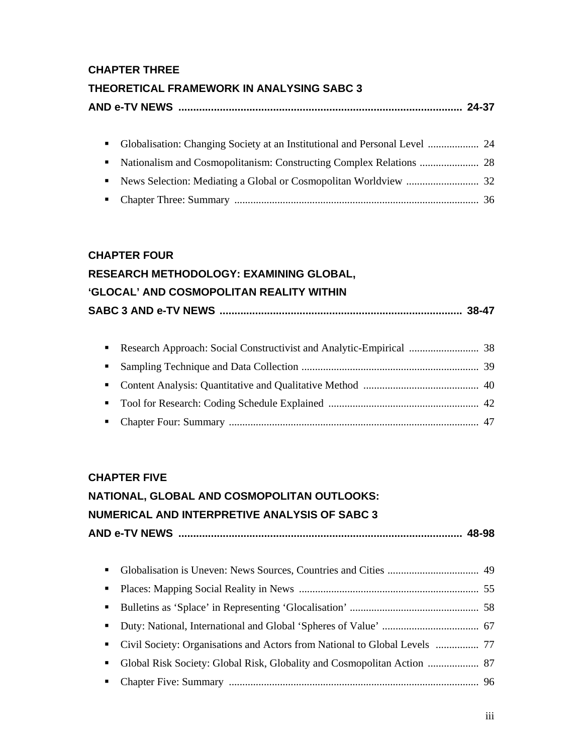# **CHAPTER THREE**

# **THEORETICAL FRAMEWORK IN ANALYSING SABC 3**

|  | AND e-TV NEWS  ………………………………………………………………………………………… 24-37 |  |
|--|---------------------------------------------------------|--|
|--|---------------------------------------------------------|--|

# **CHAPTER FOUR**

| RESEARCH METHODOLOGY: EXAMINING GLOBAL,                |
|--------------------------------------------------------|
| 'GLOCAL' AND COSMOPOLITAN REALITY WITHIN               |
| SABC 3 AND e-TV NEWS ……………………………………………………………………… 38-47 |

# **CHAPTER FIVE**

# **NATIONAL, GLOBAL AND COSMOPOLITAN OUTLOOKS: NUMERICAL AND INTERPRETIVE ANALYSIS OF SABC 3**

# **AND e-TV NEWS ................................................................................................ 48-98**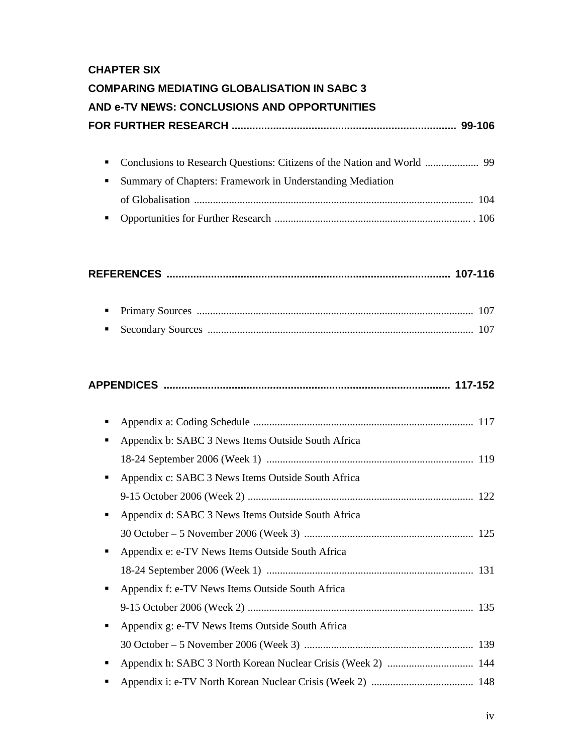# **CHAPTER SIX**

# **COMPARING MEDIATING GLOBALISATION IN SABC 3**

# **AND e-TV NEWS: CONCLUSIONS AND OPPORTUNITIES**

|--|--|

| • Summary of Chapters: Framework in Understanding Mediation |  |
|-------------------------------------------------------------|--|
|                                                             |  |
|                                                             |  |

|--|--|--|

# **APPENDICES ................................................................................................. 117-152**

| п | Appendix b: SABC 3 News Items Outside South Africa |  |
|---|----------------------------------------------------|--|
|   |                                                    |  |
| ٠ | Appendix c: SABC 3 News Items Outside South Africa |  |
|   |                                                    |  |
| ٠ | Appendix d: SABC 3 News Items Outside South Africa |  |
|   |                                                    |  |
| ٠ | Appendix e: e-TV News Items Outside South Africa   |  |
|   |                                                    |  |
| ٠ | Appendix f: e-TV News Items Outside South Africa   |  |
|   |                                                    |  |
| ٠ | Appendix g: e-TV News Items Outside South Africa   |  |
|   |                                                    |  |
| п |                                                    |  |
|   |                                                    |  |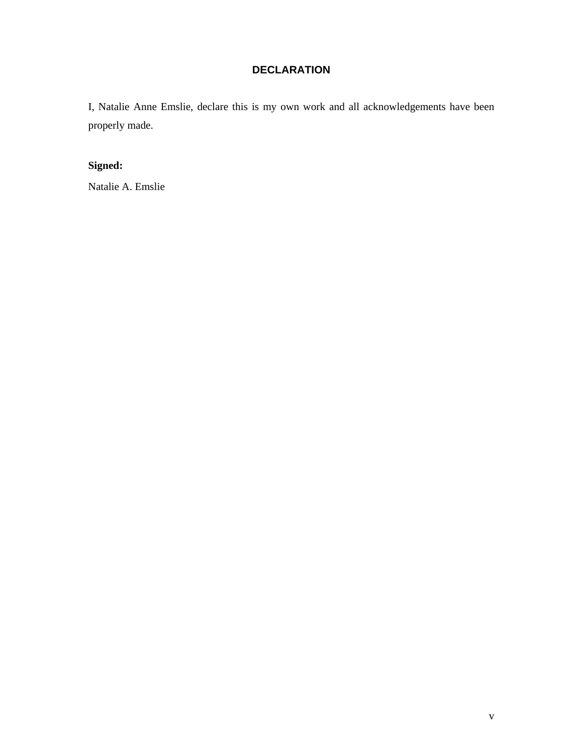## **DECLARATION**

I, Natalie Anne Emslie, declare this is my own work and all acknowledgements have been properly made.

# **Signed:**

Natalie A. Emslie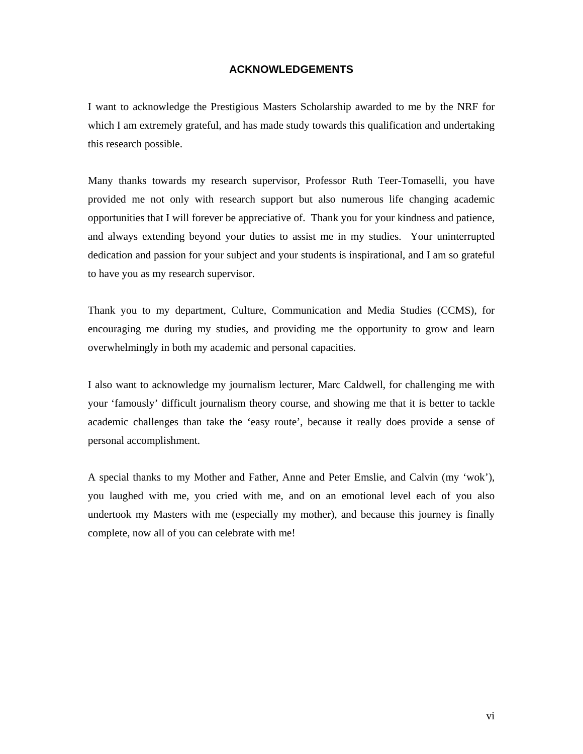### **ACKNOWLEDGEMENTS**

I want to acknowledge the Prestigious Masters Scholarship awarded to me by the NRF for which I am extremely grateful, and has made study towards this qualification and undertaking this research possible.

Many thanks towards my research supervisor, Professor Ruth Teer-Tomaselli, you have provided me not only with research support but also numerous life changing academic opportunities that I will forever be appreciative of. Thank you for your kindness and patience, and always extending beyond your duties to assist me in my studies. Your uninterrupted dedication and passion for your subject and your students is inspirational, and I am so grateful to have you as my research supervisor.

Thank you to my department, Culture, Communication and Media Studies (CCMS), for encouraging me during my studies, and providing me the opportunity to grow and learn overwhelmingly in both my academic and personal capacities.

I also want to acknowledge my journalism lecturer, Marc Caldwell, for challenging me with your 'famously' difficult journalism theory course, and showing me that it is better to tackle academic challenges than take the 'easy route', because it really does provide a sense of personal accomplishment.

A special thanks to my Mother and Father, Anne and Peter Emslie, and Calvin (my 'wok'), you laughed with me, you cried with me, and on an emotional level each of you also undertook my Masters with me (especially my mother), and because this journey is finally complete, now all of you can celebrate with me!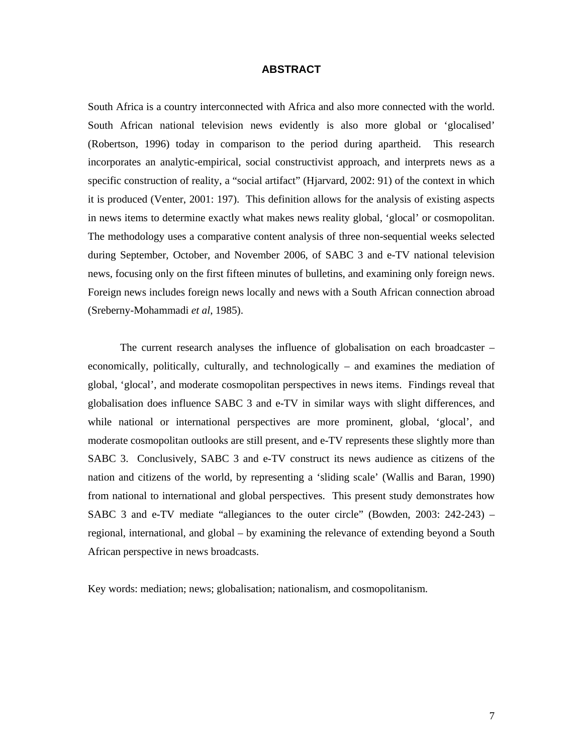### **ABSTRACT**

South Africa is a country interconnected with Africa and also more connected with the world. South African national television news evidently is also more global or 'glocalised' (Robertson, 1996) today in comparison to the period during apartheid. This research incorporates an analytic-empirical, social constructivist approach, and interprets news as a specific construction of reality, a "social artifact" (Hjarvard, 2002: 91) of the context in which it is produced (Venter, 2001: 197). This definition allows for the analysis of existing aspects in news items to determine exactly what makes news reality global, 'glocal' or cosmopolitan. The methodology uses a comparative content analysis of three non-sequential weeks selected during September, October, and November 2006, of SABC 3 and e-TV national television news, focusing only on the first fifteen minutes of bulletins, and examining only foreign news. Foreign news includes foreign news locally and news with a South African connection abroad (Sreberny-Mohammadi *et al*, 1985).

The current research analyses the influence of globalisation on each broadcaster – economically, politically, culturally, and technologically – and examines the mediation of global, 'glocal', and moderate cosmopolitan perspectives in news items. Findings reveal that globalisation does influence SABC 3 and e-TV in similar ways with slight differences, and while national or international perspectives are more prominent, global, 'glocal', and moderate cosmopolitan outlooks are still present, and e-TV represents these slightly more than SABC 3. Conclusively, SABC 3 and e-TV construct its news audience as citizens of the nation and citizens of the world, by representing a 'sliding scale' (Wallis and Baran, 1990) from national to international and global perspectives. This present study demonstrates how SABC 3 and e-TV mediate "allegiances to the outer circle" (Bowden, 2003: 242-243) – regional, international, and global – by examining the relevance of extending beyond a South African perspective in news broadcasts.

Key words: mediation; news; globalisation; nationalism, and cosmopolitanism.

7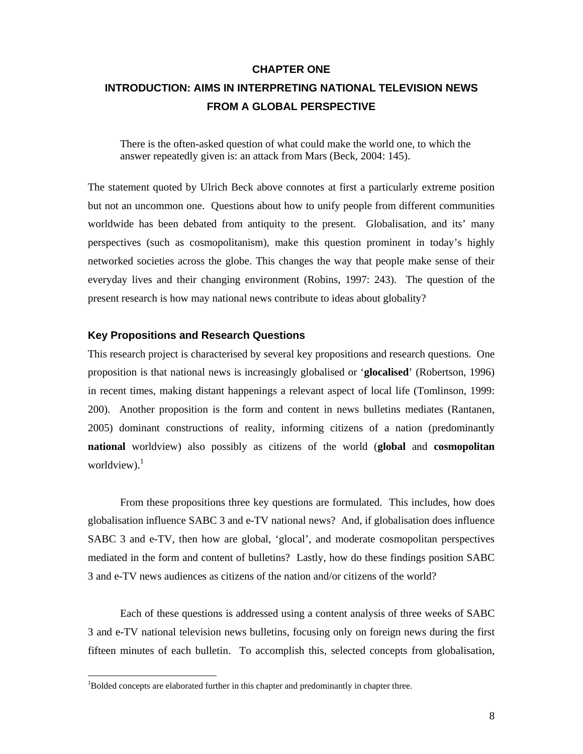### **CHAPTER ONE**

# **INTRODUCTION: AIMS IN INTERPRETING NATIONAL TELEVISION NEWS FROM A GLOBAL PERSPECTIVE**

There is the often-asked question of what could make the world one, to which the answer repeatedly given is: an attack from Mars (Beck, 2004: 145).

The statement quoted by Ulrich Beck above connotes at first a particularly extreme position but not an uncommon one. Questions about how to unify people from different communities worldwide has been debated from antiquity to the present. Globalisation, and its' many perspectives (such as cosmopolitanism), make this question prominent in today's highly networked societies across the globe. This changes the way that people make sense of their everyday lives and their changing environment (Robins, 1997: 243). The question of the present research is how may national news contribute to ideas about globality?

### **Key Propositions and Research Questions**

This research project is characterised by several key propositions and research questions. One proposition is that national news is increasingly globalised or '**glocalised**' (Robertson, 1996) in recent times, making distant happenings a relevant aspect of local life (Tomlinson, 1999: 200). Another proposition is the form and content in news bulletins mediates (Rantanen, 2005) dominant constructions of reality, informing citizens of a nation (predominantly **national** worldview) also possibly as citizens of the world (**global** and **cosmopolitan** worldview). $1$ 

From these propositions three key questions are formulated. This includes, how does globalisation influence SABC 3 and e-TV national news? And, if globalisation does influence SABC 3 and e-TV, then how are global, 'glocal', and moderate cosmopolitan perspectives mediated in the form and content of bulletins? Lastly, how do these findings position SABC 3 and e-TV news audiences as citizens of the nation and/or citizens of the world?

Each of these questions is addressed using a content analysis of three weeks of SABC 3 and e-TV national television news bulletins, focusing only on foreign news during the first fifteen minutes of each bulletin. To accomplish this, selected concepts from globalisation,

 $\overline{\phantom{a}}$ 

<sup>&</sup>lt;sup>1</sup>Bolded concepts are elaborated further in this chapter and predominantly in chapter three.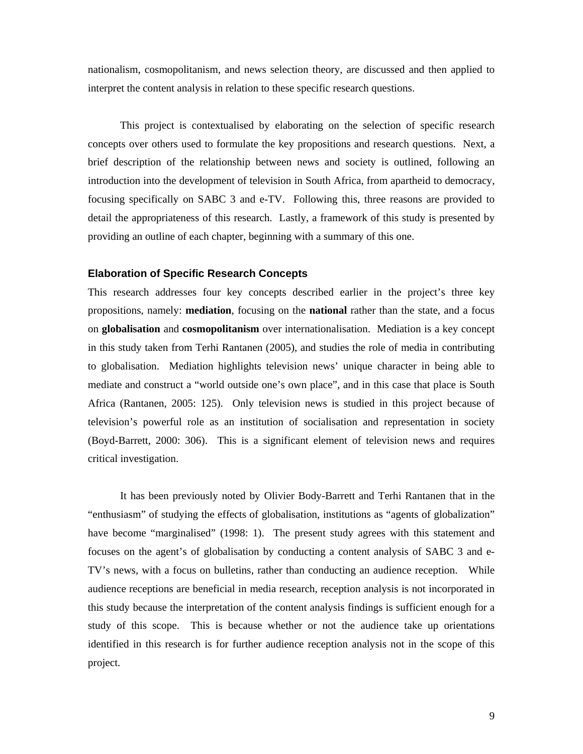nationalism, cosmopolitanism, and news selection theory, are discussed and then applied to interpret the content analysis in relation to these specific research questions.

This project is contextualised by elaborating on the selection of specific research concepts over others used to formulate the key propositions and research questions. Next, a brief description of the relationship between news and society is outlined, following an introduction into the development of television in South Africa, from apartheid to democracy, focusing specifically on SABC 3 and e-TV. Following this, three reasons are provided to detail the appropriateness of this research. Lastly, a framework of this study is presented by providing an outline of each chapter, beginning with a summary of this one.

#### **Elaboration of Specific Research Concepts**

This research addresses four key concepts described earlier in the project's three key propositions, namely: **mediation**, focusing on the **national** rather than the state, and a focus on **globalisation** and **cosmopolitanism** over internationalisation. Mediation is a key concept in this study taken from Terhi Rantanen (2005), and studies the role of media in contributing to globalisation. Mediation highlights television news' unique character in being able to mediate and construct a "world outside one's own place", and in this case that place is South Africa (Rantanen, 2005: 125). Only television news is studied in this project because of television's powerful role as an institution of socialisation and representation in society (Boyd-Barrett, 2000: 306). This is a significant element of television news and requires critical investigation.

It has been previously noted by Olivier Body-Barrett and Terhi Rantanen that in the "enthusiasm" of studying the effects of globalisation, institutions as "agents of globalization" have become "marginalised" (1998: 1). The present study agrees with this statement and focuses on the agent's of globalisation by conducting a content analysis of SABC 3 and e-TV's news, with a focus on bulletins, rather than conducting an audience reception. While audience receptions are beneficial in media research, reception analysis is not incorporated in this study because the interpretation of the content analysis findings is sufficient enough for a study of this scope. This is because whether or not the audience take up orientations identified in this research is for further audience reception analysis not in the scope of this project.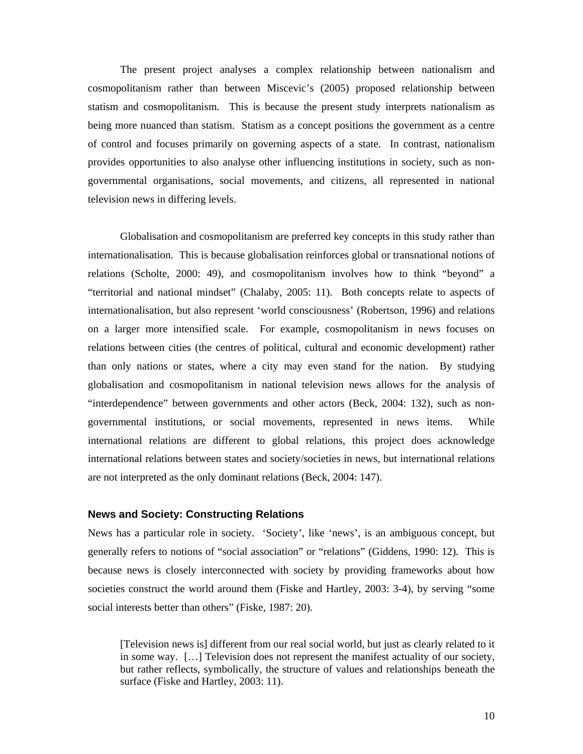The present project analyses a complex relationship between nationalism and cosmopolitanism rather than between Miscevic's (2005) proposed relationship between statism and cosmopolitanism. This is because the present study interprets nationalism as being more nuanced than statism. Statism as a concept positions the government as a centre of control and focuses primarily on governing aspects of a state. In contrast, nationalism provides opportunities to also analyse other influencing institutions in society, such as nongovernmental organisations, social movements, and citizens, all represented in national television news in differing levels.

Globalisation and cosmopolitanism are preferred key concepts in this study rather than internationalisation. This is because globalisation reinforces global or transnational notions of relations (Scholte, 2000: 49), and cosmopolitanism involves how to think "beyond" a "territorial and national mindset" (Chalaby, 2005: 11). Both concepts relate to aspects of internationalisation, but also represent 'world consciousness' (Robertson, 1996) and relations on a larger more intensified scale. For example, cosmopolitanism in news focuses on relations between cities (the centres of political, cultural and economic development) rather than only nations or states, where a city may even stand for the nation. By studying globalisation and cosmopolitanism in national television news allows for the analysis of "interdependence" between governments and other actors (Beck, 2004: 132), such as nongovernmental institutions, or social movements, represented in news items. While international relations are different to global relations, this project does acknowledge international relations between states and society/societies in news, but international relations are not interpreted as the only dominant relations (Beck, 2004: 147).

### **News and Society: Constructing Relations**

News has a particular role in society. 'Society', like 'news', is an ambiguous concept, but generally refers to notions of "social association" or "relations" (Giddens, 1990: 12). This is because news is closely interconnected with society by providing frameworks about how societies construct the world around them (Fiske and Hartley, 2003: 3-4), by serving "some social interests better than others" (Fiske, 1987: 20).

[Television news is] different from our real social world, but just as clearly related to it in some way. […] Television does not represent the manifest actuality of our society, but rather reflects, symbolically, the structure of values and relationships beneath the surface (Fiske and Hartley, 2003: 11).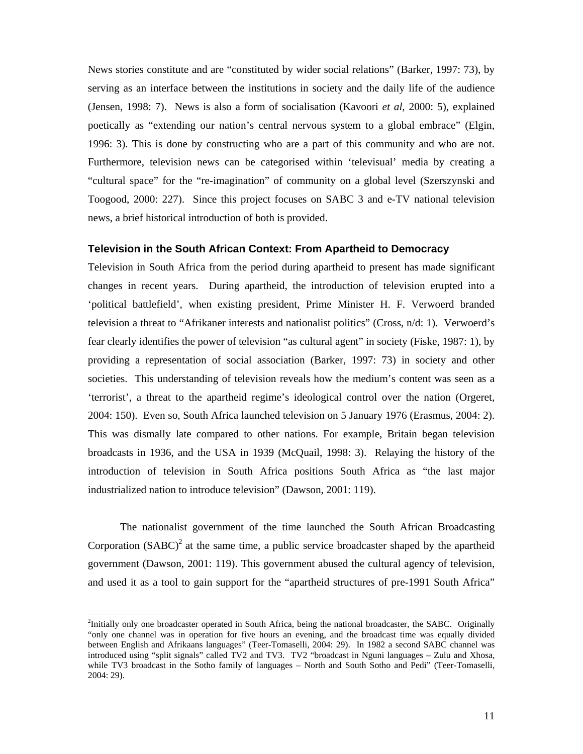News stories constitute and are "constituted by wider social relations" (Barker, 1997: 73), by serving as an interface between the institutions in society and the daily life of the audience (Jensen, 1998: 7). News is also a form of socialisation (Kavoori *et al*, 2000: 5), explained poetically as "extending our nation's central nervous system to a global embrace" (Elgin, 1996: 3). This is done by constructing who are a part of this community and who are not. Furthermore, television news can be categorised within 'televisual' media by creating a "cultural space" for the "re-imagination" of community on a global level (Szerszynski and Toogood, 2000: 227). Since this project focuses on SABC 3 and e-TV national television news, a brief historical introduction of both is provided.

#### **Television in the South African Context: From Apartheid to Democracy**

Television in South Africa from the period during apartheid to present has made significant changes in recent years. During apartheid, the introduction of television erupted into a 'political battlefield', when existing president, Prime Minister H. F. Verwoerd branded television a threat to "Afrikaner interests and nationalist politics" (Cross, n/d: 1). Verwoerd's fear clearly identifies the power of television "as cultural agent" in society (Fiske, 1987: 1), by providing a representation of social association (Barker, 1997: 73) in society and other societies. This understanding of television reveals how the medium's content was seen as a 'terrorist', a threat to the apartheid regime's ideological control over the nation (Orgeret, 2004: 150). Even so, South Africa launched television on 5 January 1976 (Erasmus, 2004: 2). This was dismally late compared to other nations. For example, Britain began television broadcasts in 1936, and the USA in 1939 (McQuail, 1998: 3). Relaying the history of the introduction of television in South Africa positions South Africa as "the last major industrialized nation to introduce television" (Dawson, 2001: 119).

The nationalist government of the time launched the South African Broadcasting Corporation  $(SABC)^2$  at the same time, a public service broadcaster shaped by the apartheid government (Dawson, 2001: 119). This government abused the cultural agency of television, and used it as a tool to gain support for the "apartheid structures of pre-1991 South Africa"

 $\overline{\phantom{a}}$ 

 $2$ Initially only one broadcaster operated in South Africa, being the national broadcaster, the SABC. Originally "only one channel was in operation for five hours an evening, and the broadcast time was equally divided between English and Afrikaans languages" (Teer-Tomaselli, 2004: 29). In 1982 a second SABC channel was introduced using "split signals" called TV2 and TV3. TV2 "broadcast in Nguni languages – Zulu and Xhosa, while TV3 broadcast in the Sotho family of languages – North and South Sotho and Pedi" (Teer-Tomaselli, 2004: 29).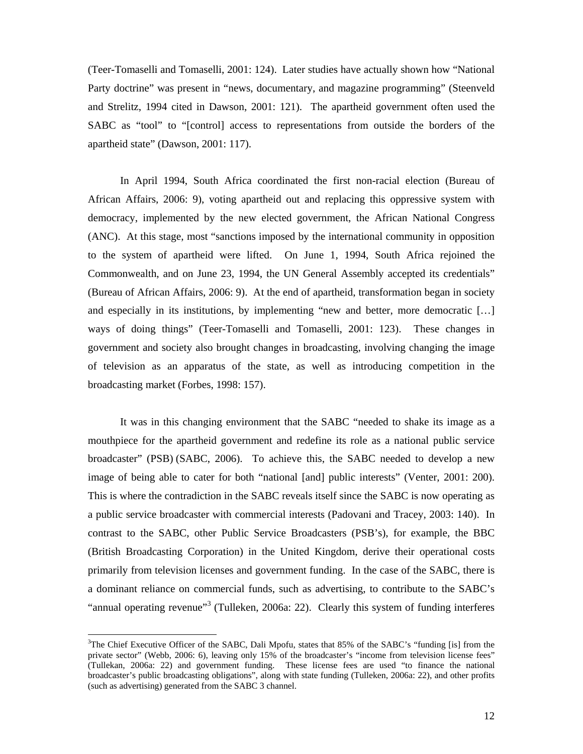(Teer-Tomaselli and Tomaselli, 2001: 124). Later studies have actually shown how "National Party doctrine" was present in "news, documentary, and magazine programming" (Steenveld and Strelitz, 1994 cited in Dawson, 2001: 121). The apartheid government often used the SABC as "tool" to "[control] access to representations from outside the borders of the apartheid state" (Dawson, 2001: 117).

In April 1994, South Africa coordinated the first non-racial election (Bureau of African Affairs, 2006: 9), voting apartheid out and replacing this oppressive system with democracy, implemented by the new elected government, the African National Congress (ANC). At this stage, most "sanctions imposed by the international community in opposition to the system of apartheid were lifted. On June 1, 1994, South Africa rejoined the Commonwealth, and on June 23, 1994, the UN General Assembly accepted its credentials" (Bureau of African Affairs, 2006: 9). At the end of apartheid, transformation began in society and especially in its institutions, by implementing "new and better, more democratic […] ways of doing things" (Teer-Tomaselli and Tomaselli, 2001: 123). These changes in government and society also brought changes in broadcasting, involving changing the image of television as an apparatus of the state, as well as introducing competition in the broadcasting market (Forbes, 1998: 157).

It was in this changing environment that the SABC "needed to shake its image as a mouthpiece for the apartheid government and redefine its role as a national public service broadcaster" (PSB) (SABC, 2006). To achieve this, the SABC needed to develop a new image of being able to cater for both "national [and] public interests" (Venter, 2001: 200). This is where the contradiction in the SABC reveals itself since the SABC is now operating as a public service broadcaster with commercial interests (Padovani and Tracey, 2003: 140). In contrast to the SABC, other Public Service Broadcasters (PSB's), for example, the BBC (British Broadcasting Corporation) in the United Kingdom, derive their operational costs primarily from television licenses and government funding. In the case of the SABC, there is a dominant reliance on commercial funds, such as advertising, to contribute to the SABC's "annual operating revenue"<sup>3</sup> (Tulleken, 2006a: 22). Clearly this system of funding interferes

 $\overline{a}$ 

<sup>&</sup>lt;sup>3</sup>The Chief Executive Officer of the SABC, Dali Mpofu, states that 85% of the SABC's "funding [is] from the private sector" (Webb, 2006: 6), leaving only 15% of the broadcaster's "income from television license fees" (Tullekan, 2006a: 22) and government funding. These license fees are used "to finance the national broadcaster's public broadcasting obligations", along with state funding (Tulleken, 2006a: 22), and other profits (such as advertising) generated from the SABC 3 channel.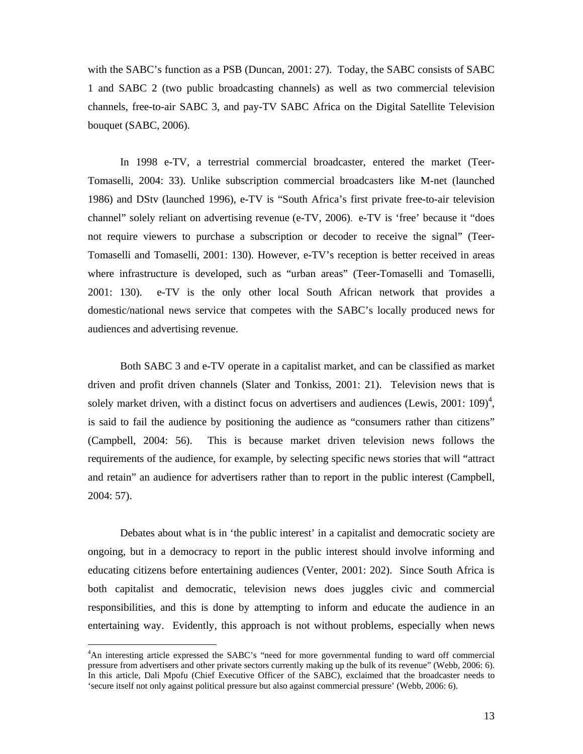with the SABC's function as a PSB (Duncan, 2001: 27). Today, the SABC consists of SABC 1 and SABC 2 (two public broadcasting channels) as well as two commercial television channels, free-to-air SABC 3, and pay-TV SABC Africa on the Digital Satellite Television bouquet (SABC, 2006).

In 1998 e-TV, a terrestrial commercial broadcaster, entered the market (Teer-Tomaselli, 2004: 33). Unlike subscription commercial broadcasters like M-net (launched 1986) and DStv (launched 1996), e-TV is "South Africa's first private free-to-air television channel" solely reliant on advertising revenue (e-TV, 2006). e-TV is 'free' because it "does not require viewers to purchase a subscription or decoder to receive the signal" (Teer-Tomaselli and Tomaselli, 2001: 130). However, e-TV's reception is better received in areas where infrastructure is developed, such as "urban areas" (Teer-Tomaselli and Tomaselli, 2001: 130). e-TV is the only other local South African network that provides a domestic/national news service that competes with the SABC's locally produced news for audiences and advertising revenue.

Both SABC 3 and e-TV operate in a capitalist market, and can be classified as market driven and profit driven channels (Slater and Tonkiss, 2001: 21). Television news that is solely market driven, with a distinct focus on advertisers and audiences (Lewis,  $2001: 109$ )<sup>4</sup>, is said to fail the audience by positioning the audience as "consumers rather than citizens" (Campbell, 2004: 56). This is because market driven television news follows the requirements of the audience, for example, by selecting specific news stories that will "attract and retain" an audience for advertisers rather than to report in the public interest (Campbell, 2004: 57).

Debates about what is in 'the public interest' in a capitalist and democratic society are ongoing, but in a democracy to report in the public interest should involve informing and educating citizens before entertaining audiences (Venter, 2001: 202). Since South Africa is both capitalist and democratic, television news does juggles civic and commercial responsibilities, and this is done by attempting to inform and educate the audience in an entertaining way. Evidently, this approach is not without problems, especially when news

 $\overline{a}$ 

<sup>&</sup>lt;sup>4</sup>An interesting article expressed the SABC's "need for more governmental funding to ward off commercial pressure from advertisers and other private sectors currently making up the bulk of its revenue" (Webb, 2006: 6). In this article, Dali Mpofu (Chief Executive Officer of the SABC), exclaimed that the broadcaster needs to 'secure itself not only against political pressure but also against commercial pressure' (Webb, 2006: 6).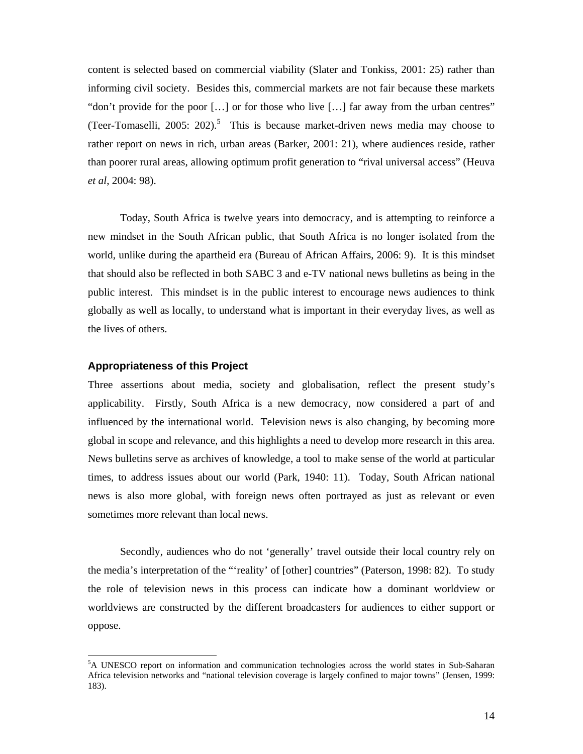content is selected based on commercial viability (Slater and Tonkiss, 2001: 25) rather than informing civil society. Besides this, commercial markets are not fair because these markets "don't provide for the poor […] or for those who live […] far away from the urban centres" (Teer-Tomaselli, 2005: 202).<sup>5</sup> This is because market-driven news media may choose to rather report on news in rich, urban areas (Barker, 2001: 21), where audiences reside, rather than poorer rural areas, allowing optimum profit generation to "rival universal access" (Heuva *et al*, 2004: 98).

Today, South Africa is twelve years into democracy, and is attempting to reinforce a new mindset in the South African public, that South Africa is no longer isolated from the world, unlike during the apartheid era (Bureau of African Affairs, 2006: 9). It is this mindset that should also be reflected in both SABC 3 and e-TV national news bulletins as being in the public interest. This mindset is in the public interest to encourage news audiences to think globally as well as locally, to understand what is important in their everyday lives, as well as the lives of others.

### **Appropriateness of this Project**

Three assertions about media, society and globalisation, reflect the present study's applicability. Firstly, South Africa is a new democracy, now considered a part of and influenced by the international world. Television news is also changing, by becoming more global in scope and relevance, and this highlights a need to develop more research in this area. News bulletins serve as archives of knowledge, a tool to make sense of the world at particular times, to address issues about our world (Park, 1940: 11). Today, South African national news is also more global, with foreign news often portrayed as just as relevant or even sometimes more relevant than local news.

Secondly, audiences who do not 'generally' travel outside their local country rely on the media's interpretation of the "'reality' of [other] countries" (Paterson, 1998: 82). To study the role of television news in this process can indicate how a dominant worldview or worldviews are constructed by the different broadcasters for audiences to either support or oppose.

<sup>&</sup>lt;sup>5</sup>A UNESCO report on information and communication technologies across the world states in Sub-Saharan Africa television networks and "national television coverage is largely confined to major towns" (Jensen, 1999: 183).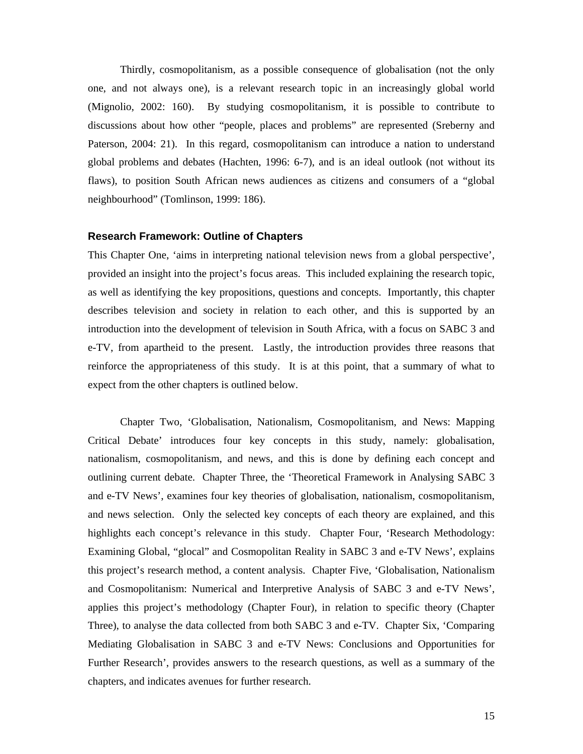Thirdly, cosmopolitanism, as a possible consequence of globalisation (not the only one, and not always one), is a relevant research topic in an increasingly global world (Mignolio, 2002: 160). By studying cosmopolitanism, it is possible to contribute to discussions about how other "people, places and problems" are represented (Sreberny and Paterson, 2004: 21). In this regard, cosmopolitanism can introduce a nation to understand global problems and debates (Hachten, 1996: 6-7), and is an ideal outlook (not without its flaws), to position South African news audiences as citizens and consumers of a "global neighbourhood" (Tomlinson, 1999: 186).

#### **Research Framework: Outline of Chapters**

This Chapter One, 'aims in interpreting national television news from a global perspective', provided an insight into the project's focus areas. This included explaining the research topic, as well as identifying the key propositions, questions and concepts. Importantly, this chapter describes television and society in relation to each other, and this is supported by an introduction into the development of television in South Africa, with a focus on SABC 3 and e-TV, from apartheid to the present. Lastly, the introduction provides three reasons that reinforce the appropriateness of this study. It is at this point, that a summary of what to expect from the other chapters is outlined below.

Chapter Two, 'Globalisation, Nationalism, Cosmopolitanism, and News: Mapping Critical Debate' introduces four key concepts in this study, namely: globalisation, nationalism, cosmopolitanism, and news, and this is done by defining each concept and outlining current debate. Chapter Three, the 'Theoretical Framework in Analysing SABC 3 and e-TV News', examines four key theories of globalisation, nationalism, cosmopolitanism, and news selection. Only the selected key concepts of each theory are explained, and this highlights each concept's relevance in this study. Chapter Four, 'Research Methodology: Examining Global, "glocal" and Cosmopolitan Reality in SABC 3 and e-TV News', explains this project's research method, a content analysis. Chapter Five, 'Globalisation, Nationalism and Cosmopolitanism: Numerical and Interpretive Analysis of SABC 3 and e-TV News', applies this project's methodology (Chapter Four), in relation to specific theory (Chapter Three), to analyse the data collected from both SABC 3 and e-TV. Chapter Six, 'Comparing Mediating Globalisation in SABC 3 and e-TV News: Conclusions and Opportunities for Further Research', provides answers to the research questions, as well as a summary of the chapters, and indicates avenues for further research.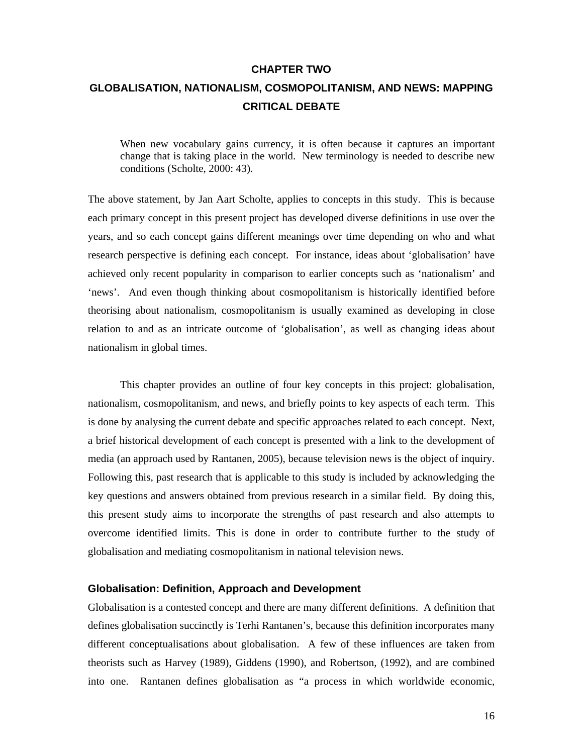#### **CHAPTER TWO**

# **GLOBALISATION, NATIONALISM, COSMOPOLITANISM, AND NEWS: MAPPING CRITICAL DEBATE**

When new vocabulary gains currency, it is often because it captures an important change that is taking place in the world. New terminology is needed to describe new conditions (Scholte, 2000: 43).

The above statement, by Jan Aart Scholte, applies to concepts in this study. This is because each primary concept in this present project has developed diverse definitions in use over the years, and so each concept gains different meanings over time depending on who and what research perspective is defining each concept. For instance, ideas about 'globalisation' have achieved only recent popularity in comparison to earlier concepts such as 'nationalism' and 'news'. And even though thinking about cosmopolitanism is historically identified before theorising about nationalism, cosmopolitanism is usually examined as developing in close relation to and as an intricate outcome of 'globalisation', as well as changing ideas about nationalism in global times.

This chapter provides an outline of four key concepts in this project: globalisation, nationalism, cosmopolitanism, and news, and briefly points to key aspects of each term. This is done by analysing the current debate and specific approaches related to each concept. Next, a brief historical development of each concept is presented with a link to the development of media (an approach used by Rantanen, 2005), because television news is the object of inquiry. Following this, past research that is applicable to this study is included by acknowledging the key questions and answers obtained from previous research in a similar field. By doing this, this present study aims to incorporate the strengths of past research and also attempts to overcome identified limits. This is done in order to contribute further to the study of globalisation and mediating cosmopolitanism in national television news.

### **Globalisation: Definition, Approach and Development**

Globalisation is a contested concept and there are many different definitions. A definition that defines globalisation succinctly is Terhi Rantanen's, because this definition incorporates many different conceptualisations about globalisation. A few of these influences are taken from theorists such as Harvey (1989), Giddens (1990), and Robertson, (1992), and are combined into one. Rantanen defines globalisation as "a process in which worldwide economic,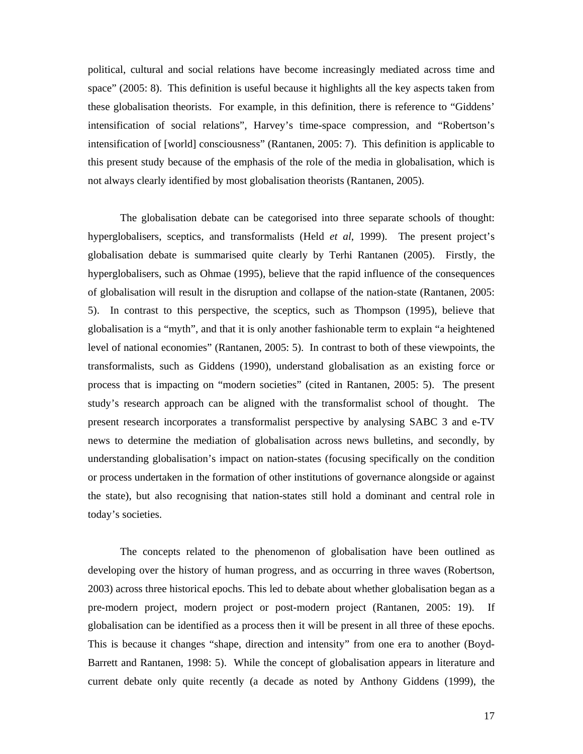political, cultural and social relations have become increasingly mediated across time and space" (2005: 8). This definition is useful because it highlights all the key aspects taken from these globalisation theorists. For example, in this definition, there is reference to "Giddens' intensification of social relations", Harvey's time-space compression, and "Robertson's intensification of [world] consciousness" (Rantanen, 2005: 7). This definition is applicable to this present study because of the emphasis of the role of the media in globalisation, which is not always clearly identified by most globalisation theorists (Rantanen, 2005).

The globalisation debate can be categorised into three separate schools of thought: hyperglobalisers, sceptics, and transformalists (Held *et al*, 1999). The present project's globalisation debate is summarised quite clearly by Terhi Rantanen (2005). Firstly, the hyperglobalisers, such as Ohmae (1995), believe that the rapid influence of the consequences of globalisation will result in the disruption and collapse of the nation-state (Rantanen, 2005: 5). In contrast to this perspective, the sceptics, such as Thompson (1995), believe that globalisation is a "myth", and that it is only another fashionable term to explain "a heightened level of national economies" (Rantanen, 2005: 5). In contrast to both of these viewpoints, the transformalists, such as Giddens (1990), understand globalisation as an existing force or process that is impacting on "modern societies" (cited in Rantanen, 2005: 5). The present study's research approach can be aligned with the transformalist school of thought. The present research incorporates a transformalist perspective by analysing SABC 3 and e-TV news to determine the mediation of globalisation across news bulletins, and secondly, by understanding globalisation's impact on nation-states (focusing specifically on the condition or process undertaken in the formation of other institutions of governance alongside or against the state), but also recognising that nation-states still hold a dominant and central role in today's societies.

The concepts related to the phenomenon of globalisation have been outlined as developing over the history of human progress, and as occurring in three waves (Robertson, 2003) across three historical epochs. This led to debate about whether globalisation began as a pre-modern project, modern project or post-modern project (Rantanen, 2005: 19). If globalisation can be identified as a process then it will be present in all three of these epochs. This is because it changes "shape, direction and intensity" from one era to another (Boyd-Barrett and Rantanen, 1998: 5). While the concept of globalisation appears in literature and current debate only quite recently (a decade as noted by Anthony Giddens (1999), the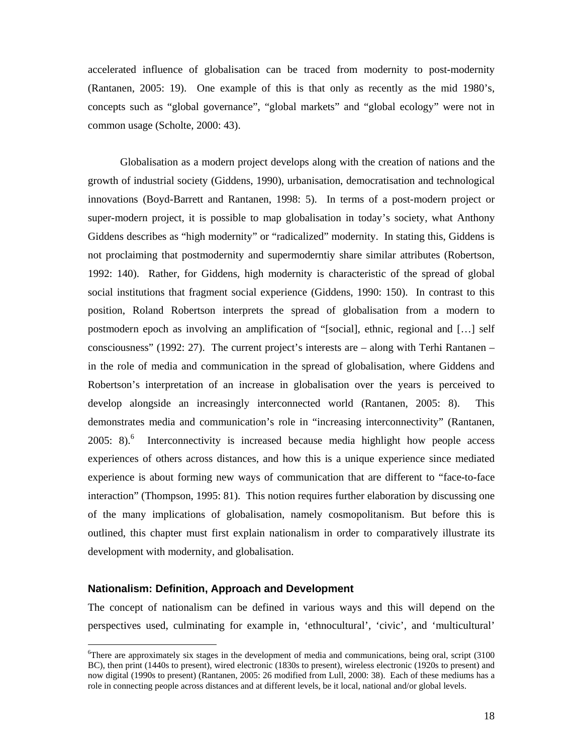accelerated influence of globalisation can be traced from modernity to post-modernity (Rantanen, 2005: 19). One example of this is that only as recently as the mid 1980's, concepts such as "global governance", "global markets" and "global ecology" were not in common usage (Scholte, 2000: 43).

Globalisation as a modern project develops along with the creation of nations and the growth of industrial society (Giddens, 1990), urbanisation, democratisation and technological innovations (Boyd-Barrett and Rantanen, 1998: 5). In terms of a post-modern project or super-modern project, it is possible to map globalisation in today's society, what Anthony Giddens describes as "high modernity" or "radicalized" modernity. In stating this, Giddens is not proclaiming that postmodernity and supermoderntiy share similar attributes (Robertson, 1992: 140). Rather, for Giddens, high modernity is characteristic of the spread of global social institutions that fragment social experience (Giddens, 1990: 150). In contrast to this position, Roland Robertson interprets the spread of globalisation from a modern to postmodern epoch as involving an amplification of "[social], ethnic, regional and […] self consciousness" (1992: 27). The current project's interests are – along with Terhi Rantanen – in the role of media and communication in the spread of globalisation, where Giddens and Robertson's interpretation of an increase in globalisation over the years is perceived to develop alongside an increasingly interconnected world (Rantanen, 2005: 8). This demonstrates media and communication's role in "increasing interconnectivity" (Rantanen, 2005: 8). $6$  Interconnectivity is increased because media highlight how people access experiences of others across distances, and how this is a unique experience since mediated experience is about forming new ways of communication that are different to "face-to-face interaction" (Thompson, 1995: 81). This notion requires further elaboration by discussing one of the many implications of globalisation, namely cosmopolitanism. But before this is outlined, this chapter must first explain nationalism in order to comparatively illustrate its development with modernity, and globalisation.

### **Nationalism: Definition, Approach and Development**

 $\overline{a}$ 

The concept of nationalism can be defined in various ways and this will depend on the perspectives used, culminating for example in, 'ethnocultural', 'civic', and 'multicultural'

<sup>&</sup>lt;sup>6</sup>There are approximately six stages in the development of media and communications, being oral, script (3100 BC), then print (1440s to present), wired electronic (1830s to present), wireless electronic (1920s to present) and now digital (1990s to present) (Rantanen, 2005: 26 modified from Lull, 2000: 38). Each of these mediums has a role in connecting people across distances and at different levels, be it local, national and/or global levels.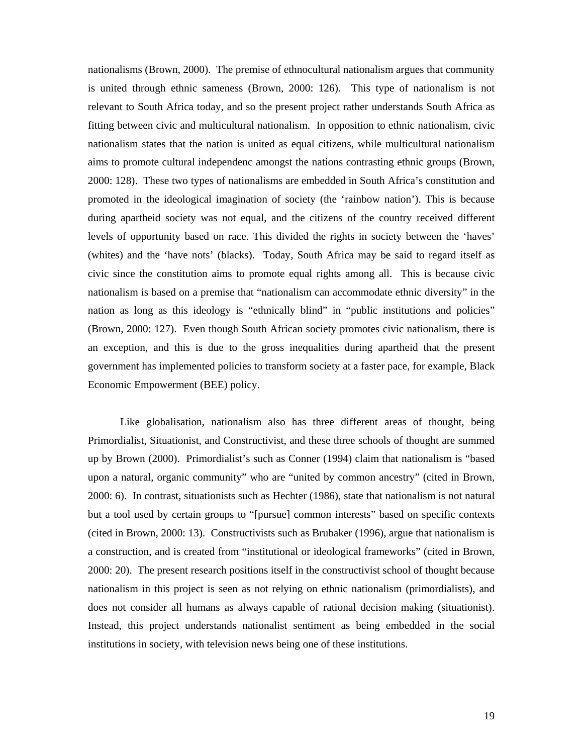nationalisms (Brown, 2000). The premise of ethnocultural nationalism argues that community is united through ethnic sameness (Brown, 2000: 126). This type of nationalism is not relevant to South Africa today, and so the present project rather understands South Africa as fitting between civic and multicultural nationalism. In opposition to ethnic nationalism, civic nationalism states that the nation is united as equal citizens, while multicultural nationalism aims to promote cultural independenc amongst the nations contrasting ethnic groups (Brown, 2000: 128). These two types of nationalisms are embedded in South Africa's constitution and promoted in the ideological imagination of society (the 'rainbow nation'). This is because during apartheid society was not equal, and the citizens of the country received different levels of opportunity based on race. This divided the rights in society between the 'haves' (whites) and the 'have nots' (blacks). Today, South Africa may be said to regard itself as civic since the constitution aims to promote equal rights among all. This is because civic nationalism is based on a premise that "nationalism can accommodate ethnic diversity" in the nation as long as this ideology is "ethnically blind" in "public institutions and policies" (Brown, 2000: 127). Even though South African society promotes civic nationalism, there is an exception, and this is due to the gross inequalities during apartheid that the present government has implemented policies to transform society at a faster pace, for example, Black Economic Empowerment (BEE) policy.

Like globalisation, nationalism also has three different areas of thought, being Primordialist, Situationist, and Constructivist, and these three schools of thought are summed up by Brown (2000). Primordialist's such as Conner (1994) claim that nationalism is "based upon a natural, organic community" who are "united by common ancestry" (cited in Brown, 2000: 6). In contrast, situationists such as Hechter (1986), state that nationalism is not natural but a tool used by certain groups to "[pursue] common interests" based on specific contexts (cited in Brown, 2000: 13). Constructivists such as Brubaker (1996), argue that nationalism is a construction, and is created from "institutional or ideological frameworks" (cited in Brown, 2000: 20). The present research positions itself in the constructivist school of thought because nationalism in this project is seen as not relying on ethnic nationalism (primordialists), and does not consider all humans as always capable of rational decision making (situationist). Instead, this project understands nationalist sentiment as being embedded in the social institutions in society, with television news being one of these institutions.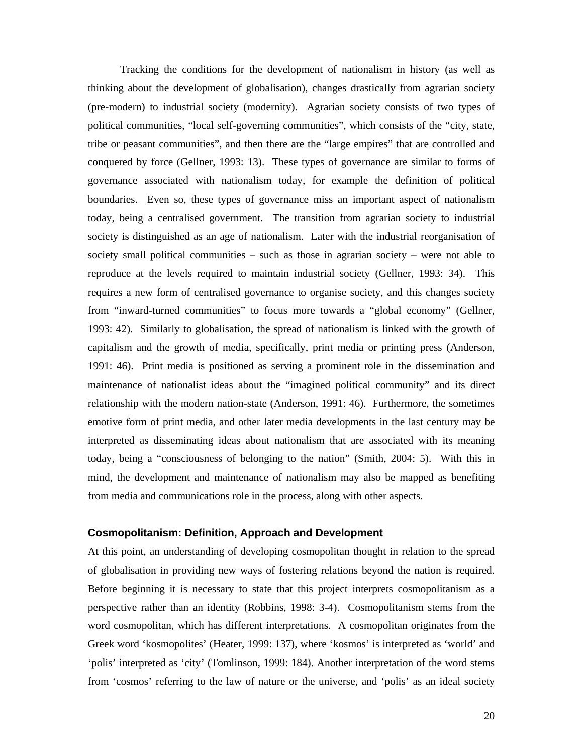Tracking the conditions for the development of nationalism in history (as well as thinking about the development of globalisation), changes drastically from agrarian society (pre-modern) to industrial society (modernity). Agrarian society consists of two types of political communities, "local self-governing communities", which consists of the "city, state, tribe or peasant communities", and then there are the "large empires" that are controlled and conquered by force (Gellner, 1993: 13). These types of governance are similar to forms of governance associated with nationalism today, for example the definition of political boundaries. Even so, these types of governance miss an important aspect of nationalism today, being a centralised government. The transition from agrarian society to industrial society is distinguished as an age of nationalism. Later with the industrial reorganisation of society small political communities – such as those in agrarian society – were not able to reproduce at the levels required to maintain industrial society (Gellner, 1993: 34). This requires a new form of centralised governance to organise society, and this changes society from "inward-turned communities" to focus more towards a "global economy" (Gellner, 1993: 42). Similarly to globalisation, the spread of nationalism is linked with the growth of capitalism and the growth of media, specifically, print media or printing press (Anderson, 1991: 46). Print media is positioned as serving a prominent role in the dissemination and maintenance of nationalist ideas about the "imagined political community" and its direct relationship with the modern nation-state (Anderson, 1991: 46). Furthermore, the sometimes emotive form of print media, and other later media developments in the last century may be interpreted as disseminating ideas about nationalism that are associated with its meaning today, being a "consciousness of belonging to the nation" (Smith, 2004: 5). With this in mind, the development and maintenance of nationalism may also be mapped as benefiting from media and communications role in the process, along with other aspects.

### **Cosmopolitanism: Definition, Approach and Development**

At this point, an understanding of developing cosmopolitan thought in relation to the spread of globalisation in providing new ways of fostering relations beyond the nation is required. Before beginning it is necessary to state that this project interprets cosmopolitanism as a perspective rather than an identity (Robbins, 1998: 3-4). Cosmopolitanism stems from the word cosmopolitan, which has different interpretations. A cosmopolitan originates from the Greek word 'kosmopolites' (Heater, 1999: 137), where 'kosmos' is interpreted as 'world' and 'polis' interpreted as 'city' (Tomlinson, 1999: 184). Another interpretation of the word stems from 'cosmos' referring to the law of nature or the universe, and 'polis' as an ideal society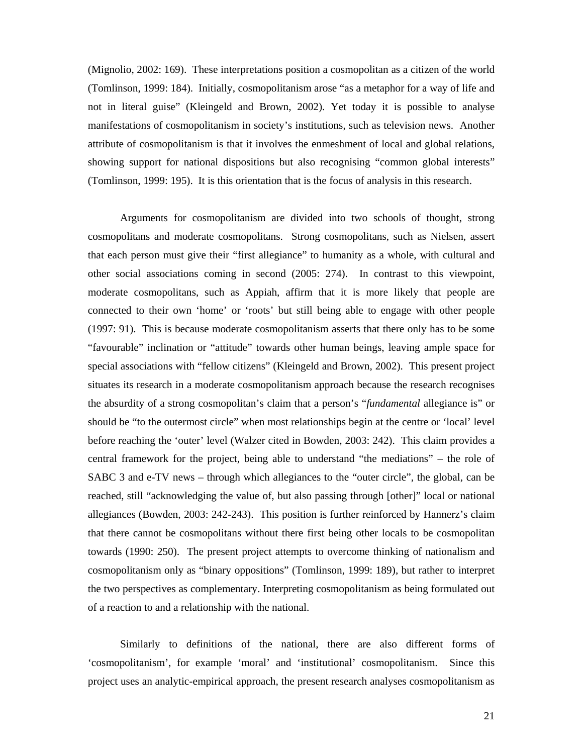(Mignolio, 2002: 169). These interpretations position a cosmopolitan as a citizen of the world (Tomlinson, 1999: 184). Initially, cosmopolitanism arose "as a metaphor for a way of life and not in literal guise" (Kleingeld and Brown, 2002). Yet today it is possible to analyse manifestations of cosmopolitanism in society's institutions, such as television news. Another attribute of cosmopolitanism is that it involves the enmeshment of local and global relations, showing support for national dispositions but also recognising "common global interests" (Tomlinson, 1999: 195). It is this orientation that is the focus of analysis in this research.

Arguments for cosmopolitanism are divided into two schools of thought, strong cosmopolitans and moderate cosmopolitans. Strong cosmopolitans, such as Nielsen, assert that each person must give their "first allegiance" to humanity as a whole, with cultural and other social associations coming in second (2005: 274). In contrast to this viewpoint, moderate cosmopolitans, such as Appiah, affirm that it is more likely that people are connected to their own 'home' or 'roots' but still being able to engage with other people (1997: 91). This is because moderate cosmopolitanism asserts that there only has to be some "favourable" inclination or "attitude" towards other human beings, leaving ample space for special associations with "fellow citizens" (Kleingeld and Brown, 2002). This present project situates its research in a moderate cosmopolitanism approach because the research recognises the absurdity of a strong cosmopolitan's claim that a person's "*fundamental* allegiance is" or should be "to the outermost circle" when most relationships begin at the centre or 'local' level before reaching the 'outer' level (Walzer cited in Bowden, 2003: 242). This claim provides a central framework for the project, being able to understand "the mediations" – the role of SABC 3 and e-TV news – through which allegiances to the "outer circle", the global, can be reached, still "acknowledging the value of, but also passing through [other]" local or national allegiances (Bowden, 2003: 242-243). This position is further reinforced by Hannerz's claim that there cannot be cosmopolitans without there first being other locals to be cosmopolitan towards (1990: 250). The present project attempts to overcome thinking of nationalism and cosmopolitanism only as "binary oppositions" (Tomlinson, 1999: 189), but rather to interpret the two perspectives as complementary. Interpreting cosmopolitanism as being formulated out of a reaction to and a relationship with the national.

Similarly to definitions of the national, there are also different forms of 'cosmopolitanism', for example 'moral' and 'institutional' cosmopolitanism. Since this project uses an analytic-empirical approach, the present research analyses cosmopolitanism as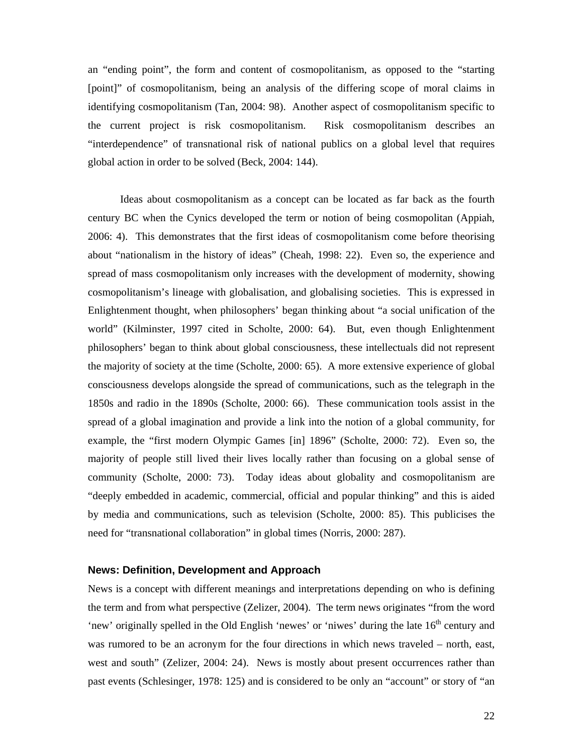an "ending point", the form and content of cosmopolitanism, as opposed to the "starting [point]" of cosmopolitanism, being an analysis of the differing scope of moral claims in identifying cosmopolitanism (Tan, 2004: 98). Another aspect of cosmopolitanism specific to the current project is risk cosmopolitanism. Risk cosmopolitanism describes an "interdependence" of transnational risk of national publics on a global level that requires global action in order to be solved (Beck, 2004: 144).

Ideas about cosmopolitanism as a concept can be located as far back as the fourth century BC when the Cynics developed the term or notion of being cosmopolitan (Appiah, 2006: 4). This demonstrates that the first ideas of cosmopolitanism come before theorising about "nationalism in the history of ideas" (Cheah, 1998: 22). Even so, the experience and spread of mass cosmopolitanism only increases with the development of modernity, showing cosmopolitanism's lineage with globalisation, and globalising societies. This is expressed in Enlightenment thought, when philosophers' began thinking about "a social unification of the world" (Kilminster, 1997 cited in Scholte, 2000: 64). But, even though Enlightenment philosophers' began to think about global consciousness, these intellectuals did not represent the majority of society at the time (Scholte, 2000: 65). A more extensive experience of global consciousness develops alongside the spread of communications, such as the telegraph in the 1850s and radio in the 1890s (Scholte, 2000: 66). These communication tools assist in the spread of a global imagination and provide a link into the notion of a global community, for example, the "first modern Olympic Games [in] 1896" (Scholte, 2000: 72). Even so, the majority of people still lived their lives locally rather than focusing on a global sense of community (Scholte, 2000: 73). Today ideas about globality and cosmopolitanism are "deeply embedded in academic, commercial, official and popular thinking" and this is aided by media and communications, such as television (Scholte, 2000: 85). This publicises the need for "transnational collaboration" in global times (Norris, 2000: 287).

### **News: Definition, Development and Approach**

News is a concept with different meanings and interpretations depending on who is defining the term and from what perspective (Zelizer, 2004). The term news originates "from the word 'new' originally spelled in the Old English 'newes' or 'niwes' during the late  $16<sup>th</sup>$  century and was rumored to be an acronym for the four directions in which news traveled – north, east, west and south" (Zelizer, 2004: 24). News is mostly about present occurrences rather than past events (Schlesinger, 1978: 125) and is considered to be only an "account" or story of "an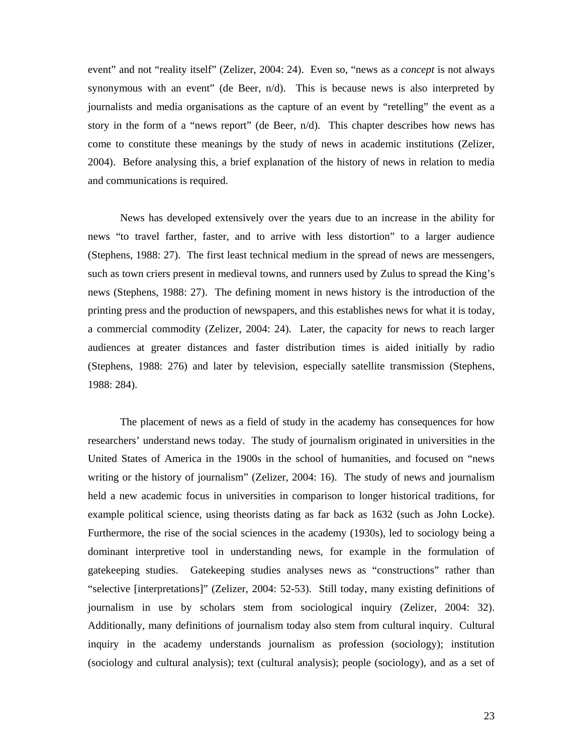event" and not "reality itself" (Zelizer, 2004: 24). Even so, "news as a *concept* is not always synonymous with an event" (de Beer,  $n/d$ ). This is because news is also interpreted by journalists and media organisations as the capture of an event by "retelling" the event as a story in the form of a "news report" (de Beer, n/d). This chapter describes how news has come to constitute these meanings by the study of news in academic institutions (Zelizer, 2004). Before analysing this, a brief explanation of the history of news in relation to media and communications is required.

News has developed extensively over the years due to an increase in the ability for news "to travel farther, faster, and to arrive with less distortion" to a larger audience (Stephens, 1988: 27). The first least technical medium in the spread of news are messengers, such as town criers present in medieval towns, and runners used by Zulus to spread the King's news (Stephens, 1988: 27). The defining moment in news history is the introduction of the printing press and the production of newspapers, and this establishes news for what it is today, a commercial commodity (Zelizer, 2004: 24). Later, the capacity for news to reach larger audiences at greater distances and faster distribution times is aided initially by radio (Stephens, 1988: 276) and later by television, especially satellite transmission (Stephens, 1988: 284).

The placement of news as a field of study in the academy has consequences for how researchers' understand news today. The study of journalism originated in universities in the United States of America in the 1900s in the school of humanities, and focused on "news writing or the history of journalism" (Zelizer, 2004: 16). The study of news and journalism held a new academic focus in universities in comparison to longer historical traditions, for example political science, using theorists dating as far back as 1632 (such as John Locke). Furthermore, the rise of the social sciences in the academy (1930s), led to sociology being a dominant interpretive tool in understanding news, for example in the formulation of gatekeeping studies. Gatekeeping studies analyses news as "constructions" rather than "selective [interpretations]" (Zelizer, 2004: 52-53). Still today, many existing definitions of journalism in use by scholars stem from sociological inquiry (Zelizer, 2004: 32). Additionally, many definitions of journalism today also stem from cultural inquiry. Cultural inquiry in the academy understands journalism as profession (sociology); institution (sociology and cultural analysis); text (cultural analysis); people (sociology), and as a set of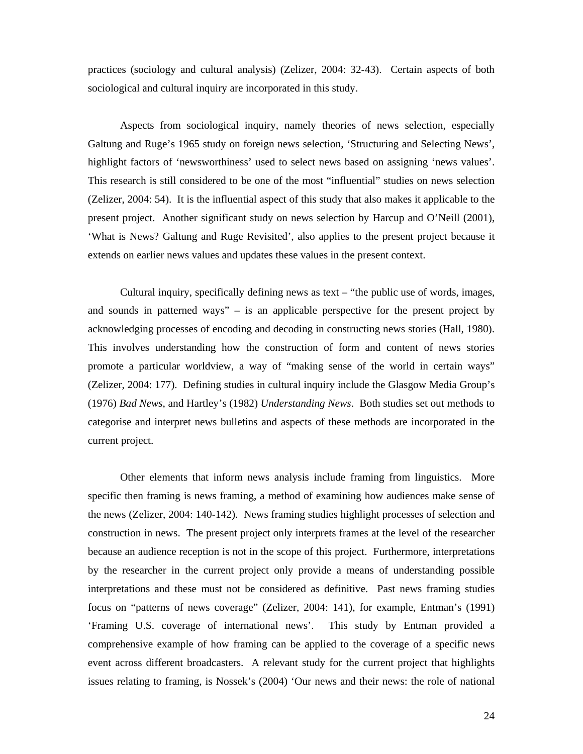practices (sociology and cultural analysis) (Zelizer, 2004: 32-43). Certain aspects of both sociological and cultural inquiry are incorporated in this study.

Aspects from sociological inquiry, namely theories of news selection, especially Galtung and Ruge's 1965 study on foreign news selection, 'Structuring and Selecting News', highlight factors of 'newsworthiness' used to select news based on assigning 'news values'. This research is still considered to be one of the most "influential" studies on news selection (Zelizer, 2004: 54). It is the influential aspect of this study that also makes it applicable to the present project. Another significant study on news selection by Harcup and O'Neill (2001), 'What is News? Galtung and Ruge Revisited', also applies to the present project because it extends on earlier news values and updates these values in the present context.

Cultural inquiry, specifically defining news as text – "the public use of words, images, and sounds in patterned ways" – is an applicable perspective for the present project by acknowledging processes of encoding and decoding in constructing news stories (Hall, 1980). This involves understanding how the construction of form and content of news stories promote a particular worldview, a way of "making sense of the world in certain ways" (Zelizer, 2004: 177). Defining studies in cultural inquiry include the Glasgow Media Group's (1976) *Bad News*, and Hartley's (1982) *Understanding News*. Both studies set out methods to categorise and interpret news bulletins and aspects of these methods are incorporated in the current project.

Other elements that inform news analysis include framing from linguistics. More specific then framing is news framing, a method of examining how audiences make sense of the news (Zelizer, 2004: 140-142). News framing studies highlight processes of selection and construction in news. The present project only interprets frames at the level of the researcher because an audience reception is not in the scope of this project. Furthermore, interpretations by the researcher in the current project only provide a means of understanding possible interpretations and these must not be considered as definitive. Past news framing studies focus on "patterns of news coverage" (Zelizer, 2004: 141), for example, Entman's (1991) 'Framing U.S. coverage of international news'. This study by Entman provided a comprehensive example of how framing can be applied to the coverage of a specific news event across different broadcasters. A relevant study for the current project that highlights issues relating to framing, is Nossek's (2004) 'Our news and their news: the role of national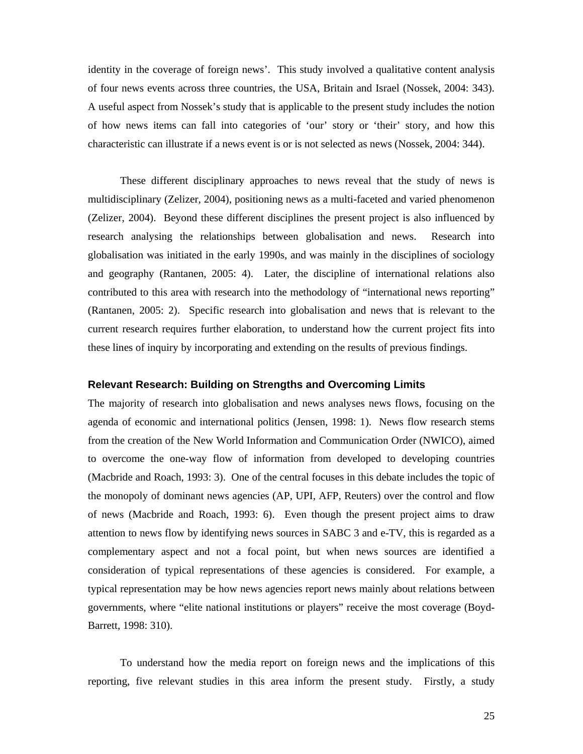identity in the coverage of foreign news'. This study involved a qualitative content analysis of four news events across three countries, the USA, Britain and Israel (Nossek, 2004: 343). A useful aspect from Nossek's study that is applicable to the present study includes the notion of how news items can fall into categories of 'our' story or 'their' story, and how this characteristic can illustrate if a news event is or is not selected as news (Nossek, 2004: 344).

These different disciplinary approaches to news reveal that the study of news is multidisciplinary (Zelizer, 2004), positioning news as a multi-faceted and varied phenomenon (Zelizer, 2004). Beyond these different disciplines the present project is also influenced by research analysing the relationships between globalisation and news. Research into globalisation was initiated in the early 1990s, and was mainly in the disciplines of sociology and geography (Rantanen, 2005: 4). Later, the discipline of international relations also contributed to this area with research into the methodology of "international news reporting" (Rantanen, 2005: 2). Specific research into globalisation and news that is relevant to the current research requires further elaboration, to understand how the current project fits into these lines of inquiry by incorporating and extending on the results of previous findings.

#### **Relevant Research: Building on Strengths and Overcoming Limits**

The majority of research into globalisation and news analyses news flows, focusing on the agenda of economic and international politics (Jensen, 1998: 1). News flow research stems from the creation of the New World Information and Communication Order (NWICO), aimed to overcome the one-way flow of information from developed to developing countries (Macbride and Roach, 1993: 3). One of the central focuses in this debate includes the topic of the monopoly of dominant news agencies (AP, UPI, AFP, Reuters) over the control and flow of news (Macbride and Roach, 1993: 6). Even though the present project aims to draw attention to news flow by identifying news sources in SABC 3 and e-TV, this is regarded as a complementary aspect and not a focal point, but when news sources are identified a consideration of typical representations of these agencies is considered. For example, a typical representation may be how news agencies report news mainly about relations between governments, where "elite national institutions or players" receive the most coverage (Boyd-Barrett, 1998: 310).

To understand how the media report on foreign news and the implications of this reporting, five relevant studies in this area inform the present study. Firstly, a study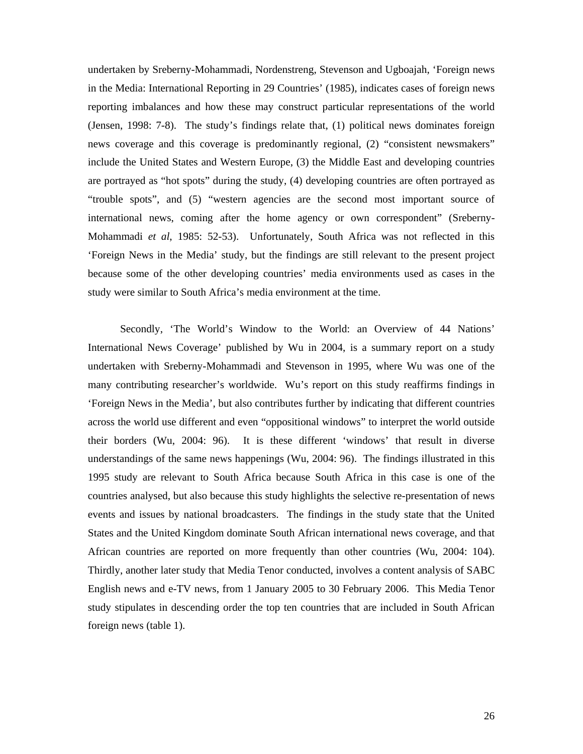undertaken by Sreberny-Mohammadi, Nordenstreng, Stevenson and Ugboajah, 'Foreign news in the Media: International Reporting in 29 Countries' (1985), indicates cases of foreign news reporting imbalances and how these may construct particular representations of the world (Jensen, 1998: 7-8). The study's findings relate that, (1) political news dominates foreign news coverage and this coverage is predominantly regional, (2) "consistent newsmakers" include the United States and Western Europe, (3) the Middle East and developing countries are portrayed as "hot spots" during the study, (4) developing countries are often portrayed as "trouble spots", and (5) "western agencies are the second most important source of international news, coming after the home agency or own correspondent" (Sreberny-Mohammadi *et al*, 1985: 52-53). Unfortunately, South Africa was not reflected in this 'Foreign News in the Media' study, but the findings are still relevant to the present project because some of the other developing countries' media environments used as cases in the study were similar to South Africa's media environment at the time.

Secondly, 'The World's Window to the World: an Overview of 44 Nations' International News Coverage' published by Wu in 2004, is a summary report on a study undertaken with Sreberny-Mohammadi and Stevenson in 1995, where Wu was one of the many contributing researcher's worldwide. Wu's report on this study reaffirms findings in 'Foreign News in the Media', but also contributes further by indicating that different countries across the world use different and even "oppositional windows" to interpret the world outside their borders (Wu, 2004: 96). It is these different 'windows' that result in diverse understandings of the same news happenings (Wu, 2004: 96). The findings illustrated in this 1995 study are relevant to South Africa because South Africa in this case is one of the countries analysed, but also because this study highlights the selective re-presentation of news events and issues by national broadcasters. The findings in the study state that the United States and the United Kingdom dominate South African international news coverage, and that African countries are reported on more frequently than other countries (Wu, 2004: 104). Thirdly, another later study that Media Tenor conducted, involves a content analysis of SABC English news and e-TV news, from 1 January 2005 to 30 February 2006. This Media Tenor study stipulates in descending order the top ten countries that are included in South African foreign news (table 1).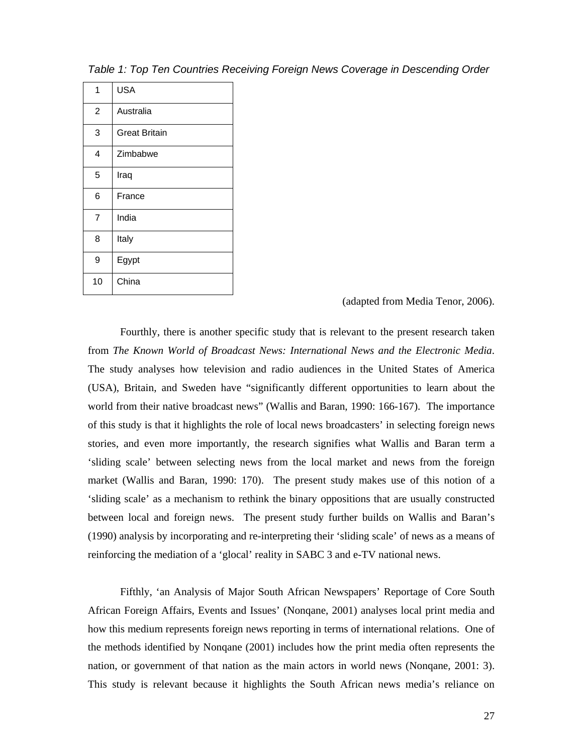| 1              | <b>USA</b>           |  |  |  |  |  |
|----------------|----------------------|--|--|--|--|--|
| $\overline{c}$ | Australia            |  |  |  |  |  |
| 3              | <b>Great Britain</b> |  |  |  |  |  |
| 4              | Zimbabwe             |  |  |  |  |  |
| 5              | Iraq                 |  |  |  |  |  |
| 6              | France               |  |  |  |  |  |
| $\overline{7}$ | India                |  |  |  |  |  |
| 8              | Italy                |  |  |  |  |  |
| 9              | Egypt                |  |  |  |  |  |
| 10             | China                |  |  |  |  |  |

*Table 1: Top Ten Countries Receiving Foreign News Coverage in Descending Order* 

(adapted from Media Tenor, 2006).

Fourthly, there is another specific study that is relevant to the present research taken from *The Known World of Broadcast News: International News and the Electronic Media*. The study analyses how television and radio audiences in the United States of America (USA), Britain, and Sweden have "significantly different opportunities to learn about the world from their native broadcast news" (Wallis and Baran, 1990: 166-167). The importance of this study is that it highlights the role of local news broadcasters' in selecting foreign news stories, and even more importantly, the research signifies what Wallis and Baran term a 'sliding scale' between selecting news from the local market and news from the foreign market (Wallis and Baran, 1990: 170). The present study makes use of this notion of a 'sliding scale' as a mechanism to rethink the binary oppositions that are usually constructed between local and foreign news. The present study further builds on Wallis and Baran's (1990) analysis by incorporating and re-interpreting their 'sliding scale' of news as a means of reinforcing the mediation of a 'glocal' reality in SABC 3 and e-TV national news.

Fifthly, 'an Analysis of Major South African Newspapers' Reportage of Core South African Foreign Affairs, Events and Issues' (Nonqane, 2001) analyses local print media and how this medium represents foreign news reporting in terms of international relations. One of the methods identified by Nonqane (2001) includes how the print media often represents the nation, or government of that nation as the main actors in world news (Nonqane, 2001: 3). This study is relevant because it highlights the South African news media's reliance on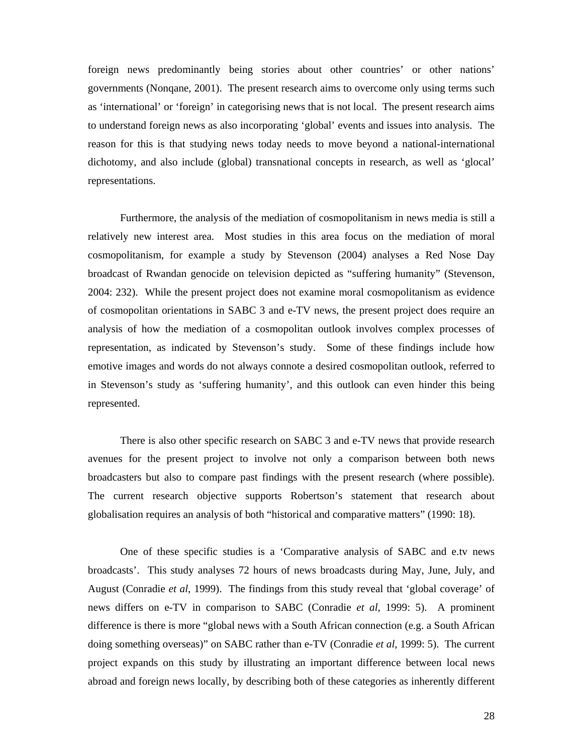foreign news predominantly being stories about other countries' or other nations' governments (Nonqane, 2001). The present research aims to overcome only using terms such as 'international' or 'foreign' in categorising news that is not local. The present research aims to understand foreign news as also incorporating 'global' events and issues into analysis. The reason for this is that studying news today needs to move beyond a national-international dichotomy, and also include (global) transnational concepts in research, as well as 'glocal' representations.

Furthermore, the analysis of the mediation of cosmopolitanism in news media is still a relatively new interest area. Most studies in this area focus on the mediation of moral cosmopolitanism, for example a study by Stevenson (2004) analyses a Red Nose Day broadcast of Rwandan genocide on television depicted as "suffering humanity" (Stevenson, 2004: 232). While the present project does not examine moral cosmopolitanism as evidence of cosmopolitan orientations in SABC 3 and e-TV news, the present project does require an analysis of how the mediation of a cosmopolitan outlook involves complex processes of representation, as indicated by Stevenson's study. Some of these findings include how emotive images and words do not always connote a desired cosmopolitan outlook, referred to in Stevenson's study as 'suffering humanity', and this outlook can even hinder this being represented.

There is also other specific research on SABC 3 and e-TV news that provide research avenues for the present project to involve not only a comparison between both news broadcasters but also to compare past findings with the present research (where possible). The current research objective supports Robertson's statement that research about globalisation requires an analysis of both "historical and comparative matters" (1990: 18).

One of these specific studies is a 'Comparative analysis of SABC and e.tv news broadcasts'. This study analyses 72 hours of news broadcasts during May, June, July, and August (Conradie *et al*, 1999). The findings from this study reveal that 'global coverage' of news differs on e-TV in comparison to SABC (Conradie *et al*, 1999: 5). A prominent difference is there is more "global news with a South African connection (e.g. a South African doing something overseas)" on SABC rather than e-TV (Conradie *et al*, 1999: 5). The current project expands on this study by illustrating an important difference between local news abroad and foreign news locally, by describing both of these categories as inherently different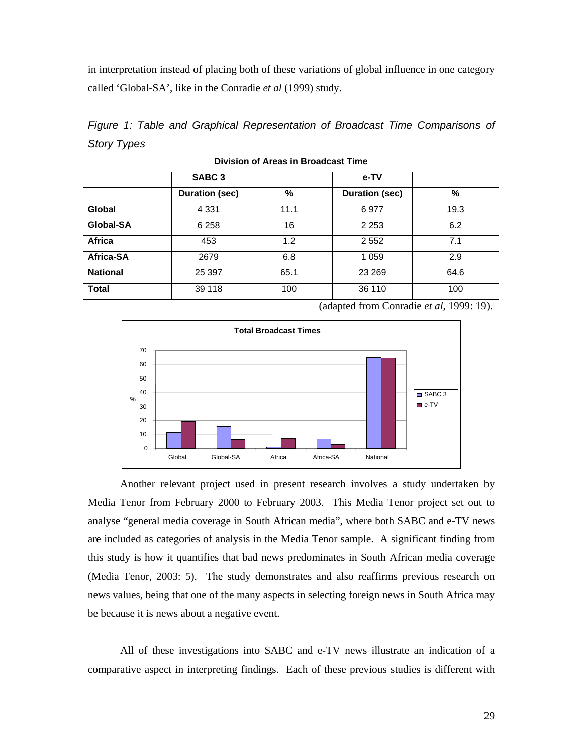in interpretation instead of placing both of these variations of global influence in one category called 'Global-SA', like in the Conradie *et al* (1999) study.

|                    |  |  |  | Figure 1: Table and Graphical Representation of Broadcast Time Comparisons of |  |  |  |  |  |
|--------------------|--|--|--|-------------------------------------------------------------------------------|--|--|--|--|--|
| <b>Story Types</b> |  |  |  |                                                                               |  |  |  |  |  |

| <b>Division of Areas in Broadcast Time</b> |                       |      |                       |      |  |  |
|--------------------------------------------|-----------------------|------|-----------------------|------|--|--|
|                                            | SABC <sub>3</sub>     |      | e-TV                  |      |  |  |
|                                            | <b>Duration (sec)</b> | %    | <b>Duration (sec)</b> | %    |  |  |
| Global                                     | 4 3 3 1               | 11.1 | 6977                  | 19.3 |  |  |
| Global-SA                                  | 6 2 5 8               | 16   | 2 2 5 3               | 6.2  |  |  |
| <b>Africa</b>                              | 453                   | 1.2  | 2 5 5 2               | 7.1  |  |  |
| Africa-SA                                  | 2679                  | 6.8  | 1 0 5 9               | 2.9  |  |  |
| <b>National</b>                            | 25 397                | 65.1 | 23 269                | 64.6 |  |  |
| <b>Total</b>                               | 39 118                | 100  | 36 110                | 100  |  |  |

(adapted from Conradie *et al*, 1999: 19).



Another relevant project used in present research involves a study undertaken by Media Tenor from February 2000 to February 2003. This Media Tenor project set out to analyse "general media coverage in South African media", where both SABC and e-TV news are included as categories of analysis in the Media Tenor sample. A significant finding from this study is how it quantifies that bad news predominates in South African media coverage (Media Tenor, 2003: 5). The study demonstrates and also reaffirms previous research on news values, being that one of the many aspects in selecting foreign news in South Africa may be because it is news about a negative event.

All of these investigations into SABC and e-TV news illustrate an indication of a comparative aspect in interpreting findings. Each of these previous studies is different with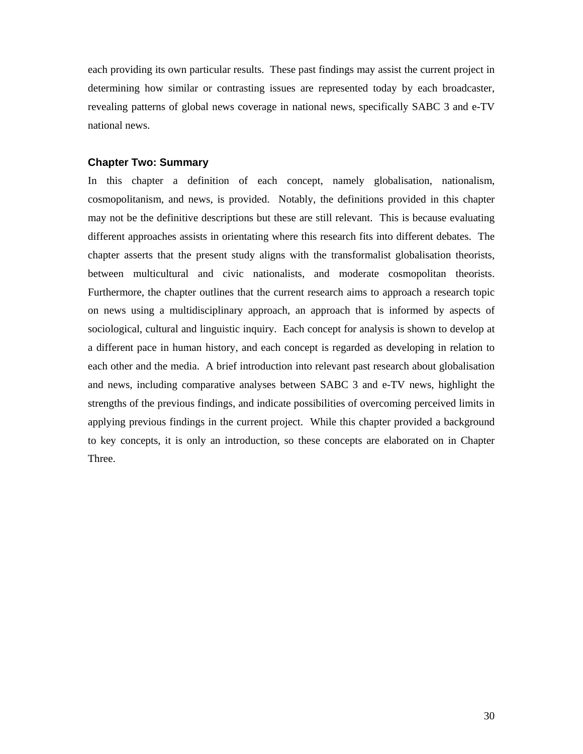each providing its own particular results. These past findings may assist the current project in determining how similar or contrasting issues are represented today by each broadcaster, revealing patterns of global news coverage in national news, specifically SABC 3 and e-TV national news.

### **Chapter Two: Summary**

In this chapter a definition of each concept, namely globalisation, nationalism, cosmopolitanism, and news, is provided. Notably, the definitions provided in this chapter may not be the definitive descriptions but these are still relevant. This is because evaluating different approaches assists in orientating where this research fits into different debates. The chapter asserts that the present study aligns with the transformalist globalisation theorists, between multicultural and civic nationalists, and moderate cosmopolitan theorists. Furthermore, the chapter outlines that the current research aims to approach a research topic on news using a multidisciplinary approach, an approach that is informed by aspects of sociological, cultural and linguistic inquiry. Each concept for analysis is shown to develop at a different pace in human history, and each concept is regarded as developing in relation to each other and the media. A brief introduction into relevant past research about globalisation and news, including comparative analyses between SABC 3 and e-TV news, highlight the strengths of the previous findings, and indicate possibilities of overcoming perceived limits in applying previous findings in the current project. While this chapter provided a background to key concepts, it is only an introduction, so these concepts are elaborated on in Chapter Three.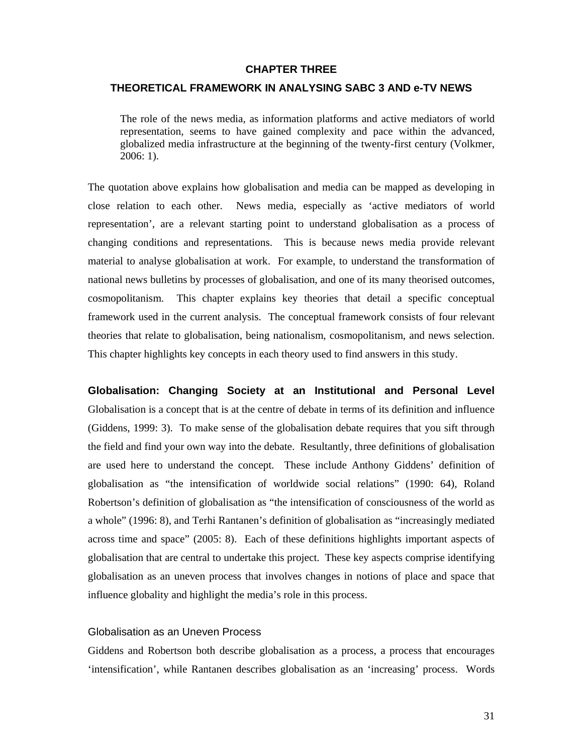### **CHAPTER THREE**

### **THEORETICAL FRAMEWORK IN ANALYSING SABC 3 AND e-TV NEWS**

The role of the news media, as information platforms and active mediators of world representation, seems to have gained complexity and pace within the advanced, globalized media infrastructure at the beginning of the twenty-first century (Volkmer, 2006: 1).

The quotation above explains how globalisation and media can be mapped as developing in close relation to each other. News media, especially as 'active mediators of world representation', are a relevant starting point to understand globalisation as a process of changing conditions and representations. This is because news media provide relevant material to analyse globalisation at work. For example, to understand the transformation of national news bulletins by processes of globalisation, and one of its many theorised outcomes, cosmopolitanism. This chapter explains key theories that detail a specific conceptual framework used in the current analysis. The conceptual framework consists of four relevant theories that relate to globalisation, being nationalism, cosmopolitanism, and news selection. This chapter highlights key concepts in each theory used to find answers in this study.

**Globalisation: Changing Society at an Institutional and Personal Level**  Globalisation is a concept that is at the centre of debate in terms of its definition and influence (Giddens, 1999: 3). To make sense of the globalisation debate requires that you sift through the field and find your own way into the debate. Resultantly, three definitions of globalisation are used here to understand the concept. These include Anthony Giddens' definition of globalisation as "the intensification of worldwide social relations" (1990: 64), Roland Robertson's definition of globalisation as "the intensification of consciousness of the world as a whole" (1996: 8), and Terhi Rantanen's definition of globalisation as "increasingly mediated across time and space" (2005: 8). Each of these definitions highlights important aspects of globalisation that are central to undertake this project. These key aspects comprise identifying globalisation as an uneven process that involves changes in notions of place and space that influence globality and highlight the media's role in this process.

### Globalisation as an Uneven Process

Giddens and Robertson both describe globalisation as a process, a process that encourages 'intensification', while Rantanen describes globalisation as an 'increasing' process. Words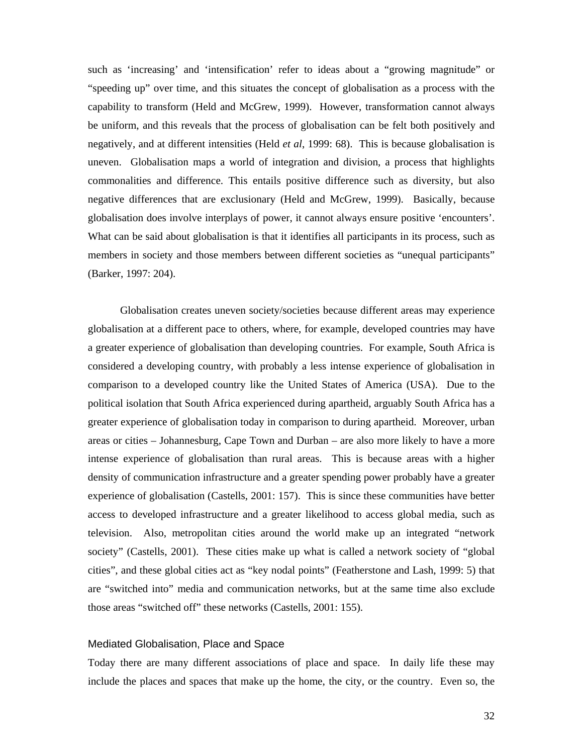such as 'increasing' and 'intensification' refer to ideas about a "growing magnitude" or "speeding up" over time, and this situates the concept of globalisation as a process with the capability to transform (Held and McGrew, 1999). However, transformation cannot always be uniform, and this reveals that the process of globalisation can be felt both positively and negatively, and at different intensities (Held *et al*, 1999: 68). This is because globalisation is uneven. Globalisation maps a world of integration and division, a process that highlights commonalities and difference. This entails positive difference such as diversity, but also negative differences that are exclusionary (Held and McGrew, 1999). Basically, because globalisation does involve interplays of power, it cannot always ensure positive 'encounters'. What can be said about globalisation is that it identifies all participants in its process, such as members in society and those members between different societies as "unequal participants" (Barker, 1997: 204).

Globalisation creates uneven society/societies because different areas may experience globalisation at a different pace to others, where, for example, developed countries may have a greater experience of globalisation than developing countries. For example, South Africa is considered a developing country, with probably a less intense experience of globalisation in comparison to a developed country like the United States of America (USA). Due to the political isolation that South Africa experienced during apartheid, arguably South Africa has a greater experience of globalisation today in comparison to during apartheid. Moreover, urban areas or cities – Johannesburg, Cape Town and Durban – are also more likely to have a more intense experience of globalisation than rural areas. This is because areas with a higher density of communication infrastructure and a greater spending power probably have a greater experience of globalisation (Castells, 2001: 157). This is since these communities have better access to developed infrastructure and a greater likelihood to access global media, such as television. Also, metropolitan cities around the world make up an integrated "network society" (Castells, 2001). These cities make up what is called a network society of "global cities", and these global cities act as "key nodal points" (Featherstone and Lash, 1999: 5) that are "switched into" media and communication networks, but at the same time also exclude those areas "switched off" these networks (Castells, 2001: 155).

#### Mediated Globalisation, Place and Space

Today there are many different associations of place and space. In daily life these may include the places and spaces that make up the home, the city, or the country. Even so, the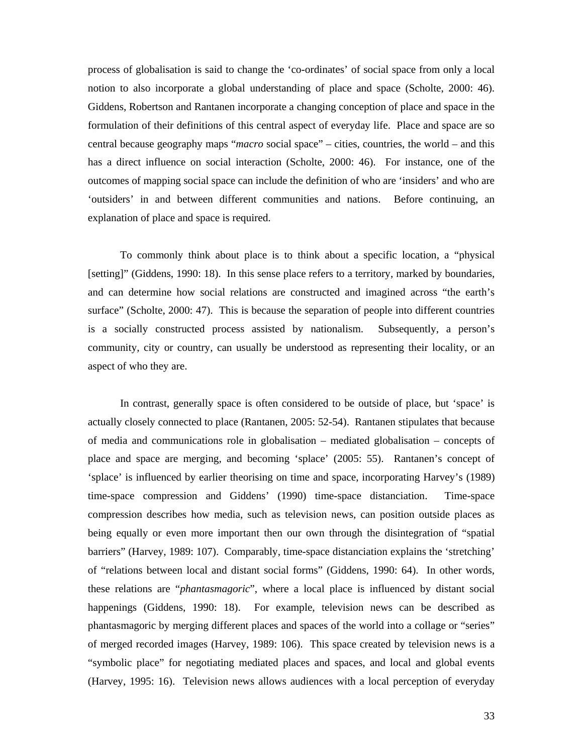process of globalisation is said to change the 'co-ordinates' of social space from only a local notion to also incorporate a global understanding of place and space (Scholte, 2000: 46). Giddens, Robertson and Rantanen incorporate a changing conception of place and space in the formulation of their definitions of this central aspect of everyday life. Place and space are so central because geography maps "*macro* social space" – cities, countries, the world – and this has a direct influence on social interaction (Scholte, 2000: 46). For instance, one of the outcomes of mapping social space can include the definition of who are 'insiders' and who are 'outsiders' in and between different communities and nations. Before continuing, an explanation of place and space is required.

To commonly think about place is to think about a specific location, a "physical [setting]" (Giddens, 1990: 18). In this sense place refers to a territory, marked by boundaries, and can determine how social relations are constructed and imagined across "the earth's surface" (Scholte, 2000: 47). This is because the separation of people into different countries is a socially constructed process assisted by nationalism. Subsequently, a person's community, city or country, can usually be understood as representing their locality, or an aspect of who they are.

In contrast, generally space is often considered to be outside of place, but 'space' is actually closely connected to place (Rantanen, 2005: 52-54). Rantanen stipulates that because of media and communications role in globalisation – mediated globalisation – concepts of place and space are merging, and becoming 'splace' (2005: 55). Rantanen's concept of 'splace' is influenced by earlier theorising on time and space, incorporating Harvey's (1989) time-space compression and Giddens' (1990) time-space distanciation. Time-space compression describes how media, such as television news, can position outside places as being equally or even more important then our own through the disintegration of "spatial barriers" (Harvey, 1989: 107). Comparably, time-space distanciation explains the 'stretching' of "relations between local and distant social forms" (Giddens, 1990: 64). In other words, these relations are "*phantasmagoric*", where a local place is influenced by distant social happenings (Giddens, 1990: 18). For example, television news can be described as phantasmagoric by merging different places and spaces of the world into a collage or "series" of merged recorded images (Harvey, 1989: 106). This space created by television news is a "symbolic place" for negotiating mediated places and spaces, and local and global events (Harvey, 1995: 16). Television news allows audiences with a local perception of everyday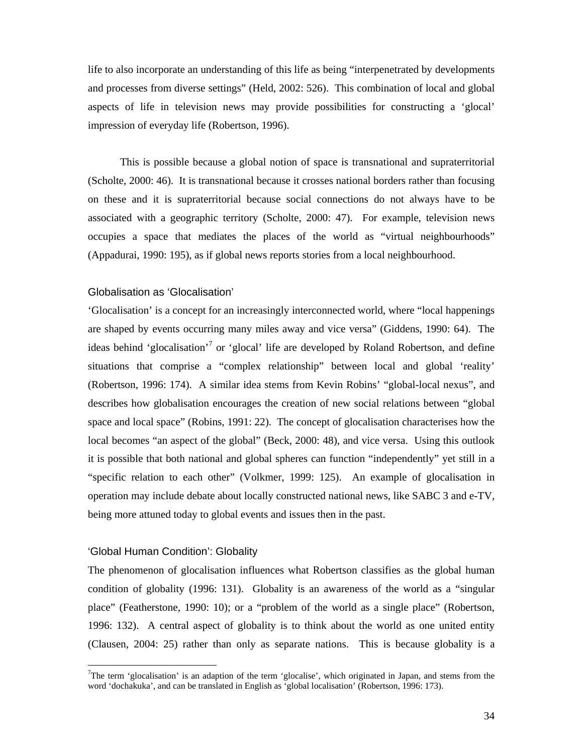life to also incorporate an understanding of this life as being "interpenetrated by developments and processes from diverse settings" (Held, 2002: 526). This combination of local and global aspects of life in television news may provide possibilities for constructing a 'glocal' impression of everyday life (Robertson, 1996).

This is possible because a global notion of space is transnational and supraterritorial (Scholte, 2000: 46). It is transnational because it crosses national borders rather than focusing on these and it is supraterritorial because social connections do not always have to be associated with a geographic territory (Scholte, 2000: 47). For example, television news occupies a space that mediates the places of the world as "virtual neighbourhoods" (Appadurai, 1990: 195), as if global news reports stories from a local neighbourhood.

#### Globalisation as 'Glocalisation'

'Glocalisation' is a concept for an increasingly interconnected world, where "local happenings are shaped by events occurring many miles away and vice versa" (Giddens, 1990: 64). The ideas behind 'glocalisation'<sup>7</sup> or 'glocal' life are developed by Roland Robertson, and define situations that comprise a "complex relationship" between local and global 'reality' (Robertson, 1996: 174). A similar idea stems from Kevin Robins' "global-local nexus", and describes how globalisation encourages the creation of new social relations between "global space and local space" (Robins, 1991: 22). The concept of glocalisation characterises how the local becomes "an aspect of the global" (Beck, 2000: 48), and vice versa. Using this outlook it is possible that both national and global spheres can function "independently" yet still in a "specific relation to each other" (Volkmer, 1999: 125). An example of glocalisation in operation may include debate about locally constructed national news, like SABC 3 and e-TV, being more attuned today to global events and issues then in the past.

### 'Global Human Condition': Globality

 $\overline{\phantom{a}}$ 

The phenomenon of glocalisation influences what Robertson classifies as the global human condition of globality (1996: 131). Globality is an awareness of the world as a "singular place" (Featherstone, 1990: 10); or a "problem of the world as a single place" (Robertson, 1996: 132). A central aspect of globality is to think about the world as one united entity (Clausen, 2004: 25) rather than only as separate nations. This is because globality is a

<sup>&</sup>lt;sup>7</sup>The term 'glocalisation' is an adaption of the term 'glocalise', which originated in Japan, and stems from the word 'dochakuka', and can be translated in English as 'global localisation' (Robertson, 1996: 173).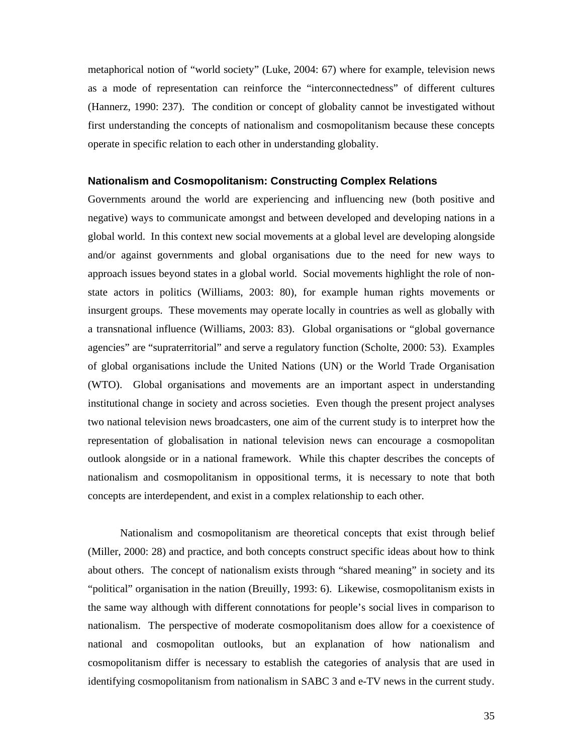metaphorical notion of "world society" (Luke, 2004: 67) where for example, television news as a mode of representation can reinforce the "interconnectedness" of different cultures (Hannerz, 1990: 237). The condition or concept of globality cannot be investigated without first understanding the concepts of nationalism and cosmopolitanism because these concepts operate in specific relation to each other in understanding globality.

#### **Nationalism and Cosmopolitanism: Constructing Complex Relations**

Governments around the world are experiencing and influencing new (both positive and negative) ways to communicate amongst and between developed and developing nations in a global world. In this context new social movements at a global level are developing alongside and/or against governments and global organisations due to the need for new ways to approach issues beyond states in a global world. Social movements highlight the role of nonstate actors in politics (Williams, 2003: 80), for example human rights movements or insurgent groups. These movements may operate locally in countries as well as globally with a transnational influence (Williams, 2003: 83). Global organisations or "global governance agencies" are "supraterritorial" and serve a regulatory function (Scholte, 2000: 53). Examples of global organisations include the United Nations (UN) or the World Trade Organisation (WTO). Global organisations and movements are an important aspect in understanding institutional change in society and across societies. Even though the present project analyses two national television news broadcasters, one aim of the current study is to interpret how the representation of globalisation in national television news can encourage a cosmopolitan outlook alongside or in a national framework. While this chapter describes the concepts of nationalism and cosmopolitanism in oppositional terms, it is necessary to note that both concepts are interdependent, and exist in a complex relationship to each other.

Nationalism and cosmopolitanism are theoretical concepts that exist through belief (Miller, 2000: 28) and practice, and both concepts construct specific ideas about how to think about others. The concept of nationalism exists through "shared meaning" in society and its "political" organisation in the nation (Breuilly, 1993: 6). Likewise, cosmopolitanism exists in the same way although with different connotations for people's social lives in comparison to nationalism. The perspective of moderate cosmopolitanism does allow for a coexistence of national and cosmopolitan outlooks, but an explanation of how nationalism and cosmopolitanism differ is necessary to establish the categories of analysis that are used in identifying cosmopolitanism from nationalism in SABC 3 and e-TV news in the current study.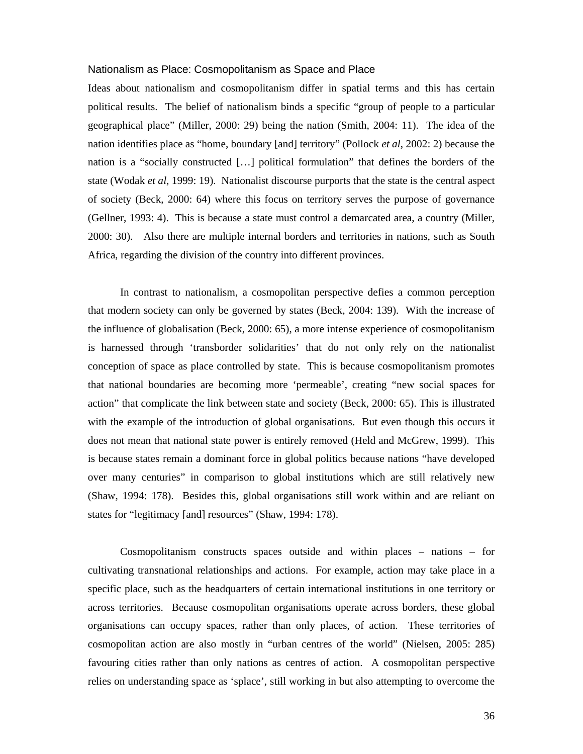#### Nationalism as Place: Cosmopolitanism as Space and Place

Ideas about nationalism and cosmopolitanism differ in spatial terms and this has certain political results. The belief of nationalism binds a specific "group of people to a particular geographical place" (Miller, 2000: 29) being the nation (Smith, 2004: 11). The idea of the nation identifies place as "home, boundary [and] territory" (Pollock *et al*, 2002: 2) because the nation is a "socially constructed […] political formulation" that defines the borders of the state (Wodak *et al*, 1999: 19). Nationalist discourse purports that the state is the central aspect of society (Beck, 2000: 64) where this focus on territory serves the purpose of governance (Gellner, 1993: 4). This is because a state must control a demarcated area, a country (Miller, 2000: 30). Also there are multiple internal borders and territories in nations, such as South Africa, regarding the division of the country into different provinces.

In contrast to nationalism, a cosmopolitan perspective defies a common perception that modern society can only be governed by states (Beck, 2004: 139). With the increase of the influence of globalisation (Beck, 2000: 65), a more intense experience of cosmopolitanism is harnessed through 'transborder solidarities' that do not only rely on the nationalist conception of space as place controlled by state. This is because cosmopolitanism promotes that national boundaries are becoming more 'permeable', creating "new social spaces for action" that complicate the link between state and society (Beck, 2000: 65). This is illustrated with the example of the introduction of global organisations. But even though this occurs it does not mean that national state power is entirely removed (Held and McGrew, 1999). This is because states remain a dominant force in global politics because nations "have developed over many centuries" in comparison to global institutions which are still relatively new (Shaw, 1994: 178). Besides this, global organisations still work within and are reliant on states for "legitimacy [and] resources" (Shaw, 1994: 178).

Cosmopolitanism constructs spaces outside and within places – nations – for cultivating transnational relationships and actions. For example, action may take place in a specific place, such as the headquarters of certain international institutions in one territory or across territories. Because cosmopolitan organisations operate across borders, these global organisations can occupy spaces, rather than only places, of action. These territories of cosmopolitan action are also mostly in "urban centres of the world" (Nielsen, 2005: 285) favouring cities rather than only nations as centres of action. A cosmopolitan perspective relies on understanding space as 'splace', still working in but also attempting to overcome the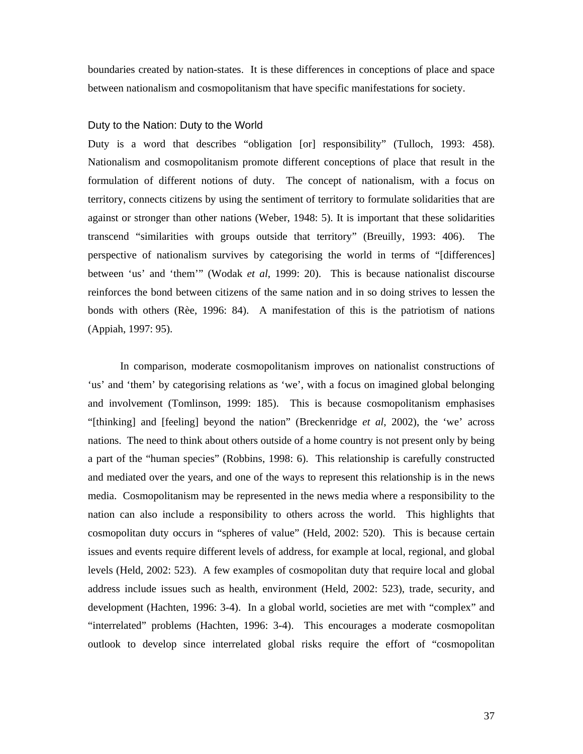boundaries created by nation-states. It is these differences in conceptions of place and space between nationalism and cosmopolitanism that have specific manifestations for society.

## Duty to the Nation: Duty to the World

Duty is a word that describes "obligation [or] responsibility" (Tulloch, 1993: 458). Nationalism and cosmopolitanism promote different conceptions of place that result in the formulation of different notions of duty. The concept of nationalism, with a focus on territory, connects citizens by using the sentiment of territory to formulate solidarities that are against or stronger than other nations (Weber, 1948: 5). It is important that these solidarities transcend "similarities with groups outside that territory" (Breuilly, 1993: 406). The perspective of nationalism survives by categorising the world in terms of "[differences] between 'us' and 'them'" (Wodak *et al*, 1999: 20). This is because nationalist discourse reinforces the bond between citizens of the same nation and in so doing strives to lessen the bonds with others (Rèe, 1996: 84). A manifestation of this is the patriotism of nations (Appiah, 1997: 95).

In comparison, moderate cosmopolitanism improves on nationalist constructions of 'us' and 'them' by categorising relations as 'we', with a focus on imagined global belonging and involvement (Tomlinson, 1999: 185). This is because cosmopolitanism emphasises "[thinking] and [feeling] beyond the nation" (Breckenridge *et al*, 2002), the 'we' across nations. The need to think about others outside of a home country is not present only by being a part of the "human species" (Robbins, 1998: 6). This relationship is carefully constructed and mediated over the years, and one of the ways to represent this relationship is in the news media. Cosmopolitanism may be represented in the news media where a responsibility to the nation can also include a responsibility to others across the world. This highlights that cosmopolitan duty occurs in "spheres of value" (Held, 2002: 520). This is because certain issues and events require different levels of address, for example at local, regional, and global levels (Held, 2002: 523). A few examples of cosmopolitan duty that require local and global address include issues such as health, environment (Held, 2002: 523), trade, security, and development (Hachten, 1996: 3-4). In a global world, societies are met with "complex" and "interrelated" problems (Hachten, 1996: 3-4). This encourages a moderate cosmopolitan outlook to develop since interrelated global risks require the effort of "cosmopolitan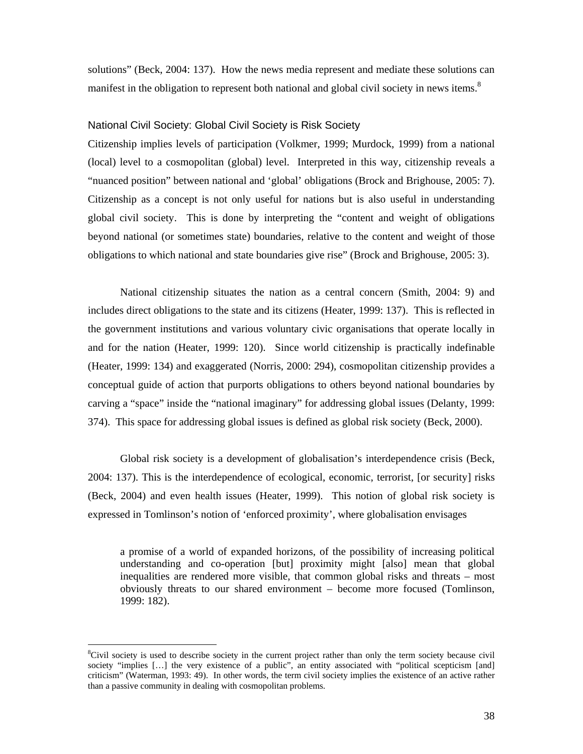solutions" (Beck, 2004: 137). How the news media represent and mediate these solutions can manifest in the obligation to represent both national and global civil society in news items.<sup>8</sup>

## National Civil Society: Global Civil Society is Risk Society

Citizenship implies levels of participation (Volkmer, 1999; Murdock, 1999) from a national (local) level to a cosmopolitan (global) level. Interpreted in this way, citizenship reveals a "nuanced position" between national and 'global' obligations (Brock and Brighouse, 2005: 7). Citizenship as a concept is not only useful for nations but is also useful in understanding global civil society. This is done by interpreting the "content and weight of obligations beyond national (or sometimes state) boundaries, relative to the content and weight of those obligations to which national and state boundaries give rise" (Brock and Brighouse, 2005: 3).

National citizenship situates the nation as a central concern (Smith, 2004: 9) and includes direct obligations to the state and its citizens (Heater, 1999: 137). This is reflected in the government institutions and various voluntary civic organisations that operate locally in and for the nation (Heater, 1999: 120). Since world citizenship is practically indefinable (Heater, 1999: 134) and exaggerated (Norris, 2000: 294), cosmopolitan citizenship provides a conceptual guide of action that purports obligations to others beyond national boundaries by carving a "space" inside the "national imaginary" for addressing global issues (Delanty, 1999: 374). This space for addressing global issues is defined as global risk society (Beck, 2000).

Global risk society is a development of globalisation's interdependence crisis (Beck, 2004: 137). This is the interdependence of ecological, economic, terrorist, [or security] risks (Beck, 2004) and even health issues (Heater, 1999). This notion of global risk society is expressed in Tomlinson's notion of 'enforced proximity', where globalisation envisages

a promise of a world of expanded horizons, of the possibility of increasing political understanding and co-operation [but] proximity might [also] mean that global inequalities are rendered more visible, that common global risks and threats – most obviously threats to our shared environment – become more focused (Tomlinson, 1999: 182).

 $\overline{a}$ 

<sup>&</sup>lt;sup>8</sup>Civil society is used to describe society in the current project rather than only the term society because civil society "implies [...] the very existence of a public", an entity associated with "political scepticism [and] criticism" (Waterman, 1993: 49). In other words, the term civil society implies the existence of an active rather than a passive community in dealing with cosmopolitan problems.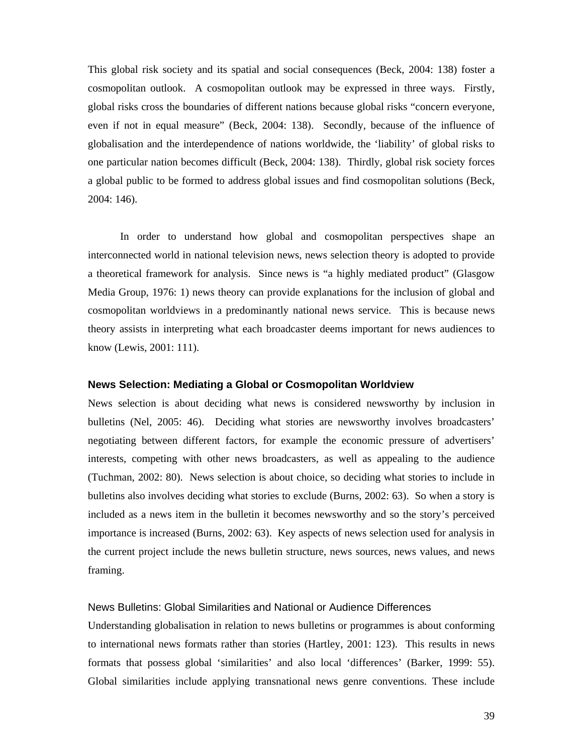This global risk society and its spatial and social consequences (Beck, 2004: 138) foster a cosmopolitan outlook. A cosmopolitan outlook may be expressed in three ways. Firstly, global risks cross the boundaries of different nations because global risks "concern everyone, even if not in equal measure" (Beck, 2004: 138). Secondly, because of the influence of globalisation and the interdependence of nations worldwide, the 'liability' of global risks to one particular nation becomes difficult (Beck, 2004: 138). Thirdly, global risk society forces a global public to be formed to address global issues and find cosmopolitan solutions (Beck, 2004: 146).

In order to understand how global and cosmopolitan perspectives shape an interconnected world in national television news, news selection theory is adopted to provide a theoretical framework for analysis. Since news is "a highly mediated product" (Glasgow Media Group, 1976: 1) news theory can provide explanations for the inclusion of global and cosmopolitan worldviews in a predominantly national news service. This is because news theory assists in interpreting what each broadcaster deems important for news audiences to know (Lewis, 2001: 111).

#### **News Selection: Mediating a Global or Cosmopolitan Worldview**

News selection is about deciding what news is considered newsworthy by inclusion in bulletins (Nel, 2005: 46). Deciding what stories are newsworthy involves broadcasters' negotiating between different factors, for example the economic pressure of advertisers' interests, competing with other news broadcasters, as well as appealing to the audience (Tuchman, 2002: 80). News selection is about choice, so deciding what stories to include in bulletins also involves deciding what stories to exclude (Burns, 2002: 63). So when a story is included as a news item in the bulletin it becomes newsworthy and so the story's perceived importance is increased (Burns, 2002: 63). Key aspects of news selection used for analysis in the current project include the news bulletin structure, news sources, news values, and news framing.

## News Bulletins: Global Similarities and National or Audience Differences

Understanding globalisation in relation to news bulletins or programmes is about conforming to international news formats rather than stories (Hartley, 2001: 123). This results in news formats that possess global 'similarities' and also local 'differences' (Barker, 1999: 55). Global similarities include applying transnational news genre conventions. These include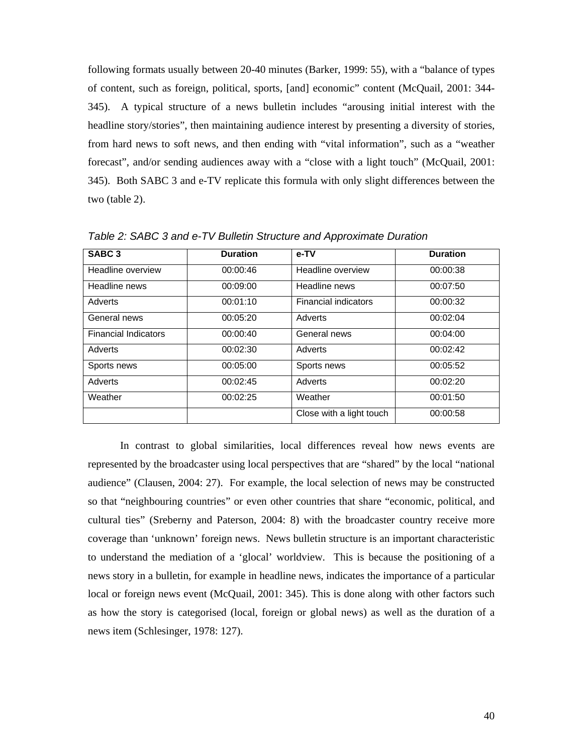following formats usually between 20-40 minutes (Barker, 1999: 55), with a "balance of types of content, such as foreign, political, sports, [and] economic" content (McQuail, 2001: 344- 345). A typical structure of a news bulletin includes "arousing initial interest with the headline story/stories", then maintaining audience interest by presenting a diversity of stories, from hard news to soft news, and then ending with "vital information", such as a "weather forecast", and/or sending audiences away with a "close with a light touch" (McQuail, 2001: 345). Both SABC 3 and e-TV replicate this formula with only slight differences between the two (table 2).

| SABC <sub>3</sub>           | <b>Duration</b> | e-TV                        | <b>Duration</b> |
|-----------------------------|-----------------|-----------------------------|-----------------|
| Headline overview           | 00:00:46        | Headline overview           | 00:00:38        |
| Headline news               | 00:09:00        | Headline news               | 00:07:50        |
| Adverts                     | 00:01:10        | <b>Financial indicators</b> | 00:00:32        |
| General news                | 00:05:20        | Adverts                     | 00:02:04        |
| <b>Financial Indicators</b> | 00:00:40        | General news                | 00:04:00        |
| Adverts                     | 00:02:30        | Adverts                     | 00:02:42        |
| Sports news                 | 00:05:00        | Sports news                 | 00:05:52        |
| Adverts                     | 00:02:45        | Adverts                     | 00:02:20        |
| Weather                     | 00:02:25        | Weather                     | 00:01:50        |
|                             |                 | Close with a light touch    | 00:00:58        |

*Table 2: SABC 3 and e-TV Bulletin Structure and Approximate Duration* 

In contrast to global similarities, local differences reveal how news events are represented by the broadcaster using local perspectives that are "shared" by the local "national audience" (Clausen, 2004: 27). For example, the local selection of news may be constructed so that "neighbouring countries" or even other countries that share "economic, political, and cultural ties" (Sreberny and Paterson, 2004: 8) with the broadcaster country receive more coverage than 'unknown' foreign news. News bulletin structure is an important characteristic to understand the mediation of a 'glocal' worldview. This is because the positioning of a news story in a bulletin, for example in headline news, indicates the importance of a particular local or foreign news event (McQuail, 2001: 345). This is done along with other factors such as how the story is categorised (local, foreign or global news) as well as the duration of a news item (Schlesinger, 1978: 127).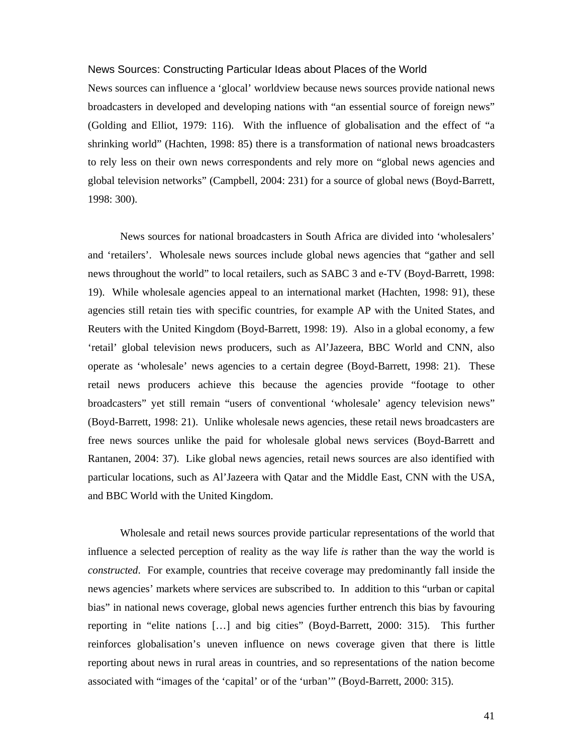#### News Sources: Constructing Particular Ideas about Places of the World

News sources can influence a 'glocal' worldview because news sources provide national news broadcasters in developed and developing nations with "an essential source of foreign news" (Golding and Elliot, 1979: 116). With the influence of globalisation and the effect of "a shrinking world" (Hachten, 1998: 85) there is a transformation of national news broadcasters to rely less on their own news correspondents and rely more on "global news agencies and global television networks" (Campbell, 2004: 231) for a source of global news (Boyd-Barrett, 1998: 300).

News sources for national broadcasters in South Africa are divided into 'wholesalers' and 'retailers'. Wholesale news sources include global news agencies that "gather and sell news throughout the world" to local retailers, such as SABC 3 and e-TV (Boyd-Barrett, 1998: 19). While wholesale agencies appeal to an international market (Hachten, 1998: 91), these agencies still retain ties with specific countries, for example AP with the United States, and Reuters with the United Kingdom (Boyd-Barrett, 1998: 19). Also in a global economy, a few 'retail' global television news producers, such as Al'Jazeera, BBC World and CNN, also operate as 'wholesale' news agencies to a certain degree (Boyd-Barrett, 1998: 21). These retail news producers achieve this because the agencies provide "footage to other broadcasters" yet still remain "users of conventional 'wholesale' agency television news" (Boyd-Barrett, 1998: 21). Unlike wholesale news agencies, these retail news broadcasters are free news sources unlike the paid for wholesale global news services (Boyd-Barrett and Rantanen, 2004: 37). Like global news agencies, retail news sources are also identified with particular locations, such as Al'Jazeera with Qatar and the Middle East, CNN with the USA, and BBC World with the United Kingdom.

Wholesale and retail news sources provide particular representations of the world that influence a selected perception of reality as the way life *is* rather than the way the world is *constructed*. For example, countries that receive coverage may predominantly fall inside the news agencies' markets where services are subscribed to. In addition to this "urban or capital bias" in national news coverage, global news agencies further entrench this bias by favouring reporting in "elite nations […] and big cities" (Boyd-Barrett, 2000: 315). This further reinforces globalisation's uneven influence on news coverage given that there is little reporting about news in rural areas in countries, and so representations of the nation become associated with "images of the 'capital' or of the 'urban'" (Boyd-Barrett, 2000: 315).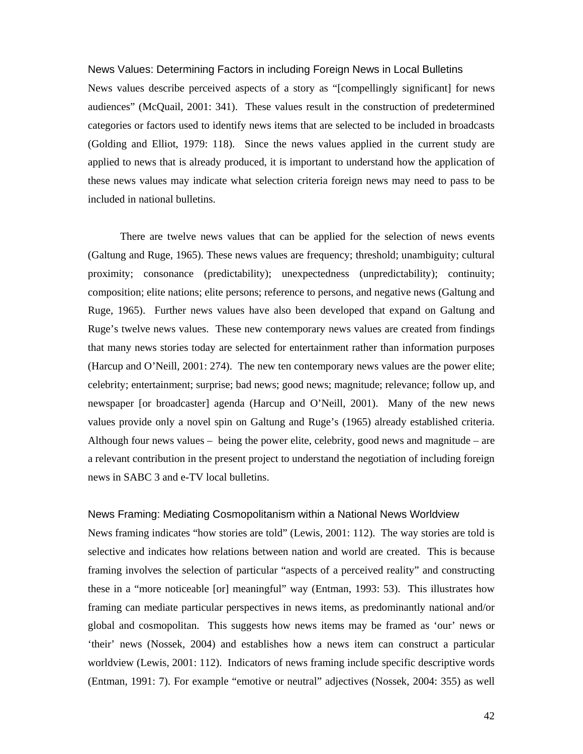# News Values: Determining Factors in including Foreign News in Local Bulletins News values describe perceived aspects of a story as "[compellingly significant] for news audiences" (McQuail, 2001: 341). These values result in the construction of predetermined categories or factors used to identify news items that are selected to be included in broadcasts (Golding and Elliot, 1979: 118). Since the news values applied in the current study are applied to news that is already produced, it is important to understand how the application of these news values may indicate what selection criteria foreign news may need to pass to be included in national bulletins.

There are twelve news values that can be applied for the selection of news events (Galtung and Ruge, 1965). These news values are frequency; threshold; unambiguity; cultural proximity; consonance (predictability); unexpectedness (unpredictability); continuity; composition; elite nations; elite persons; reference to persons, and negative news (Galtung and Ruge, 1965). Further news values have also been developed that expand on Galtung and Ruge's twelve news values. These new contemporary news values are created from findings that many news stories today are selected for entertainment rather than information purposes (Harcup and O'Neill, 2001: 274). The new ten contemporary news values are the power elite; celebrity; entertainment; surprise; bad news; good news; magnitude; relevance; follow up, and newspaper [or broadcaster] agenda (Harcup and O'Neill, 2001). Many of the new news values provide only a novel spin on Galtung and Ruge's (1965) already established criteria. Although four news values – being the power elite, celebrity, good news and magnitude – are a relevant contribution in the present project to understand the negotiation of including foreign news in SABC 3 and e-TV local bulletins.

#### News Framing: Mediating Cosmopolitanism within a National News Worldview

News framing indicates "how stories are told" (Lewis, 2001: 112). The way stories are told is selective and indicates how relations between nation and world are created. This is because framing involves the selection of particular "aspects of a perceived reality" and constructing these in a "more noticeable [or] meaningful" way (Entman, 1993: 53). This illustrates how framing can mediate particular perspectives in news items, as predominantly national and/or global and cosmopolitan. This suggests how news items may be framed as 'our' news or 'their' news (Nossek, 2004) and establishes how a news item can construct a particular worldview (Lewis, 2001: 112). Indicators of news framing include specific descriptive words (Entman, 1991: 7). For example "emotive or neutral" adjectives (Nossek, 2004: 355) as well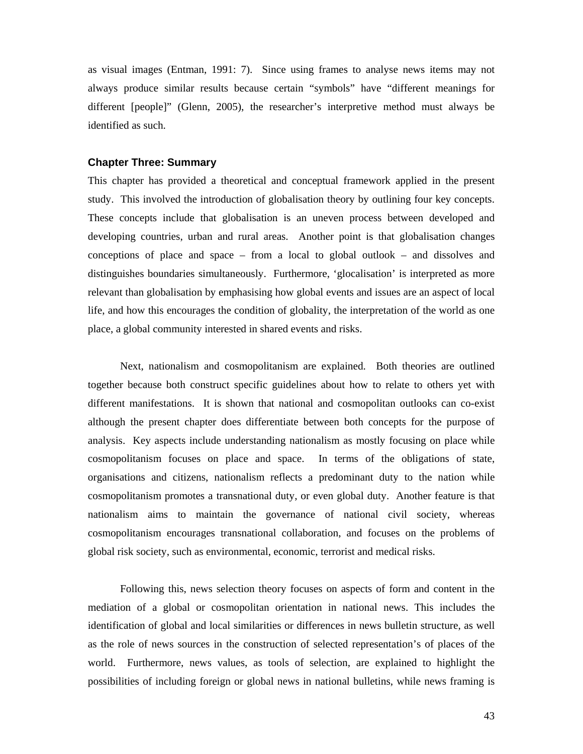as visual images (Entman, 1991: 7). Since using frames to analyse news items may not always produce similar results because certain "symbols" have "different meanings for different [people]" (Glenn, 2005), the researcher's interpretive method must always be identified as such.

#### **Chapter Three: Summary**

This chapter has provided a theoretical and conceptual framework applied in the present study. This involved the introduction of globalisation theory by outlining four key concepts. These concepts include that globalisation is an uneven process between developed and developing countries, urban and rural areas. Another point is that globalisation changes conceptions of place and space – from a local to global outlook – and dissolves and distinguishes boundaries simultaneously. Furthermore, 'glocalisation' is interpreted as more relevant than globalisation by emphasising how global events and issues are an aspect of local life, and how this encourages the condition of globality, the interpretation of the world as one place, a global community interested in shared events and risks.

Next, nationalism and cosmopolitanism are explained. Both theories are outlined together because both construct specific guidelines about how to relate to others yet with different manifestations. It is shown that national and cosmopolitan outlooks can co-exist although the present chapter does differentiate between both concepts for the purpose of analysis. Key aspects include understanding nationalism as mostly focusing on place while cosmopolitanism focuses on place and space. In terms of the obligations of state, organisations and citizens, nationalism reflects a predominant duty to the nation while cosmopolitanism promotes a transnational duty, or even global duty. Another feature is that nationalism aims to maintain the governance of national civil society, whereas cosmopolitanism encourages transnational collaboration, and focuses on the problems of global risk society, such as environmental, economic, terrorist and medical risks.

Following this, news selection theory focuses on aspects of form and content in the mediation of a global or cosmopolitan orientation in national news. This includes the identification of global and local similarities or differences in news bulletin structure, as well as the role of news sources in the construction of selected representation's of places of the world. Furthermore, news values, as tools of selection, are explained to highlight the possibilities of including foreign or global news in national bulletins, while news framing is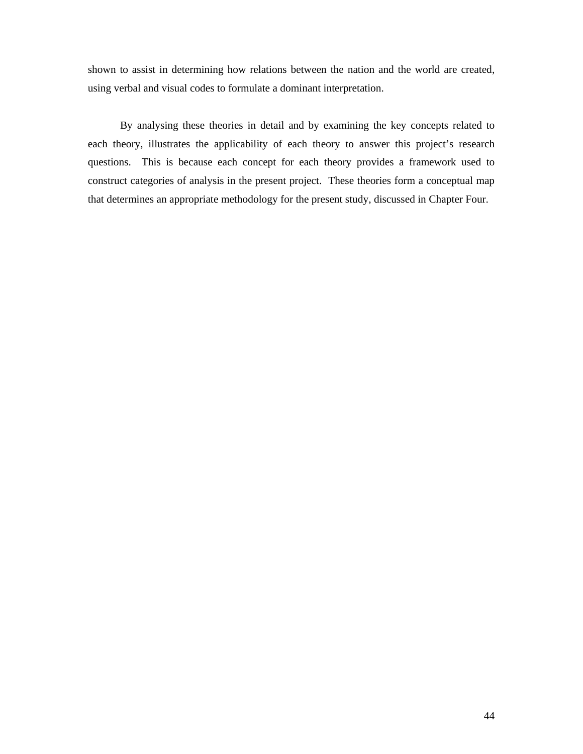shown to assist in determining how relations between the nation and the world are created, using verbal and visual codes to formulate a dominant interpretation.

By analysing these theories in detail and by examining the key concepts related to each theory, illustrates the applicability of each theory to answer this project's research questions. This is because each concept for each theory provides a framework used to construct categories of analysis in the present project. These theories form a conceptual map that determines an appropriate methodology for the present study, discussed in Chapter Four.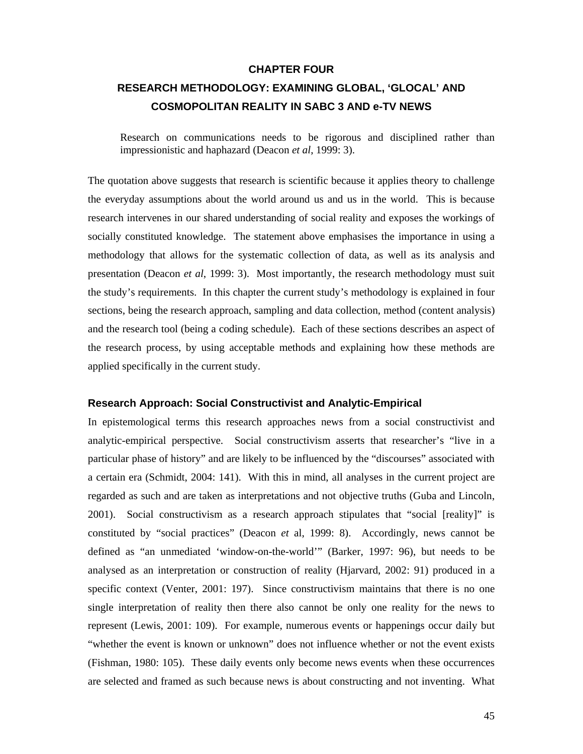#### **CHAPTER FOUR**

## **RESEARCH METHODOLOGY: EXAMINING GLOBAL, 'GLOCAL' AND COSMOPOLITAN REALITY IN SABC 3 AND e-TV NEWS**

Research on communications needs to be rigorous and disciplined rather than impressionistic and haphazard (Deacon *et al*, 1999: 3).

The quotation above suggests that research is scientific because it applies theory to challenge the everyday assumptions about the world around us and us in the world. This is because research intervenes in our shared understanding of social reality and exposes the workings of socially constituted knowledge. The statement above emphasises the importance in using a methodology that allows for the systematic collection of data, as well as its analysis and presentation (Deacon *et al*, 1999: 3). Most importantly, the research methodology must suit the study's requirements. In this chapter the current study's methodology is explained in four sections, being the research approach, sampling and data collection, method (content analysis) and the research tool (being a coding schedule). Each of these sections describes an aspect of the research process, by using acceptable methods and explaining how these methods are applied specifically in the current study.

## **Research Approach: Social Constructivist and Analytic-Empirical**

In epistemological terms this research approaches news from a social constructivist and analytic-empirical perspective. Social constructivism asserts that researcher's "live in a particular phase of history" and are likely to be influenced by the "discourses" associated with a certain era (Schmidt, 2004: 141). With this in mind, all analyses in the current project are regarded as such and are taken as interpretations and not objective truths (Guba and Lincoln, 2001). Social constructivism as a research approach stipulates that "social [reality]" is constituted by "social practices" (Deacon *et* al, 1999: 8). Accordingly, news cannot be defined as "an unmediated 'window-on-the-world'" (Barker, 1997: 96), but needs to be analysed as an interpretation or construction of reality (Hjarvard, 2002: 91) produced in a specific context (Venter, 2001: 197). Since constructivism maintains that there is no one single interpretation of reality then there also cannot be only one reality for the news to represent (Lewis, 2001: 109). For example, numerous events or happenings occur daily but "whether the event is known or unknown" does not influence whether or not the event exists (Fishman, 1980: 105). These daily events only become news events when these occurrences are selected and framed as such because news is about constructing and not inventing. What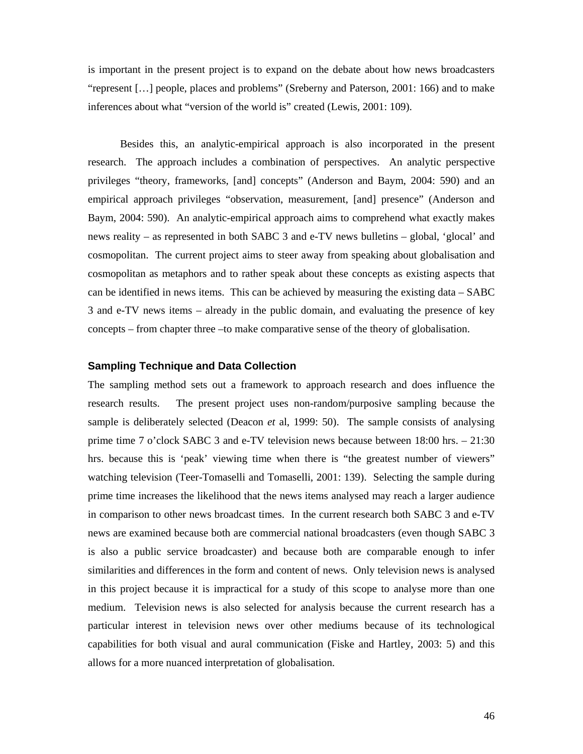is important in the present project is to expand on the debate about how news broadcasters "represent […] people, places and problems" (Sreberny and Paterson, 2001: 166) and to make inferences about what "version of the world is" created (Lewis, 2001: 109).

Besides this, an analytic-empirical approach is also incorporated in the present research. The approach includes a combination of perspectives. An analytic perspective privileges "theory, frameworks, [and] concepts" (Anderson and Baym, 2004: 590) and an empirical approach privileges "observation, measurement, [and] presence" (Anderson and Baym, 2004: 590). An analytic-empirical approach aims to comprehend what exactly makes news reality – as represented in both SABC 3 and e-TV news bulletins – global, 'glocal' and cosmopolitan. The current project aims to steer away from speaking about globalisation and cosmopolitan as metaphors and to rather speak about these concepts as existing aspects that can be identified in news items. This can be achieved by measuring the existing data – SABC 3 and e-TV news items – already in the public domain, and evaluating the presence of key concepts – from chapter three –to make comparative sense of the theory of globalisation.

## **Sampling Technique and Data Collection**

The sampling method sets out a framework to approach research and does influence the research results. The present project uses non-random/purposive sampling because the sample is deliberately selected (Deacon *et* al, 1999: 50). The sample consists of analysing prime time 7 o'clock SABC 3 and e-TV television news because between 18:00 hrs. – 21:30 hrs. because this is 'peak' viewing time when there is "the greatest number of viewers" watching television (Teer-Tomaselli and Tomaselli, 2001: 139). Selecting the sample during prime time increases the likelihood that the news items analysed may reach a larger audience in comparison to other news broadcast times. In the current research both SABC 3 and e-TV news are examined because both are commercial national broadcasters (even though SABC 3 is also a public service broadcaster) and because both are comparable enough to infer similarities and differences in the form and content of news. Only television news is analysed in this project because it is impractical for a study of this scope to analyse more than one medium. Television news is also selected for analysis because the current research has a particular interest in television news over other mediums because of its technological capabilities for both visual and aural communication (Fiske and Hartley, 2003: 5) and this allows for a more nuanced interpretation of globalisation.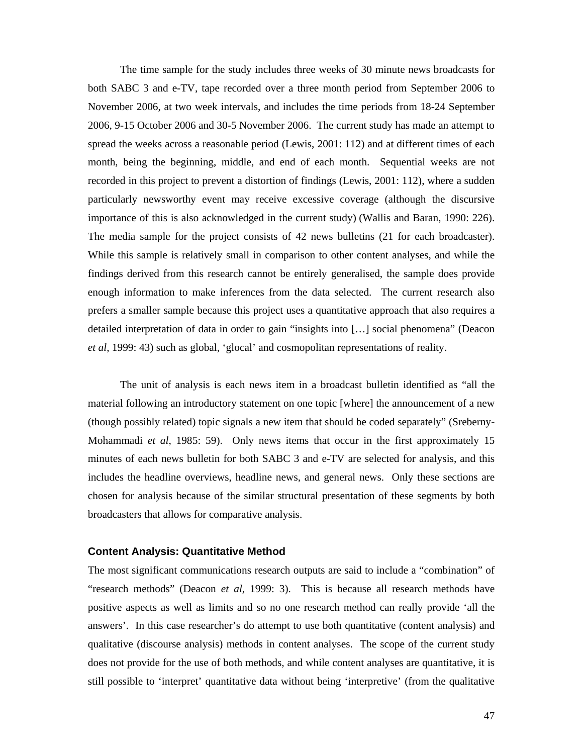The time sample for the study includes three weeks of 30 minute news broadcasts for both SABC 3 and e-TV, tape recorded over a three month period from September 2006 to November 2006, at two week intervals, and includes the time periods from 18-24 September 2006, 9-15 October 2006 and 30-5 November 2006. The current study has made an attempt to spread the weeks across a reasonable period (Lewis, 2001: 112) and at different times of each month, being the beginning, middle, and end of each month. Sequential weeks are not recorded in this project to prevent a distortion of findings (Lewis, 2001: 112), where a sudden particularly newsworthy event may receive excessive coverage (although the discursive importance of this is also acknowledged in the current study) (Wallis and Baran, 1990: 226). The media sample for the project consists of 42 news bulletins (21 for each broadcaster). While this sample is relatively small in comparison to other content analyses, and while the findings derived from this research cannot be entirely generalised, the sample does provide enough information to make inferences from the data selected. The current research also prefers a smaller sample because this project uses a quantitative approach that also requires a detailed interpretation of data in order to gain "insights into […] social phenomena" (Deacon *et al*, 1999: 43) such as global, 'glocal' and cosmopolitan representations of reality.

The unit of analysis is each news item in a broadcast bulletin identified as "all the material following an introductory statement on one topic [where] the announcement of a new (though possibly related) topic signals a new item that should be coded separately" (Sreberny-Mohammadi *et al*, 1985: 59). Only news items that occur in the first approximately 15 minutes of each news bulletin for both SABC 3 and e-TV are selected for analysis, and this includes the headline overviews, headline news, and general news. Only these sections are chosen for analysis because of the similar structural presentation of these segments by both broadcasters that allows for comparative analysis.

## **Content Analysis: Quantitative Method**

The most significant communications research outputs are said to include a "combination" of "research methods" (Deacon *et al*, 1999: 3). This is because all research methods have positive aspects as well as limits and so no one research method can really provide 'all the answers'. In this case researcher's do attempt to use both quantitative (content analysis) and qualitative (discourse analysis) methods in content analyses. The scope of the current study does not provide for the use of both methods, and while content analyses are quantitative, it is still possible to 'interpret' quantitative data without being 'interpretive' (from the qualitative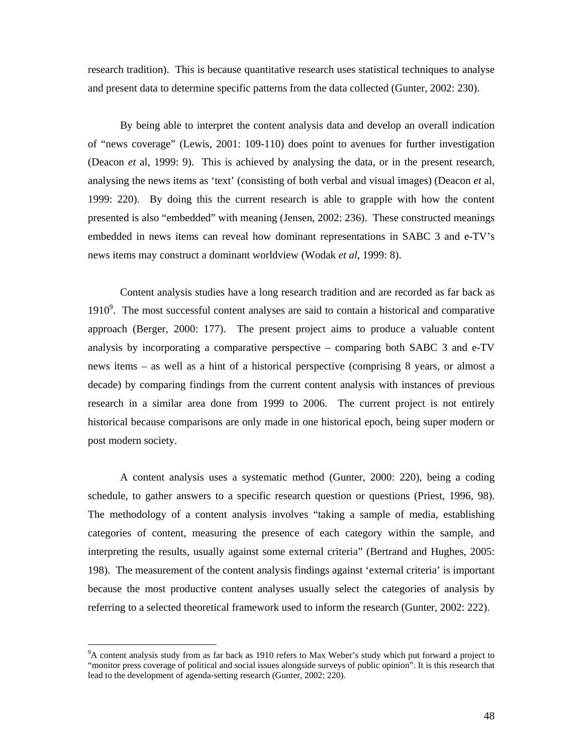research tradition). This is because quantitative research uses statistical techniques to analyse and present data to determine specific patterns from the data collected (Gunter, 2002: 230).

By being able to interpret the content analysis data and develop an overall indication of "news coverage" (Lewis, 2001: 109-110) does point to avenues for further investigation (Deacon *et* al, 1999: 9). This is achieved by analysing the data, or in the present research, analysing the news items as 'text' (consisting of both verbal and visual images) (Deacon *et* al, 1999: 220). By doing this the current research is able to grapple with how the content presented is also "embedded" with meaning (Jensen, 2002: 236). These constructed meanings embedded in news items can reveal how dominant representations in SABC 3 and e-TV's news items may construct a dominant worldview (Wodak *et al*, 1999: 8).

Content analysis studies have a long research tradition and are recorded as far back as 1910 $\degree$ . The most successful content analyses are said to contain a historical and comparative approach (Berger, 2000: 177). The present project aims to produce a valuable content analysis by incorporating a comparative perspective – comparing both SABC 3 and e-TV news items – as well as a hint of a historical perspective (comprising 8 years, or almost a decade) by comparing findings from the current content analysis with instances of previous research in a similar area done from 1999 to 2006. The current project is not entirely historical because comparisons are only made in one historical epoch, being super modern or post modern society.

A content analysis uses a systematic method (Gunter, 2000: 220), being a coding schedule, to gather answers to a specific research question or questions (Priest, 1996, 98). The methodology of a content analysis involves "taking a sample of media, establishing categories of content, measuring the presence of each category within the sample, and interpreting the results, usually against some external criteria" (Bertrand and Hughes, 2005: 198). The measurement of the content analysis findings against 'external criteria' is important because the most productive content analyses usually select the categories of analysis by referring to a selected theoretical framework used to inform the research (Gunter, 2002: 222).

 $\overline{a}$ 

<sup>&</sup>lt;sup>9</sup>A content analysis study from as far back as 1910 refers to Max Weber's study which put forward a project to "monitor press coverage of political and social issues alongside surveys of public opinion". It is this research that lead to the development of agenda-setting research (Gunter, 2002: 220).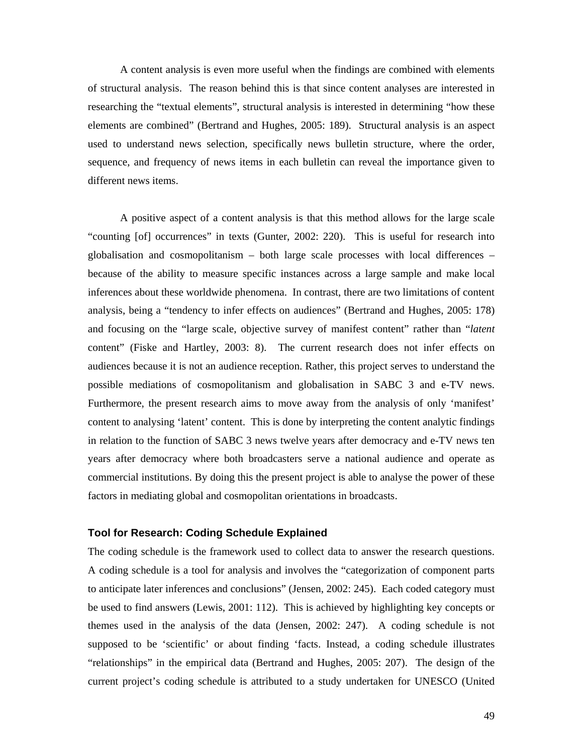A content analysis is even more useful when the findings are combined with elements of structural analysis. The reason behind this is that since content analyses are interested in researching the "textual elements", structural analysis is interested in determining "how these elements are combined" (Bertrand and Hughes, 2005: 189). Structural analysis is an aspect used to understand news selection, specifically news bulletin structure, where the order, sequence, and frequency of news items in each bulletin can reveal the importance given to different news items.

A positive aspect of a content analysis is that this method allows for the large scale "counting [of] occurrences" in texts (Gunter, 2002: 220). This is useful for research into globalisation and cosmopolitanism – both large scale processes with local differences – because of the ability to measure specific instances across a large sample and make local inferences about these worldwide phenomena. In contrast, there are two limitations of content analysis, being a "tendency to infer effects on audiences" (Bertrand and Hughes, 2005: 178) and focusing on the "large scale, objective survey of manifest content" rather than "*latent* content" (Fiske and Hartley, 2003: 8). The current research does not infer effects on audiences because it is not an audience reception. Rather, this project serves to understand the possible mediations of cosmopolitanism and globalisation in SABC 3 and e-TV news. Furthermore, the present research aims to move away from the analysis of only 'manifest' content to analysing 'latent' content. This is done by interpreting the content analytic findings in relation to the function of SABC 3 news twelve years after democracy and e-TV news ten years after democracy where both broadcasters serve a national audience and operate as commercial institutions. By doing this the present project is able to analyse the power of these factors in mediating global and cosmopolitan orientations in broadcasts.

## **Tool for Research: Coding Schedule Explained**

The coding schedule is the framework used to collect data to answer the research questions. A coding schedule is a tool for analysis and involves the "categorization of component parts to anticipate later inferences and conclusions" (Jensen, 2002: 245). Each coded category must be used to find answers (Lewis, 2001: 112). This is achieved by highlighting key concepts or themes used in the analysis of the data (Jensen, 2002: 247). A coding schedule is not supposed to be 'scientific' or about finding 'facts. Instead, a coding schedule illustrates "relationships" in the empirical data (Bertrand and Hughes, 2005: 207). The design of the current project's coding schedule is attributed to a study undertaken for UNESCO (United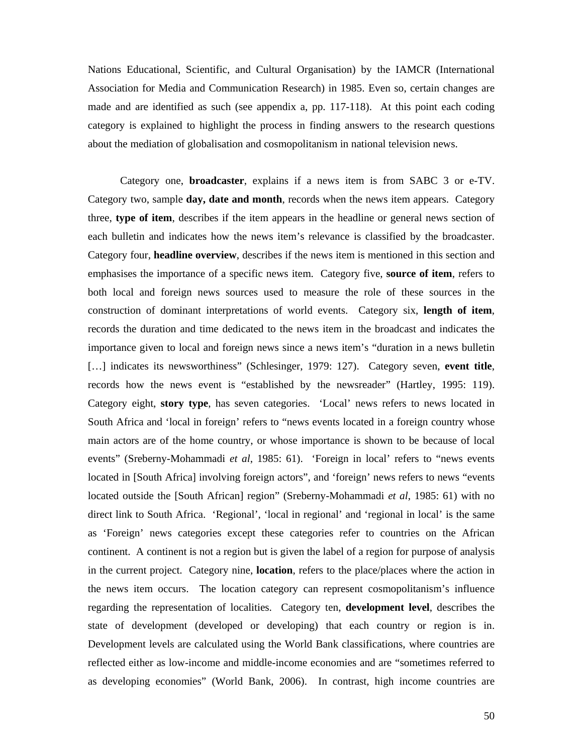Nations Educational, Scientific, and Cultural Organisation) by the IAMCR (International Association for Media and Communication Research) in 1985. Even so, certain changes are made and are identified as such (see appendix a, pp. 117-118). At this point each coding category is explained to highlight the process in finding answers to the research questions about the mediation of globalisation and cosmopolitanism in national television news.

Category one, **broadcaster**, explains if a news item is from SABC 3 or e-TV. Category two, sample **day, date and month**, records when the news item appears. Category three, **type of item**, describes if the item appears in the headline or general news section of each bulletin and indicates how the news item's relevance is classified by the broadcaster. Category four, **headline overview**, describes if the news item is mentioned in this section and emphasises the importance of a specific news item. Category five, **source of item**, refers to both local and foreign news sources used to measure the role of these sources in the construction of dominant interpretations of world events. Category six, **length of item**, records the duration and time dedicated to the news item in the broadcast and indicates the importance given to local and foreign news since a news item's "duration in a news bulletin […] indicates its newsworthiness" (Schlesinger, 1979: 127). Category seven, **event title**, records how the news event is "established by the newsreader" (Hartley, 1995: 119). Category eight, **story type**, has seven categories. 'Local' news refers to news located in South Africa and 'local in foreign' refers to "news events located in a foreign country whose main actors are of the home country, or whose importance is shown to be because of local events" (Sreberny-Mohammadi *et al*, 1985: 61). 'Foreign in local' refers to "news events located in [South Africa] involving foreign actors", and 'foreign' news refers to news "events located outside the [South African] region" (Sreberny-Mohammadi *et al*, 1985: 61) with no direct link to South Africa. 'Regional', 'local in regional' and 'regional in local' is the same as 'Foreign' news categories except these categories refer to countries on the African continent. A continent is not a region but is given the label of a region for purpose of analysis in the current project. Category nine, **location**, refers to the place/places where the action in the news item occurs. The location category can represent cosmopolitanism's influence regarding the representation of localities. Category ten, **development level**, describes the state of development (developed or developing) that each country or region is in. Development levels are calculated using the World Bank classifications, where countries are reflected either as low-income and middle-income economies and are "sometimes referred to as developing economies" (World Bank, 2006). In contrast, high income countries are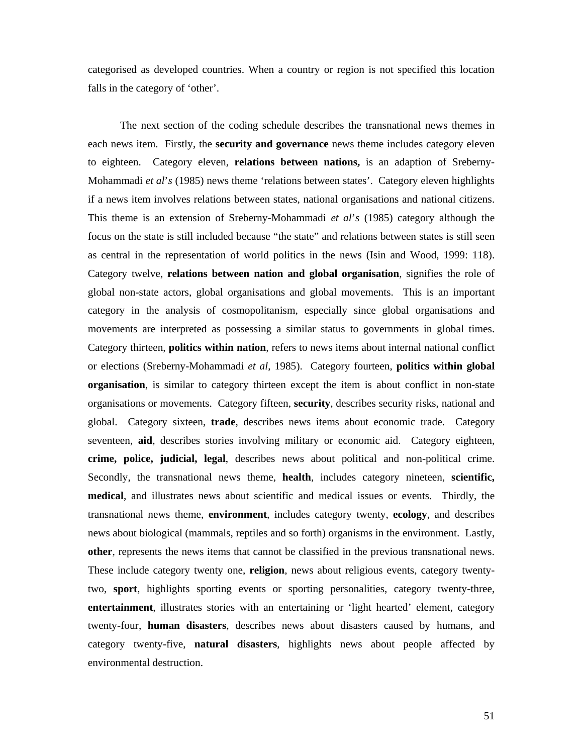categorised as developed countries. When a country or region is not specified this location falls in the category of 'other'.

The next section of the coding schedule describes the transnational news themes in each news item. Firstly, the **security and governance** news theme includes category eleven to eighteen. Category eleven, **relations between nations,** is an adaption of Sreberny-Mohammadi *et al*'*s* (1985) news theme 'relations between states'. Category eleven highlights if a news item involves relations between states, national organisations and national citizens. This theme is an extension of Sreberny-Mohammadi *et al*'*s* (1985) category although the focus on the state is still included because "the state" and relations between states is still seen as central in the representation of world politics in the news (Isin and Wood, 1999: 118). Category twelve, **relations between nation and global organisation**, signifies the role of global non-state actors, global organisations and global movements. This is an important category in the analysis of cosmopolitanism, especially since global organisations and movements are interpreted as possessing a similar status to governments in global times. Category thirteen, **politics within nation**, refers to news items about internal national conflict or elections (Sreberny-Mohammadi *et al*, 1985). Category fourteen, **politics within global organisation**, is similar to category thirteen except the item is about conflict in non-state organisations or movements. Category fifteen, **security**, describes security risks, national and global. Category sixteen, **trade**, describes news items about economic trade. Category seventeen, **aid**, describes stories involving military or economic aid. Category eighteen, **crime, police, judicial, legal**, describes news about political and non-political crime. Secondly, the transnational news theme, **health**, includes category nineteen, **scientific, medical**, and illustrates news about scientific and medical issues or events. Thirdly, the transnational news theme, **environment**, includes category twenty, **ecology**, and describes news about biological (mammals, reptiles and so forth) organisms in the environment. Lastly, **other**, represents the news items that cannot be classified in the previous transnational news. These include category twenty one, **religion**, news about religious events, category twentytwo, **sport**, highlights sporting events or sporting personalities, category twenty-three, **entertainment**, illustrates stories with an entertaining or 'light hearted' element, category twenty-four, **human disasters**, describes news about disasters caused by humans, and category twenty-five, **natural disasters**, highlights news about people affected by environmental destruction.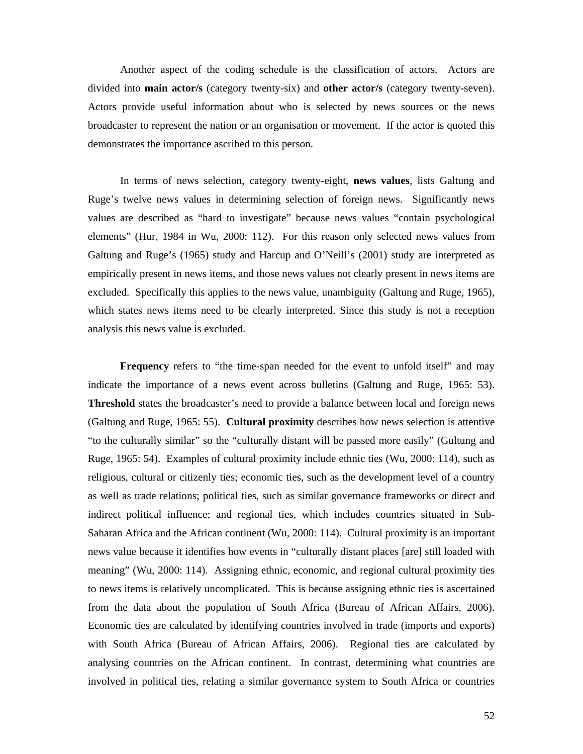Another aspect of the coding schedule is the classification of actors. Actors are divided into **main actor/s** (category twenty-six) and **other actor/s** (category twenty-seven). Actors provide useful information about who is selected by news sources or the news broadcaster to represent the nation or an organisation or movement. If the actor is quoted this demonstrates the importance ascribed to this person.

In terms of news selection, category twenty-eight, **news values**, lists Galtung and Ruge's twelve news values in determining selection of foreign news. Significantly news values are described as "hard to investigate" because news values "contain psychological elements" (Hur, 1984 in Wu, 2000: 112). For this reason only selected news values from Galtung and Ruge's (1965) study and Harcup and O'Neill's (2001) study are interpreted as empirically present in news items, and those news values not clearly present in news items are excluded. Specifically this applies to the news value, unambiguity (Galtung and Ruge, 1965), which states news items need to be clearly interpreted. Since this study is not a reception analysis this news value is excluded.

**Frequency** refers to "the time-span needed for the event to unfold itself" and may indicate the importance of a news event across bulletins (Galtung and Ruge, 1965: 53). **Threshold** states the broadcaster's need to provide a balance between local and foreign news (Galtung and Ruge, 1965: 55). **Cultural proximity** describes how news selection is attentive "to the culturally similar" so the "culturally distant will be passed more easily" (Gultung and Ruge, 1965: 54). Examples of cultural proximity include ethnic ties (Wu, 2000: 114), such as religious, cultural or citizenly ties; economic ties, such as the development level of a country as well as trade relations; political ties, such as similar governance frameworks or direct and indirect political influence; and regional ties, which includes countries situated in Sub-Saharan Africa and the African continent (Wu, 2000: 114). Cultural proximity is an important news value because it identifies how events in "culturally distant places [are] still loaded with meaning" (Wu, 2000: 114). Assigning ethnic, economic, and regional cultural proximity ties to news items is relatively uncomplicated. This is because assigning ethnic ties is ascertained from the data about the population of South Africa (Bureau of African Affairs, 2006). Economic ties are calculated by identifying countries involved in trade (imports and exports) with South Africa (Bureau of African Affairs, 2006). Regional ties are calculated by analysing countries on the African continent. In contrast, determining what countries are involved in political ties, relating a similar governance system to South Africa or countries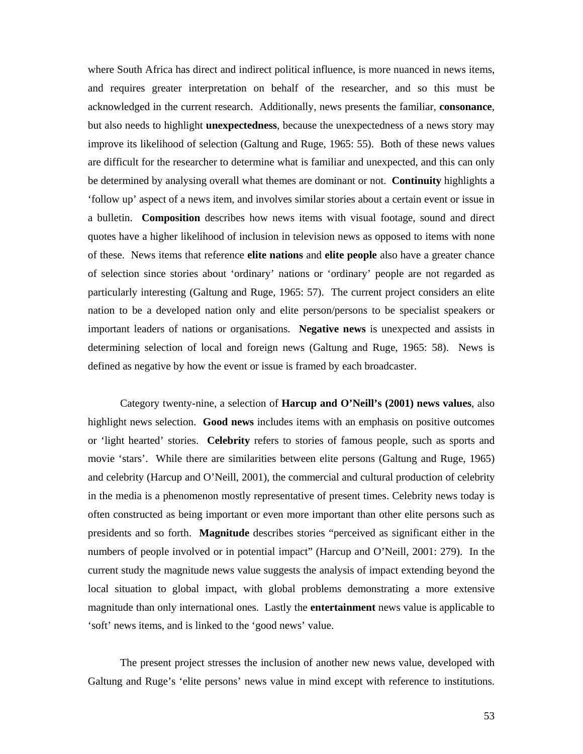where South Africa has direct and indirect political influence, is more nuanced in news items, and requires greater interpretation on behalf of the researcher, and so this must be acknowledged in the current research. Additionally, news presents the familiar, **consonance**, but also needs to highlight **unexpectedness**, because the unexpectedness of a news story may improve its likelihood of selection (Galtung and Ruge, 1965: 55). Both of these news values are difficult for the researcher to determine what is familiar and unexpected, and this can only be determined by analysing overall what themes are dominant or not. **Continuity** highlights a 'follow up' aspect of a news item, and involves similar stories about a certain event or issue in a bulletin. **Composition** describes how news items with visual footage, sound and direct quotes have a higher likelihood of inclusion in television news as opposed to items with none of these. News items that reference **elite nations** and **elite people** also have a greater chance of selection since stories about 'ordinary' nations or 'ordinary' people are not regarded as particularly interesting (Galtung and Ruge, 1965: 57). The current project considers an elite nation to be a developed nation only and elite person/persons to be specialist speakers or important leaders of nations or organisations. **Negative news** is unexpected and assists in determining selection of local and foreign news (Galtung and Ruge, 1965: 58). News is defined as negative by how the event or issue is framed by each broadcaster.

Category twenty-nine, a selection of **Harcup and O'Neill's (2001) news values**, also highlight news selection. **Good news** includes items with an emphasis on positive outcomes or 'light hearted' stories. **Celebrity** refers to stories of famous people, such as sports and movie 'stars'. While there are similarities between elite persons (Galtung and Ruge, 1965) and celebrity (Harcup and O'Neill, 2001), the commercial and cultural production of celebrity in the media is a phenomenon mostly representative of present times. Celebrity news today is often constructed as being important or even more important than other elite persons such as presidents and so forth. **Magnitude** describes stories "perceived as significant either in the numbers of people involved or in potential impact" (Harcup and O'Neill, 2001: 279). In the current study the magnitude news value suggests the analysis of impact extending beyond the local situation to global impact, with global problems demonstrating a more extensive magnitude than only international ones. Lastly the **entertainment** news value is applicable to 'soft' news items, and is linked to the 'good news' value.

The present project stresses the inclusion of another new news value, developed with Galtung and Ruge's 'elite persons' news value in mind except with reference to institutions.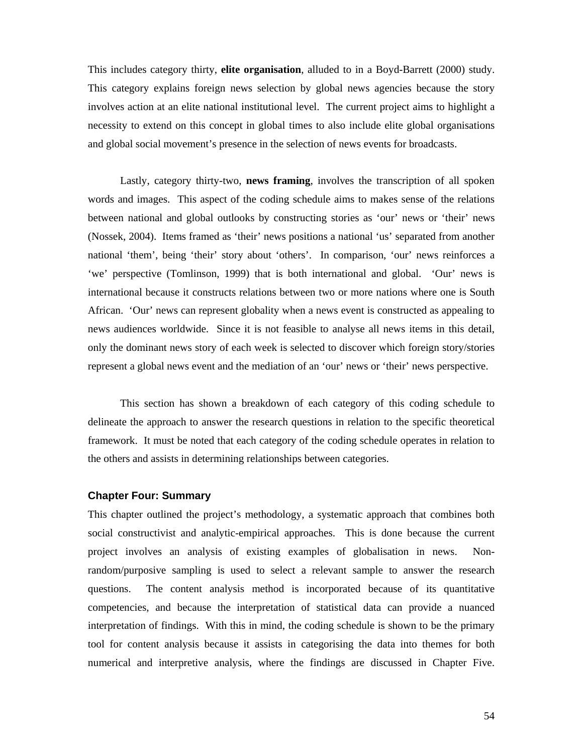This includes category thirty, **elite organisation**, alluded to in a Boyd-Barrett (2000) study. This category explains foreign news selection by global news agencies because the story involves action at an elite national institutional level. The current project aims to highlight a necessity to extend on this concept in global times to also include elite global organisations and global social movement's presence in the selection of news events for broadcasts.

Lastly, category thirty-two, **news framing**, involves the transcription of all spoken words and images. This aspect of the coding schedule aims to makes sense of the relations between national and global outlooks by constructing stories as 'our' news or 'their' news (Nossek, 2004). Items framed as 'their' news positions a national 'us' separated from another national 'them', being 'their' story about 'others'. In comparison, 'our' news reinforces a 'we' perspective (Tomlinson, 1999) that is both international and global. 'Our' news is international because it constructs relations between two or more nations where one is South African. 'Our' news can represent globality when a news event is constructed as appealing to news audiences worldwide. Since it is not feasible to analyse all news items in this detail, only the dominant news story of each week is selected to discover which foreign story/stories represent a global news event and the mediation of an 'our' news or 'their' news perspective.

This section has shown a breakdown of each category of this coding schedule to delineate the approach to answer the research questions in relation to the specific theoretical framework. It must be noted that each category of the coding schedule operates in relation to the others and assists in determining relationships between categories.

#### **Chapter Four: Summary**

This chapter outlined the project's methodology, a systematic approach that combines both social constructivist and analytic-empirical approaches. This is done because the current project involves an analysis of existing examples of globalisation in news. Nonrandom/purposive sampling is used to select a relevant sample to answer the research questions. The content analysis method is incorporated because of its quantitative competencies, and because the interpretation of statistical data can provide a nuanced interpretation of findings. With this in mind, the coding schedule is shown to be the primary tool for content analysis because it assists in categorising the data into themes for both numerical and interpretive analysis, where the findings are discussed in Chapter Five.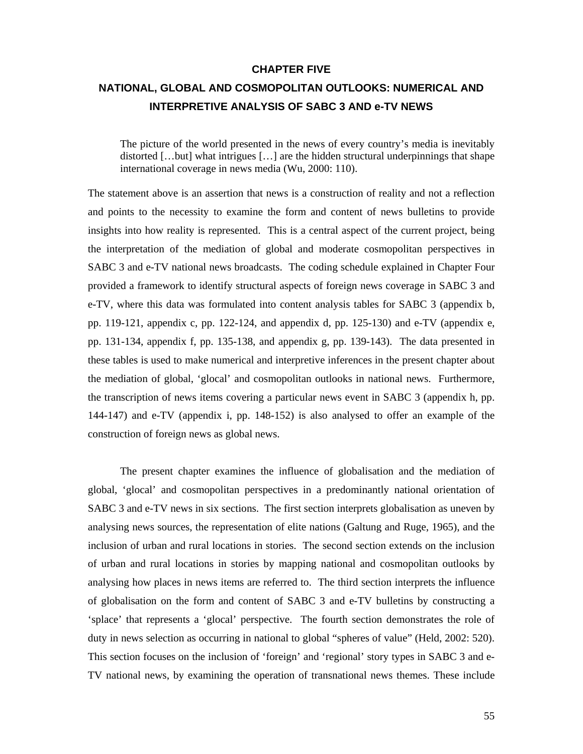#### **CHAPTER FIVE**

## **NATIONAL, GLOBAL AND COSMOPOLITAN OUTLOOKS: NUMERICAL AND INTERPRETIVE ANALYSIS OF SABC 3 AND e-TV NEWS**

The picture of the world presented in the news of every country's media is inevitably distorted […but] what intrigues […] are the hidden structural underpinnings that shape international coverage in news media (Wu, 2000: 110).

The statement above is an assertion that news is a construction of reality and not a reflection and points to the necessity to examine the form and content of news bulletins to provide insights into how reality is represented. This is a central aspect of the current project, being the interpretation of the mediation of global and moderate cosmopolitan perspectives in SABC 3 and e-TV national news broadcasts. The coding schedule explained in Chapter Four provided a framework to identify structural aspects of foreign news coverage in SABC 3 and e-TV, where this data was formulated into content analysis tables for SABC 3 (appendix b, pp. 119-121, appendix c, pp. 122-124, and appendix d, pp. 125-130) and e-TV (appendix e, pp. 131-134, appendix f, pp. 135-138, and appendix g, pp. 139-143). The data presented in these tables is used to make numerical and interpretive inferences in the present chapter about the mediation of global, 'glocal' and cosmopolitan outlooks in national news. Furthermore, the transcription of news items covering a particular news event in SABC 3 (appendix h, pp. 144-147) and e-TV (appendix i, pp. 148-152) is also analysed to offer an example of the construction of foreign news as global news.

The present chapter examines the influence of globalisation and the mediation of global, 'glocal' and cosmopolitan perspectives in a predominantly national orientation of SABC 3 and e-TV news in six sections. The first section interprets globalisation as uneven by analysing news sources, the representation of elite nations (Galtung and Ruge, 1965), and the inclusion of urban and rural locations in stories. The second section extends on the inclusion of urban and rural locations in stories by mapping national and cosmopolitan outlooks by analysing how places in news items are referred to. The third section interprets the influence of globalisation on the form and content of SABC 3 and e-TV bulletins by constructing a 'splace' that represents a 'glocal' perspective. The fourth section demonstrates the role of duty in news selection as occurring in national to global "spheres of value" (Held, 2002: 520). This section focuses on the inclusion of 'foreign' and 'regional' story types in SABC 3 and e-TV national news, by examining the operation of transnational news themes. These include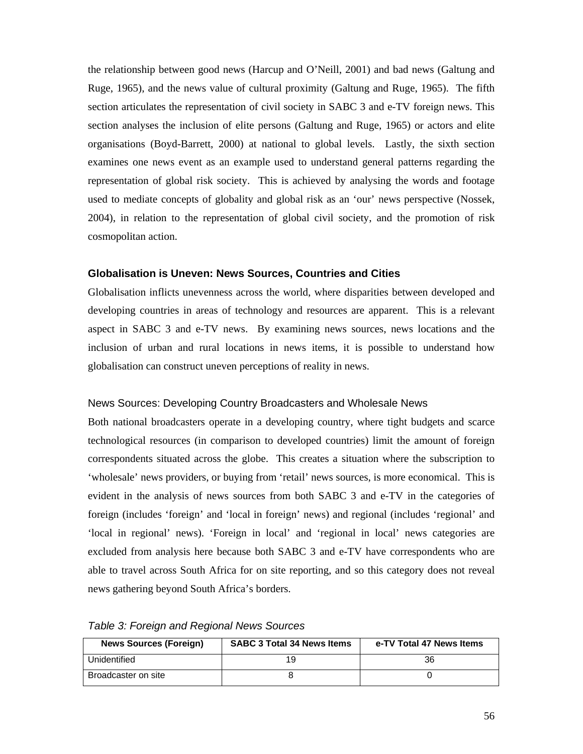the relationship between good news (Harcup and O'Neill, 2001) and bad news (Galtung and Ruge, 1965), and the news value of cultural proximity (Galtung and Ruge, 1965). The fifth section articulates the representation of civil society in SABC 3 and e-TV foreign news. This section analyses the inclusion of elite persons (Galtung and Ruge, 1965) or actors and elite organisations (Boyd-Barrett, 2000) at national to global levels. Lastly, the sixth section examines one news event as an example used to understand general patterns regarding the representation of global risk society. This is achieved by analysing the words and footage used to mediate concepts of globality and global risk as an 'our' news perspective (Nossek, 2004), in relation to the representation of global civil society, and the promotion of risk cosmopolitan action.

#### **Globalisation is Uneven: News Sources, Countries and Cities**

Globalisation inflicts unevenness across the world, where disparities between developed and developing countries in areas of technology and resources are apparent. This is a relevant aspect in SABC 3 and e-TV news. By examining news sources, news locations and the inclusion of urban and rural locations in news items, it is possible to understand how globalisation can construct uneven perceptions of reality in news.

#### News Sources: Developing Country Broadcasters and Wholesale News

Both national broadcasters operate in a developing country, where tight budgets and scarce technological resources (in comparison to developed countries) limit the amount of foreign correspondents situated across the globe. This creates a situation where the subscription to 'wholesale' news providers, or buying from 'retail' news sources, is more economical. This is evident in the analysis of news sources from both SABC 3 and e-TV in the categories of foreign (includes 'foreign' and 'local in foreign' news) and regional (includes 'regional' and 'local in regional' news). 'Foreign in local' and 'regional in local' news categories are excluded from analysis here because both SABC 3 and e-TV have correspondents who are able to travel across South Africa for on site reporting, and so this category does not reveal news gathering beyond South Africa's borders.

| <b>News Sources (Foreign)</b> | <b>SABC 3 Total 34 News Items</b> | e-TV Total 47 News Items |
|-------------------------------|-----------------------------------|--------------------------|
| Unidentified                  | 19                                | 36                       |
| Broadcaster on site           |                                   |                          |

*Table 3: Foreign and Regional News Sources*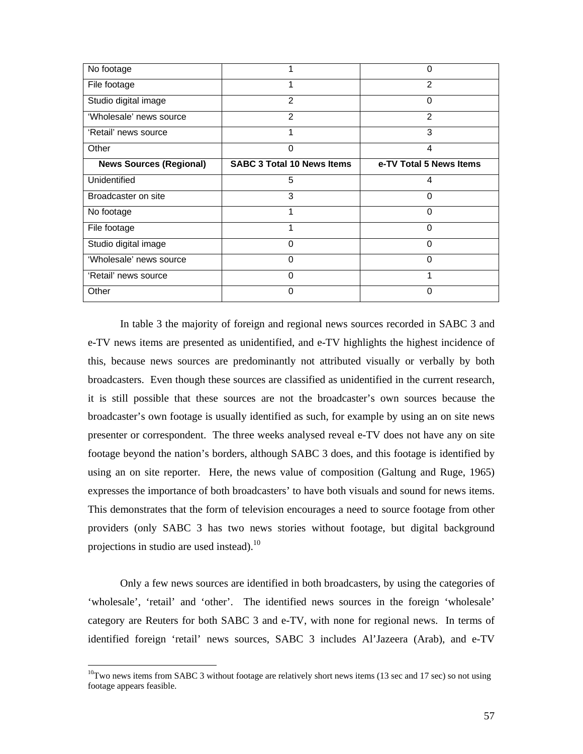| No footage                     |                                   | 0                       |
|--------------------------------|-----------------------------------|-------------------------|
| File footage                   |                                   | $\mathfrak{p}$          |
| Studio digital image           | 2                                 | 0                       |
| 'Wholesale' news source        | $\mathcal{P}$                     | $\mathfrak{p}$          |
| 'Retail' news source           |                                   | 3                       |
| Other                          | 0                                 | 4                       |
| <b>News Sources (Regional)</b> | <b>SABC 3 Total 10 News Items</b> | e-TV Total 5 News Items |
| Unidentified                   | 5                                 | 4                       |
| Broadcaster on site            | 3                                 | 0                       |
|                                |                                   |                         |
| No footage                     |                                   | 0                       |
| File footage                   |                                   | $\Omega$                |
| Studio digital image           | 0                                 | 0                       |
| 'Wholesale' news source        | $\Omega$                          | 0                       |
| 'Retail' news source           | 0                                 |                         |

In table 3 the majority of foreign and regional news sources recorded in SABC 3 and e-TV news items are presented as unidentified, and e-TV highlights the highest incidence of this, because news sources are predominantly not attributed visually or verbally by both broadcasters. Even though these sources are classified as unidentified in the current research, it is still possible that these sources are not the broadcaster's own sources because the broadcaster's own footage is usually identified as such, for example by using an on site news presenter or correspondent. The three weeks analysed reveal e-TV does not have any on site footage beyond the nation's borders, although SABC 3 does, and this footage is identified by using an on site reporter. Here, the news value of composition (Galtung and Ruge, 1965) expresses the importance of both broadcasters' to have both visuals and sound for news items. This demonstrates that the form of television encourages a need to source footage from other providers (only SABC 3 has two news stories without footage, but digital background projections in studio are used instead). $^{10}$ 

Only a few news sources are identified in both broadcasters, by using the categories of 'wholesale', 'retail' and 'other'. The identified news sources in the foreign 'wholesale' category are Reuters for both SABC 3 and e-TV, with none for regional news. In terms of identified foreign 'retail' news sources, SABC 3 includes Al'Jazeera (Arab), and e-TV

 $\overline{a}$ 

 $10$ Two news items from SABC 3 without footage are relatively short news items (13 sec and 17 sec) so not using footage appears feasible.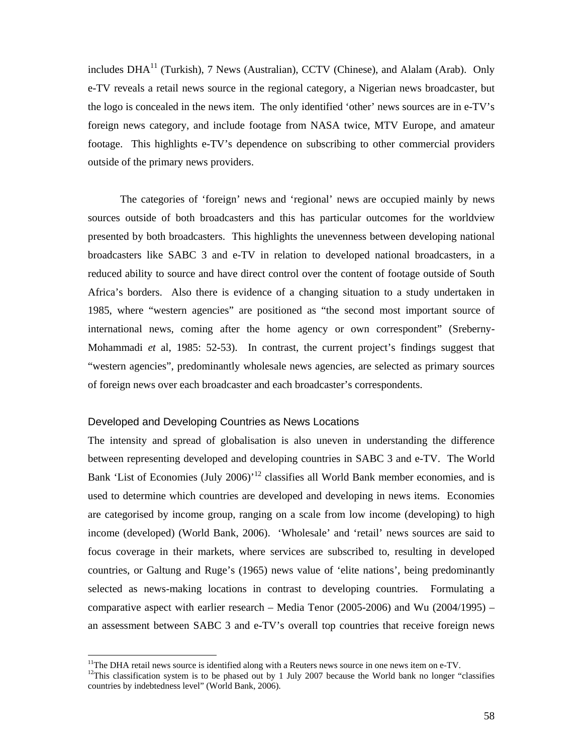includes  $DHA<sup>11</sup>$  (Turkish), 7 News (Australian), CCTV (Chinese), and Alalam (Arab). Only e-TV reveals a retail news source in the regional category, a Nigerian news broadcaster, but the logo is concealed in the news item. The only identified 'other' news sources are in e-TV's foreign news category, and include footage from NASA twice, MTV Europe, and amateur footage. This highlights e-TV's dependence on subscribing to other commercial providers outside of the primary news providers.

The categories of 'foreign' news and 'regional' news are occupied mainly by news sources outside of both broadcasters and this has particular outcomes for the worldview presented by both broadcasters. This highlights the unevenness between developing national broadcasters like SABC 3 and e-TV in relation to developed national broadcasters, in a reduced ability to source and have direct control over the content of footage outside of South Africa's borders. Also there is evidence of a changing situation to a study undertaken in 1985, where "western agencies" are positioned as "the second most important source of international news, coming after the home agency or own correspondent" (Sreberny-Mohammadi *et* al, 1985: 52-53). In contrast, the current project's findings suggest that "western agencies", predominantly wholesale news agencies, are selected as primary sources of foreign news over each broadcaster and each broadcaster's correspondents.

#### Developed and Developing Countries as News Locations

 $\overline{a}$ 

The intensity and spread of globalisation is also uneven in understanding the difference between representing developed and developing countries in SABC 3 and e-TV. The World Bank 'List of Economies (July 2006)<sup> $12$ </sup> classifies all World Bank member economies, and is used to determine which countries are developed and developing in news items. Economies are categorised by income group, ranging on a scale from low income (developing) to high income (developed) (World Bank, 2006). 'Wholesale' and 'retail' news sources are said to focus coverage in their markets, where services are subscribed to, resulting in developed countries, or Galtung and Ruge's (1965) news value of 'elite nations', being predominantly selected as news-making locations in contrast to developing countries. Formulating a comparative aspect with earlier research – Media Tenor (2005-2006) and Wu (2004/1995) – an assessment between SABC 3 and e-TV's overall top countries that receive foreign news

<sup>&</sup>lt;sup>11</sup>The DHA retail news source is identified along with a Reuters news source in one news item on e-TV.

<sup>&</sup>lt;sup>12</sup>This classification system is to be phased out by 1 July 2007 because the World bank no longer "classifies" countries by indebtedness level" (World Bank, 2006).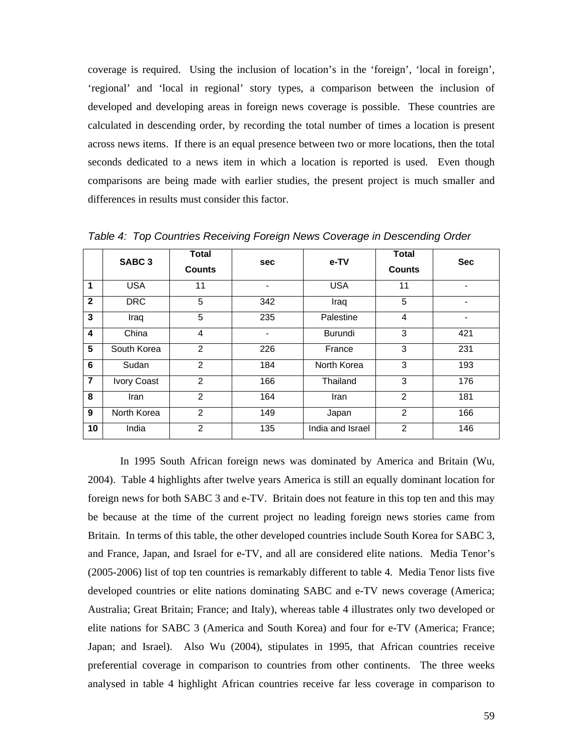coverage is required. Using the inclusion of location's in the 'foreign', 'local in foreign', 'regional' and 'local in regional' story types, a comparison between the inclusion of developed and developing areas in foreign news coverage is possible. These countries are calculated in descending order, by recording the total number of times a location is present across news items. If there is an equal presence between two or more locations, then the total seconds dedicated to a news item in which a location is reported is used. Even though comparisons are being made with earlier studies, the present project is much smaller and differences in results must consider this factor.

|                | SABC <sub>3</sub> | <b>Total</b><br><b>Counts</b> | <b>sec</b> | e-TV             | <b>Total</b><br><b>Counts</b> | <b>Sec</b> |
|----------------|-------------------|-------------------------------|------------|------------------|-------------------------------|------------|
| $\mathbf{1}$   | <b>USA</b>        | 11                            |            | <b>USA</b>       | 11                            |            |
| $\overline{2}$ | <b>DRC</b>        | 5                             | 342        | Iraq             | 5                             |            |
| 3              | Iraq              | 5                             | 235        | Palestine        | 4                             |            |
| 4              | China             | 4                             |            | <b>Burundi</b>   | 3                             | 421        |
| 5              | South Korea       | 2                             | 226        | France           | 3                             | 231        |
| 6              | Sudan             | $\overline{2}$                | 184        | North Korea      | 3                             | 193        |
| $\overline{7}$ | Ivory Coast       | $\mathfrak{p}$                | 166        | Thailand         | 3                             | 176        |
| 8              | Iran              | $\mathfrak{p}$                | 164        | Iran             | 2                             | 181        |
| 9              | North Korea       | $\mathfrak{p}$                | 149        | Japan            | $\overline{2}$                | 166        |
| 10             | India             | $\overline{2}$                | 135        | India and Israel | $\overline{2}$                | 146        |

*Table 4: Top Countries Receiving Foreign News Coverage in Descending Order* 

In 1995 South African foreign news was dominated by America and Britain (Wu, 2004). Table 4 highlights after twelve years America is still an equally dominant location for foreign news for both SABC 3 and e-TV. Britain does not feature in this top ten and this may be because at the time of the current project no leading foreign news stories came from Britain. In terms of this table, the other developed countries include South Korea for SABC 3, and France, Japan, and Israel for e-TV, and all are considered elite nations. Media Tenor's (2005-2006) list of top ten countries is remarkably different to table 4. Media Tenor lists five developed countries or elite nations dominating SABC and e-TV news coverage (America; Australia; Great Britain; France; and Italy), whereas table 4 illustrates only two developed or elite nations for SABC 3 (America and South Korea) and four for e-TV (America; France; Japan; and Israel). Also Wu (2004), stipulates in 1995, that African countries receive preferential coverage in comparison to countries from other continents. The three weeks analysed in table 4 highlight African countries receive far less coverage in comparison to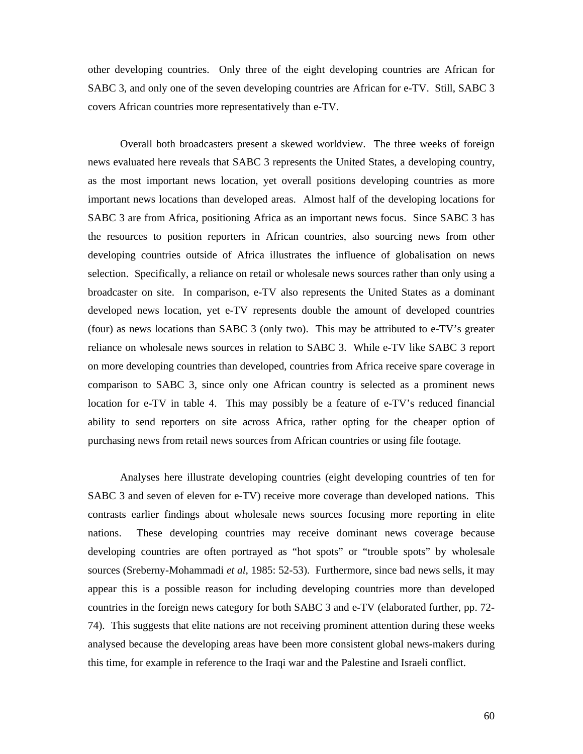other developing countries. Only three of the eight developing countries are African for SABC 3, and only one of the seven developing countries are African for e-TV. Still, SABC 3 covers African countries more representatively than e-TV.

Overall both broadcasters present a skewed worldview. The three weeks of foreign news evaluated here reveals that SABC 3 represents the United States, a developing country, as the most important news location, yet overall positions developing countries as more important news locations than developed areas. Almost half of the developing locations for SABC 3 are from Africa, positioning Africa as an important news focus. Since SABC 3 has the resources to position reporters in African countries, also sourcing news from other developing countries outside of Africa illustrates the influence of globalisation on news selection. Specifically, a reliance on retail or wholesale news sources rather than only using a broadcaster on site. In comparison, e-TV also represents the United States as a dominant developed news location, yet e-TV represents double the amount of developed countries (four) as news locations than SABC 3 (only two). This may be attributed to e-TV's greater reliance on wholesale news sources in relation to SABC 3. While e-TV like SABC 3 report on more developing countries than developed, countries from Africa receive spare coverage in comparison to SABC 3, since only one African country is selected as a prominent news location for e-TV in table 4. This may possibly be a feature of e-TV's reduced financial ability to send reporters on site across Africa, rather opting for the cheaper option of purchasing news from retail news sources from African countries or using file footage.

Analyses here illustrate developing countries (eight developing countries of ten for SABC 3 and seven of eleven for e-TV) receive more coverage than developed nations. This contrasts earlier findings about wholesale news sources focusing more reporting in elite nations. These developing countries may receive dominant news coverage because developing countries are often portrayed as "hot spots" or "trouble spots" by wholesale sources (Sreberny-Mohammadi *et al*, 1985: 52-53). Furthermore, since bad news sells, it may appear this is a possible reason for including developing countries more than developed countries in the foreign news category for both SABC 3 and e-TV (elaborated further, pp. 72- 74). This suggests that elite nations are not receiving prominent attention during these weeks analysed because the developing areas have been more consistent global news-makers during this time, for example in reference to the Iraqi war and the Palestine and Israeli conflict.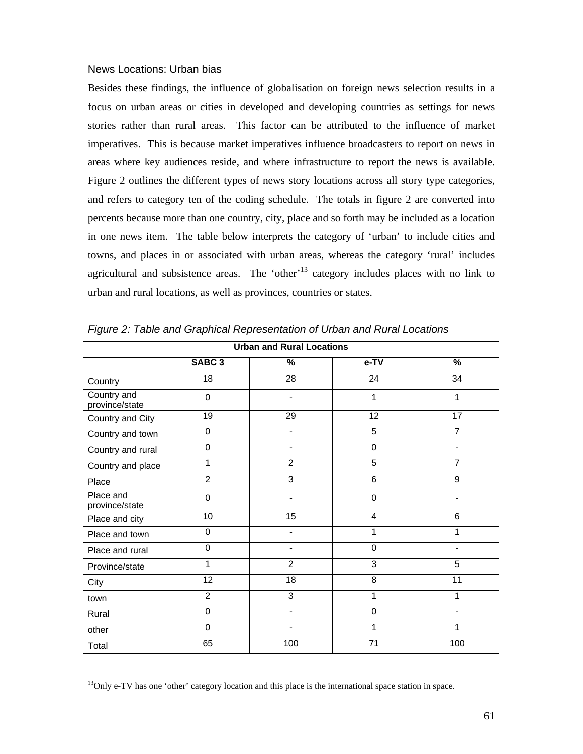#### News Locations: Urban bias

Besides these findings, the influence of globalisation on foreign news selection results in a focus on urban areas or cities in developed and developing countries as settings for news stories rather than rural areas. This factor can be attributed to the influence of market imperatives. This is because market imperatives influence broadcasters to report on news in areas where key audiences reside, and where infrastructure to report the news is available. Figure 2 outlines the different types of news story locations across all story type categories, and refers to category ten of the coding schedule. The totals in figure 2 are converted into percents because more than one country, city, place and so forth may be included as a location in one news item. The table below interprets the category of 'urban' to include cities and towns, and places in or associated with urban areas, whereas the category 'rural' includes agricultural and subsistence areas. The 'other'<sup>13</sup> category includes places with no link to urban and rural locations, as well as provinces, countries or states.

| <b>Urban and Rural Locations</b> |                   |                          |                |                              |  |  |
|----------------------------------|-------------------|--------------------------|----------------|------------------------------|--|--|
|                                  | SABC <sub>3</sub> | $\%$                     | e-TV           | %                            |  |  |
| Country                          | 18                | 28                       | 24             | 34                           |  |  |
| Country and<br>province/state    | $\mathbf 0$       |                          | 1              | 1                            |  |  |
| Country and City                 | 19                | 29                       | 12             | 17                           |  |  |
| Country and town                 | $\mathbf 0$       | $\overline{\phantom{a}}$ | 5              | $\overline{7}$               |  |  |
| Country and rural                | $\mathbf 0$       | $\blacksquare$           | $\mathbf 0$    | $\qquad \qquad \blacksquare$ |  |  |
| Country and place                | 1                 | 2                        | $\overline{5}$ | $\overline{7}$               |  |  |
| Place                            | $\overline{2}$    | $\overline{3}$           | $\overline{6}$ | 9                            |  |  |
| Place and<br>province/state      | $\mathbf 0$       |                          | $\mathbf 0$    |                              |  |  |
| Place and city                   | 10                | 15                       | $\overline{4}$ | 6                            |  |  |
| Place and town                   | $\mathbf 0$       | $\overline{\phantom{a}}$ | $\mathbf{1}$   | 1                            |  |  |
| Place and rural                  | $\mathbf 0$       | $\blacksquare$           | $\mathbf 0$    | $\overline{\phantom{0}}$     |  |  |
| Province/state                   | 1                 | $\overline{2}$           | $\overline{3}$ | $\overline{5}$               |  |  |
| City                             | 12                | $\overline{18}$          | 8              | 11                           |  |  |
| town                             | $\overline{c}$    | 3                        | $\mathbf{1}$   | 1                            |  |  |
| Rural                            | $\mathbf 0$       | $\overline{\phantom{0}}$ | $\mathbf 0$    |                              |  |  |
| other                            | $\overline{0}$    |                          | 1              | 1                            |  |  |
| Total                            | 65                | 100                      | 71             | 100                          |  |  |

*Figure 2: Table and Graphical Representation of Urban and Rural Locations* 

 $\overline{a}$ 

<sup>&</sup>lt;sup>13</sup>Only e-TV has one 'other' category location and this place is the international space station in space.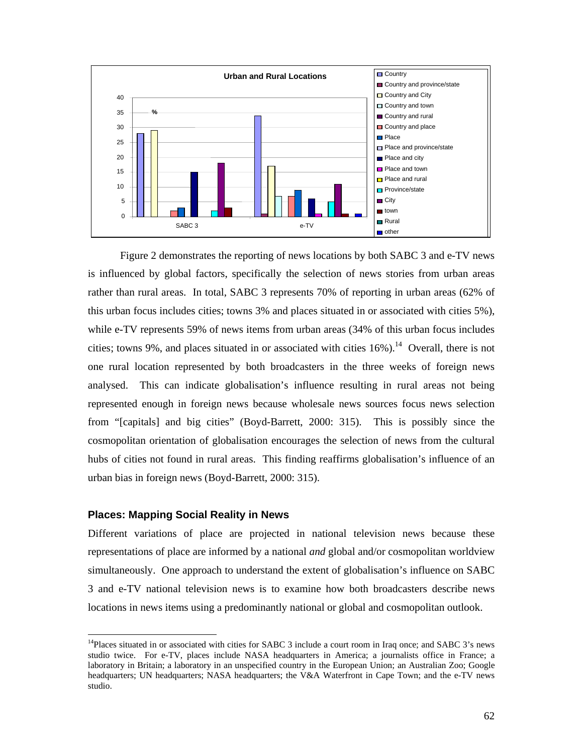

Figure 2 demonstrates the reporting of news locations by both SABC 3 and e-TV news is influenced by global factors, specifically the selection of news stories from urban areas rather than rural areas. In total, SABC 3 represents 70% of reporting in urban areas (62% of this urban focus includes cities; towns 3% and places situated in or associated with cities 5%), while e-TV represents 59% of news items from urban areas (34% of this urban focus includes cities; towns 9%, and places situated in or associated with cities  $16\%$ ).<sup>14</sup> Overall, there is not one rural location represented by both broadcasters in the three weeks of foreign news analysed. This can indicate globalisation's influence resulting in rural areas not being represented enough in foreign news because wholesale news sources focus news selection from "[capitals] and big cities" (Boyd-Barrett, 2000: 315). This is possibly since the cosmopolitan orientation of globalisation encourages the selection of news from the cultural hubs of cities not found in rural areas. This finding reaffirms globalisation's influence of an urban bias in foreign news (Boyd-Barrett, 2000: 315).

## **Places: Mapping Social Reality in News**

 $\overline{a}$ 

Different variations of place are projected in national television news because these representations of place are informed by a national *and* global and/or cosmopolitan worldview simultaneously. One approach to understand the extent of globalisation's influence on SABC 3 and e-TV national television news is to examine how both broadcasters describe news locations in news items using a predominantly national or global and cosmopolitan outlook.

<sup>&</sup>lt;sup>14</sup>Places situated in or associated with cities for SABC 3 include a court room in Iraq once; and SABC 3's news studio twice. For e-TV, places include NASA headquarters in America; a journalists office in France; a laboratory in Britain; a laboratory in an unspecified country in the European Union; an Australian Zoo; Google headquarters; UN headquarters; NASA headquarters; the V&A Waterfront in Cape Town; and the e-TV news studio.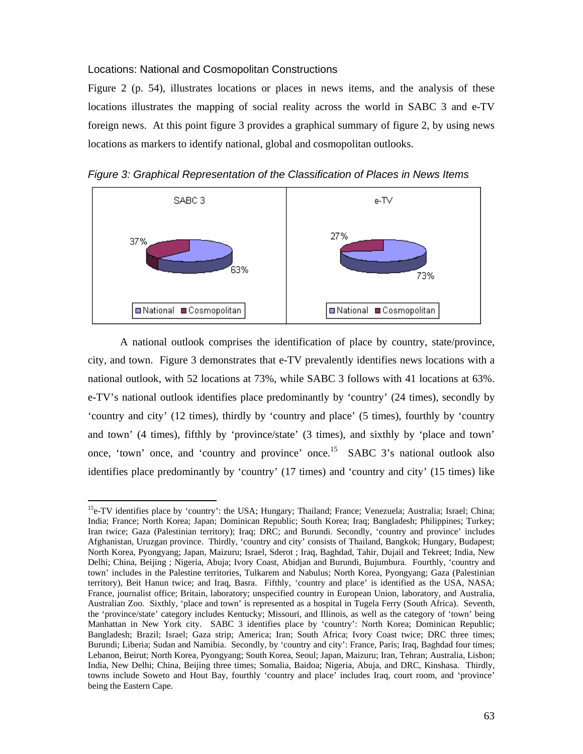#### Locations: National and Cosmopolitan Constructions

 $\overline{a}$ 

Figure 2 (p. 54), illustrates locations or places in news items, and the analysis of these locations illustrates the mapping of social reality across the world in SABC 3 and e-TV foreign news. At this point figure 3 provides a graphical summary of figure 2, by using news locations as markers to identify national, global and cosmopolitan outlooks.

*Figure 3: Graphical Representation of the Classification of Places in News Items* 



A national outlook comprises the identification of place by country, state/province, city, and town. Figure 3 demonstrates that e-TV prevalently identifies news locations with a national outlook, with 52 locations at 73%, while SABC 3 follows with 41 locations at 63%. e-TV's national outlook identifies place predominantly by 'country' (24 times), secondly by 'country and city' (12 times), thirdly by 'country and place' (5 times), fourthly by 'country and town' (4 times), fifthly by 'province/state' (3 times), and sixthly by 'place and town' once, 'town' once, and 'country and province' once.15 SABC 3's national outlook also identifies place predominantly by 'country' (17 times) and 'country and city' (15 times) like

 $<sup>15</sup>$ e-TV identifies place by 'country': the USA; Hungary; Thailand; France; Venezuela; Australia; Israel; China;</sup> India; France; North Korea; Japan; Dominican Republic; South Korea; Iraq; Bangladesh; Philippines; Turkey; Iran twice; Gaza (Palestinian territory); Iraq; DRC; and Burundi. Secondly, 'country and province' includes Afghanistan, Uruzgan province. Thirdly, 'country and city' consists of Thailand, Bangkok; Hungary, Budapest; North Korea, Pyongyang; Japan, Maizuru; Israel, Sderot ; Iraq, Baghdad, Tahir, Dujail and Tekreet; India, New Delhi; China, Beijing ; Nigeria, Abuja; Ivory Coast, Abidjan and Burundi, Bujumbura. Fourthly, 'country and town' includes in the Palestine territories, Tulkarem and Nabulus; North Korea, Pyongyang; Gaza (Palestinian territory), Beit Hanun twice; and Iraq, Basra. Fifthly, 'country and place' is identified as the USA, NASA; France, journalist office; Britain, laboratory; unspecified country in European Union, laboratory, and Australia, Australian Zoo. Sixthly, 'place and town' is represented as a hospital in Tugela Ferry (South Africa). Seventh, the 'province/state' category includes Kentucky; Missouri, and Illinois, as well as the category of 'town' being Manhattan in New York city. SABC 3 identifies place by 'country': North Korea; Dominican Republic; Bangladesh; Brazil; Israel; Gaza strip; America; Iran; South Africa; Ivory Coast twice; DRC three times; Burundi; Liberia; Sudan and Namibia. Secondly, by 'country and city': France, Paris; Iraq, Baghdad four times; Lebanon, Beirut; North Korea, Pyongyang; South Korea, Seoul; Japan, Maizuru; Iran, Tehran; Australia, Lisbon; India, New Delhi; China, Beijing three times; Somalia, Baidoa; Nigeria, Abuja, and DRC, Kinshasa. Thirdly, towns include Soweto and Hout Bay, fourthly 'country and place' includes Iraq, court room, and 'province' being the Eastern Cape.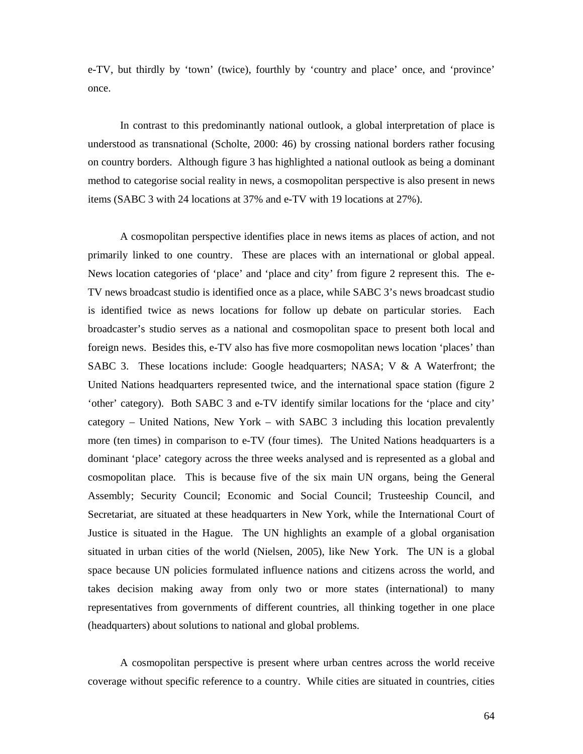e-TV, but thirdly by 'town' (twice), fourthly by 'country and place' once, and 'province' once.

In contrast to this predominantly national outlook, a global interpretation of place is understood as transnational (Scholte, 2000: 46) by crossing national borders rather focusing on country borders. Although figure 3 has highlighted a national outlook as being a dominant method to categorise social reality in news, a cosmopolitan perspective is also present in news items (SABC 3 with 24 locations at 37% and e-TV with 19 locations at 27%).

A cosmopolitan perspective identifies place in news items as places of action, and not primarily linked to one country. These are places with an international or global appeal. News location categories of 'place' and 'place and city' from figure 2 represent this. The e-TV news broadcast studio is identified once as a place, while SABC 3's news broadcast studio is identified twice as news locations for follow up debate on particular stories. Each broadcaster's studio serves as a national and cosmopolitan space to present both local and foreign news. Besides this, e-TV also has five more cosmopolitan news location 'places' than SABC 3. These locations include: Google headquarters; NASA; V & A Waterfront; the United Nations headquarters represented twice, and the international space station (figure 2 'other' category). Both SABC 3 and e-TV identify similar locations for the 'place and city' category – United Nations, New York – with SABC 3 including this location prevalently more (ten times) in comparison to e-TV (four times). The United Nations headquarters is a dominant 'place' category across the three weeks analysed and is represented as a global and cosmopolitan place. This is because five of the six main UN organs, being the General Assembly; Security Council; Economic and Social Council; Trusteeship Council, and Secretariat, are situated at these headquarters in New York, while the International Court of Justice is situated in the Hague. The UN highlights an example of a global organisation situated in urban cities of the world (Nielsen, 2005), like New York. The UN is a global space because UN policies formulated influence nations and citizens across the world, and takes decision making away from only two or more states (international) to many representatives from governments of different countries, all thinking together in one place (headquarters) about solutions to national and global problems.

A cosmopolitan perspective is present where urban centres across the world receive coverage without specific reference to a country. While cities are situated in countries, cities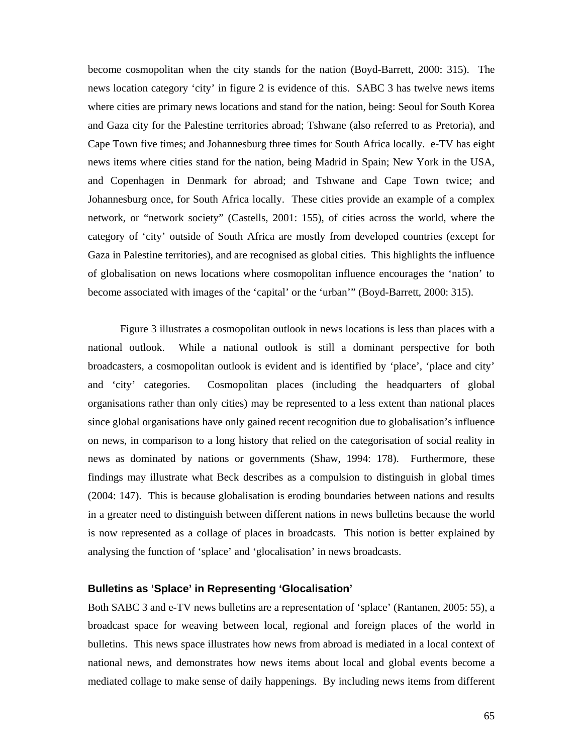become cosmopolitan when the city stands for the nation (Boyd-Barrett, 2000: 315). The news location category 'city' in figure 2 is evidence of this. SABC 3 has twelve news items where cities are primary news locations and stand for the nation, being: Seoul for South Korea and Gaza city for the Palestine territories abroad; Tshwane (also referred to as Pretoria), and Cape Town five times; and Johannesburg three times for South Africa locally. e-TV has eight news items where cities stand for the nation, being Madrid in Spain; New York in the USA, and Copenhagen in Denmark for abroad; and Tshwane and Cape Town twice; and Johannesburg once, for South Africa locally. These cities provide an example of a complex network, or "network society" (Castells, 2001: 155), of cities across the world, where the category of 'city' outside of South Africa are mostly from developed countries (except for Gaza in Palestine territories), and are recognised as global cities. This highlights the influence of globalisation on news locations where cosmopolitan influence encourages the 'nation' to become associated with images of the 'capital' or the 'urban'" (Boyd-Barrett, 2000: 315).

Figure 3 illustrates a cosmopolitan outlook in news locations is less than places with a national outlook. While a national outlook is still a dominant perspective for both broadcasters, a cosmopolitan outlook is evident and is identified by 'place', 'place and city' and 'city' categories. Cosmopolitan places (including the headquarters of global organisations rather than only cities) may be represented to a less extent than national places since global organisations have only gained recent recognition due to globalisation's influence on news, in comparison to a long history that relied on the categorisation of social reality in news as dominated by nations or governments (Shaw, 1994: 178). Furthermore, these findings may illustrate what Beck describes as a compulsion to distinguish in global times (2004: 147). This is because globalisation is eroding boundaries between nations and results in a greater need to distinguish between different nations in news bulletins because the world is now represented as a collage of places in broadcasts. This notion is better explained by analysing the function of 'splace' and 'glocalisation' in news broadcasts.

## **Bulletins as 'Splace' in Representing 'Glocalisation'**

Both SABC 3 and e-TV news bulletins are a representation of 'splace' (Rantanen, 2005: 55), a broadcast space for weaving between local, regional and foreign places of the world in bulletins. This news space illustrates how news from abroad is mediated in a local context of national news, and demonstrates how news items about local and global events become a mediated collage to make sense of daily happenings. By including news items from different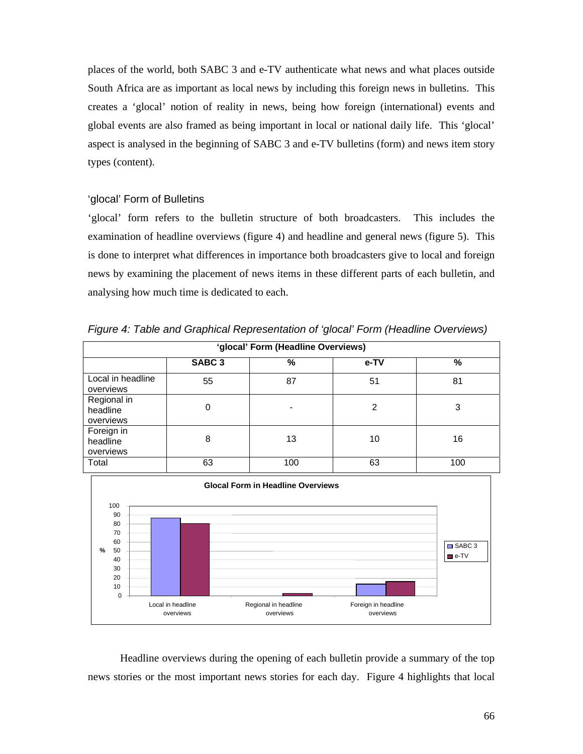places of the world, both SABC 3 and e-TV authenticate what news and what places outside South Africa are as important as local news by including this foreign news in bulletins. This creates a 'glocal' notion of reality in news, being how foreign (international) events and global events are also framed as being important in local or national daily life. This 'glocal' aspect is analysed in the beginning of SABC 3 and e-TV bulletins (form) and news item story types (content).

## 'glocal' Form of Bulletins

overviews

'glocal' form refers to the bulletin structure of both broadcasters. This includes the examination of headline overviews (figure 4) and headline and general news (figure 5). This is done to interpret what differences in importance both broadcasters give to local and foreign news by examining the placement of news items in these different parts of each bulletin, and analysing how much time is dedicated to each.

| 'glocal' Form (Headline Overviews)              |    |    |    |    |  |  |  |
|-------------------------------------------------|----|----|----|----|--|--|--|
| SABC <sub>3</sub><br>$\frac{0}{0}$<br>%<br>e-TV |    |    |    |    |  |  |  |
| Local in headline<br>overviews                  | 55 | 87 | 51 | 81 |  |  |  |
| Regional in<br>headline<br>overviews            |    |    |    | 3  |  |  |  |
| Foreign in<br>headline                          | 8  | 13 | 10 | 16 |  |  |  |

*Figure 4: Table and Graphical Representation of 'glocal' Form (Headline Overviews)* 



Headline overviews during the opening of each bulletin provide a summary of the top news stories or the most important news stories for each day. Figure 4 highlights that local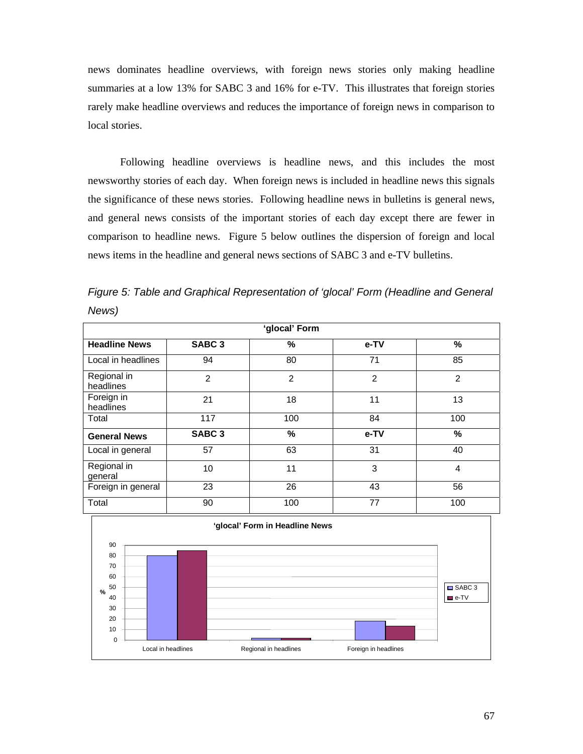news dominates headline overviews, with foreign news stories only making headline summaries at a low 13% for SABC 3 and 16% for e-TV. This illustrates that foreign stories rarely make headline overviews and reduces the importance of foreign news in comparison to local stories.

Following headline overviews is headline news, and this includes the most newsworthy stories of each day. When foreign news is included in headline news this signals the significance of these news stories. Following headline news in bulletins is general news, and general news consists of the important stories of each day except there are fewer in comparison to headline news. Figure 5 below outlines the dispersion of foreign and local news items in the headline and general news sections of SABC 3 and e-TV bulletins.

*Figure 5: Table and Graphical Representation of 'glocal' Form (Headline and General News)* 

| 'glocal' Form            |                   |               |      |                |  |  |
|--------------------------|-------------------|---------------|------|----------------|--|--|
| <b>Headline News</b>     | SABC <sub>3</sub> | %             | e-TV | %              |  |  |
| Local in headlines       | 94                | 80            | 71   | 85             |  |  |
| Regional in<br>headlines | $\overline{2}$    | 2             | 2    | $\overline{2}$ |  |  |
| Foreign in<br>headlines  | 21                | 18            | 11   | 13             |  |  |
| Total                    | 117               | 100           | 84   | 100            |  |  |
| <b>General News</b>      | SABC <sub>3</sub> | $\frac{9}{6}$ | e-TV | $\%$           |  |  |
| Local in general         | 57                | 63            | 31   | 40             |  |  |
| Regional in<br>general   | 10                | 11            | 3    | 4              |  |  |
| Foreign in general       | 23                | 26            | 43   | 56             |  |  |
| Total                    | 90                | 100           | 77   | 100            |  |  |

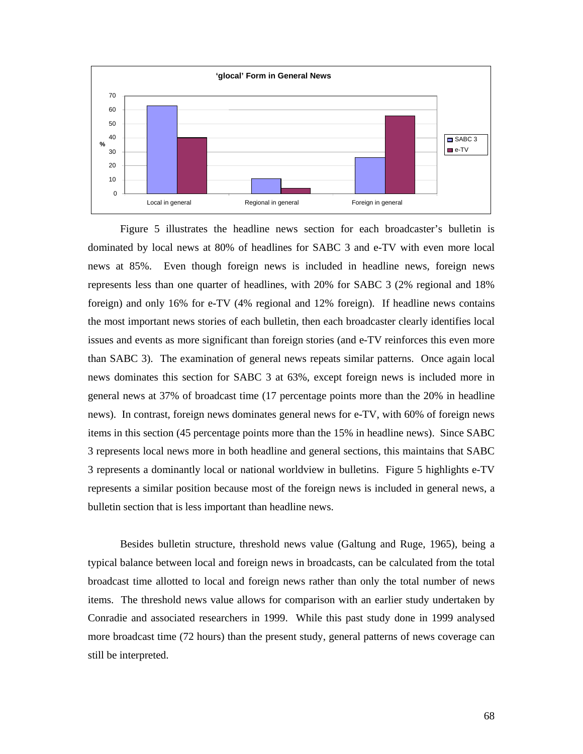

Figure 5 illustrates the headline news section for each broadcaster's bulletin is dominated by local news at 80% of headlines for SABC 3 and e-TV with even more local news at 85%. Even though foreign news is included in headline news, foreign news represents less than one quarter of headlines, with 20% for SABC 3 (2% regional and 18% foreign) and only 16% for e-TV (4% regional and 12% foreign). If headline news contains the most important news stories of each bulletin, then each broadcaster clearly identifies local issues and events as more significant than foreign stories (and e-TV reinforces this even more than SABC 3). The examination of general news repeats similar patterns. Once again local news dominates this section for SABC 3 at 63%, except foreign news is included more in general news at 37% of broadcast time (17 percentage points more than the 20% in headline news). In contrast, foreign news dominates general news for e-TV, with 60% of foreign news items in this section (45 percentage points more than the 15% in headline news). Since SABC 3 represents local news more in both headline and general sections, this maintains that SABC 3 represents a dominantly local or national worldview in bulletins. Figure 5 highlights e-TV represents a similar position because most of the foreign news is included in general news, a bulletin section that is less important than headline news.

Besides bulletin structure, threshold news value (Galtung and Ruge, 1965), being a typical balance between local and foreign news in broadcasts, can be calculated from the total broadcast time allotted to local and foreign news rather than only the total number of news items. The threshold news value allows for comparison with an earlier study undertaken by Conradie and associated researchers in 1999. While this past study done in 1999 analysed more broadcast time (72 hours) than the present study, general patterns of news coverage can still be interpreted.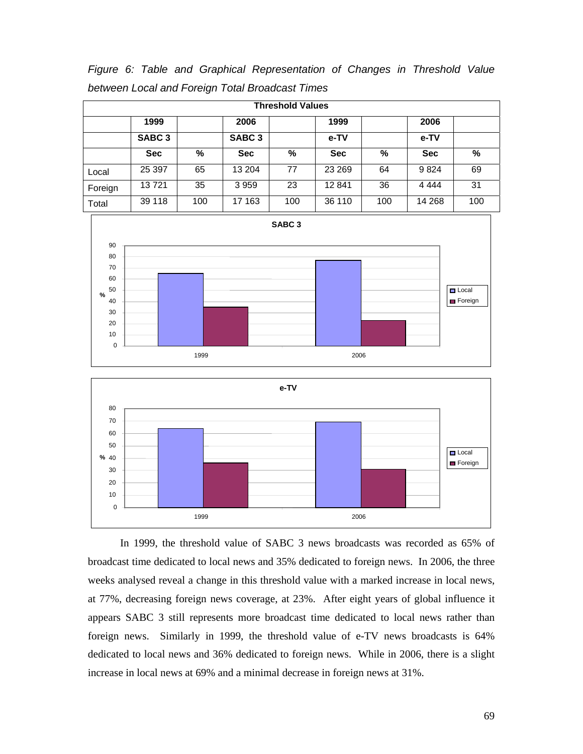*Figure 6: Table and Graphical Representation of Changes in Threshold Value between Local and Foreign Total Broadcast Times*

| <b>Threshold Values</b> |                   |     |                   |     |            |     |            |     |
|-------------------------|-------------------|-----|-------------------|-----|------------|-----|------------|-----|
|                         | 1999              |     | 2006              |     | 1999       |     | 2006       |     |
|                         | SABC <sub>3</sub> |     | SABC <sub>3</sub> |     | e-TV       |     | e-TV       |     |
|                         | <b>Sec</b>        | %   | <b>Sec</b>        | %   | <b>Sec</b> | %   | <b>Sec</b> | %   |
| Local                   | 25 397            | 65  | 13 204            | 77  | 23 269     | 64  | 9824       | 69  |
| Foreign                 | 13721             | 35  | 3 9 5 9           | 23  | 12841      | 36  | 4 4 4 4    | 31  |
| Total                   | 39 118            | 100 | 17 163            | 100 | 36 110     | 100 | 14 2 68    | 100 |





In 1999, the threshold value of SABC 3 news broadcasts was recorded as 65% of broadcast time dedicated to local news and 35% dedicated to foreign news. In 2006, the three weeks analysed reveal a change in this threshold value with a marked increase in local news, at 77%, decreasing foreign news coverage, at 23%. After eight years of global influence it appears SABC 3 still represents more broadcast time dedicated to local news rather than foreign news. Similarly in 1999, the threshold value of e-TV news broadcasts is 64% dedicated to local news and 36% dedicated to foreign news. While in 2006, there is a slight increase in local news at 69% and a minimal decrease in foreign news at 31%.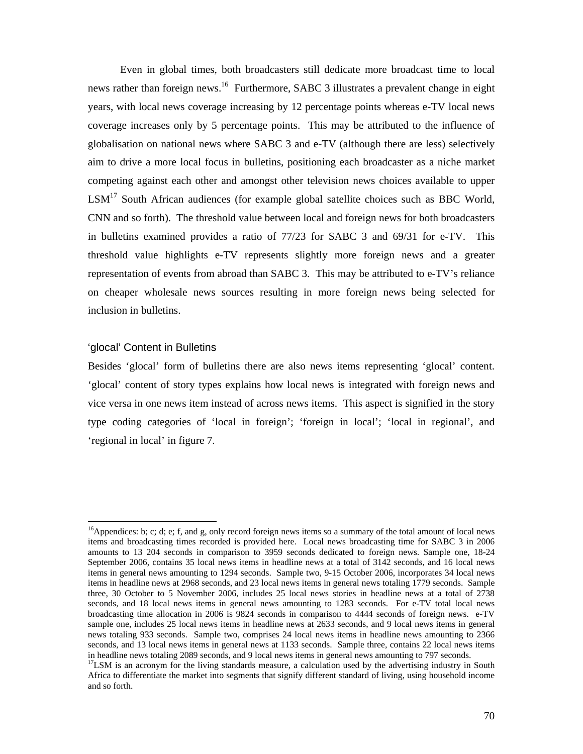Even in global times, both broadcasters still dedicate more broadcast time to local news rather than foreign news.<sup>16</sup> Furthermore, SABC 3 illustrates a prevalent change in eight years, with local news coverage increasing by 12 percentage points whereas e-TV local news coverage increases only by 5 percentage points. This may be attributed to the influence of globalisation on national news where SABC 3 and e-TV (although there are less) selectively aim to drive a more local focus in bulletins, positioning each broadcaster as a niche market competing against each other and amongst other television news choices available to upper  $LSM<sup>17</sup>$  South African audiences (for example global satellite choices such as BBC World, CNN and so forth). The threshold value between local and foreign news for both broadcasters in bulletins examined provides a ratio of 77/23 for SABC 3 and 69/31 for e-TV. This threshold value highlights e-TV represents slightly more foreign news and a greater representation of events from abroad than SABC 3. This may be attributed to e-TV's reliance on cheaper wholesale news sources resulting in more foreign news being selected for inclusion in bulletins.

## 'glocal' Content in Bulletins

Besides 'glocal' form of bulletins there are also news items representing 'glocal' content. 'glocal' content of story types explains how local news is integrated with foreign news and vice versa in one news item instead of across news items. This aspect is signified in the story type coding categories of 'local in foreign'; 'foreign in local'; 'local in regional', and 'regional in local' in figure 7.

 $\overline{a}$ <sup>16</sup>Appendices: b; c; d; e; f, and g, only record foreign news items so a summary of the total amount of local news items and broadcasting times recorded is provided here. Local news broadcasting time for SABC 3 in 2006 amounts to 13 204 seconds in comparison to 3959 seconds dedicated to foreign news. Sample one, 18-24 September 2006, contains 35 local news items in headline news at a total of 3142 seconds, and 16 local news items in general news amounting to 1294 seconds. Sample two, 9-15 October 2006, incorporates 34 local news items in headline news at 2968 seconds, and 23 local news items in general news totaling 1779 seconds. Sample three, 30 October to 5 November 2006, includes 25 local news stories in headline news at a total of 2738 seconds, and 18 local news items in general news amounting to 1283 seconds. For e-TV total local news broadcasting time allocation in 2006 is 9824 seconds in comparison to 4444 seconds of foreign news. e-TV sample one, includes 25 local news items in headline news at 2633 seconds, and 9 local news items in general news totaling 933 seconds. Sample two, comprises 24 local news items in headline news amounting to 2366 seconds, and 13 local news items in general news at 1133 seconds. Sample three, contains 22 local news items in headline news totaling 2089 seconds, and 9 local news items in general news amounting to 797 seconds.

<sup>&</sup>lt;sup>17</sup>LSM is an acronym for the living standards measure, a calculation used by the advertising industry in South Africa to differentiate the market into segments that signify different standard of living, using household income and so forth.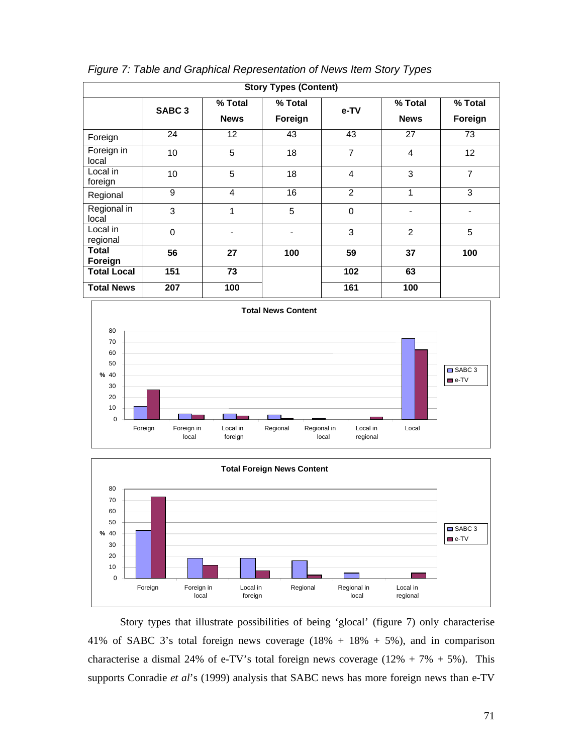| <b>Story Types (Content)</b> |                   |                        |                          |                |                        |                    |
|------------------------------|-------------------|------------------------|--------------------------|----------------|------------------------|--------------------|
|                              | SABC <sub>3</sub> | % Total<br><b>News</b> | % Total<br>Foreign       | e-TV           | % Total<br><b>News</b> | % Total<br>Foreign |
| Foreign                      | 24                | $12 \overline{ }$      | 43                       | 43             | 27                     | 73                 |
| Foreign in<br>local          | 10                | 5                      | 18                       | $\overline{7}$ | 4                      | 12                 |
| Local in<br>foreign          | 10                | 5                      | 18                       | $\overline{4}$ | 3                      | $\overline{7}$     |
| Regional                     | 9                 | 4                      | 16                       | 2              | 1                      | 3                  |
| Regional in<br>local         | 3                 | 1                      | 5                        | 0              |                        |                    |
| Local in<br>regional         | $\mathbf 0$       |                        | $\overline{\phantom{0}}$ | 3              | $\overline{2}$         | 5                  |
| <b>Total</b><br>Foreign      | 56                | 27                     | 100                      | 59             | 37                     | 100                |
| <b>Total Local</b>           | 151               | 73                     |                          | 102            | 63                     |                    |
| <b>Total News</b>            | 207               | 100                    |                          | 161            | 100                    |                    |







Story types that illustrate possibilities of being 'glocal' (figure 7) only characterise 41% of SABC 3's total foreign news coverage  $(18% + 18% + 5%)$ , and in comparison characterise a dismal 24% of e-TV's total foreign news coverage  $(12% + 7% + 5%)$ . This supports Conradie *et al*'s (1999) analysis that SABC news has more foreign news than e-TV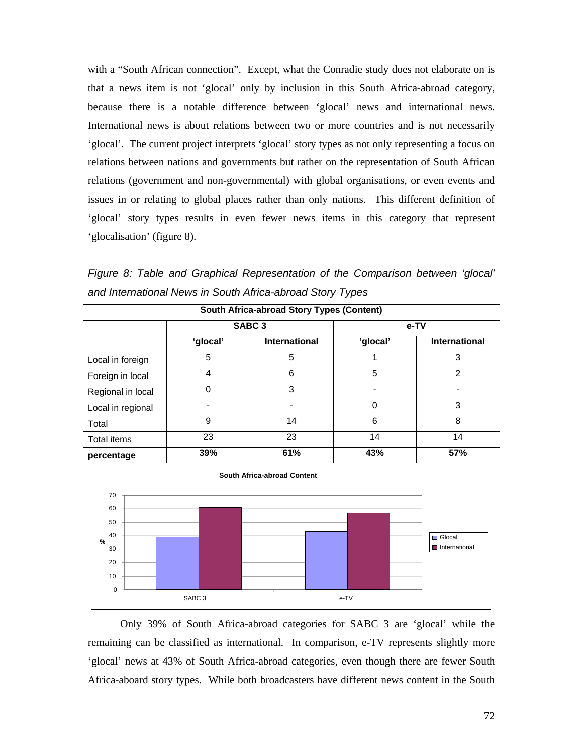with a "South African connection". Except, what the Conradie study does not elaborate on is that a news item is not 'glocal' only by inclusion in this South Africa-abroad category, because there is a notable difference between 'glocal' news and international news. International news is about relations between two or more countries and is not necessarily 'glocal'. The current project interprets 'glocal' story types as not only representing a focus on relations between nations and governments but rather on the representation of South African relations (government and non-governmental) with global organisations, or even events and issues in or relating to global places rather than only nations. This different definition of 'glocal' story types results in even fewer news items in this category that represent 'glocalisation' (figure 8).

*Figure 8: Table and Graphical Representation of the Comparison between 'glocal' and International News in South Africa-abroad Story Types* 

| South Africa-abroad Story Types (Content) |          |                      |          |                      |  |  |
|-------------------------------------------|----------|----------------------|----------|----------------------|--|--|
|                                           |          | SABC <sub>3</sub>    | e-TV     |                      |  |  |
|                                           | 'glocal' | <b>International</b> | 'glocal' | <b>International</b> |  |  |
| Local in foreign                          | 5        | 5                    |          | 3                    |  |  |
| Foreign in local                          | 4        | 6                    | 5        | $\mathfrak{p}$       |  |  |
| Regional in local                         | 0        | 3                    |          |                      |  |  |
| Local in regional                         |          |                      | 0        | 3                    |  |  |
| Total                                     | 9        | 14                   | 6        | 8                    |  |  |
| Total items                               | 23       | 23                   | 14       | 14                   |  |  |
| percentage                                | 39%      | 61%                  | 43%      | 57%                  |  |  |



Only 39% of South Africa-abroad categories for SABC 3 are 'glocal' while the remaining can be classified as international. In comparison, e-TV represents slightly more 'glocal' news at 43% of South Africa-abroad categories, even though there are fewer South Africa-aboard story types. While both broadcasters have different news content in the South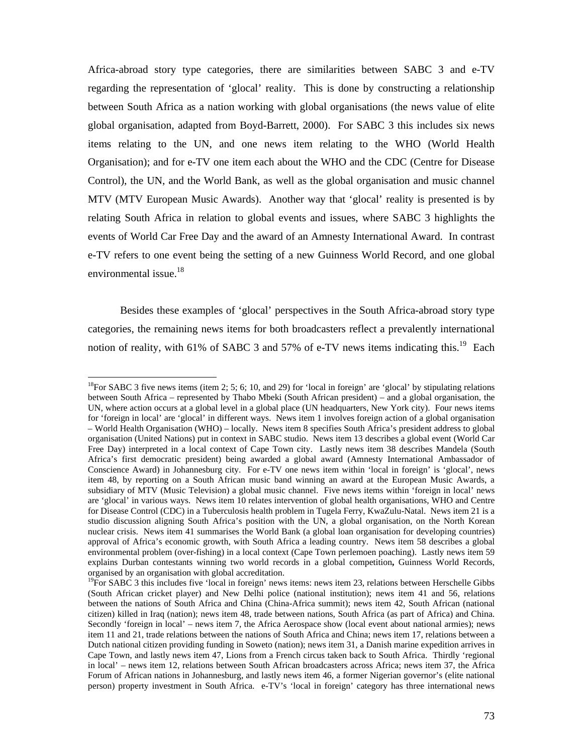Africa-abroad story type categories, there are similarities between SABC 3 and e-TV regarding the representation of 'glocal' reality. This is done by constructing a relationship between South Africa as a nation working with global organisations (the news value of elite global organisation, adapted from Boyd-Barrett, 2000). For SABC 3 this includes six news items relating to the UN, and one news item relating to the WHO (World Health Organisation); and for e-TV one item each about the WHO and the CDC (Centre for Disease Control), the UN, and the World Bank, as well as the global organisation and music channel MTV (MTV European Music Awards). Another way that 'glocal' reality is presented is by relating South Africa in relation to global events and issues, where SABC 3 highlights the events of World Car Free Day and the award of an Amnesty International Award. In contrast e-TV refers to one event being the setting of a new Guinness World Record, and one global environmental issue.<sup>18</sup>

Besides these examples of 'glocal' perspectives in the South Africa-abroad story type categories, the remaining news items for both broadcasters reflect a prevalently international notion of reality, with 61% of SABC 3 and 57% of e-TV news items indicating this.<sup>19</sup> Each

<sup>&</sup>lt;sup>18</sup>For SABC 3 five news items (item 2; 5; 6; 10, and 29) for 'local in foreign' are 'glocal' by stipulating relations between South Africa – represented by Thabo Mbeki (South African president) – and a global organisation, the UN, where action occurs at a global level in a global place (UN headquarters, New York city). Four news items for 'foreign in local' are 'glocal' in different ways. News item 1 involves foreign action of a global organisation – World Health Organisation (WHO) – locally. News item 8 specifies South Africa's president address to global organisation (United Nations) put in context in SABC studio. News item 13 describes a global event (World Car Free Day) interpreted in a local context of Cape Town city. Lastly news item 38 describes Mandela (South Africa's first democratic president) being awarded a global award (Amnesty International Ambassador of Conscience Award) in Johannesburg city. For e-TV one news item within 'local in foreign' is 'glocal', news item 48, by reporting on a South African music band winning an award at the European Music Awards, a subsidiary of MTV (Music Television) a global music channel. Five news items within 'foreign in local' news are 'glocal' in various ways. News item 10 relates intervention of global health organisations, WHO and Centre for Disease Control (CDC) in a Tuberculosis health problem in Tugela Ferry, KwaZulu-Natal. News item 21 is a studio discussion aligning South Africa's position with the UN, a global organisation, on the North Korean nuclear crisis. News item 41 summarises the World Bank (a global loan organisation for developing countries) approval of Africa's economic growth, with South Africa a leading country. News item 58 describes a global environmental problem (over-fishing) in a local context (Cape Town perlemoen poaching). Lastly news item 59 explains Durban contestants winning two world records in a global competition**,** Guinness World Records, organised by an organisation with global accreditation.

 $^{19}$ For SABC 3 this includes five 'local in foreign' news items: news item 23, relations between Herschelle Gibbs (South African cricket player) and New Delhi police (national institution); news item 41 and 56, relations between the nations of South Africa and China (China-Africa summit); news item 42, South African (national citizen) killed in Iraq (nation); news item 48, trade between nations, South Africa (as part of Africa) and China. Secondly 'foreign in local' – news item 7, the Africa Aerospace show (local event about national armies); news item 11 and 21, trade relations between the nations of South Africa and China; news item 17, relations between a Dutch national citizen providing funding in Soweto (nation); news item 31, a Danish marine expedition arrives in Cape Town, and lastly news item 47, Lions from a French circus taken back to South Africa. Thirdly 'regional in local' – news item 12, relations between South African broadcasters across Africa; news item 37, the Africa Forum of African nations in Johannesburg, and lastly news item 46, a former Nigerian governor's (elite national person) property investment in South Africa. e-TV's 'local in foreign' category has three international news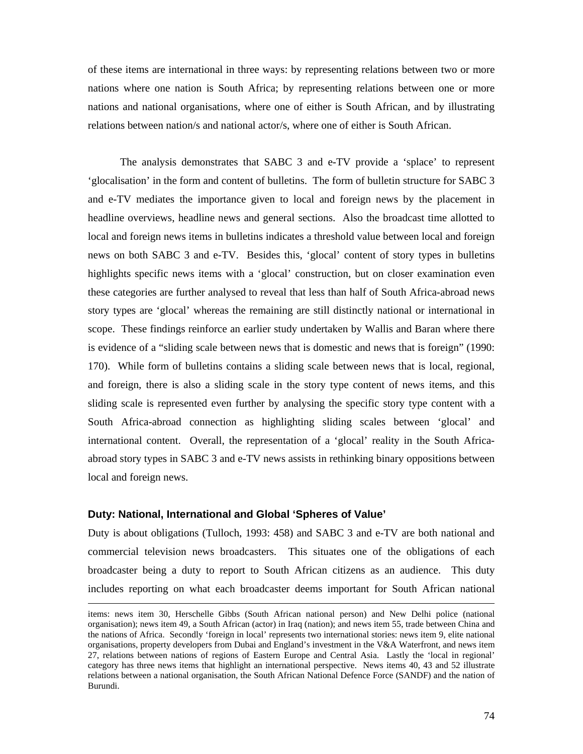of these items are international in three ways: by representing relations between two or more nations where one nation is South Africa; by representing relations between one or more nations and national organisations, where one of either is South African, and by illustrating relations between nation/s and national actor/s, where one of either is South African.

The analysis demonstrates that SABC 3 and e-TV provide a 'splace' to represent 'glocalisation' in the form and content of bulletins. The form of bulletin structure for SABC 3 and e-TV mediates the importance given to local and foreign news by the placement in headline overviews, headline news and general sections. Also the broadcast time allotted to local and foreign news items in bulletins indicates a threshold value between local and foreign news on both SABC 3 and e-TV. Besides this, 'glocal' content of story types in bulletins highlights specific news items with a 'glocal' construction, but on closer examination even these categories are further analysed to reveal that less than half of South Africa-abroad news story types are 'glocal' whereas the remaining are still distinctly national or international in scope. These findings reinforce an earlier study undertaken by Wallis and Baran where there is evidence of a "sliding scale between news that is domestic and news that is foreign" (1990: 170). While form of bulletins contains a sliding scale between news that is local, regional, and foreign, there is also a sliding scale in the story type content of news items, and this sliding scale is represented even further by analysing the specific story type content with a South Africa-abroad connection as highlighting sliding scales between 'glocal' and international content. Overall, the representation of a 'glocal' reality in the South Africaabroad story types in SABC 3 and e-TV news assists in rethinking binary oppositions between local and foreign news.

## **Duty: National, International and Global 'Spheres of Value'**

Duty is about obligations (Tulloch, 1993: 458) and SABC 3 and e-TV are both national and commercial television news broadcasters. This situates one of the obligations of each broadcaster being a duty to report to South African citizens as an audience. This duty includes reporting on what each broadcaster deems important for South African national

items: news item 30, Herschelle Gibbs (South African national person) and New Delhi police (national organisation); news item 49, a South African (actor) in Iraq (nation); and news item 55, trade between China and the nations of Africa. Secondly 'foreign in local' represents two international stories: news item 9, elite national organisations, property developers from Dubai and England's investment in the V&A Waterfront, and news item 27, relations between nations of regions of Eastern Europe and Central Asia. Lastly the 'local in regional' category has three news items that highlight an international perspective. News items 40, 43 and 52 illustrate relations between a national organisation, the South African National Defence Force (SANDF) and the nation of Burundi.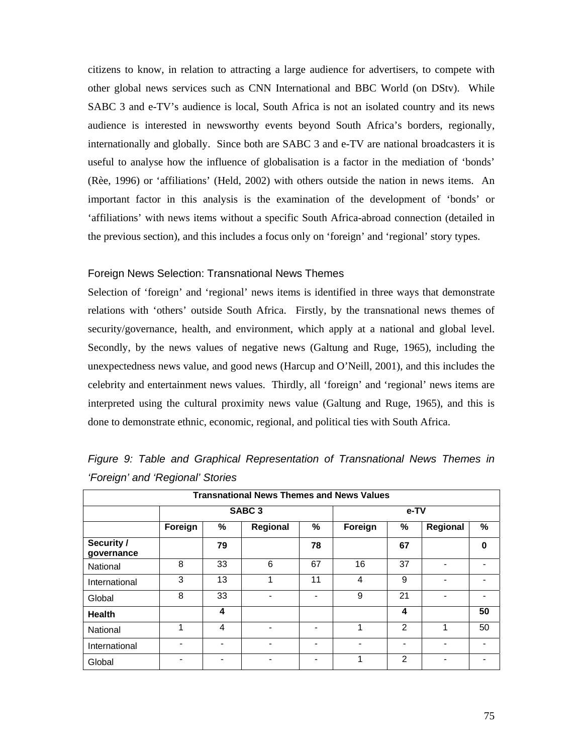citizens to know, in relation to attracting a large audience for advertisers, to compete with other global news services such as CNN International and BBC World (on DStv). While SABC 3 and e-TV's audience is local, South Africa is not an isolated country and its news audience is interested in newsworthy events beyond South Africa's borders, regionally, internationally and globally. Since both are SABC 3 and e-TV are national broadcasters it is useful to analyse how the influence of globalisation is a factor in the mediation of 'bonds' (Rèe, 1996) or 'affiliations' (Held, 2002) with others outside the nation in news items. An important factor in this analysis is the examination of the development of 'bonds' or 'affiliations' with news items without a specific South Africa-abroad connection (detailed in the previous section), and this includes a focus only on 'foreign' and 'regional' story types.

## Foreign News Selection: Transnational News Themes

Selection of 'foreign' and 'regional' news items is identified in three ways that demonstrate relations with 'others' outside South Africa. Firstly, by the transnational news themes of security/governance, health, and environment, which apply at a national and global level. Secondly, by the news values of negative news (Galtung and Ruge, 1965), including the unexpectedness news value, and good news (Harcup and O'Neill, 2001), and this includes the celebrity and entertainment news values. Thirdly, all 'foreign' and 'regional' news items are interpreted using the cultural proximity news value (Galtung and Ruge, 1965), and this is done to demonstrate ethnic, economic, regional, and political ties with South Africa.

|                          | <b>Transnational News Themes and News Values</b> |    |                   |      |         |    |          |    |  |  |
|--------------------------|--------------------------------------------------|----|-------------------|------|---------|----|----------|----|--|--|
|                          |                                                  |    | SABC <sub>3</sub> | e-TV |         |    |          |    |  |  |
|                          | Foreign                                          | %  | Regional          | %    | Foreign | %  | Regional | %  |  |  |
| Security /<br>governance |                                                  | 79 |                   | 78   |         | 67 |          | 0  |  |  |
| National                 | 8                                                | 33 | 6                 | 67   | 16      | 37 |          |    |  |  |
| International            | 3                                                | 13 | 1                 | 11   | 4       | 9  |          |    |  |  |
| Global                   | 8                                                | 33 |                   |      | 9       | 21 |          |    |  |  |
| <b>Health</b>            |                                                  | 4  |                   |      |         | 4  |          | 50 |  |  |
| National                 | 1                                                | 4  |                   |      | 1       | 2  | 1        | 50 |  |  |
| International            |                                                  | -  |                   |      |         | -  |          |    |  |  |
| Global                   |                                                  | -  |                   |      | 1       | 2  |          |    |  |  |

*Figure 9: Table and Graphical Representation of Transnational News Themes in 'Foreign' and 'Regional' Stories*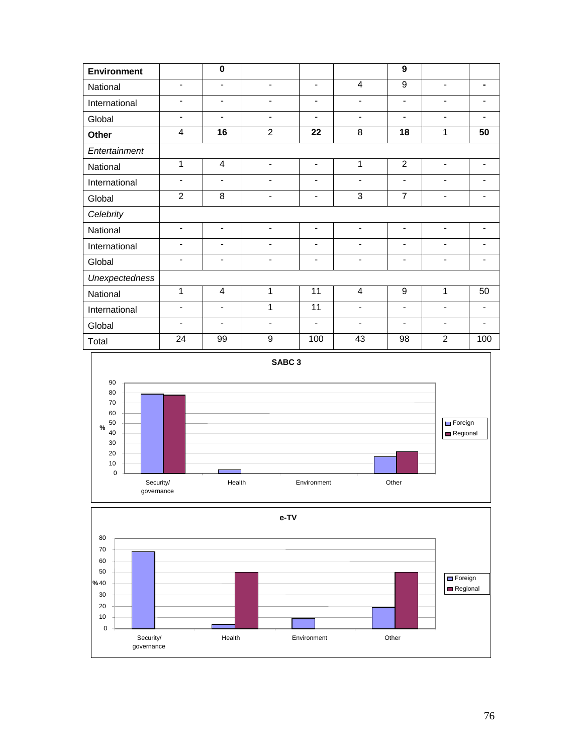| Environment           |                              | $\overline{\mathbf{0}}$      |                              |                          |                          | 9                        |                              |                              |
|-----------------------|------------------------------|------------------------------|------------------------------|--------------------------|--------------------------|--------------------------|------------------------------|------------------------------|
| National              | $\blacksquare$               | $\blacksquare$               | $\qquad \qquad \blacksquare$ | $\blacksquare$           | $\overline{4}$           | 9                        | $\blacksquare$               |                              |
| International         | $\blacksquare$               | -                            |                              |                          |                          | $\overline{\phantom{a}}$ | $\overline{\phantom{a}}$     |                              |
| Global                | -                            | $\qquad \qquad \blacksquare$ | $\qquad \qquad \blacksquare$ |                          |                          | $\overline{\phantom{a}}$ | $\qquad \qquad \blacksquare$ |                              |
| Other                 | $\overline{4}$               | 16                           | $\overline{2}$               | 22                       | 8                        | 18                       | 1                            | 50                           |
| Entertainment         |                              |                              |                              |                          |                          |                          |                              |                              |
| National              | 1                            | 4                            | ÷,                           | $\blacksquare$           | 1                        | $\overline{2}$           | $\blacksquare$               | $\overline{\phantom{a}}$     |
| International         | $\overline{\phantom{a}}$     | $\overline{\phantom{a}}$     | $\qquad \qquad \blacksquare$ | $\overline{\phantom{a}}$ | $\overline{\phantom{a}}$ | $\overline{\phantom{a}}$ | $\qquad \qquad \blacksquare$ |                              |
| Global                | $\overline{2}$               | 8                            |                              | $\overline{\phantom{a}}$ | 3                        | $\overline{7}$           | ۰                            |                              |
| Celebrity             |                              |                              |                              |                          |                          |                          |                              |                              |
| National              | $\qquad \qquad \blacksquare$ | $\overline{\phantom{a}}$     | $\qquad \qquad \blacksquare$ | $\blacksquare$           | $\overline{\phantom{a}}$ | $\overline{\phantom{a}}$ | $\overline{\phantom{a}}$     | $\qquad \qquad \blacksquare$ |
| International         | $\blacksquare$               | $\blacksquare$               |                              |                          |                          | $\overline{\phantom{a}}$ | $\blacksquare$               |                              |
| Global                | $\blacksquare$               | -                            | ۰                            | $\blacksquare$           | $\overline{\phantom{a}}$ | $\blacksquare$           | $\overline{\phantom{a}}$     | $\qquad \qquad \blacksquare$ |
| <b>Unexpectedness</b> |                              |                              |                              |                          |                          |                          |                              |                              |
| National              | 1                            | $\overline{4}$               | 1                            | 11                       | $\overline{4}$           | 9                        | 1                            | 50                           |
| International         | $\blacksquare$               | $\qquad \qquad \blacksquare$ | 1                            | $\overline{11}$          |                          | $\overline{\phantom{a}}$ | $\overline{\phantom{a}}$     |                              |
| Global                | $\overline{a}$               | $\overline{\phantom{a}}$     | $\qquad \qquad \blacksquare$ | $\overline{\phantom{a}}$ | $\overline{\phantom{0}}$ | $\overline{\phantom{a}}$ | $\blacksquare$               | $\overline{\phantom{0}}$     |
| Total                 | 24                           | 99                           | 9                            | 100                      | 43                       | 98                       | $\overline{2}$               | 100                          |



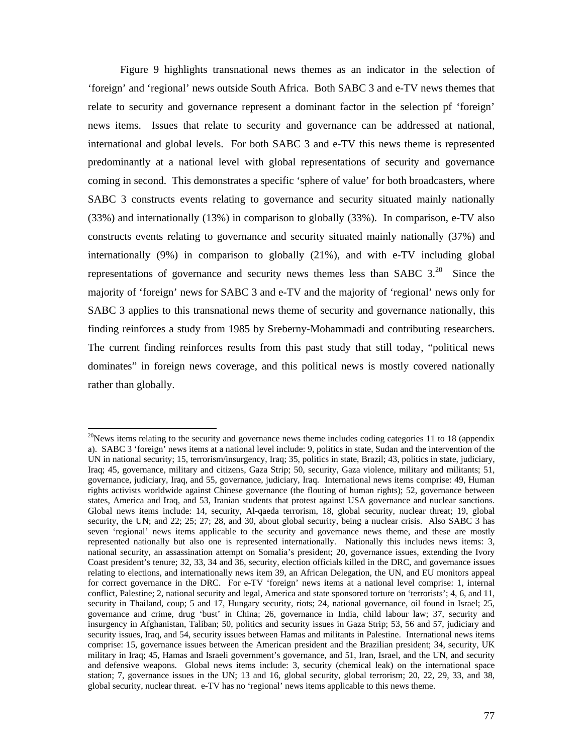Figure 9 highlights transnational news themes as an indicator in the selection of 'foreign' and 'regional' news outside South Africa. Both SABC 3 and e-TV news themes that relate to security and governance represent a dominant factor in the selection pf 'foreign' news items. Issues that relate to security and governance can be addressed at national, international and global levels. For both SABC 3 and e-TV this news theme is represented predominantly at a national level with global representations of security and governance coming in second. This demonstrates a specific 'sphere of value' for both broadcasters, where SABC 3 constructs events relating to governance and security situated mainly nationally (33%) and internationally (13%) in comparison to globally (33%). In comparison, e-TV also constructs events relating to governance and security situated mainly nationally (37%) and internationally (9%) in comparison to globally (21%), and with e-TV including global representations of governance and security news themes less than SABC  $3.^{20}$  Since the majority of 'foreign' news for SABC 3 and e-TV and the majority of 'regional' news only for SABC 3 applies to this transnational news theme of security and governance nationally, this finding reinforces a study from 1985 by Sreberny-Mohammadi and contributing researchers. The current finding reinforces results from this past study that still today, "political news dominates" in foreign news coverage, and this political news is mostly covered nationally rather than globally.

 $\overline{a}$ 

 $20$ News items relating to the security and governance news theme includes coding categories 11 to 18 (appendix a). SABC 3 'foreign' news items at a national level include: 9, politics in state, Sudan and the intervention of the UN in national security; 15, terrorism/insurgency, Iraq; 35, politics in state, Brazil; 43, politics in state, judiciary, Iraq; 45, governance, military and citizens, Gaza Strip; 50, security, Gaza violence, military and militants; 51, governance, judiciary, Iraq, and 55, governance, judiciary, Iraq. International news items comprise: 49, Human rights activists worldwide against Chinese governance (the flouting of human rights); 52, governance between states, America and Iraq, and 53, Iranian students that protest against USA governance and nuclear sanctions. Global news items include: 14, security, Al-qaeda terrorism, 18, global security, nuclear threat; 19, global security, the UN; and 22; 25; 27; 28, and 30, about global security, being a nuclear crisis. Also SABC 3 has seven 'regional' news items applicable to the security and governance news theme, and these are mostly represented nationally but also one is represented internationally. Nationally this includes news items: 3, national security, an assassination attempt on Somalia's president; 20, governance issues, extending the Ivory Coast president's tenure; 32, 33, 34 and 36, security, election officials killed in the DRC, and governance issues relating to elections, and internationally news item 39, an African Delegation, the UN, and EU monitors appeal for correct governance in the DRC. For e-TV 'foreign' news items at a national level comprise: 1, internal conflict, Palestine; 2, national security and legal, America and state sponsored torture on 'terrorists'; 4, 6, and 11, security in Thailand, coup; 5 and 17, Hungary security, riots; 24, national governance, oil found in Israel; 25, governance and crime, drug 'bust' in China; 26, governance in India, child labour law; 37, security and insurgency in Afghanistan, Taliban; 50, politics and security issues in Gaza Strip; 53, 56 and 57, judiciary and security issues, Iraq, and 54, security issues between Hamas and militants in Palestine. International news items comprise: 15, governance issues between the American president and the Brazilian president; 34, security, UK military in Iraq; 45, Hamas and Israeli government's governance, and 51, Iran, Israel, and the UN, and security and defensive weapons. Global news items include: 3, security (chemical leak) on the international space station; 7, governance issues in the UN; 13 and 16, global security, global terrorism; 20, 22, 29, 33, and 38, global security, nuclear threat. e-TV has no 'regional' news items applicable to this news theme.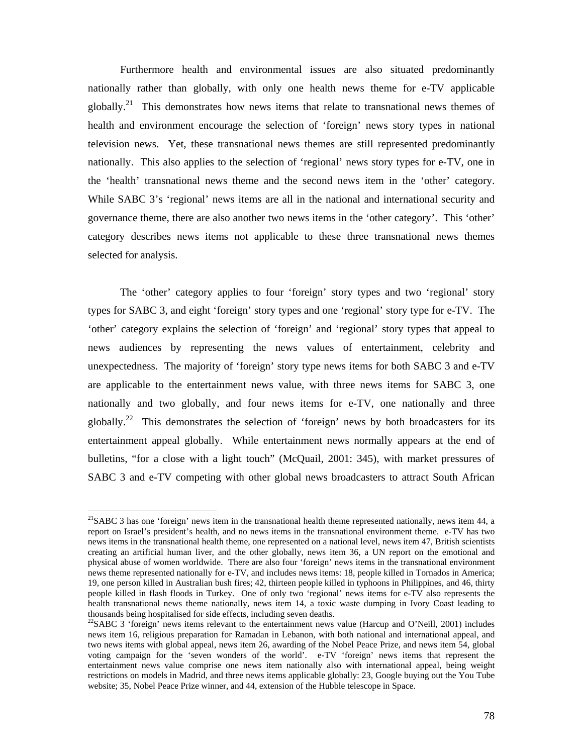Furthermore health and environmental issues are also situated predominantly nationally rather than globally, with only one health news theme for e-TV applicable globally.<sup>21</sup> This demonstrates how news items that relate to transnational news themes of health and environment encourage the selection of 'foreign' news story types in national television news. Yet, these transnational news themes are still represented predominantly nationally. This also applies to the selection of 'regional' news story types for e-TV, one in the 'health' transnational news theme and the second news item in the 'other' category. While SABC 3's 'regional' news items are all in the national and international security and governance theme, there are also another two news items in the 'other category'. This 'other' category describes news items not applicable to these three transnational news themes selected for analysis.

The 'other' category applies to four 'foreign' story types and two 'regional' story types for SABC 3, and eight 'foreign' story types and one 'regional' story type for e-TV. The 'other' category explains the selection of 'foreign' and 'regional' story types that appeal to news audiences by representing the news values of entertainment, celebrity and unexpectedness. The majority of 'foreign' story type news items for both SABC 3 and e-TV are applicable to the entertainment news value, with three news items for SABC 3, one nationally and two globally, and four news items for e-TV, one nationally and three globally.<sup>22</sup> This demonstrates the selection of 'foreign' news by both broadcasters for its entertainment appeal globally. While entertainment news normally appears at the end of bulletins, "for a close with a light touch" (McQuail, 2001: 345), with market pressures of SABC 3 and e-TV competing with other global news broadcasters to attract South African

 $\overline{a}$ 

 $^{21}$ SABC 3 has one 'foreign' news item in the transnational health theme represented nationally, news item 44, a report on Israel's president's health, and no news items in the transnational environment theme. e-TV has two news items in the transnational health theme, one represented on a national level, news item 47, British scientists creating an artificial human liver, and the other globally, news item 36, a UN report on the emotional and physical abuse of women worldwide. There are also four 'foreign' news items in the transnational environment news theme represented nationally for e-TV, and includes news items: 18, people killed in Tornados in America; 19, one person killed in Australian bush fires; 42, thirteen people killed in typhoons in Philippines, and 46, thirty people killed in flash floods in Turkey. One of only two 'regional' news items for e-TV also represents the health transnational news theme nationally, news item 14, a toxic waste dumping in Ivory Coast leading to thousands being hospitalised for side effects, including seven deaths.

<sup>&</sup>lt;sup>22</sup>SABC 3 'foreign' news items relevant to the entertainment news value (Harcup and O'Neill, 2001) includes news item 16, religious preparation for Ramadan in Lebanon, with both national and international appeal, and two news items with global appeal, news item 26, awarding of the Nobel Peace Prize, and news item 54, global voting campaign for the 'seven wonders of the world'. e-TV 'foreign' news items that represent the entertainment news value comprise one news item nationally also with international appeal, being weight restrictions on models in Madrid, and three news items applicable globally: 23, Google buying out the You Tube website; 35, Nobel Peace Prize winner, and 44, extension of the Hubble telescope in Space.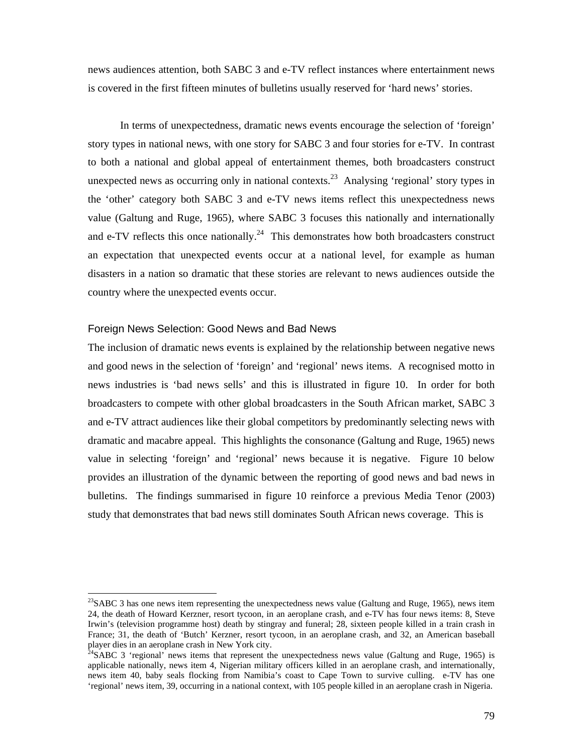news audiences attention, both SABC 3 and e-TV reflect instances where entertainment news is covered in the first fifteen minutes of bulletins usually reserved for 'hard news' stories.

In terms of unexpectedness, dramatic news events encourage the selection of 'foreign' story types in national news, with one story for SABC 3 and four stories for e-TV. In contrast to both a national and global appeal of entertainment themes, both broadcasters construct unexpected news as occurring only in national contexts.<sup>23</sup> Analysing 'regional' story types in the 'other' category both SABC 3 and e-TV news items reflect this unexpectedness news value (Galtung and Ruge, 1965), where SABC 3 focuses this nationally and internationally and e-TV reflects this once nationally.<sup>24</sup> This demonstrates how both broadcasters construct an expectation that unexpected events occur at a national level, for example as human disasters in a nation so dramatic that these stories are relevant to news audiences outside the country where the unexpected events occur.

## Foreign News Selection: Good News and Bad News

l

The inclusion of dramatic news events is explained by the relationship between negative news and good news in the selection of 'foreign' and 'regional' news items. A recognised motto in news industries is 'bad news sells' and this is illustrated in figure 10. In order for both broadcasters to compete with other global broadcasters in the South African market, SABC 3 and e-TV attract audiences like their global competitors by predominantly selecting news with dramatic and macabre appeal. This highlights the consonance (Galtung and Ruge, 1965) news value in selecting 'foreign' and 'regional' news because it is negative. Figure 10 below provides an illustration of the dynamic between the reporting of good news and bad news in bulletins. The findings summarised in figure 10 reinforce a previous Media Tenor (2003) study that demonstrates that bad news still dominates South African news coverage. This is

<sup>&</sup>lt;sup>23</sup>SABC 3 has one news item representing the unexpectedness news value (Galtung and Ruge, 1965), news item 24, the death of Howard Kerzner, resort tycoon, in an aeroplane crash, and e-TV has four news items: 8, Steve Irwin's (television programme host) death by stingray and funeral; 28, sixteen people killed in a train crash in France; 31, the death of 'Butch' Kerzner, resort tycoon, in an aeroplane crash, and 32, an American baseball player dies in an aeroplane crash in New York city.

 $^{24}$ SABC 3 'regional' news items that represent the unexpectedness news value (Galtung and Ruge, 1965) is applicable nationally, news item 4, Nigerian military officers killed in an aeroplane crash, and internationally, news item 40, baby seals flocking from Namibia's coast to Cape Town to survive culling. e-TV has one 'regional' news item, 39, occurring in a national context, with 105 people killed in an aeroplane crash in Nigeria.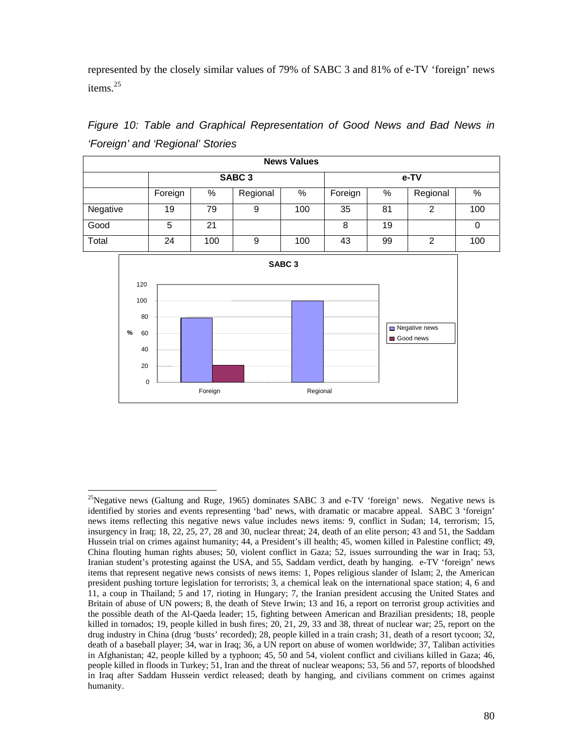represented by the closely similar values of 79% of SABC 3 and 81% of e-TV 'foreign' news items<sup>25</sup>

|          | <b>News Values</b>                     |    |                   |     |         |    |          |     |  |  |
|----------|----------------------------------------|----|-------------------|-----|---------|----|----------|-----|--|--|
|          |                                        |    | SABC <sub>3</sub> |     | e-TV    |    |          |     |  |  |
|          | Foreign                                | %  | Regional          | %   | Foreign | %  | Regional | %   |  |  |
| Negative | 19                                     | 79 | 9                 | 100 | 35      | 81 | 2        | 100 |  |  |
| Good     | 5                                      | 21 |                   |     | 8       | 19 |          |     |  |  |
| Total    | 24<br>100<br>9<br>100<br>99<br>43<br>2 |    |                   |     |         |    |          |     |  |  |
|          |                                        |    |                   |     |         |    |          |     |  |  |

*Figure 10: Table and Graphical Representation of Good News and Bad News in 'Foreign' and 'Regional' Stories* 



 $\overline{a}$ 

<sup>&</sup>lt;sup>25</sup>Negative news (Galtung and Ruge, 1965) dominates SABC 3 and e-TV 'foreign' news. Negative news is identified by stories and events representing 'bad' news, with dramatic or macabre appeal. SABC 3 'foreign' news items reflecting this negative news value includes news items: 9, conflict in Sudan; 14, terrorism; 15, insurgency in Iraq; 18, 22, 25, 27, 28 and 30, nuclear threat; 24, death of an elite person; 43 and 51, the Saddam Hussein trial on crimes against humanity; 44, a President's ill health; 45, women killed in Palestine conflict; 49, China flouting human rights abuses; 50, violent conflict in Gaza; 52, issues surrounding the war in Iraq; 53, Iranian student's protesting against the USA, and 55, Saddam verdict, death by hanging. e-TV 'foreign' news items that represent negative news consists of news items: 1, Popes religious slander of Islam; 2, the American president pushing torture legislation for terrorists; 3, a chemical leak on the international space station; 4, 6 and 11, a coup in Thailand; 5 and 17, rioting in Hungary; 7, the Iranian president accusing the United States and Britain of abuse of UN powers; 8, the death of Steve Irwin; 13 and 16, a report on terrorist group activities and the possible death of the Al-Qaeda leader; 15, fighting between American and Brazilian presidents; 18, people killed in tornados; 19, people killed in bush fires; 20, 21, 29, 33 and 38, threat of nuclear war; 25, report on the drug industry in China (drug 'busts' recorded); 28, people killed in a train crash; 31, death of a resort tycoon; 32, death of a baseball player; 34, war in Iraq; 36, a UN report on abuse of women worldwide; 37, Taliban activities in Afghanistan; 42, people killed by a typhoon; 45, 50 and 54, violent conflict and civilians killed in Gaza; 46, people killed in floods in Turkey; 51, Iran and the threat of nuclear weapons; 53, 56 and 57, reports of bloodshed in Iraq after Saddam Hussein verdict released; death by hanging, and civilians comment on crimes against humanity.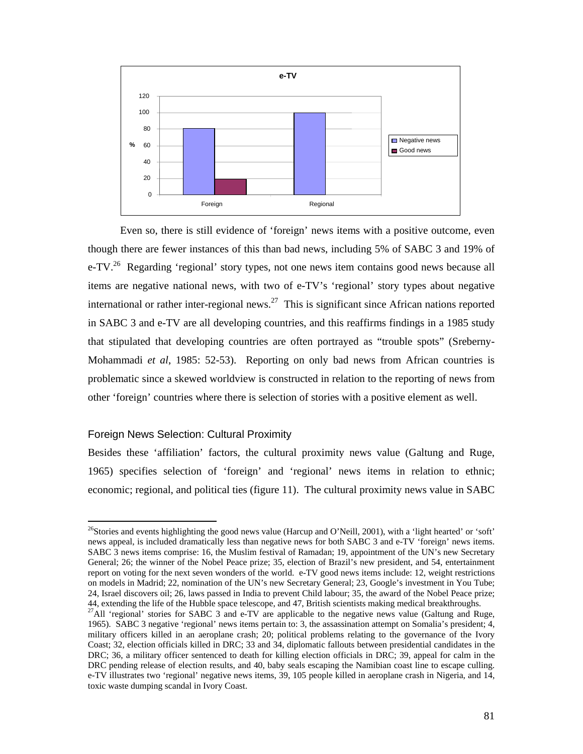

Even so, there is still evidence of 'foreign' news items with a positive outcome, even though there are fewer instances of this than bad news, including 5% of SABC 3 and 19% of e-TV.<sup>26</sup> Regarding 'regional' story types, not one news item contains good news because all items are negative national news, with two of e-TV's 'regional' story types about negative international or rather inter-regional news.<sup>27</sup> This is significant since African nations reported in SABC 3 and e-TV are all developing countries, and this reaffirms findings in a 1985 study that stipulated that developing countries are often portrayed as "trouble spots" (Sreberny-Mohammadi *et al*, 1985: 52-53). Reporting on only bad news from African countries is problematic since a skewed worldview is constructed in relation to the reporting of news from other 'foreign' countries where there is selection of stories with a positive element as well.

## Foreign News Selection: Cultural Proximity

l

Besides these 'affiliation' factors, the cultural proximity news value (Galtung and Ruge, 1965) specifies selection of 'foreign' and 'regional' news items in relation to ethnic; economic; regional, and political ties (figure 11). The cultural proximity news value in SABC

<sup>&</sup>lt;sup>26</sup>Stories and events highlighting the good news value (Harcup and O'Neill, 2001), with a 'light hearted' or 'soft' news appeal, is included dramatically less than negative news for both SABC 3 and e-TV 'foreign' news items. SABC 3 news items comprise: 16, the Muslim festival of Ramadan; 19, appointment of the UN's new Secretary General; 26; the winner of the Nobel Peace prize; 35, election of Brazil's new president, and 54, entertainment report on voting for the next seven wonders of the world. e-TV good news items include: 12, weight restrictions on models in Madrid; 22, nomination of the UN's new Secretary General; 23, Google's investment in You Tube; 24, Israel discovers oil; 26, laws passed in India to prevent Child labour; 35, the award of the Nobel Peace prize; 44, extending the life of the Hubble space telescope, and 47, British scientists making medical breakthroughs.

<sup>&</sup>lt;sup>27</sup>All 'regional' stories for SABC 3 and e-TV are applicable to the negative news value (Galtung and Ruge, 1965). SABC 3 negative 'regional' news items pertain to: 3, the assassination attempt on Somalia's president; 4, military officers killed in an aeroplane crash; 20; political problems relating to the governance of the Ivory Coast; 32, election officials killed in DRC; 33 and 34, diplomatic fallouts between presidential candidates in the DRC; 36, a military officer sentenced to death for killing election officials in DRC; 39, appeal for calm in the DRC pending release of election results, and 40, baby seals escaping the Namibian coast line to escape culling. e-TV illustrates two 'regional' negative news items, 39, 105 people killed in aeroplane crash in Nigeria, and 14, toxic waste dumping scandal in Ivory Coast.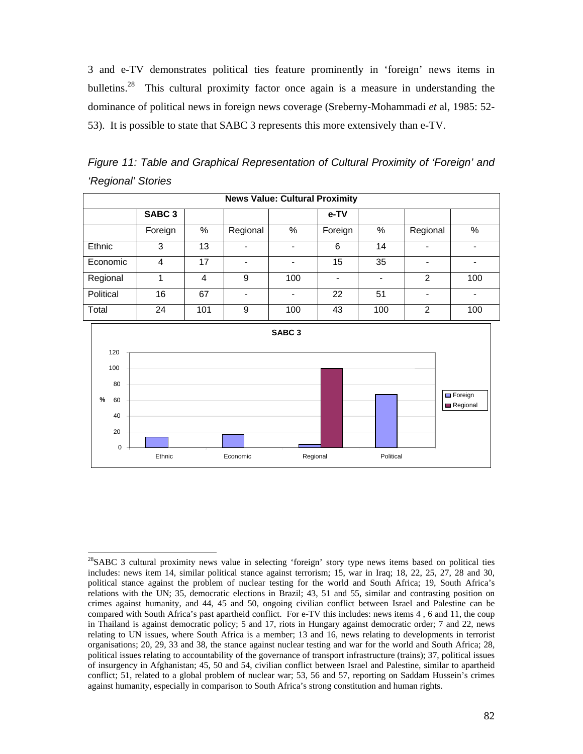3 and e-TV demonstrates political ties feature prominently in 'foreign' news items in bulletins.<sup>28</sup> This cultural proximity factor once again is a measure in understanding the dominance of political news in foreign news coverage (Sreberny-Mohammadi *et* al, 1985: 52- 53). It is possible to state that SABC 3 represents this more extensively than e-TV.

*Figure 11: Table and Graphical Representation of Cultural Proximity of 'Foreign' and 'Regional' Stories* 

|           | <b>News Value: Cultural Proximity</b> |      |          |     |         |                          |                |                              |  |  |
|-----------|---------------------------------------|------|----------|-----|---------|--------------------------|----------------|------------------------------|--|--|
|           | SABC <sub>3</sub>                     |      |          |     | e-TV    |                          |                |                              |  |  |
|           | Foreign                               | $\%$ | Regional | %   | Foreign | %                        | Regional       | %                            |  |  |
| Ethnic    | 3                                     | 13   |          |     | 6       | 14                       |                |                              |  |  |
| Economic  | 4                                     | 17   |          |     | 15      | 35                       |                |                              |  |  |
| Regional  |                                       | 4    | 9        | 100 |         | $\overline{\phantom{0}}$ | $\mathfrak{p}$ | 100                          |  |  |
| Political | 16                                    | 67   |          |     | 22      | 51                       |                | $\qquad \qquad \blacksquare$ |  |  |
| Total     | 24                                    | 101  | 9        | 100 | 43      | 100                      | $\mathfrak{p}$ | 100                          |  |  |



l <sup>28</sup>SABC 3 cultural proximity news value in selecting 'foreign' story type news items based on political ties includes: news item 14, similar political stance against terrorism; 15, war in Iraq; 18, 22, 25, 27, 28 and 30, political stance against the problem of nuclear testing for the world and South Africa; 19, South Africa's relations with the UN; 35, democratic elections in Brazil; 43, 51 and 55, similar and contrasting position on crimes against humanity, and 44, 45 and 50, ongoing civilian conflict between Israel and Palestine can be compared with South Africa's past apartheid conflict. For e-TV this includes: news items 4 , 6 and 11, the coup in Thailand is against democratic policy; 5 and 17, riots in Hungary against democratic order; 7 and 22, news relating to UN issues, where South Africa is a member; 13 and 16, news relating to developments in terrorist organisations; 20, 29, 33 and 38, the stance against nuclear testing and war for the world and South Africa; 28, political issues relating to accountability of the governance of transport infrastructure (trains); 37, political issues of insurgency in Afghanistan; 45, 50 and 54, civilian conflict between Israel and Palestine, similar to apartheid conflict; 51, related to a global problem of nuclear war; 53, 56 and 57, reporting on Saddam Hussein's crimes against humanity, especially in comparison to South Africa's strong constitution and human rights.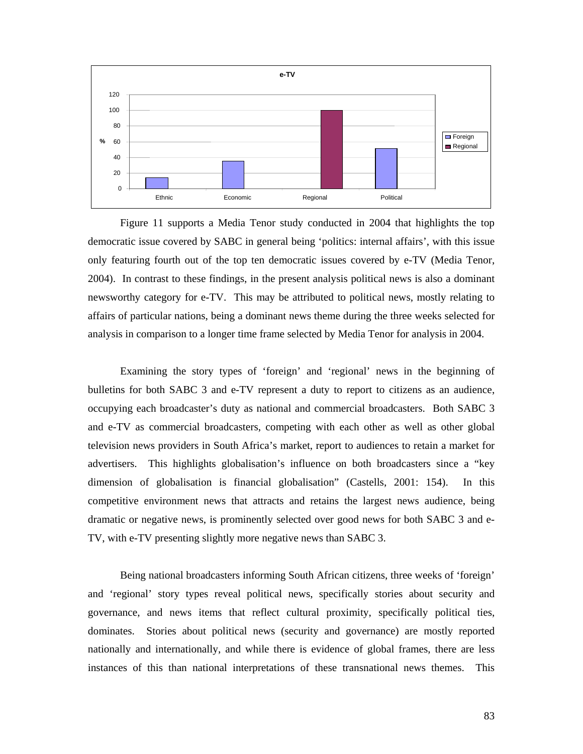

Figure 11 supports a Media Tenor study conducted in 2004 that highlights the top democratic issue covered by SABC in general being 'politics: internal affairs', with this issue only featuring fourth out of the top ten democratic issues covered by e-TV (Media Tenor, 2004). In contrast to these findings, in the present analysis political news is also a dominant newsworthy category for e-TV. This may be attributed to political news, mostly relating to affairs of particular nations, being a dominant news theme during the three weeks selected for analysis in comparison to a longer time frame selected by Media Tenor for analysis in 2004.

Examining the story types of 'foreign' and 'regional' news in the beginning of bulletins for both SABC 3 and e-TV represent a duty to report to citizens as an audience, occupying each broadcaster's duty as national and commercial broadcasters. Both SABC 3 and e-TV as commercial broadcasters, competing with each other as well as other global television news providers in South Africa's market, report to audiences to retain a market for advertisers. This highlights globalisation's influence on both broadcasters since a "key dimension of globalisation is financial globalisation" (Castells, 2001: 154). In this competitive environment news that attracts and retains the largest news audience, being dramatic or negative news, is prominently selected over good news for both SABC 3 and e-TV, with e-TV presenting slightly more negative news than SABC 3.

Being national broadcasters informing South African citizens, three weeks of 'foreign' and 'regional' story types reveal political news, specifically stories about security and governance, and news items that reflect cultural proximity, specifically political ties, dominates. Stories about political news (security and governance) are mostly reported nationally and internationally, and while there is evidence of global frames, there are less instances of this than national interpretations of these transnational news themes. This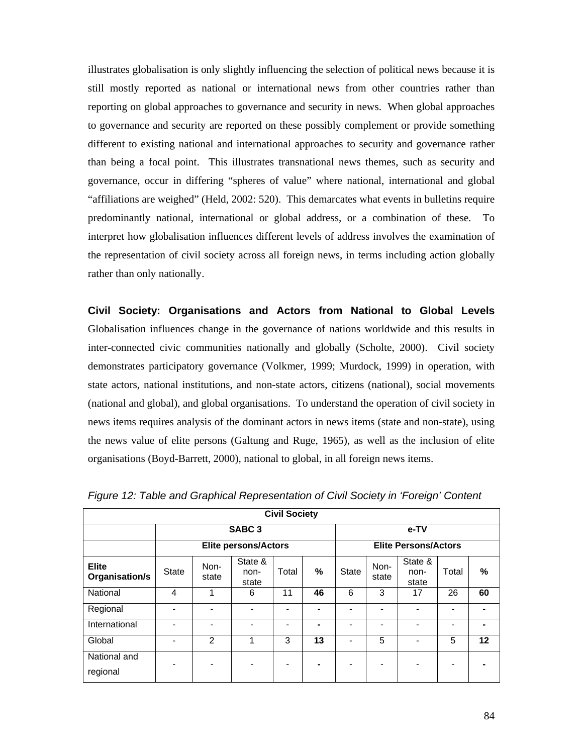illustrates globalisation is only slightly influencing the selection of political news because it is still mostly reported as national or international news from other countries rather than reporting on global approaches to governance and security in news. When global approaches to governance and security are reported on these possibly complement or provide something different to existing national and international approaches to security and governance rather than being a focal point. This illustrates transnational news themes, such as security and governance, occur in differing "spheres of value" where national, international and global "affiliations are weighed" (Held, 2002: 520). This demarcates what events in bulletins require predominantly national, international or global address, or a combination of these. To interpret how globalisation influences different levels of address involves the examination of the representation of civil society across all foreign news, in terms including action globally rather than only nationally.

**Civil Society: Organisations and Actors from National to Global Levels**  Globalisation influences change in the governance of nations worldwide and this results in inter-connected civic communities nationally and globally (Scholte, 2000). Civil society demonstrates participatory governance (Volkmer, 1999; Murdock, 1999) in operation, with state actors, national institutions, and non-state actors, citizens (national), social movements (national and global), and global organisations. To understand the operation of civil society in news items requires analysis of the dominant actors in news items (state and non-state), using the news value of elite persons (Galtung and Ruge, 1965), as well as the inclusion of elite organisations (Boyd-Barrett, 2000), national to global, in all foreign news items.

| <b>Civil Society</b>           |              |               |                             |                          |                |       |                              |                             |       |    |
|--------------------------------|--------------|---------------|-----------------------------|--------------------------|----------------|-------|------------------------------|-----------------------------|-------|----|
|                                |              |               | SABC <sub>3</sub>           |                          |                | e-TV  |                              |                             |       |    |
|                                |              |               | <b>Elite persons/Actors</b> |                          |                |       |                              | <b>Elite Persons/Actors</b> |       |    |
| <b>Elite</b><br>Organisation/s | <b>State</b> | Non-<br>state | State &<br>non-<br>state    | Total                    | %              | State | Non-<br>state                | State &<br>non-<br>state    | Total | %  |
| National                       | 4            | 1             | 6                           | 11                       | 46             | 6     | 3                            | 17                          | 26    | 60 |
| Regional                       |              | -             | $\blacksquare$              | ٠                        | $\blacksquare$ |       | $\blacksquare$               |                             |       |    |
| International                  |              | -             |                             | $\overline{\phantom{0}}$ |                |       | $\qquad \qquad \blacksquare$ |                             |       |    |
| Global                         |              | 2             | 1                           | 3                        | 13             |       | 5                            |                             | 5     | 12 |
| National and<br>regional       |              |               |                             |                          |                |       | $\blacksquare$               |                             |       |    |

*Figure 12: Table and Graphical Representation of Civil Society in 'Foreign' Content*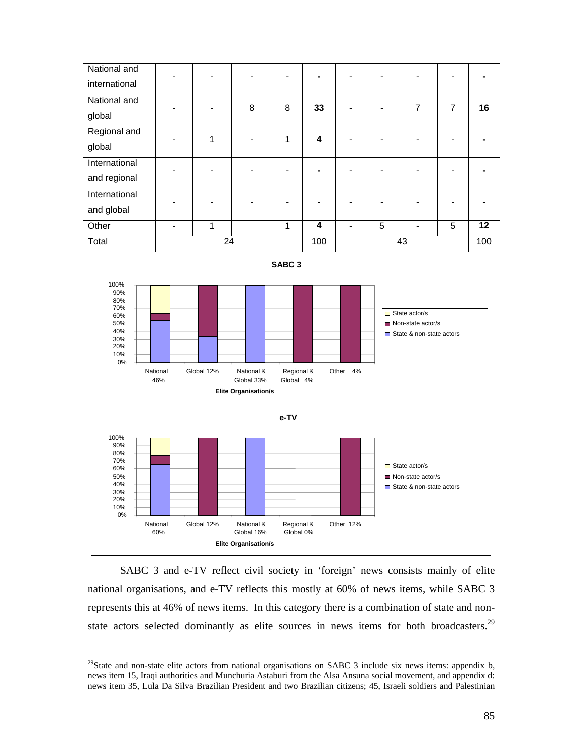



SABC 3 and e-TV reflect civil society in 'foreign' news consists mainly of elite national organisations, and e-TV reflects this mostly at 60% of news items, while SABC 3 represents this at 46% of news items. In this category there is a combination of state and nonstate actors selected dominantly as elite sources in news items for both broadcasters.<sup>29</sup>

 $\overline{a}$ 

 $^{29}$ State and non-state elite actors from national organisations on SABC 3 include six news items: appendix b, news item 15, Iraqi authorities and Munchuria Astaburi from the Alsa Ansuna social movement, and appendix d: news item 35, Lula Da Silva Brazilian President and two Brazilian citizens; 45, Israeli soldiers and Palestinian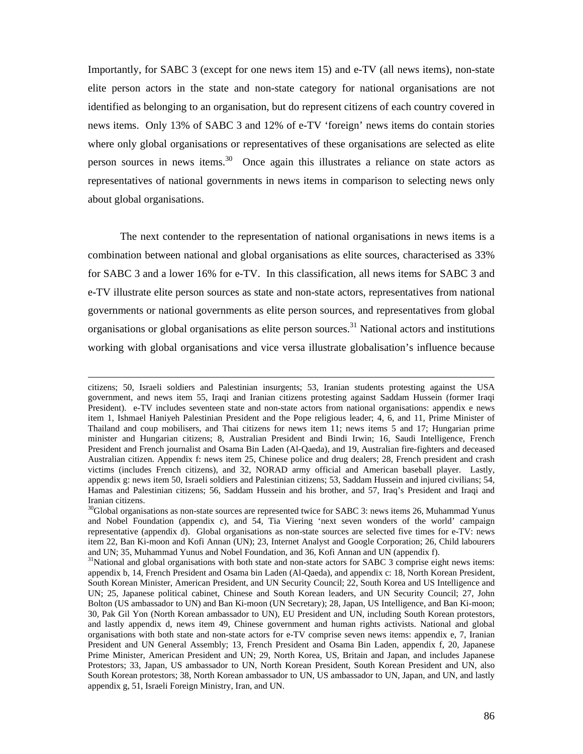Importantly, for SABC 3 (except for one news item 15) and e-TV (all news items), non-state elite person actors in the state and non-state category for national organisations are not identified as belonging to an organisation, but do represent citizens of each country covered in news items. Only 13% of SABC 3 and 12% of e-TV 'foreign' news items do contain stories where only global organisations or representatives of these organisations are selected as elite person sources in news items.<sup>30</sup> Once again this illustrates a reliance on state actors as representatives of national governments in news items in comparison to selecting news only about global organisations.

The next contender to the representation of national organisations in news items is a combination between national and global organisations as elite sources, characterised as 33% for SABC 3 and a lower 16% for e-TV. In this classification, all news items for SABC 3 and e-TV illustrate elite person sources as state and non-state actors, representatives from national governments or national governments as elite person sources, and representatives from global organisations or global organisations as elite person sources.<sup>31</sup> National actors and institutions working with global organisations and vice versa illustrate globalisation's influence because

citizens; 50, Israeli soldiers and Palestinian insurgents; 53, Iranian students protesting against the USA government, and news item 55, Iraqi and Iranian citizens protesting against Saddam Hussein (former Iraqi President). e-TV includes seventeen state and non-state actors from national organisations: appendix e news item 1, Ishmael Haniyeh Palestinian President and the Pope religious leader; 4, 6, and 11, Prime Minister of Thailand and coup mobilisers, and Thai citizens for news item 11; news items 5 and 17; Hungarian prime minister and Hungarian citizens; 8, Australian President and Bindi Irwin; 16, Saudi Intelligence, French President and French journalist and Osama Bin Laden (Al-Qaeda), and 19, Australian fire-fighters and deceased Australian citizen. Appendix f: news item 25, Chinese police and drug dealers; 28, French president and crash victims (includes French citizens), and 32, NORAD army official and American baseball player. Lastly, appendix g: news item 50, Israeli soldiers and Palestinian citizens; 53, Saddam Hussein and injured civilians; 54, Hamas and Palestinian citizens; 56, Saddam Hussein and his brother, and 57, Iraq's President and Iraqi and Iranian citizens.

 $30$ Global organisations as non-state sources are represented twice for SABC 3: news items 26, Muhammad Yunus and Nobel Foundation (appendix c), and 54, Tia Viering 'next seven wonders of the world' campaign representative (appendix d). Global organisations as non-state sources are selected five times for e-TV: news item 22, Ban Ki-moon and Kofi Annan (UN); 23, Internet Analyst and Google Corporation; 26, Child labourers and UN; 35, Muhammad Yunus and Nobel Foundation, and 36, Kofi Annan and UN (appendix f).

<sup>&</sup>lt;sup>31</sup>National and global organisations with both state and non-state actors for SABC 3 comprise eight news items: appendix b, 14, French President and Osama bin Laden (Al-Qaeda), and appendix c: 18, North Korean President, South Korean Minister, American President, and UN Security Council; 22, South Korea and US Intelligence and UN; 25, Japanese political cabinet, Chinese and South Korean leaders, and UN Security Council; 27, John Bolton (US ambassador to UN) and Ban Ki-moon (UN Secretary); 28, Japan, US Intelligence, and Ban Ki-moon; 30, Pak Gil Yon (North Korean ambassador to UN), EU President and UN, including South Korean protestors, and lastly appendix d, news item 49, Chinese government and human rights activists. National and global organisations with both state and non-state actors for e-TV comprise seven news items: appendix e, 7, Iranian President and UN General Assembly; 13, French President and Osama Bin Laden, appendix f, 20, Japanese Prime Minister, American President and UN; 29, North Korea, US, Britain and Japan, and includes Japanese Protestors; 33, Japan, US ambassador to UN, North Korean President, South Korean President and UN, also South Korean protestors; 38, North Korean ambassador to UN, US ambassador to UN, Japan, and UN, and lastly appendix g, 51, Israeli Foreign Ministry, Iran, and UN.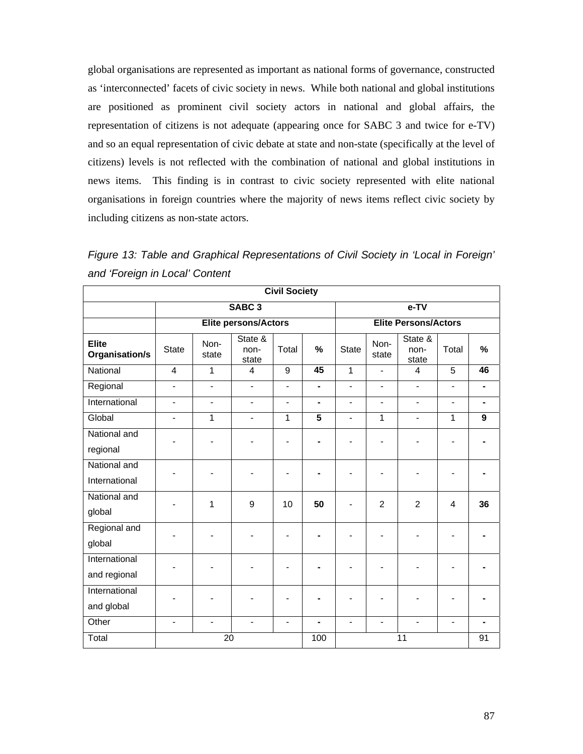global organisations are represented as important as national forms of governance, constructed as 'interconnected' facets of civic society in news. While both national and global institutions are positioned as prominent civil society actors in national and global affairs, the representation of citizens is not adequate (appearing once for SABC 3 and twice for e-TV) and so an equal representation of civic debate at state and non-state (specifically at the level of citizens) levels is not reflected with the combination of national and global institutions in news items. This finding is in contrast to civic society represented with elite national organisations in foreign countries where the majority of news items reflect civic society by including citizens as non-state actors.

*Figure 13: Table and Graphical Representations of Civil Society in 'Local in Foreign' and 'Foreign in Local' Content* 

|                                |                |                              |                          | <b>Civil Society</b> |                             |                |                          |                          |                          |                  |
|--------------------------------|----------------|------------------------------|--------------------------|----------------------|-----------------------------|----------------|--------------------------|--------------------------|--------------------------|------------------|
|                                |                |                              | SABC <sub>3</sub>        |                      |                             |                |                          | $e-TV$                   |                          |                  |
|                                |                |                              | Elite persons/Actors     |                      | <b>Elite Persons/Actors</b> |                |                          |                          |                          |                  |
| <b>Elite</b><br>Organisation/s | <b>State</b>   | Non-<br>state                | State &<br>non-<br>state | Total                | %                           | <b>State</b>   | Non-<br>state            | State &<br>non-<br>state | Total                    | %                |
| National                       | 4              | 1                            | $\overline{4}$           | 9                    | 45                          | $\mathbf{1}$   |                          | $\overline{4}$           | $\overline{5}$           | 46               |
| Regional                       | $\blacksquare$ | $\overline{\phantom{a}}$     | $\blacksquare$           | $\blacksquare$       | $\blacksquare$              | $\blacksquare$ | $\overline{\phantom{a}}$ | $\blacksquare$           | $\overline{\phantom{a}}$ | ۰                |
| International                  | $\blacksquare$ | $\overline{a}$               | $\blacksquare$           | $\blacksquare$       | $\blacksquare$              | $\blacksquare$ | $\overline{\phantom{a}}$ | $\blacksquare$           | $\blacksquare$           | ä,               |
| Global                         | $\blacksquare$ | 1                            | $\blacksquare$           | $\mathbf{1}$         | 5                           | $\blacksquare$ | 1                        | $\blacksquare$           | 1                        | $\boldsymbol{9}$ |
| National and<br>regional       |                |                              |                          |                      | $\blacksquare$              |                |                          |                          |                          |                  |
| National and<br>International  |                | $\overline{a}$               | $\blacksquare$           | $\blacksquare$       | $\blacksquare$              |                |                          | $\blacksquare$           | $\blacksquare$           |                  |
| National and<br>global         |                | 1                            | 9                        | 10                   | 50                          |                | $\overline{2}$           | $\overline{2}$           | 4                        | 36               |
| Regional and<br>global         |                | $\qquad \qquad \blacksquare$ |                          | $\blacksquare$       | ۰                           |                | $\blacksquare$           |                          |                          |                  |
| International<br>and regional  |                |                              |                          |                      |                             |                |                          |                          |                          |                  |
| International<br>and global    |                |                              |                          |                      |                             |                |                          |                          |                          |                  |
| Other                          | $\blacksquare$ | $\overline{\phantom{0}}$     | $\overline{\phantom{a}}$ |                      | $\blacksquare$              | $\blacksquare$ | $\blacksquare$           | $\blacksquare$           | $\overline{\phantom{0}}$ |                  |
| Total                          |                | 20                           |                          |                      | 100                         |                |                          | 11                       |                          | 91               |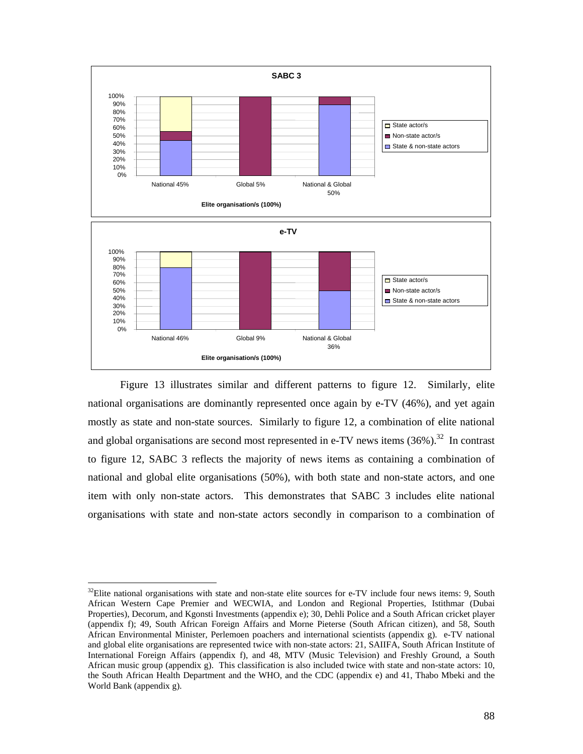

Figure 13 illustrates similar and different patterns to figure 12. Similarly, elite national organisations are dominantly represented once again by e-TV (46%), and yet again mostly as state and non-state sources. Similarly to figure 12, a combination of elite national and global organisations are second most represented in e-TV news items  $(36\%)$ .<sup>32</sup> In contrast to figure 12, SABC 3 reflects the majority of news items as containing a combination of national and global elite organisations (50%), with both state and non-state actors, and one item with only non-state actors. This demonstrates that SABC 3 includes elite national organisations with state and non-state actors secondly in comparison to a combination of

 $32$ Elite national organisations with state and non-state elite sources for e-TV include four news items: 9, South African Western Cape Premier and WECWIA, and London and Regional Properties, Istithmar (Dubai Properties), Decorum, and Kgonsti Investments (appendix e); 30, Dehli Police and a South African cricket player (appendix f); 49, South African Foreign Affairs and Morne Pieterse (South African citizen), and 58, South African Environmental Minister, Perlemoen poachers and international scientists (appendix g). e-TV national and global elite organisations are represented twice with non-state actors: 21, SAIIFA, South African Institute of International Foreign Affairs (appendix f), and 48, MTV (Music Television) and Freshly Ground, a South African music group (appendix g). This classification is also included twice with state and non-state actors: 10, the South African Health Department and the WHO, and the CDC (appendix e) and 41, Thabo Mbeki and the World Bank (appendix g).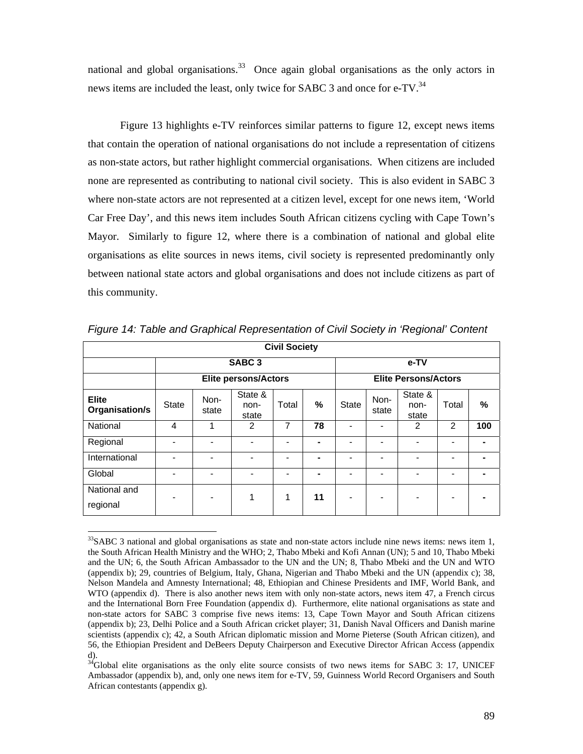national and global organisations.<sup>33</sup> Once again global organisations as the only actors in news items are included the least, only twice for SABC 3 and once for e-TV.<sup>34</sup>

Figure 13 highlights e-TV reinforces similar patterns to figure 12, except news items that contain the operation of national organisations do not include a representation of citizens as non-state actors, but rather highlight commercial organisations. When citizens are included none are represented as contributing to national civil society. This is also evident in SABC 3 where non-state actors are not represented at a citizen level, except for one news item, 'World Car Free Day', and this news item includes South African citizens cycling with Cape Town's Mayor. Similarly to figure 12, where there is a combination of national and global elite organisations as elite sources in news items, civil society is represented predominantly only between national state actors and global organisations and does not include citizens as part of this community.

|                                | <b>Civil Society</b> |               |                             |       |                             |                |               |                          |                |     |
|--------------------------------|----------------------|---------------|-----------------------------|-------|-----------------------------|----------------|---------------|--------------------------|----------------|-----|
|                                |                      |               | SABC <sub>3</sub>           |       |                             | e-TV           |               |                          |                |     |
|                                |                      |               | <b>Elite persons/Actors</b> |       | <b>Elite Persons/Actors</b> |                |               |                          |                |     |
| <b>Elite</b><br>Organisation/s | <b>State</b>         | Non-<br>state | State &<br>non-<br>state    | Total | %                           | State          | Non-<br>state | State &<br>non-<br>state | Total          | %   |
| National                       | 4                    | 1             | $\overline{2}$              | 7     | 78                          | ۰              |               | 2                        | 2              | 100 |
| Regional                       |                      | ٠             | $\overline{a}$              |       | ۰                           |                |               | $\overline{\phantom{a}}$ | $\blacksquare$ |     |
| International                  |                      |               |                             |       | ۰                           |                |               |                          | -              |     |
| Global                         | -                    | ٠             | ۰                           | -     | ۰                           | $\blacksquare$ |               | $\overline{a}$           | $\blacksquare$ |     |
| National and<br>regional       | -                    | ۰             | 1                           | 1     | 11                          | -              |               | -                        | $\blacksquare$ |     |

*Figure 14: Table and Graphical Representation of Civil Society in 'Regional' Content* 

l

 $33$ SABC 3 national and global organisations as state and non-state actors include nine news items: news item 1, the South African Health Ministry and the WHO; 2, Thabo Mbeki and Kofi Annan (UN); 5 and 10, Thabo Mbeki and the UN; 6, the South African Ambassador to the UN and the UN; 8, Thabo Mbeki and the UN and WTO (appendix b); 29, countries of Belgium, Italy, Ghana, Nigerian and Thabo Mbeki and the UN (appendix c); 38, Nelson Mandela and Amnesty International; 48, Ethiopian and Chinese Presidents and IMF, World Bank, and WTO (appendix d). There is also another news item with only non-state actors, news item 47, a French circus and the International Born Free Foundation (appendix d). Furthermore, elite national organisations as state and non-state actors for SABC 3 comprise five news items: 13, Cape Town Mayor and South African citizens (appendix b); 23, Delhi Police and a South African cricket player; 31, Danish Naval Officers and Danish marine scientists (appendix c); 42, a South African diplomatic mission and Morne Pieterse (South African citizen), and 56, the Ethiopian President and DeBeers Deputy Chairperson and Executive Director African Access (appendix d).

 $34$ Global elite organisations as the only elite source consists of two news items for SABC 3: 17, UNICEF Ambassador (appendix b), and, only one news item for e-TV, 59, Guinness World Record Organisers and South African contestants (appendix g).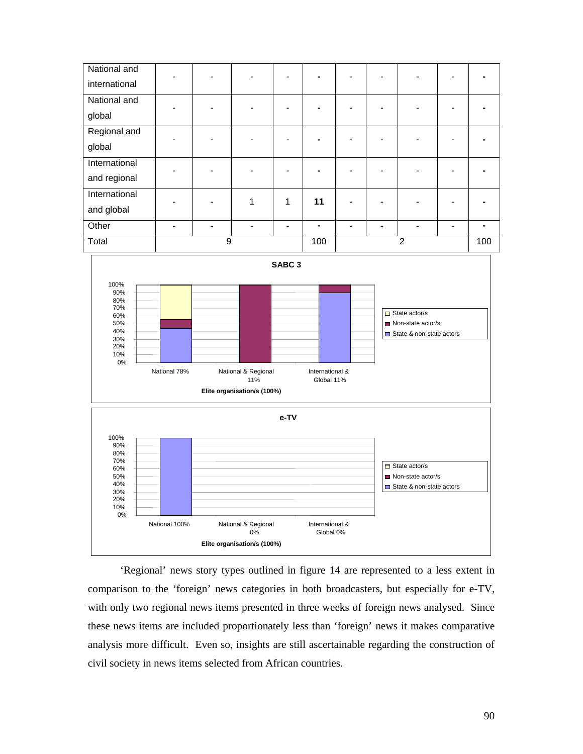



'Regional' news story types outlined in figure 14 are represented to a less extent in comparison to the 'foreign' news categories in both broadcasters, but especially for e-TV, with only two regional news items presented in three weeks of foreign news analysed. Since these news items are included proportionately less than 'foreign' news it makes comparative analysis more difficult. Even so, insights are still ascertainable regarding the construction of civil society in news items selected from African countries.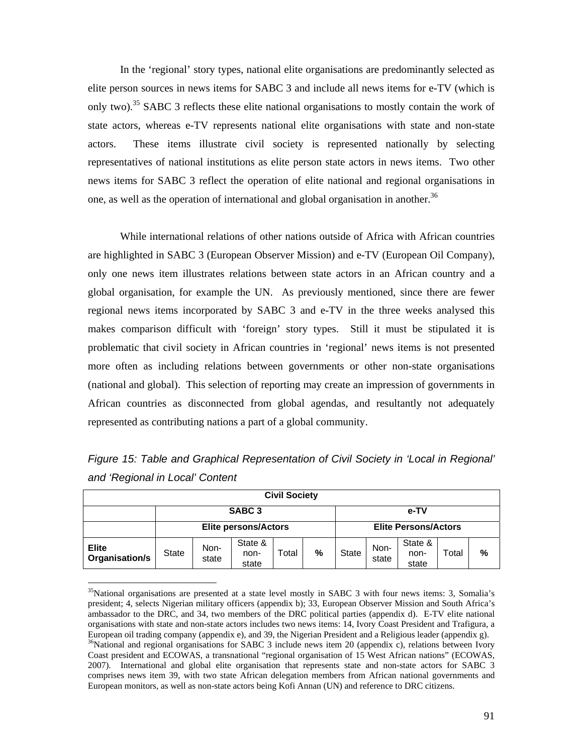In the 'regional' story types, national elite organisations are predominantly selected as elite person sources in news items for SABC 3 and include all news items for e-TV (which is only two).35 SABC 3 reflects these elite national organisations to mostly contain the work of state actors, whereas e-TV represents national elite organisations with state and non-state actors. These items illustrate civil society is represented nationally by selecting representatives of national institutions as elite person state actors in news items. Two other news items for SABC 3 reflect the operation of elite national and regional organisations in one, as well as the operation of international and global organisation in another.<sup>36</sup>

While international relations of other nations outside of Africa with African countries are highlighted in SABC 3 (European Observer Mission) and e-TV (European Oil Company), only one news item illustrates relations between state actors in an African country and a global organisation, for example the UN. As previously mentioned, since there are fewer regional news items incorporated by SABC 3 and e-TV in the three weeks analysed this makes comparison difficult with 'foreign' story types. Still it must be stipulated it is problematic that civil society in African countries in 'regional' news items is not presented more often as including relations between governments or other non-state organisations (national and global). This selection of reporting may create an impression of governments in African countries as disconnected from global agendas, and resultantly not adequately represented as contributing nations a part of a global community.

| <b>Civil Society</b>           |                             |               |                          |       |   |       |                             |                          |       |   |  |
|--------------------------------|-----------------------------|---------------|--------------------------|-------|---|-------|-----------------------------|--------------------------|-------|---|--|
|                                |                             |               | SABC <sub>3</sub>        |       |   |       |                             | e-TV                     |       |   |  |
|                                | <b>Elite persons/Actors</b> |               |                          |       |   |       | <b>Elite Persons/Actors</b> |                          |       |   |  |
| <b>Elite</b><br>Organisation/s | <b>State</b>                | Non-<br>state | State &<br>non-<br>state | Total | % | State | Non-<br>state               | State &<br>non-<br>state | Total | % |  |

*Figure 15: Table and Graphical Representation of Civil Society in 'Local in Regional' and 'Regional in Local' Content* 

European monitors, as well as non-state actors being Kofi Annan (UN) and reference to DRC citizens.

 $35$ National organisations are presented at a state level mostly in SABC 3 with four news items: 3, Somalia's president; 4, selects Nigerian military officers (appendix b); 33, European Observer Mission and South Africa's ambassador to the DRC, and 34, two members of the DRC political parties (appendix d). E-TV elite national organisations with state and non-state actors includes two news items: 14, Ivory Coast President and Trafigura, a European oil trading company (appendix e), and 39, the Nigerian President and a Religious leader (appendix g).  $36$ National and regional organisations for SABC 3 include news item 20 (appendix c), relations between Ivory Coast president and ECOWAS, a transnational "regional organisation of 15 West African nations" (ECOWAS, 2007). International and global elite organisation that represents state and non-state actors for SABC 3 comprises news item 39, with two state African delegation members from African national governments and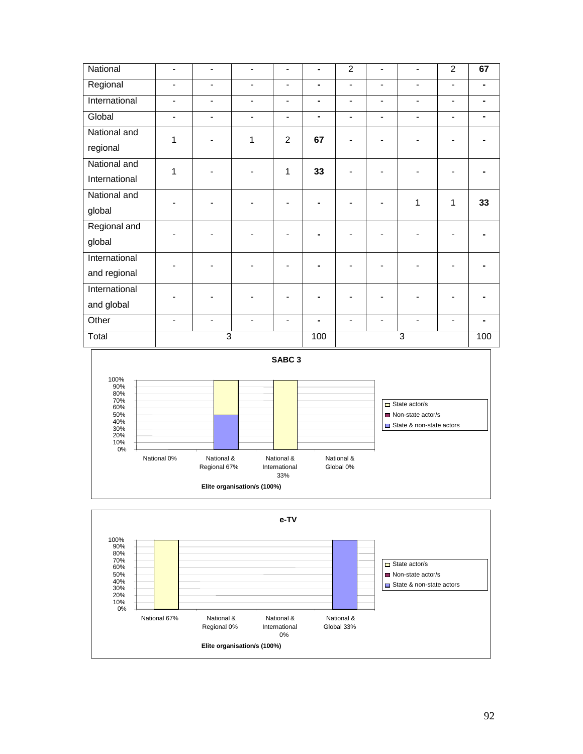| National      | $\overline{\phantom{a}}$ | $\qquad \qquad \blacksquare$ | $\blacksquare$           | $\overline{\phantom{a}}$ | ۰   | $\overline{2}$               | Ē,                           | $\blacksquare$               | $\overline{2}$               | 67  |
|---------------|--------------------------|------------------------------|--------------------------|--------------------------|-----|------------------------------|------------------------------|------------------------------|------------------------------|-----|
| Regional      | $\blacksquare$           | $\qquad \qquad \blacksquare$ | $\blacksquare$           | $\blacksquare$           | ۰   | $\overline{\phantom{0}}$     | $\overline{\phantom{0}}$     | $\overline{\phantom{0}}$     | $\overline{\phantom{0}}$     |     |
| International | $\overline{\phantom{0}}$ | $\qquad \qquad \blacksquare$ | $\blacksquare$           | $\overline{\phantom{a}}$ | ۰   | $\overline{\phantom{0}}$     | ۰                            | $\qquad \qquad \blacksquare$ | $\overline{\phantom{0}}$     |     |
| Global        | $\overline{\phantom{a}}$ | $\qquad \qquad \blacksquare$ | $\blacksquare$           | $\overline{\phantom{a}}$ | ۰   | $\qquad \qquad \blacksquare$ | ۰                            | $\qquad \qquad \blacksquare$ | $\qquad \qquad \blacksquare$ |     |
| National and  | 1                        | ۰                            | 1                        | $\overline{2}$           | 67  |                              |                              |                              |                              |     |
| regional      |                          |                              |                          |                          |     |                              |                              |                              |                              |     |
| National and  | 1                        |                              |                          | 1                        | 33  |                              |                              |                              |                              |     |
| International |                          |                              |                          |                          |     |                              |                              |                              |                              |     |
| National and  |                          |                              |                          |                          |     |                              |                              | 1                            | 1                            | 33  |
| global        |                          |                              |                          |                          |     |                              |                              |                              |                              |     |
| Regional and  |                          |                              |                          |                          |     |                              |                              |                              |                              |     |
| global        |                          |                              |                          |                          |     |                              |                              |                              |                              |     |
| International |                          |                              |                          |                          |     |                              |                              |                              |                              |     |
| and regional  |                          |                              |                          |                          |     |                              |                              |                              |                              |     |
| International |                          |                              |                          |                          |     |                              |                              |                              |                              |     |
| and global    |                          |                              |                          |                          |     |                              |                              |                              |                              |     |
| Other         | $\overline{\phantom{a}}$ | $\overline{\phantom{a}}$     | $\overline{\phantom{a}}$ | $\blacksquare$           | ۰   | Ξ.                           | $\qquad \qquad \blacksquare$ | $\overline{\phantom{0}}$     | $\overline{\phantom{a}}$     |     |
| Total         |                          | $\overline{3}$               |                          |                          | 100 |                              |                              | $\overline{3}$               |                              | 100 |



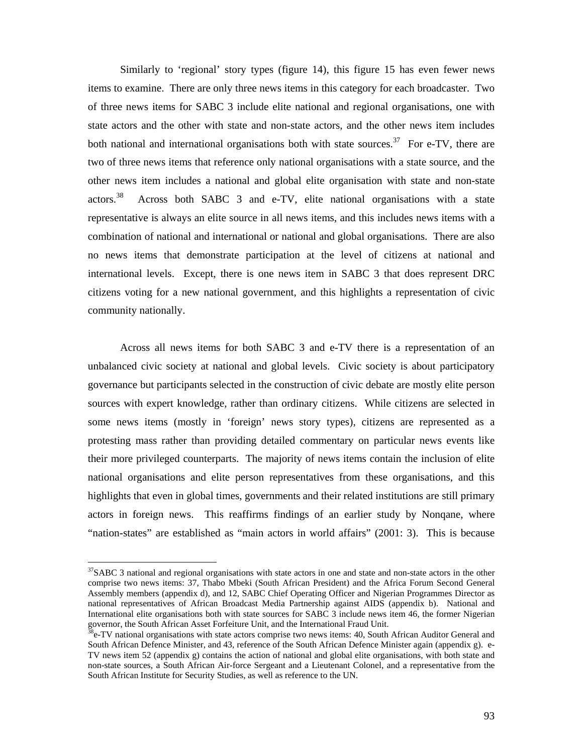Similarly to 'regional' story types (figure 14), this figure 15 has even fewer news items to examine. There are only three news items in this category for each broadcaster. Two of three news items for SABC 3 include elite national and regional organisations, one with state actors and the other with state and non-state actors, and the other news item includes both national and international organisations both with state sources.<sup>37</sup> For e-TV, there are two of three news items that reference only national organisations with a state source, and the other news item includes a national and global elite organisation with state and non-state actors.38 Across both SABC 3 and e-TV, elite national organisations with a state representative is always an elite source in all news items, and this includes news items with a combination of national and international or national and global organisations. There are also no news items that demonstrate participation at the level of citizens at national and international levels. Except, there is one news item in SABC 3 that does represent DRC citizens voting for a new national government, and this highlights a representation of civic community nationally.

Across all news items for both SABC 3 and e-TV there is a representation of an unbalanced civic society at national and global levels. Civic society is about participatory governance but participants selected in the construction of civic debate are mostly elite person sources with expert knowledge, rather than ordinary citizens. While citizens are selected in some news items (mostly in 'foreign' news story types), citizens are represented as a protesting mass rather than providing detailed commentary on particular news events like their more privileged counterparts. The majority of news items contain the inclusion of elite national organisations and elite person representatives from these organisations, and this highlights that even in global times, governments and their related institutions are still primary actors in foreign news. This reaffirms findings of an earlier study by Nonqane, where "nation-states" are established as "main actors in world affairs" (2001: 3). This is because

 $\overline{a}$ 

 $37SABC$  3 national and regional organisations with state actors in one and state and non-state actors in the other comprise two news items: 37, Thabo Mbeki (South African President) and the Africa Forum Second General Assembly members (appendix d), and 12, SABC Chief Operating Officer and Nigerian Programmes Director as national representatives of African Broadcast Media Partnership against AIDS (appendix b). National and International elite organisations both with state sources for SABC 3 include news item 46, the former Nigerian governor, the South African Asset Forfeiture Unit, and the International Fraud Unit.

<sup>&</sup>lt;sup>38</sup>e-TV national organisations with state actors comprise two news items: 40, South African Auditor General and South African Defence Minister, and 43, reference of the South African Defence Minister again (appendix g). e-TV news item 52 (appendix g) contains the action of national and global elite organisations, with both state and non-state sources, a South African Air-force Sergeant and a Lieutenant Colonel, and a representative from the South African Institute for Security Studies, as well as reference to the UN.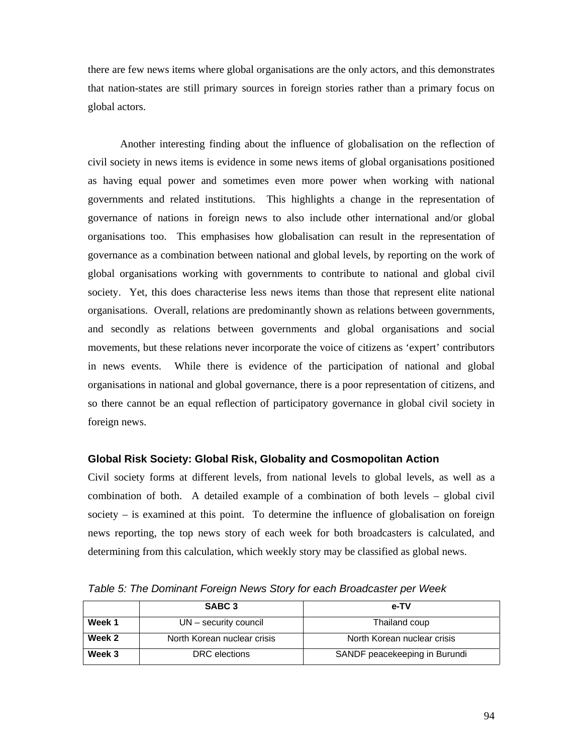there are few news items where global organisations are the only actors, and this demonstrates that nation-states are still primary sources in foreign stories rather than a primary focus on global actors.

Another interesting finding about the influence of globalisation on the reflection of civil society in news items is evidence in some news items of global organisations positioned as having equal power and sometimes even more power when working with national governments and related institutions. This highlights a change in the representation of governance of nations in foreign news to also include other international and/or global organisations too. This emphasises how globalisation can result in the representation of governance as a combination between national and global levels, by reporting on the work of global organisations working with governments to contribute to national and global civil society. Yet, this does characterise less news items than those that represent elite national organisations. Overall, relations are predominantly shown as relations between governments, and secondly as relations between governments and global organisations and social movements, but these relations never incorporate the voice of citizens as 'expert' contributors in news events. While there is evidence of the participation of national and global organisations in national and global governance, there is a poor representation of citizens, and so there cannot be an equal reflection of participatory governance in global civil society in foreign news.

## **Global Risk Society: Global Risk, Globality and Cosmopolitan Action**

Civil society forms at different levels, from national levels to global levels, as well as a combination of both. A detailed example of a combination of both levels – global civil society – is examined at this point. To determine the influence of globalisation on foreign news reporting, the top news story of each week for both broadcasters is calculated, and determining from this calculation, which weekly story may be classified as global news.

|        | SABC <sub>3</sub>           | e-TV                          |
|--------|-----------------------------|-------------------------------|
| Week 1 | UN – security council       | Thailand coup                 |
| Week 2 | North Korean nuclear crisis | North Korean nuclear crisis   |
| Week 3 | DRC elections               | SANDF peacekeeping in Burundi |

*Table 5: The Dominant Foreign News Story for each Broadcaster per Week*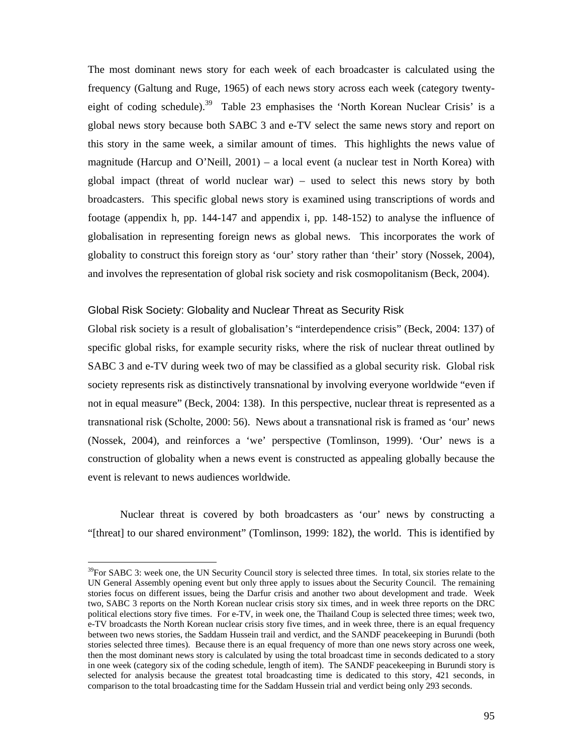The most dominant news story for each week of each broadcaster is calculated using the frequency (Galtung and Ruge, 1965) of each news story across each week (category twentyeight of coding schedule).<sup>39</sup> Table 23 emphasises the 'North Korean Nuclear Crisis' is a global news story because both SABC 3 and e-TV select the same news story and report on this story in the same week, a similar amount of times. This highlights the news value of magnitude (Harcup and O'Neill,  $2001$ ) – a local event (a nuclear test in North Korea) with global impact (threat of world nuclear war) – used to select this news story by both broadcasters. This specific global news story is examined using transcriptions of words and footage (appendix h, pp. 144-147 and appendix i, pp. 148-152) to analyse the influence of globalisation in representing foreign news as global news. This incorporates the work of globality to construct this foreign story as 'our' story rather than 'their' story (Nossek, 2004), and involves the representation of global risk society and risk cosmopolitanism (Beck, 2004).

## Global Risk Society: Globality and Nuclear Threat as Security Risk

 $\overline{a}$ 

Global risk society is a result of globalisation's "interdependence crisis" (Beck, 2004: 137) of specific global risks, for example security risks, where the risk of nuclear threat outlined by SABC 3 and e-TV during week two of may be classified as a global security risk. Global risk society represents risk as distinctively transnational by involving everyone worldwide "even if not in equal measure" (Beck, 2004: 138). In this perspective, nuclear threat is represented as a transnational risk (Scholte, 2000: 56). News about a transnational risk is framed as 'our' news (Nossek, 2004), and reinforces a 'we' perspective (Tomlinson, 1999). 'Our' news is a construction of globality when a news event is constructed as appealing globally because the event is relevant to news audiences worldwide.

Nuclear threat is covered by both broadcasters as 'our' news by constructing a "[threat] to our shared environment" (Tomlinson, 1999: 182), the world. This is identified by

 $39$ For SABC 3: week one, the UN Security Council story is selected three times. In total, six stories relate to the UN General Assembly opening event but only three apply to issues about the Security Council. The remaining stories focus on different issues, being the Darfur crisis and another two about development and trade. Week two, SABC 3 reports on the North Korean nuclear crisis story six times, and in week three reports on the DRC political elections story five times. For e-TV, in week one, the Thailand Coup is selected three times; week two, e-TV broadcasts the North Korean nuclear crisis story five times, and in week three, there is an equal frequency between two news stories, the Saddam Hussein trail and verdict, and the SANDF peacekeeping in Burundi (both stories selected three times). Because there is an equal frequency of more than one news story across one week, then the most dominant news story is calculated by using the total broadcast time in seconds dedicated to a story in one week (category six of the coding schedule, length of item). The SANDF peacekeeping in Burundi story is selected for analysis because the greatest total broadcasting time is dedicated to this story, 421 seconds, in comparison to the total broadcasting time for the Saddam Hussein trial and verdict being only 293 seconds.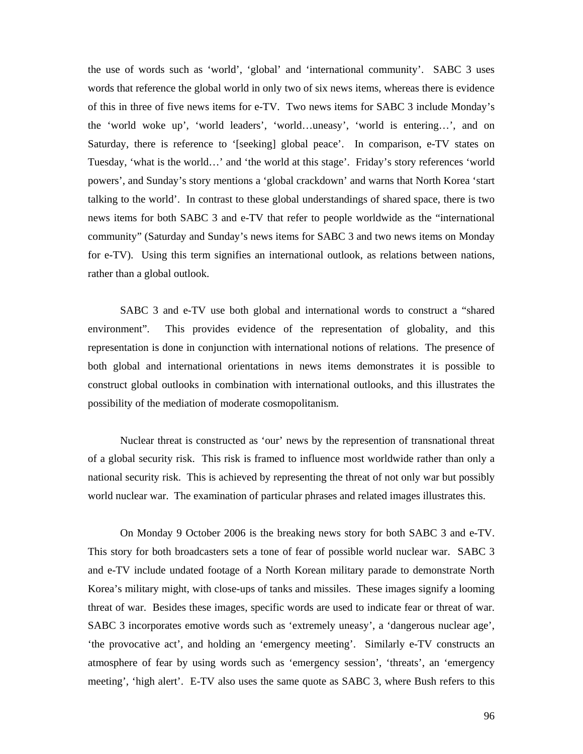the use of words such as 'world', 'global' and 'international community'. SABC 3 uses words that reference the global world in only two of six news items, whereas there is evidence of this in three of five news items for e-TV. Two news items for SABC 3 include Monday's the 'world woke up', 'world leaders', 'world…uneasy', 'world is entering…', and on Saturday, there is reference to '[seeking] global peace'. In comparison, e-TV states on Tuesday, 'what is the world…' and 'the world at this stage'. Friday's story references 'world powers', and Sunday's story mentions a 'global crackdown' and warns that North Korea 'start talking to the world'. In contrast to these global understandings of shared space, there is two news items for both SABC 3 and e-TV that refer to people worldwide as the "international community" (Saturday and Sunday's news items for SABC 3 and two news items on Monday for e-TV). Using this term signifies an international outlook, as relations between nations, rather than a global outlook.

SABC 3 and e-TV use both global and international words to construct a "shared environment". This provides evidence of the representation of globality, and this representation is done in conjunction with international notions of relations. The presence of both global and international orientations in news items demonstrates it is possible to construct global outlooks in combination with international outlooks, and this illustrates the possibility of the mediation of moderate cosmopolitanism.

Nuclear threat is constructed as 'our' news by the represention of transnational threat of a global security risk. This risk is framed to influence most worldwide rather than only a national security risk. This is achieved by representing the threat of not only war but possibly world nuclear war. The examination of particular phrases and related images illustrates this.

On Monday 9 October 2006 is the breaking news story for both SABC 3 and e-TV. This story for both broadcasters sets a tone of fear of possible world nuclear war. SABC 3 and e-TV include undated footage of a North Korean military parade to demonstrate North Korea's military might, with close-ups of tanks and missiles. These images signify a looming threat of war. Besides these images, specific words are used to indicate fear or threat of war. SABC 3 incorporates emotive words such as 'extremely uneasy', a 'dangerous nuclear age', 'the provocative act', and holding an 'emergency meeting'. Similarly e-TV constructs an atmosphere of fear by using words such as 'emergency session', 'threats', an 'emergency meeting', 'high alert'. E-TV also uses the same quote as SABC 3, where Bush refers to this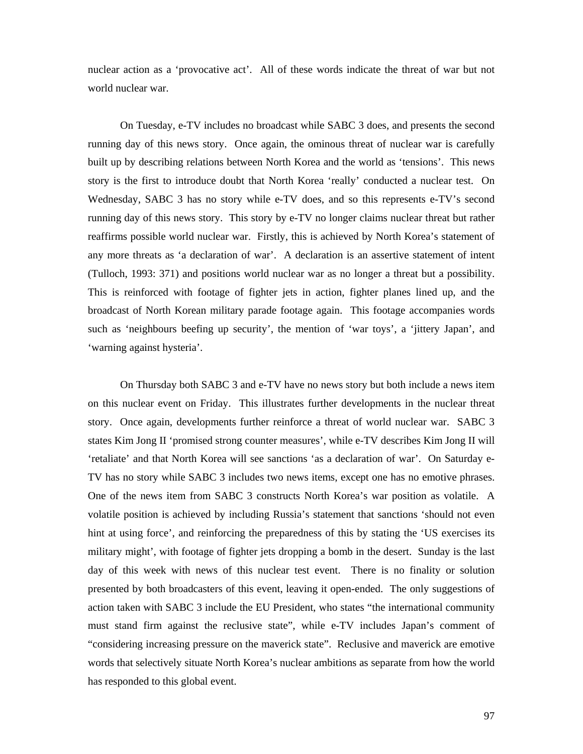nuclear action as a 'provocative act'. All of these words indicate the threat of war but not world nuclear war.

On Tuesday, e-TV includes no broadcast while SABC 3 does, and presents the second running day of this news story. Once again, the ominous threat of nuclear war is carefully built up by describing relations between North Korea and the world as 'tensions'. This news story is the first to introduce doubt that North Korea 'really' conducted a nuclear test. On Wednesday, SABC 3 has no story while e-TV does, and so this represents e-TV's second running day of this news story. This story by e-TV no longer claims nuclear threat but rather reaffirms possible world nuclear war. Firstly, this is achieved by North Korea's statement of any more threats as 'a declaration of war'. A declaration is an assertive statement of intent (Tulloch, 1993: 371) and positions world nuclear war as no longer a threat but a possibility. This is reinforced with footage of fighter jets in action, fighter planes lined up, and the broadcast of North Korean military parade footage again. This footage accompanies words such as 'neighbours beefing up security', the mention of 'war toys', a 'jittery Japan', and 'warning against hysteria'.

On Thursday both SABC 3 and e-TV have no news story but both include a news item on this nuclear event on Friday. This illustrates further developments in the nuclear threat story. Once again, developments further reinforce a threat of world nuclear war. SABC 3 states Kim Jong II 'promised strong counter measures', while e-TV describes Kim Jong II will 'retaliate' and that North Korea will see sanctions 'as a declaration of war'. On Saturday e-TV has no story while SABC 3 includes two news items, except one has no emotive phrases. One of the news item from SABC 3 constructs North Korea's war position as volatile. A volatile position is achieved by including Russia's statement that sanctions 'should not even hint at using force', and reinforcing the preparedness of this by stating the 'US exercises its military might', with footage of fighter jets dropping a bomb in the desert. Sunday is the last day of this week with news of this nuclear test event. There is no finality or solution presented by both broadcasters of this event, leaving it open-ended. The only suggestions of action taken with SABC 3 include the EU President, who states "the international community must stand firm against the reclusive state", while e-TV includes Japan's comment of "considering increasing pressure on the maverick state". Reclusive and maverick are emotive words that selectively situate North Korea's nuclear ambitions as separate from how the world has responded to this global event.

97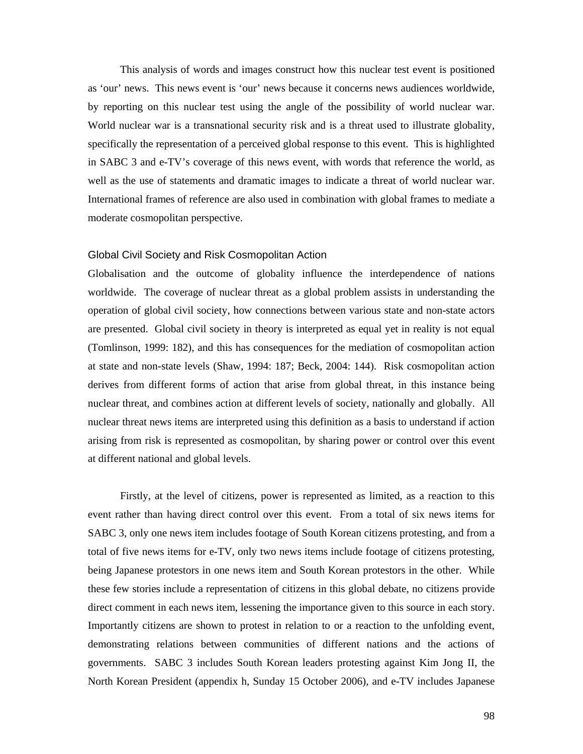This analysis of words and images construct how this nuclear test event is positioned as 'our' news. This news event is 'our' news because it concerns news audiences worldwide, by reporting on this nuclear test using the angle of the possibility of world nuclear war. World nuclear war is a transnational security risk and is a threat used to illustrate globality, specifically the representation of a perceived global response to this event. This is highlighted in SABC 3 and e-TV's coverage of this news event, with words that reference the world, as well as the use of statements and dramatic images to indicate a threat of world nuclear war. International frames of reference are also used in combination with global frames to mediate a moderate cosmopolitan perspective.

#### Global Civil Society and Risk Cosmopolitan Action

Globalisation and the outcome of globality influence the interdependence of nations worldwide. The coverage of nuclear threat as a global problem assists in understanding the operation of global civil society, how connections between various state and non-state actors are presented. Global civil society in theory is interpreted as equal yet in reality is not equal (Tomlinson, 1999: 182), and this has consequences for the mediation of cosmopolitan action at state and non-state levels (Shaw, 1994: 187; Beck, 2004: 144). Risk cosmopolitan action derives from different forms of action that arise from global threat, in this instance being nuclear threat, and combines action at different levels of society, nationally and globally. All nuclear threat news items are interpreted using this definition as a basis to understand if action arising from risk is represented as cosmopolitan, by sharing power or control over this event at different national and global levels.

Firstly, at the level of citizens, power is represented as limited, as a reaction to this event rather than having direct control over this event. From a total of six news items for SABC 3, only one news item includes footage of South Korean citizens protesting, and from a total of five news items for e-TV, only two news items include footage of citizens protesting, being Japanese protestors in one news item and South Korean protestors in the other. While these few stories include a representation of citizens in this global debate, no citizens provide direct comment in each news item, lessening the importance given to this source in each story. Importantly citizens are shown to protest in relation to or a reaction to the unfolding event, demonstrating relations between communities of different nations and the actions of governments. SABC 3 includes South Korean leaders protesting against Kim Jong II, the North Korean President (appendix h, Sunday 15 October 2006), and e-TV includes Japanese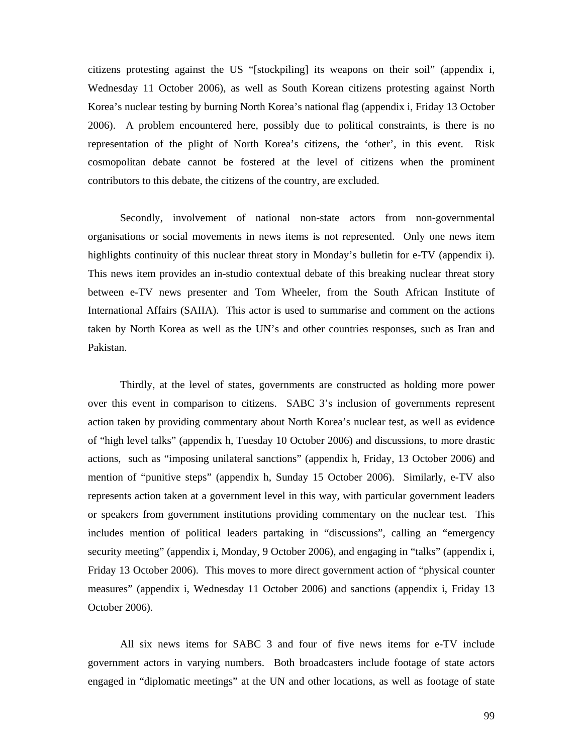citizens protesting against the US "[stockpiling] its weapons on their soil" (appendix i, Wednesday 11 October 2006), as well as South Korean citizens protesting against North Korea's nuclear testing by burning North Korea's national flag (appendix i, Friday 13 October 2006). A problem encountered here, possibly due to political constraints, is there is no representation of the plight of North Korea's citizens, the 'other', in this event. Risk cosmopolitan debate cannot be fostered at the level of citizens when the prominent contributors to this debate, the citizens of the country, are excluded.

Secondly, involvement of national non-state actors from non-governmental organisations or social movements in news items is not represented. Only one news item highlights continuity of this nuclear threat story in Monday's bulletin for e-TV (appendix i). This news item provides an in-studio contextual debate of this breaking nuclear threat story between e-TV news presenter and Tom Wheeler, from the South African Institute of International Affairs (SAIIA). This actor is used to summarise and comment on the actions taken by North Korea as well as the UN's and other countries responses, such as Iran and Pakistan.

Thirdly, at the level of states, governments are constructed as holding more power over this event in comparison to citizens. SABC 3's inclusion of governments represent action taken by providing commentary about North Korea's nuclear test, as well as evidence of "high level talks" (appendix h, Tuesday 10 October 2006) and discussions, to more drastic actions, such as "imposing unilateral sanctions" (appendix h, Friday, 13 October 2006) and mention of "punitive steps" (appendix h, Sunday 15 October 2006). Similarly, e-TV also represents action taken at a government level in this way, with particular government leaders or speakers from government institutions providing commentary on the nuclear test. This includes mention of political leaders partaking in "discussions", calling an "emergency security meeting" (appendix i, Monday, 9 October 2006), and engaging in "talks" (appendix i, Friday 13 October 2006). This moves to more direct government action of "physical counter measures" (appendix i, Wednesday 11 October 2006) and sanctions (appendix i, Friday 13 October 2006).

All six news items for SABC 3 and four of five news items for e-TV include government actors in varying numbers. Both broadcasters include footage of state actors engaged in "diplomatic meetings" at the UN and other locations, as well as footage of state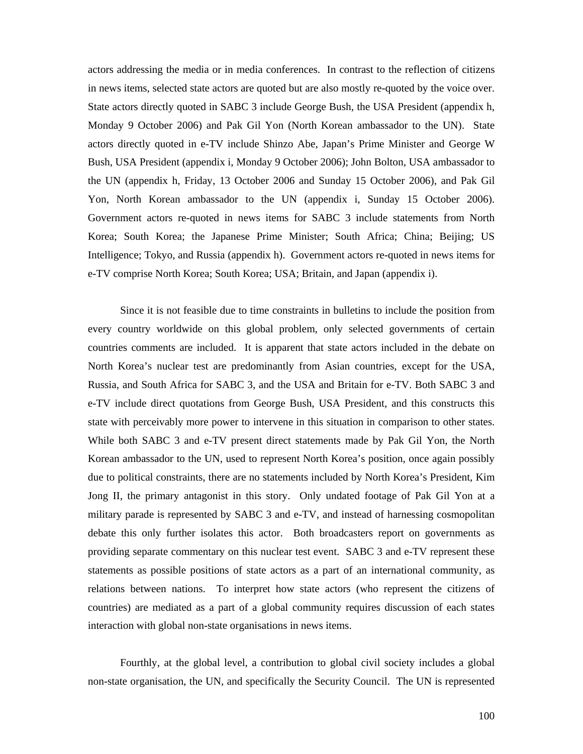actors addressing the media or in media conferences. In contrast to the reflection of citizens in news items, selected state actors are quoted but are also mostly re-quoted by the voice over. State actors directly quoted in SABC 3 include George Bush, the USA President (appendix h, Monday 9 October 2006) and Pak Gil Yon (North Korean ambassador to the UN). State actors directly quoted in e-TV include Shinzo Abe, Japan's Prime Minister and George W Bush, USA President (appendix i, Monday 9 October 2006); John Bolton, USA ambassador to the UN (appendix h, Friday, 13 October 2006 and Sunday 15 October 2006), and Pak Gil Yon, North Korean ambassador to the UN (appendix i, Sunday 15 October 2006). Government actors re-quoted in news items for SABC 3 include statements from North Korea; South Korea; the Japanese Prime Minister; South Africa; China; Beijing; US Intelligence; Tokyo, and Russia (appendix h). Government actors re-quoted in news items for e-TV comprise North Korea; South Korea; USA; Britain, and Japan (appendix i).

Since it is not feasible due to time constraints in bulletins to include the position from every country worldwide on this global problem, only selected governments of certain countries comments are included. It is apparent that state actors included in the debate on North Korea's nuclear test are predominantly from Asian countries, except for the USA, Russia, and South Africa for SABC 3, and the USA and Britain for e-TV. Both SABC 3 and e-TV include direct quotations from George Bush, USA President, and this constructs this state with perceivably more power to intervene in this situation in comparison to other states. While both SABC 3 and e-TV present direct statements made by Pak Gil Yon, the North Korean ambassador to the UN, used to represent North Korea's position, once again possibly due to political constraints, there are no statements included by North Korea's President, Kim Jong II, the primary antagonist in this story. Only undated footage of Pak Gil Yon at a military parade is represented by SABC 3 and e-TV, and instead of harnessing cosmopolitan debate this only further isolates this actor. Both broadcasters report on governments as providing separate commentary on this nuclear test event. SABC 3 and e-TV represent these statements as possible positions of state actors as a part of an international community, as relations between nations. To interpret how state actors (who represent the citizens of countries) are mediated as a part of a global community requires discussion of each states interaction with global non-state organisations in news items.

Fourthly, at the global level, a contribution to global civil society includes a global non-state organisation, the UN, and specifically the Security Council. The UN is represented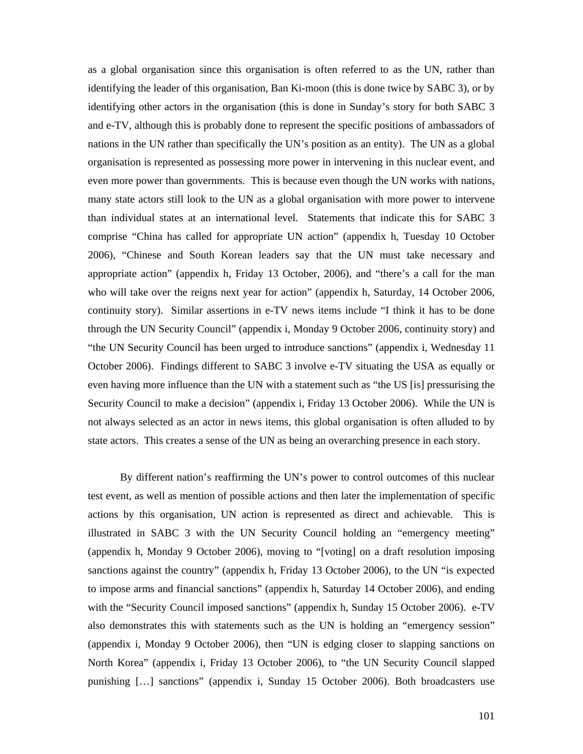as a global organisation since this organisation is often referred to as the UN, rather than identifying the leader of this organisation, Ban Ki-moon (this is done twice by SABC 3), or by identifying other actors in the organisation (this is done in Sunday's story for both SABC 3 and e-TV, although this is probably done to represent the specific positions of ambassadors of nations in the UN rather than specifically the UN's position as an entity). The UN as a global organisation is represented as possessing more power in intervening in this nuclear event, and even more power than governments. This is because even though the UN works with nations, many state actors still look to the UN as a global organisation with more power to intervene than individual states at an international level. Statements that indicate this for SABC 3 comprise "China has called for appropriate UN action" (appendix h, Tuesday 10 October 2006), "Chinese and South Korean leaders say that the UN must take necessary and appropriate action" (appendix h, Friday 13 October, 2006), and "there's a call for the man who will take over the reigns next year for action" (appendix h, Saturday, 14 October 2006, continuity story). Similar assertions in e-TV news items include "I think it has to be done through the UN Security Council" (appendix i, Monday 9 October 2006, continuity story) and "the UN Security Council has been urged to introduce sanctions" (appendix i, Wednesday 11 October 2006). Findings different to SABC 3 involve e-TV situating the USA as equally or even having more influence than the UN with a statement such as "the US [is] pressurising the Security Council to make a decision" (appendix i, Friday 13 October 2006). While the UN is not always selected as an actor in news items, this global organisation is often alluded to by state actors. This creates a sense of the UN as being an overarching presence in each story.

By different nation's reaffirming the UN's power to control outcomes of this nuclear test event, as well as mention of possible actions and then later the implementation of specific actions by this organisation, UN action is represented as direct and achievable. This is illustrated in SABC 3 with the UN Security Council holding an "emergency meeting" (appendix h, Monday 9 October 2006), moving to "[voting] on a draft resolution imposing sanctions against the country" (appendix h, Friday 13 October 2006), to the UN "is expected to impose arms and financial sanctions" (appendix h, Saturday 14 October 2006), and ending with the "Security Council imposed sanctions" (appendix h, Sunday 15 October 2006). e-TV also demonstrates this with statements such as the UN is holding an "emergency session" (appendix i, Monday 9 October 2006), then "UN is edging closer to slapping sanctions on North Korea" (appendix i, Friday 13 October 2006), to "the UN Security Council slapped punishing […] sanctions" (appendix i, Sunday 15 October 2006). Both broadcasters use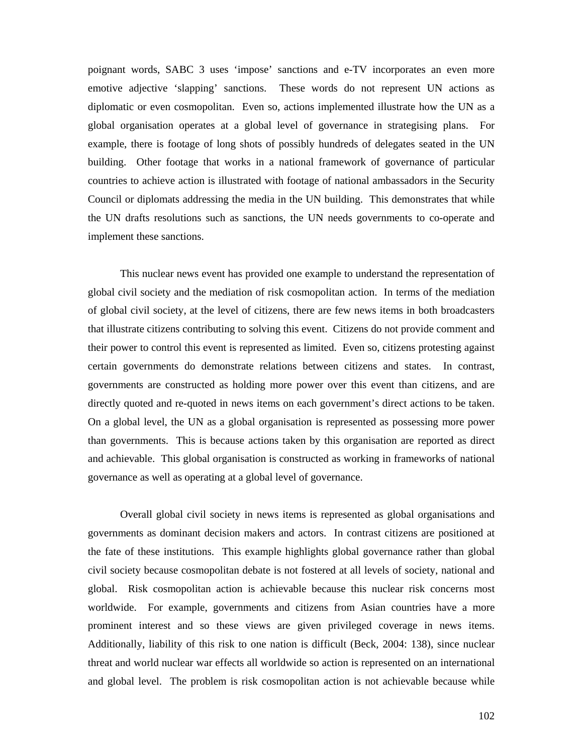poignant words, SABC 3 uses 'impose' sanctions and e-TV incorporates an even more emotive adjective 'slapping' sanctions. These words do not represent UN actions as diplomatic or even cosmopolitan. Even so, actions implemented illustrate how the UN as a global organisation operates at a global level of governance in strategising plans. For example, there is footage of long shots of possibly hundreds of delegates seated in the UN building. Other footage that works in a national framework of governance of particular countries to achieve action is illustrated with footage of national ambassadors in the Security Council or diplomats addressing the media in the UN building. This demonstrates that while the UN drafts resolutions such as sanctions, the UN needs governments to co-operate and implement these sanctions.

This nuclear news event has provided one example to understand the representation of global civil society and the mediation of risk cosmopolitan action. In terms of the mediation of global civil society, at the level of citizens, there are few news items in both broadcasters that illustrate citizens contributing to solving this event. Citizens do not provide comment and their power to control this event is represented as limited. Even so, citizens protesting against certain governments do demonstrate relations between citizens and states. In contrast, governments are constructed as holding more power over this event than citizens, and are directly quoted and re-quoted in news items on each government's direct actions to be taken. On a global level, the UN as a global organisation is represented as possessing more power than governments. This is because actions taken by this organisation are reported as direct and achievable. This global organisation is constructed as working in frameworks of national governance as well as operating at a global level of governance.

Overall global civil society in news items is represented as global organisations and governments as dominant decision makers and actors. In contrast citizens are positioned at the fate of these institutions. This example highlights global governance rather than global civil society because cosmopolitan debate is not fostered at all levels of society, national and global. Risk cosmopolitan action is achievable because this nuclear risk concerns most worldwide. For example, governments and citizens from Asian countries have a more prominent interest and so these views are given privileged coverage in news items. Additionally, liability of this risk to one nation is difficult (Beck, 2004: 138), since nuclear threat and world nuclear war effects all worldwide so action is represented on an international and global level. The problem is risk cosmopolitan action is not achievable because while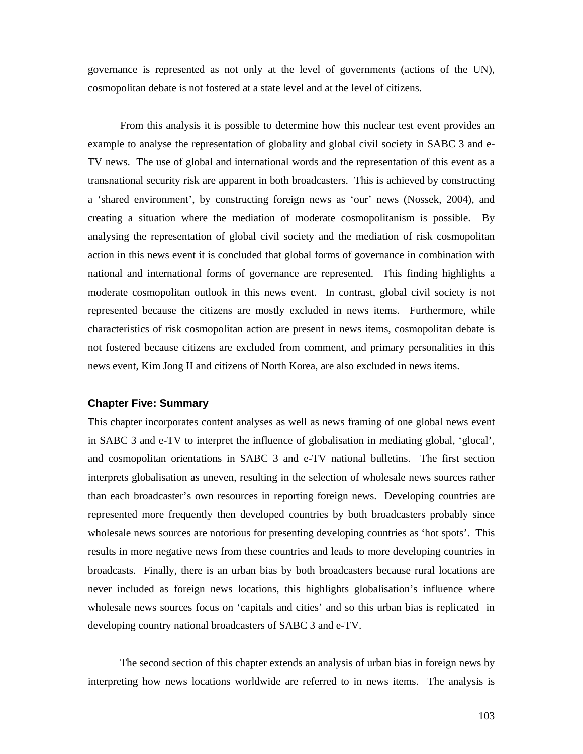governance is represented as not only at the level of governments (actions of the UN), cosmopolitan debate is not fostered at a state level and at the level of citizens.

From this analysis it is possible to determine how this nuclear test event provides an example to analyse the representation of globality and global civil society in SABC 3 and e-TV news. The use of global and international words and the representation of this event as a transnational security risk are apparent in both broadcasters. This is achieved by constructing a 'shared environment', by constructing foreign news as 'our' news (Nossek, 2004), and creating a situation where the mediation of moderate cosmopolitanism is possible. By analysing the representation of global civil society and the mediation of risk cosmopolitan action in this news event it is concluded that global forms of governance in combination with national and international forms of governance are represented. This finding highlights a moderate cosmopolitan outlook in this news event. In contrast, global civil society is not represented because the citizens are mostly excluded in news items. Furthermore, while characteristics of risk cosmopolitan action are present in news items, cosmopolitan debate is not fostered because citizens are excluded from comment, and primary personalities in this news event, Kim Jong II and citizens of North Korea, are also excluded in news items.

## **Chapter Five: Summary**

This chapter incorporates content analyses as well as news framing of one global news event in SABC 3 and e-TV to interpret the influence of globalisation in mediating global, 'glocal', and cosmopolitan orientations in SABC 3 and e-TV national bulletins. The first section interprets globalisation as uneven, resulting in the selection of wholesale news sources rather than each broadcaster's own resources in reporting foreign news. Developing countries are represented more frequently then developed countries by both broadcasters probably since wholesale news sources are notorious for presenting developing countries as 'hot spots'. This results in more negative news from these countries and leads to more developing countries in broadcasts. Finally, there is an urban bias by both broadcasters because rural locations are never included as foreign news locations, this highlights globalisation's influence where wholesale news sources focus on 'capitals and cities' and so this urban bias is replicated in developing country national broadcasters of SABC 3 and e-TV.

The second section of this chapter extends an analysis of urban bias in foreign news by interpreting how news locations worldwide are referred to in news items. The analysis is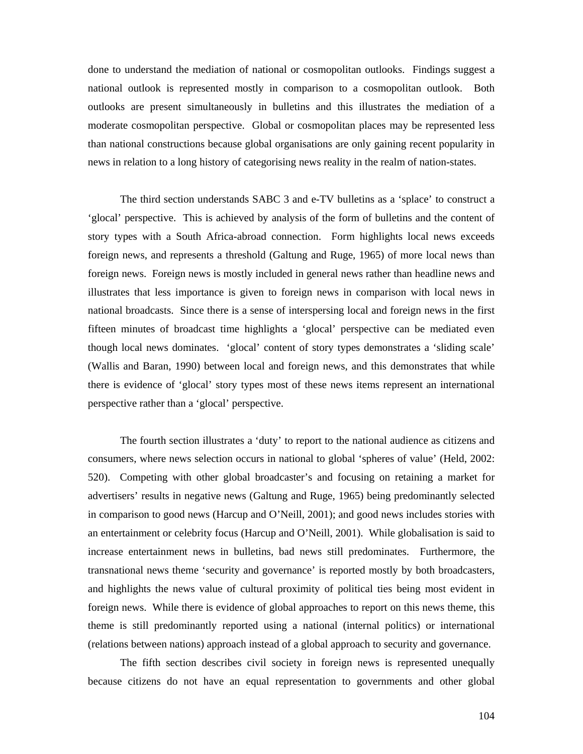done to understand the mediation of national or cosmopolitan outlooks. Findings suggest a national outlook is represented mostly in comparison to a cosmopolitan outlook. Both outlooks are present simultaneously in bulletins and this illustrates the mediation of a moderate cosmopolitan perspective. Global or cosmopolitan places may be represented less than national constructions because global organisations are only gaining recent popularity in news in relation to a long history of categorising news reality in the realm of nation-states.

The third section understands SABC 3 and e-TV bulletins as a 'splace' to construct a 'glocal' perspective. This is achieved by analysis of the form of bulletins and the content of story types with a South Africa-abroad connection. Form highlights local news exceeds foreign news, and represents a threshold (Galtung and Ruge, 1965) of more local news than foreign news. Foreign news is mostly included in general news rather than headline news and illustrates that less importance is given to foreign news in comparison with local news in national broadcasts. Since there is a sense of interspersing local and foreign news in the first fifteen minutes of broadcast time highlights a 'glocal' perspective can be mediated even though local news dominates. 'glocal' content of story types demonstrates a 'sliding scale' (Wallis and Baran, 1990) between local and foreign news, and this demonstrates that while there is evidence of 'glocal' story types most of these news items represent an international perspective rather than a 'glocal' perspective.

The fourth section illustrates a 'duty' to report to the national audience as citizens and consumers, where news selection occurs in national to global 'spheres of value' (Held, 2002: 520). Competing with other global broadcaster's and focusing on retaining a market for advertisers' results in negative news (Galtung and Ruge, 1965) being predominantly selected in comparison to good news (Harcup and O'Neill, 2001); and good news includes stories with an entertainment or celebrity focus (Harcup and O'Neill, 2001). While globalisation is said to increase entertainment news in bulletins, bad news still predominates. Furthermore, the transnational news theme 'security and governance' is reported mostly by both broadcasters, and highlights the news value of cultural proximity of political ties being most evident in foreign news. While there is evidence of global approaches to report on this news theme, this theme is still predominantly reported using a national (internal politics) or international (relations between nations) approach instead of a global approach to security and governance.

The fifth section describes civil society in foreign news is represented unequally because citizens do not have an equal representation to governments and other global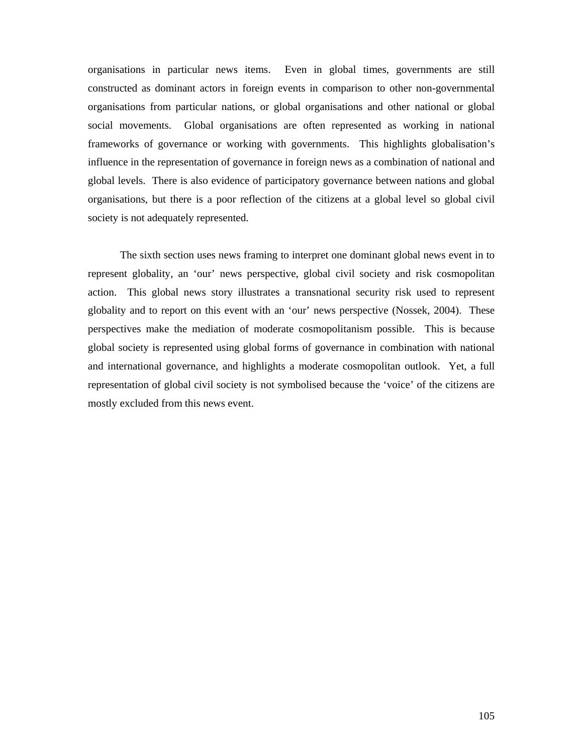organisations in particular news items. Even in global times, governments are still constructed as dominant actors in foreign events in comparison to other non-governmental organisations from particular nations, or global organisations and other national or global social movements. Global organisations are often represented as working in national frameworks of governance or working with governments. This highlights globalisation's influence in the representation of governance in foreign news as a combination of national and global levels. There is also evidence of participatory governance between nations and global organisations, but there is a poor reflection of the citizens at a global level so global civil society is not adequately represented.

The sixth section uses news framing to interpret one dominant global news event in to represent globality, an 'our' news perspective, global civil society and risk cosmopolitan action. This global news story illustrates a transnational security risk used to represent globality and to report on this event with an 'our' news perspective (Nossek, 2004). These perspectives make the mediation of moderate cosmopolitanism possible. This is because global society is represented using global forms of governance in combination with national and international governance, and highlights a moderate cosmopolitan outlook. Yet, a full representation of global civil society is not symbolised because the 'voice' of the citizens are mostly excluded from this news event.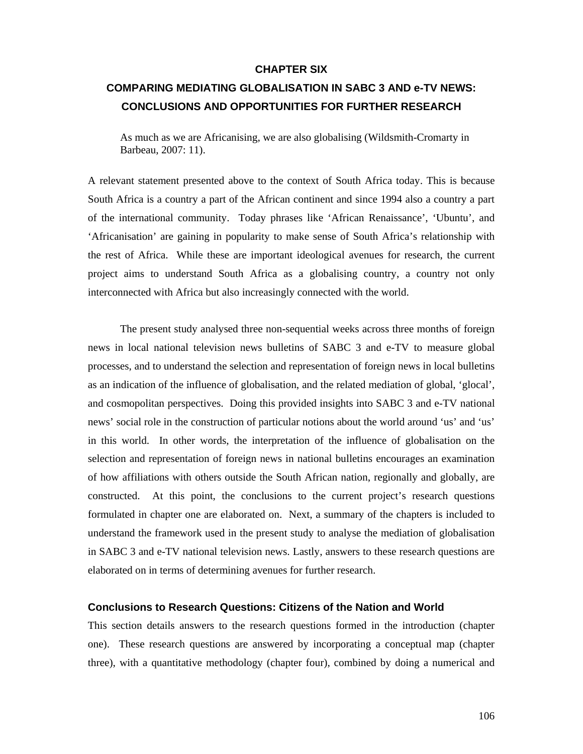## **CHAPTER SIX**

# **COMPARING MEDIATING GLOBALISATION IN SABC 3 AND e-TV NEWS: CONCLUSIONS AND OPPORTUNITIES FOR FURTHER RESEARCH**

As much as we are Africanising, we are also globalising (Wildsmith-Cromarty in Barbeau, 2007: 11).

A relevant statement presented above to the context of South Africa today. This is because South Africa is a country a part of the African continent and since 1994 also a country a part of the international community. Today phrases like 'African Renaissance', 'Ubuntu', and 'Africanisation' are gaining in popularity to make sense of South Africa's relationship with the rest of Africa. While these are important ideological avenues for research, the current project aims to understand South Africa as a globalising country, a country not only interconnected with Africa but also increasingly connected with the world.

The present study analysed three non-sequential weeks across three months of foreign news in local national television news bulletins of SABC 3 and e-TV to measure global processes, and to understand the selection and representation of foreign news in local bulletins as an indication of the influence of globalisation, and the related mediation of global, 'glocal', and cosmopolitan perspectives. Doing this provided insights into SABC 3 and e-TV national news' social role in the construction of particular notions about the world around 'us' and 'us' in this world. In other words, the interpretation of the influence of globalisation on the selection and representation of foreign news in national bulletins encourages an examination of how affiliations with others outside the South African nation, regionally and globally, are constructed. At this point, the conclusions to the current project's research questions formulated in chapter one are elaborated on. Next, a summary of the chapters is included to understand the framework used in the present study to analyse the mediation of globalisation in SABC 3 and e-TV national television news. Lastly, answers to these research questions are elaborated on in terms of determining avenues for further research.

# **Conclusions to Research Questions: Citizens of the Nation and World**

This section details answers to the research questions formed in the introduction (chapter one). These research questions are answered by incorporating a conceptual map (chapter three), with a quantitative methodology (chapter four), combined by doing a numerical and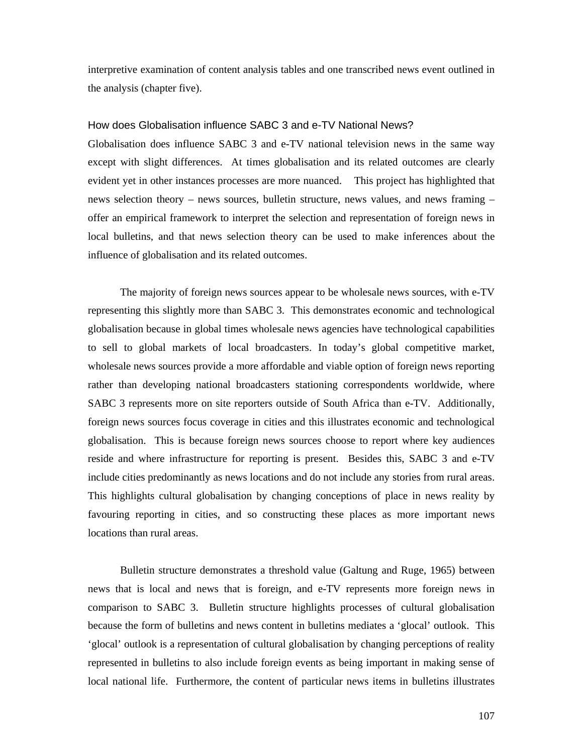interpretive examination of content analysis tables and one transcribed news event outlined in the analysis (chapter five).

## How does Globalisation influence SABC 3 and e-TV National News?

Globalisation does influence SABC 3 and e-TV national television news in the same way except with slight differences. At times globalisation and its related outcomes are clearly evident yet in other instances processes are more nuanced. This project has highlighted that news selection theory – news sources, bulletin structure, news values, and news framing – offer an empirical framework to interpret the selection and representation of foreign news in local bulletins, and that news selection theory can be used to make inferences about the influence of globalisation and its related outcomes.

The majority of foreign news sources appear to be wholesale news sources, with e-TV representing this slightly more than SABC 3. This demonstrates economic and technological globalisation because in global times wholesale news agencies have technological capabilities to sell to global markets of local broadcasters. In today's global competitive market, wholesale news sources provide a more affordable and viable option of foreign news reporting rather than developing national broadcasters stationing correspondents worldwide, where SABC 3 represents more on site reporters outside of South Africa than e-TV. Additionally, foreign news sources focus coverage in cities and this illustrates economic and technological globalisation. This is because foreign news sources choose to report where key audiences reside and where infrastructure for reporting is present. Besides this, SABC 3 and e-TV include cities predominantly as news locations and do not include any stories from rural areas. This highlights cultural globalisation by changing conceptions of place in news reality by favouring reporting in cities, and so constructing these places as more important news locations than rural areas.

Bulletin structure demonstrates a threshold value (Galtung and Ruge, 1965) between news that is local and news that is foreign, and e-TV represents more foreign news in comparison to SABC 3. Bulletin structure highlights processes of cultural globalisation because the form of bulletins and news content in bulletins mediates a 'glocal' outlook. This 'glocal' outlook is a representation of cultural globalisation by changing perceptions of reality represented in bulletins to also include foreign events as being important in making sense of local national life. Furthermore, the content of particular news items in bulletins illustrates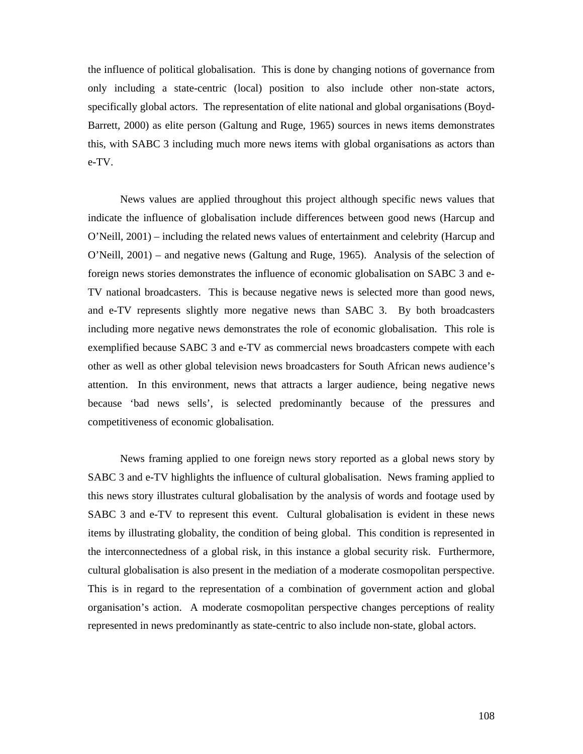the influence of political globalisation. This is done by changing notions of governance from only including a state-centric (local) position to also include other non-state actors, specifically global actors. The representation of elite national and global organisations (Boyd-Barrett, 2000) as elite person (Galtung and Ruge, 1965) sources in news items demonstrates this, with SABC 3 including much more news items with global organisations as actors than e-TV.

News values are applied throughout this project although specific news values that indicate the influence of globalisation include differences between good news (Harcup and O'Neill, 2001) – including the related news values of entertainment and celebrity (Harcup and O'Neill, 2001) – and negative news (Galtung and Ruge, 1965). Analysis of the selection of foreign news stories demonstrates the influence of economic globalisation on SABC 3 and e-TV national broadcasters. This is because negative news is selected more than good news, and e-TV represents slightly more negative news than SABC 3. By both broadcasters including more negative news demonstrates the role of economic globalisation. This role is exemplified because SABC 3 and e-TV as commercial news broadcasters compete with each other as well as other global television news broadcasters for South African news audience's attention. In this environment, news that attracts a larger audience, being negative news because 'bad news sells', is selected predominantly because of the pressures and competitiveness of economic globalisation.

News framing applied to one foreign news story reported as a global news story by SABC 3 and e-TV highlights the influence of cultural globalisation. News framing applied to this news story illustrates cultural globalisation by the analysis of words and footage used by SABC 3 and e-TV to represent this event. Cultural globalisation is evident in these news items by illustrating globality, the condition of being global. This condition is represented in the interconnectedness of a global risk, in this instance a global security risk. Furthermore, cultural globalisation is also present in the mediation of a moderate cosmopolitan perspective. This is in regard to the representation of a combination of government action and global organisation's action. A moderate cosmopolitan perspective changes perceptions of reality represented in news predominantly as state-centric to also include non-state, global actors.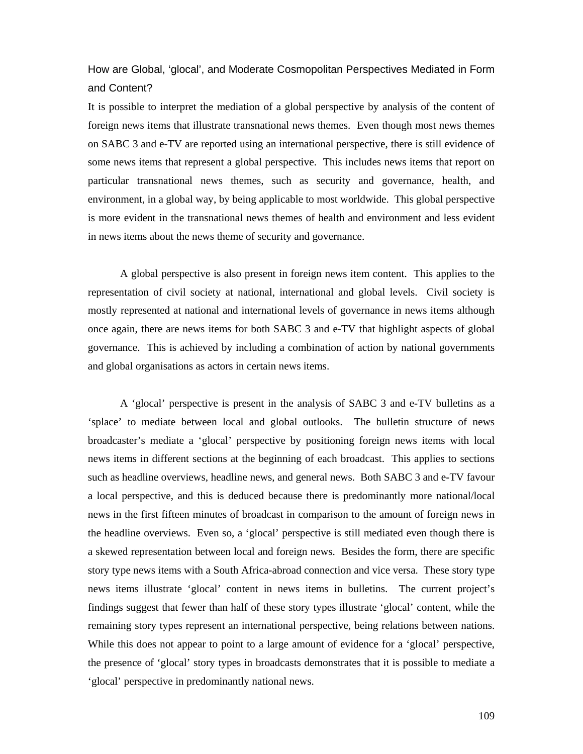How are Global, 'glocal', and Moderate Cosmopolitan Perspectives Mediated in Form and Content?

It is possible to interpret the mediation of a global perspective by analysis of the content of foreign news items that illustrate transnational news themes. Even though most news themes on SABC 3 and e-TV are reported using an international perspective, there is still evidence of some news items that represent a global perspective. This includes news items that report on particular transnational news themes, such as security and governance, health, and environment, in a global way, by being applicable to most worldwide. This global perspective is more evident in the transnational news themes of health and environment and less evident in news items about the news theme of security and governance.

A global perspective is also present in foreign news item content. This applies to the representation of civil society at national, international and global levels. Civil society is mostly represented at national and international levels of governance in news items although once again, there are news items for both SABC 3 and e-TV that highlight aspects of global governance. This is achieved by including a combination of action by national governments and global organisations as actors in certain news items.

A 'glocal' perspective is present in the analysis of SABC 3 and e-TV bulletins as a 'splace' to mediate between local and global outlooks. The bulletin structure of news broadcaster's mediate a 'glocal' perspective by positioning foreign news items with local news items in different sections at the beginning of each broadcast. This applies to sections such as headline overviews, headline news, and general news. Both SABC 3 and e-TV favour a local perspective, and this is deduced because there is predominantly more national/local news in the first fifteen minutes of broadcast in comparison to the amount of foreign news in the headline overviews. Even so, a 'glocal' perspective is still mediated even though there is a skewed representation between local and foreign news. Besides the form, there are specific story type news items with a South Africa-abroad connection and vice versa. These story type news items illustrate 'glocal' content in news items in bulletins. The current project's findings suggest that fewer than half of these story types illustrate 'glocal' content, while the remaining story types represent an international perspective, being relations between nations. While this does not appear to point to a large amount of evidence for a 'glocal' perspective, the presence of 'glocal' story types in broadcasts demonstrates that it is possible to mediate a 'glocal' perspective in predominantly national news.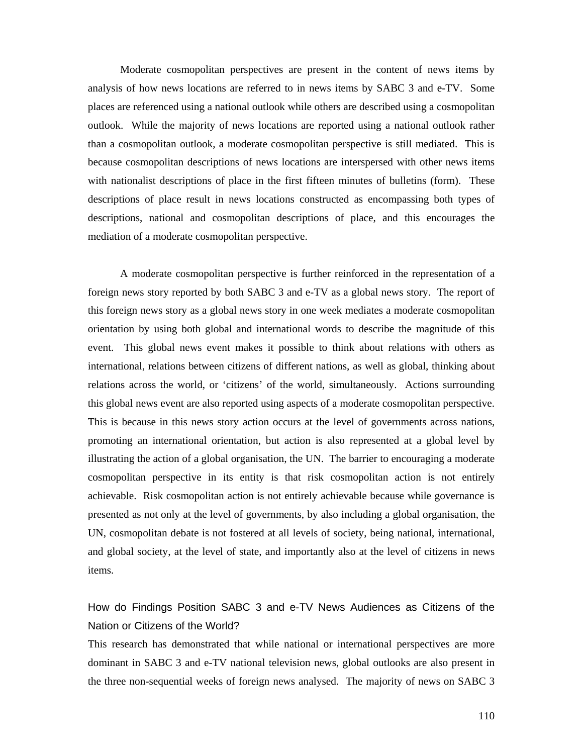Moderate cosmopolitan perspectives are present in the content of news items by analysis of how news locations are referred to in news items by SABC 3 and e-TV. Some places are referenced using a national outlook while others are described using a cosmopolitan outlook. While the majority of news locations are reported using a national outlook rather than a cosmopolitan outlook, a moderate cosmopolitan perspective is still mediated. This is because cosmopolitan descriptions of news locations are interspersed with other news items with nationalist descriptions of place in the first fifteen minutes of bulletins (form). These descriptions of place result in news locations constructed as encompassing both types of descriptions, national and cosmopolitan descriptions of place, and this encourages the mediation of a moderate cosmopolitan perspective.

A moderate cosmopolitan perspective is further reinforced in the representation of a foreign news story reported by both SABC 3 and e-TV as a global news story. The report of this foreign news story as a global news story in one week mediates a moderate cosmopolitan orientation by using both global and international words to describe the magnitude of this event. This global news event makes it possible to think about relations with others as international, relations between citizens of different nations, as well as global, thinking about relations across the world, or 'citizens' of the world, simultaneously. Actions surrounding this global news event are also reported using aspects of a moderate cosmopolitan perspective. This is because in this news story action occurs at the level of governments across nations, promoting an international orientation, but action is also represented at a global level by illustrating the action of a global organisation, the UN. The barrier to encouraging a moderate cosmopolitan perspective in its entity is that risk cosmopolitan action is not entirely achievable. Risk cosmopolitan action is not entirely achievable because while governance is presented as not only at the level of governments, by also including a global organisation, the UN, cosmopolitan debate is not fostered at all levels of society, being national, international, and global society, at the level of state, and importantly also at the level of citizens in news items.

# How do Findings Position SABC 3 and e-TV News Audiences as Citizens of the Nation or Citizens of the World?

This research has demonstrated that while national or international perspectives are more dominant in SABC 3 and e-TV national television news, global outlooks are also present in the three non-sequential weeks of foreign news analysed. The majority of news on SABC 3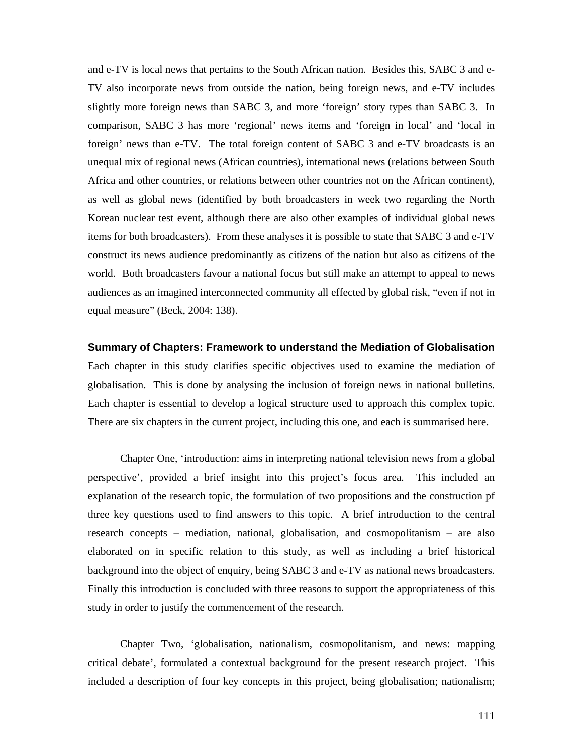and e-TV is local news that pertains to the South African nation. Besides this, SABC 3 and e-TV also incorporate news from outside the nation, being foreign news, and e-TV includes slightly more foreign news than SABC 3, and more 'foreign' story types than SABC 3. In comparison, SABC 3 has more 'regional' news items and 'foreign in local' and 'local in foreign' news than e-TV. The total foreign content of SABC 3 and e-TV broadcasts is an unequal mix of regional news (African countries), international news (relations between South Africa and other countries, or relations between other countries not on the African continent), as well as global news (identified by both broadcasters in week two regarding the North Korean nuclear test event, although there are also other examples of individual global news items for both broadcasters). From these analyses it is possible to state that SABC 3 and e-TV construct its news audience predominantly as citizens of the nation but also as citizens of the world. Both broadcasters favour a national focus but still make an attempt to appeal to news audiences as an imagined interconnected community all effected by global risk, "even if not in equal measure" (Beck, 2004: 138).

#### **Summary of Chapters: Framework to understand the Mediation of Globalisation**

Each chapter in this study clarifies specific objectives used to examine the mediation of globalisation. This is done by analysing the inclusion of foreign news in national bulletins. Each chapter is essential to develop a logical structure used to approach this complex topic. There are six chapters in the current project, including this one, and each is summarised here.

Chapter One, 'introduction: aims in interpreting national television news from a global perspective', provided a brief insight into this project's focus area. This included an explanation of the research topic, the formulation of two propositions and the construction pf three key questions used to find answers to this topic. A brief introduction to the central research concepts – mediation, national, globalisation, and cosmopolitanism – are also elaborated on in specific relation to this study, as well as including a brief historical background into the object of enquiry, being SABC 3 and e-TV as national news broadcasters. Finally this introduction is concluded with three reasons to support the appropriateness of this study in order to justify the commencement of the research.

Chapter Two, 'globalisation, nationalism, cosmopolitanism, and news: mapping critical debate', formulated a contextual background for the present research project. This included a description of four key concepts in this project, being globalisation; nationalism;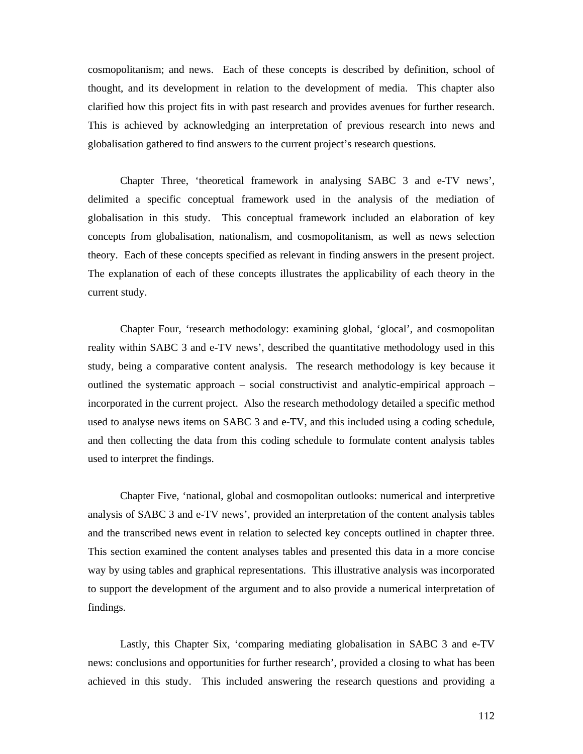cosmopolitanism; and news. Each of these concepts is described by definition, school of thought, and its development in relation to the development of media. This chapter also clarified how this project fits in with past research and provides avenues for further research. This is achieved by acknowledging an interpretation of previous research into news and globalisation gathered to find answers to the current project's research questions.

Chapter Three, 'theoretical framework in analysing SABC 3 and e-TV news', delimited a specific conceptual framework used in the analysis of the mediation of globalisation in this study. This conceptual framework included an elaboration of key concepts from globalisation, nationalism, and cosmopolitanism, as well as news selection theory. Each of these concepts specified as relevant in finding answers in the present project. The explanation of each of these concepts illustrates the applicability of each theory in the current study.

Chapter Four, 'research methodology: examining global, 'glocal', and cosmopolitan reality within SABC 3 and e-TV news', described the quantitative methodology used in this study, being a comparative content analysis. The research methodology is key because it outlined the systematic approach – social constructivist and analytic-empirical approach – incorporated in the current project. Also the research methodology detailed a specific method used to analyse news items on SABC 3 and e-TV, and this included using a coding schedule, and then collecting the data from this coding schedule to formulate content analysis tables used to interpret the findings.

Chapter Five, 'national, global and cosmopolitan outlooks: numerical and interpretive analysis of SABC 3 and e-TV news', provided an interpretation of the content analysis tables and the transcribed news event in relation to selected key concepts outlined in chapter three. This section examined the content analyses tables and presented this data in a more concise way by using tables and graphical representations. This illustrative analysis was incorporated to support the development of the argument and to also provide a numerical interpretation of findings.

Lastly, this Chapter Six, 'comparing mediating globalisation in SABC 3 and e-TV news: conclusions and opportunities for further research', provided a closing to what has been achieved in this study. This included answering the research questions and providing a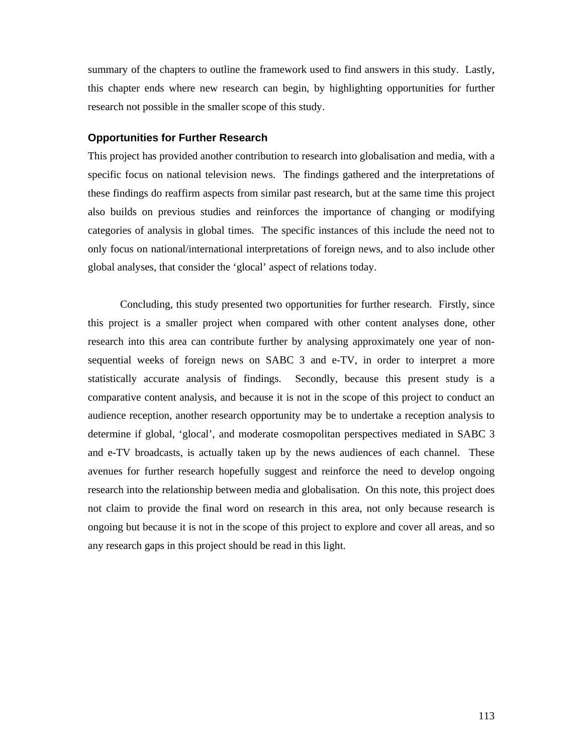summary of the chapters to outline the framework used to find answers in this study. Lastly, this chapter ends where new research can begin, by highlighting opportunities for further research not possible in the smaller scope of this study.

#### **Opportunities for Further Research**

This project has provided another contribution to research into globalisation and media, with a specific focus on national television news. The findings gathered and the interpretations of these findings do reaffirm aspects from similar past research, but at the same time this project also builds on previous studies and reinforces the importance of changing or modifying categories of analysis in global times. The specific instances of this include the need not to only focus on national/international interpretations of foreign news, and to also include other global analyses, that consider the 'glocal' aspect of relations today.

Concluding, this study presented two opportunities for further research. Firstly, since this project is a smaller project when compared with other content analyses done, other research into this area can contribute further by analysing approximately one year of nonsequential weeks of foreign news on SABC 3 and e-TV, in order to interpret a more statistically accurate analysis of findings. Secondly, because this present study is a comparative content analysis, and because it is not in the scope of this project to conduct an audience reception, another research opportunity may be to undertake a reception analysis to determine if global, 'glocal', and moderate cosmopolitan perspectives mediated in SABC 3 and e-TV broadcasts, is actually taken up by the news audiences of each channel. These avenues for further research hopefully suggest and reinforce the need to develop ongoing research into the relationship between media and globalisation. On this note, this project does not claim to provide the final word on research in this area, not only because research is ongoing but because it is not in the scope of this project to explore and cover all areas, and so any research gaps in this project should be read in this light.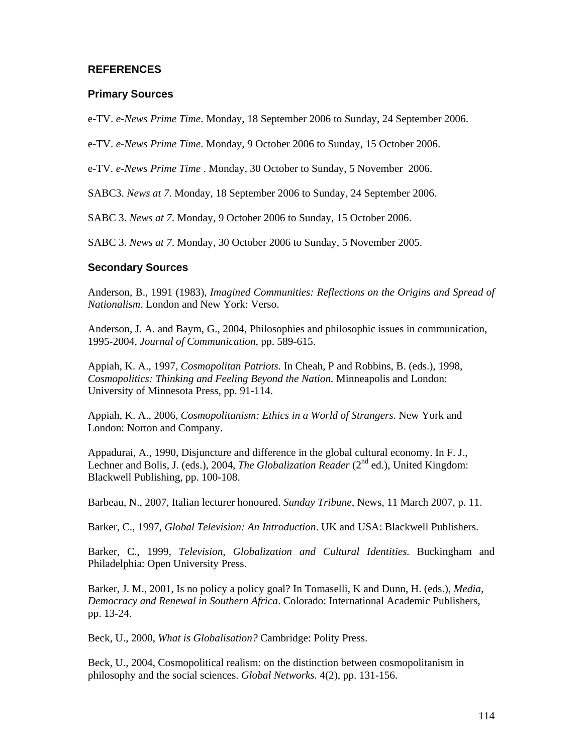### **REFERENCES**

#### **Primary Sources**

e-TV. *e-News Prime Time*. Monday, 18 September 2006 to Sunday, 24 September 2006.

e-TV. *e-News Prime Time*. Monday, 9 October 2006 to Sunday, 15 October 2006.

e-TV. *e-News Prime Time* . Monday, 30 October to Sunday, 5 November 2006.

SABC3. *News at 7*. Monday, 18 September 2006 to Sunday, 24 September 2006.

SABC 3. *News at 7*. Monday, 9 October 2006 to Sunday, 15 October 2006.

SABC 3. *News at 7*. Monday, 30 October 2006 to Sunday, 5 November 2005.

#### **Secondary Sources**

Anderson, B., 1991 (1983), *Imagined Communities: Reflections on the Origins and Spread of Nationalism*. London and New York: Verso.

Anderson, J. A. and Baym, G., 2004, Philosophies and philosophic issues in communication, 1995-2004, *Journal of Communication*, pp. 589-615.

Appiah, K. A., 1997, *Cosmopolitan Patriots.* In Cheah, P and Robbins, B. (eds.), 1998, *Cosmopolitics: Thinking and Feeling Beyond the Nation.* Minneapolis and London: University of Minnesota Press, pp. 91-114.

Appiah, K. A., 2006, *Cosmopolitanism: Ethics in a World of Strangers*. New York and London: Norton and Company.

Appadurai, A., 1990, Disjuncture and difference in the global cultural economy. In F. J., Lechner and Bolis, J. (eds.), 2004, *The Globalization Reader* (2<sup>nd</sup> ed.), United Kingdom: Blackwell Publishing, pp. 100-108.

Barbeau, N., 2007, Italian lecturer honoured. *Sunday Tribune*, News, 11 March 2007, p. 11.

Barker, C., 1997, *Global Television: An Introduction*. UK and USA: Blackwell Publishers.

Barker, C., 1999, *Television, Globalization and Cultural Identities.* Buckingham and Philadelphia: Open University Press.

Barker, J. M., 2001, Is no policy a policy goal? In Tomaselli, K and Dunn, H. (eds.), *Media, Democracy and Renewal in Southern Africa*. Colorado: International Academic Publishers, pp. 13-24.

Beck, U., 2000, *What is Globalisation?* Cambridge: Polity Press.

Beck, U., 2004, Cosmopolitical realism: on the distinction between cosmopolitanism in philosophy and the social sciences. *Global Networks.* 4(2), pp. 131-156.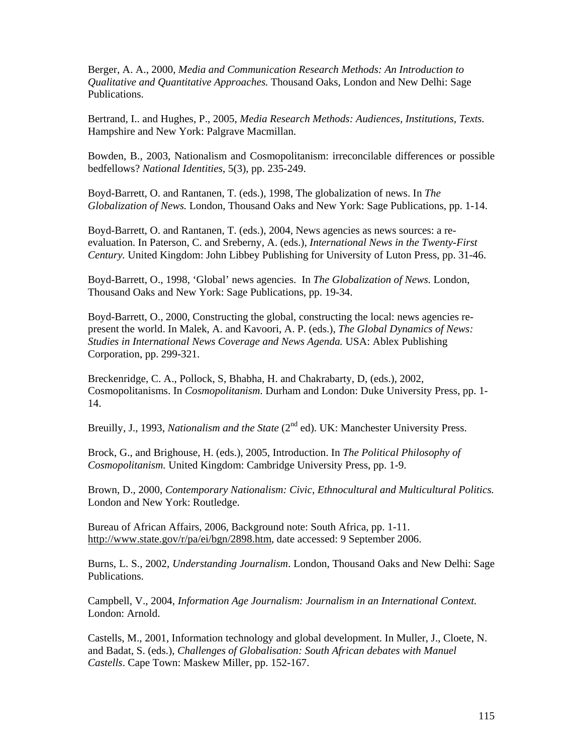Berger, A. A., 2000, *Media and Communication Research Methods: An Introduction to Qualitative and Quantitative Approaches.* Thousand Oaks, London and New Delhi: Sage Publications.

Bertrand, I.. and Hughes, P., 2005, *Media Research Methods: Audiences, Institutions, Texts.*  Hampshire and New York: Palgrave Macmillan.

Bowden, B., 2003, Nationalism and Cosmopolitanism: irreconcilable differences or possible bedfellows? *National Identities*, 5(3), pp. 235-249.

Boyd-Barrett, O. and Rantanen, T. (eds.), 1998, The globalization of news. In *The Globalization of News.* London, Thousand Oaks and New York: Sage Publications, pp. 1-14.

Boyd-Barrett, O. and Rantanen, T. (eds.), 2004, News agencies as news sources: a reevaluation. In Paterson, C. and Sreberny, A. (eds.), *International News in the Twenty-First Century.* United Kingdom: John Libbey Publishing for University of Luton Press, pp. 31-46.

Boyd-Barrett, O., 1998, 'Global' news agencies. In *The Globalization of News.* London, Thousand Oaks and New York: Sage Publications, pp. 19-34.

Boyd-Barrett, O., 2000, Constructing the global, constructing the local: news agencies represent the world. In Malek, A. and Kavoori, A. P. (eds.), *The Global Dynamics of News: Studies in International News Coverage and News Agenda.* USA: Ablex Publishing Corporation, pp. 299-321.

Breckenridge, C. A., Pollock, S, Bhabha, H. and Chakrabarty, D, (eds.), 2002, Cosmopolitanisms. In *Cosmopolitanism.* Durham and London: Duke University Press, pp. 1- 14.

Breuilly, J., 1993, *Nationalism and the State* (2<sup>nd</sup> ed). UK: Manchester University Press.

Brock, G., and Brighouse, H. (eds.), 2005, Introduction. In *The Political Philosophy of Cosmopolitanism.* United Kingdom: Cambridge University Press, pp. 1-9.

Brown, D., 2000, *Contemporary Nationalism: Civic, Ethnocultural and Multicultural Politics.*  London and New York: Routledge.

Bureau of African Affairs, 2006, Background note: South Africa, pp. 1-11. http://www.state.gov/r/pa/ei/bgn/2898.htm, date accessed: 9 September 2006.

Burns, L. S., 2002, *Understanding Journalism*. London, Thousand Oaks and New Delhi: Sage Publications.

Campbell, V., 2004, *Information Age Journalism: Journalism in an International Context.*  London: Arnold.

Castells, M., 2001, Information technology and global development. In Muller, J., Cloete, N. and Badat, S. (eds.), *Challenges of Globalisation: South African debates with Manuel Castells*. Cape Town: Maskew Miller, pp. 152-167.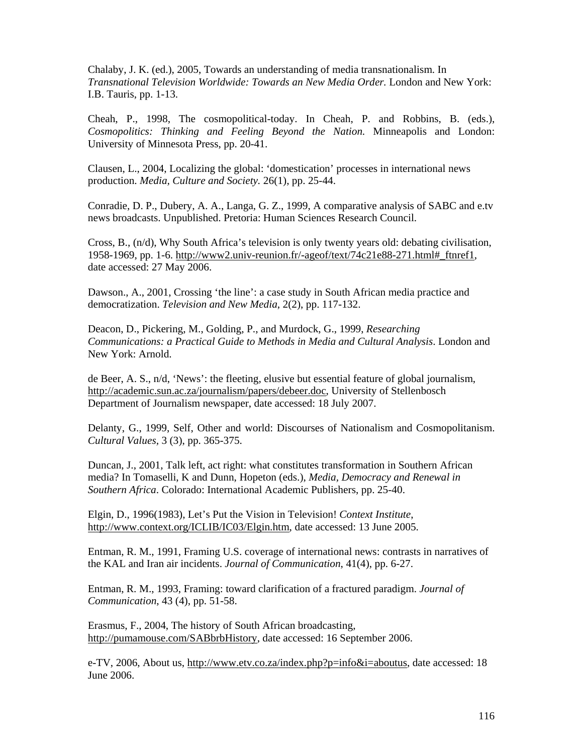Chalaby, J. K. (ed.), 2005, Towards an understanding of media transnationalism. In *Transnational Television Worldwide: Towards an New Media Order.* London and New York: I.B. Tauris, pp. 1-13.

Cheah, P., 1998, The cosmopolitical-today. In Cheah, P. and Robbins, B. (eds.), *Cosmopolitics: Thinking and Feeling Beyond the Nation.* Minneapolis and London: University of Minnesota Press, pp. 20-41.

Clausen, L., 2004, Localizing the global: 'domestication' processes in international news production. *Media, Culture and Society.* 26(1), pp. 25-44.

Conradie, D. P., Dubery, A. A., Langa, G. Z., 1999, A comparative analysis of SABC and e.tv news broadcasts. Unpublished. Pretoria: Human Sciences Research Council.

Cross, B., (n/d), Why South Africa's television is only twenty years old: debating civilisation, 1958-1969, pp. 1-6. http://www2.univ-reunion.fr/-ageof/text/74c21e88-271.html#\_ftnref1, date accessed: 27 May 2006.

Dawson., A., 2001, Crossing 'the line': a case study in South African media practice and democratization. *Television and New Media*, 2(2), pp. 117-132.

Deacon, D., Pickering, M., Golding, P., and Murdock, G., 1999, *Researching Communications: a Practical Guide to Methods in Media and Cultural Analysis*. London and New York: Arnold.

de Beer, A. S., n/d, 'News': the fleeting, elusive but essential feature of global journalism, http://academic.sun.ac.za/journalism/papers/debeer.doc, University of Stellenbosch Department of Journalism newspaper, date accessed: 18 July 2007.

Delanty, G., 1999, Self, Other and world: Discourses of Nationalism and Cosmopolitanism. *Cultural Values,* 3 (3), pp. 365-375.

Duncan, J., 2001, Talk left, act right: what constitutes transformation in Southern African media? In Tomaselli, K and Dunn, Hopeton (eds.), *Media, Democracy and Renewal in Southern Africa*. Colorado: International Academic Publishers, pp. 25-40.

Elgin, D., 1996(1983), Let's Put the Vision in Television! *Context Institute*, http://www.context.org/ICLIB/IC03/Elgin.htm, date accessed: 13 June 2005.

Entman, R. M., 1991, Framing U.S. coverage of international news: contrasts in narratives of the KAL and Iran air incidents. *Journal of Communication*, 41(4), pp. 6-27.

Entman, R. M., 1993, Framing: toward clarification of a fractured paradigm. *Journal of Communication*, 43 (4), pp. 51-58.

Erasmus, F., 2004, The history of South African broadcasting, http://pumamouse.com/SABbrbHistory, date accessed: 16 September 2006.

e-TV, 2006, About us, http://www.etv.co.za/index.php?p=info&i=aboutus, date accessed: 18 June 2006.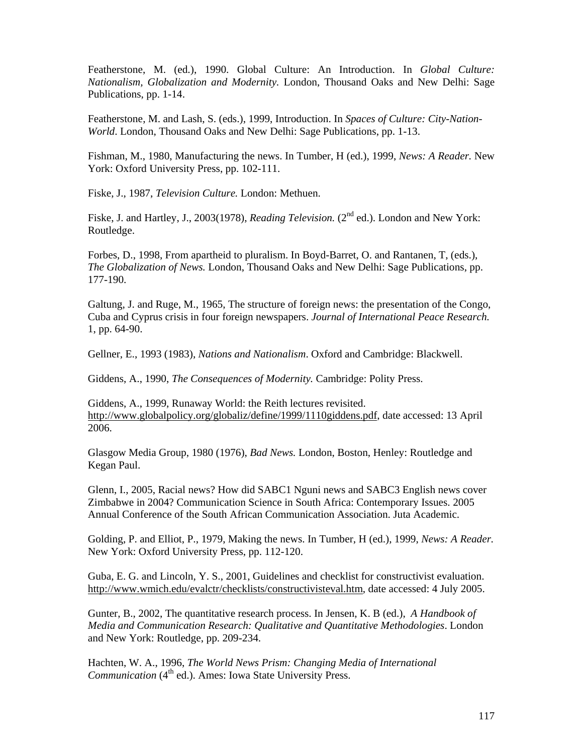Featherstone, M. (ed.), 1990. Global Culture: An Introduction. In *Global Culture: Nationalism, Globalization and Modernity.* London, Thousand Oaks and New Delhi: Sage Publications, pp. 1-14.

Featherstone, M. and Lash, S. (eds.), 1999, Introduction. In *Spaces of Culture: City-Nation-World*. London, Thousand Oaks and New Delhi: Sage Publications, pp. 1-13.

Fishman, M., 1980, Manufacturing the news. In Tumber, H (ed.), 1999, *News: A Reader.* New York: Oxford University Press, pp. 102-111.

Fiske, J., 1987, *Television Culture.* London: Methuen.

Fiske, J. and Hartley, J., 2003(1978), *Reading Television.* (2<sup>nd</sup> ed.). London and New York: Routledge.

Forbes, D., 1998, From apartheid to pluralism. In Boyd-Barret, O. and Rantanen, T, (eds.), *The Globalization of News.* London, Thousand Oaks and New Delhi: Sage Publications, pp. 177-190.

Galtung, J. and Ruge, M., 1965, The structure of foreign news: the presentation of the Congo, Cuba and Cyprus crisis in four foreign newspapers. *Journal of International Peace Research.*  1, pp. 64-90.

Gellner, E., 1993 (1983), *Nations and Nationalism*. Oxford and Cambridge: Blackwell.

Giddens, A., 1990, *The Consequences of Modernity.* Cambridge: Polity Press.

Giddens, A., 1999, Runaway World: the Reith lectures revisited. http://www.globalpolicy.org/globaliz/define/1999/1110giddens.pdf, date accessed: 13 April 2006.

Glasgow Media Group, 1980 (1976), *Bad News.* London, Boston, Henley: Routledge and Kegan Paul.

Glenn, I., 2005, Racial news? How did SABC1 Nguni news and SABC3 English news cover Zimbabwe in 2004? Communication Science in South Africa: Contemporary Issues. 2005 Annual Conference of the South African Communication Association. Juta Academic.

Golding, P. and Elliot, P., 1979, Making the news. In Tumber, H (ed.), 1999, *News: A Reader.*  New York: Oxford University Press, pp. 112-120.

Guba, E. G. and Lincoln, Y. S., 2001, Guidelines and checklist for constructivist evaluation. http://www.wmich.edu/evalctr/checklists/constructivisteval.htm, date accessed: 4 July 2005.

Gunter, B., 2002, The quantitative research process. In Jensen, K. B (ed.), *A Handbook of Media and Communication Research: Qualitative and Quantitative Methodologies*. London and New York: Routledge, pp. 209-234.

Hachten, W. A., 1996, *The World News Prism: Changing Media of International Communication* (4<sup>th</sup> ed.). Ames: Iowa State University Press.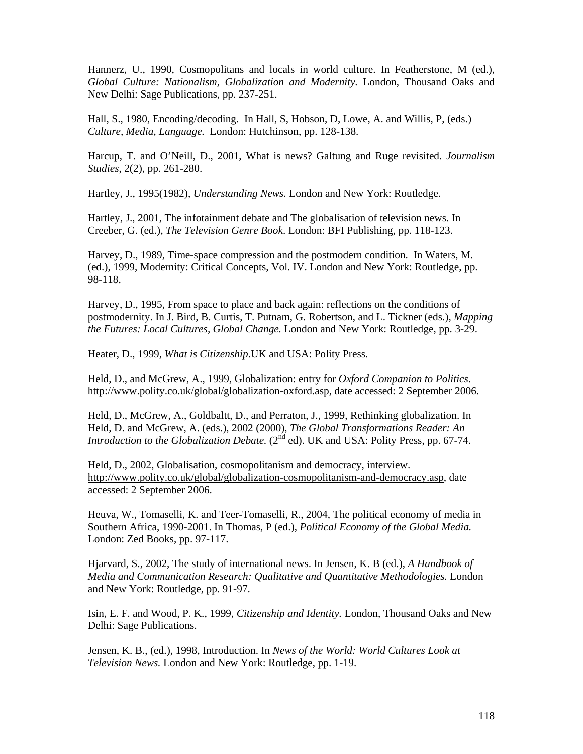Hannerz, U., 1990, Cosmopolitans and locals in world culture. In Featherstone, M (ed.), *Global Culture: Nationalism, Globalization and Modernity.* London, Thousand Oaks and New Delhi: Sage Publications, pp. 237-251.

Hall, S., 1980, Encoding/decoding. In Hall, S, Hobson, D, Lowe, A. and Willis, P, (eds.) *Culture, Media, Language.* London: Hutchinson, pp. 128-138.

Harcup, T. and O'Neill, D., 2001, What is news? Galtung and Ruge revisited. *Journalism Studies*, 2(2), pp. 261-280.

Hartley, J., 1995(1982), *Understanding News.* London and New York: Routledge.

Hartley, J., 2001, The infotainment debate and The globalisation of television news. In Creeber, G. (ed.), *The Television Genre Book*. London: BFI Publishing, pp. 118-123.

Harvey, D., 1989, Time-space compression and the postmodern condition. In Waters, M. (ed.), 1999, Modernity: Critical Concepts, Vol. IV. London and New York: Routledge, pp. 98-118.

Harvey, D., 1995, From space to place and back again: reflections on the conditions of postmodernity. In J. Bird, B. Curtis, T. Putnam, G. Robertson, and L. Tickner (eds.), *Mapping the Futures: Local Cultures, Global Change.* London and New York: Routledge, pp. 3-29.

Heater, D., 1999, *What is Citizenship*.UK and USA: Polity Press.

Held, D., and McGrew, A., 1999, Globalization: entry for *Oxford Companion to Politics*. http://www.polity.co.uk/global/globalization-oxford.asp, date accessed: 2 September 2006.

Held, D., McGrew, A., Goldbaltt, D., and Perraton, J., 1999, Rethinking globalization. In Held, D. and McGrew, A. (eds.), 2002 (2000), *The Global Transformations Reader: An Introduction to the Globalization Debate.* (2<sup>nd</sup> ed). UK and USA: Polity Press, pp. 67-74.

Held, D., 2002, Globalisation, cosmopolitanism and democracy, interview. http://www.polity.co.uk/global/globalization-cosmopolitanism-and-democracy.asp, date accessed: 2 September 2006.

Heuva, W., Tomaselli, K. and Teer-Tomaselli, R., 2004, The political economy of media in Southern Africa, 1990-2001. In Thomas, P (ed.), *Political Economy of the Global Media.*  London: Zed Books, pp. 97-117.

Hjarvard, S., 2002, The study of international news. In Jensen, K. B (ed.), *A Handbook of Media and Communication Research: Qualitative and Quantitative Methodologies.* London and New York: Routledge, pp. 91-97.

Isin, E. F. and Wood, P. K., 1999, *Citizenship and Identity.* London, Thousand Oaks and New Delhi: Sage Publications.

Jensen, K. B., (ed.), 1998, Introduction. In *News of the World: World Cultures Look at Television News.* London and New York: Routledge, pp. 1-19.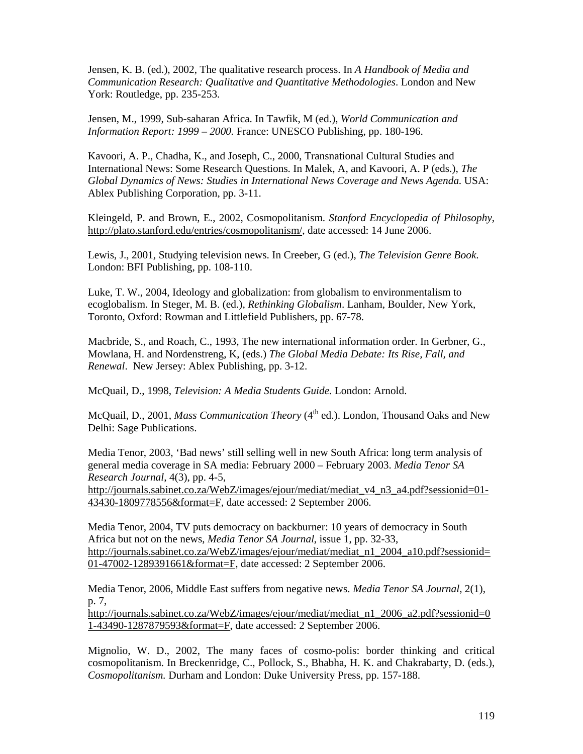Jensen, K. B. (ed.), 2002, The qualitative research process. In *A Handbook of Media and Communication Research: Qualitative and Quantitative Methodologies*. London and New York: Routledge, pp. 235-253.

Jensen, M., 1999, Sub-saharan Africa. In Tawfik, M (ed.), *World Communication and Information Report: 1999 – 2000.* France: UNESCO Publishing, pp. 180-196.

Kavoori, A. P., Chadha, K., and Joseph, C., 2000, Transnational Cultural Studies and International News: Some Research Questions. In Malek, A, and Kavoori, A. P (eds.), *The Global Dynamics of News: Studies in International News Coverage and News Agenda.* USA: Ablex Publishing Corporation, pp. 3-11.

Kleingeld, P. and Brown, E., 2002, Cosmopolitanism. *Stanford Encyclopedia of Philosophy*, http://plato.stanford.edu/entries/cosmopolitanism/, date accessed: 14 June 2006.

Lewis, J., 2001, Studying television news. In Creeber, G (ed.), *The Television Genre Book*. London: BFI Publishing, pp. 108-110.

Luke, T. W., 2004, Ideology and globalization: from globalism to environmentalism to ecoglobalism. In Steger, M. B. (ed.), *Rethinking Globalism*. Lanham, Boulder, New York, Toronto, Oxford: Rowman and Littlefield Publishers, pp. 67-78.

Macbride, S., and Roach, C., 1993, The new international information order. In Gerbner, G., Mowlana, H. and Nordenstreng, K, (eds.) *The Global Media Debate: Its Rise, Fall, and Renewal*. New Jersey: Ablex Publishing, pp. 3-12.

McQuail, D., 1998, *Television: A Media Students Guide.* London: Arnold.

McQuail, D., 2001, *Mass Communication Theory* (4<sup>th</sup> ed.). London, Thousand Oaks and New Delhi: Sage Publications.

Media Tenor, 2003, 'Bad news' still selling well in new South Africa: long term analysis of general media coverage in SA media: February 2000 – February 2003. *Media Tenor SA Research Journal*, 4(3), pp. 4-5,

http://journals.sabinet.co.za/WebZ/images/ejour/mediat/mediat\_v4\_n3\_a4.pdf?sessionid=01-43430-1809778556&format=F, date accessed: 2 September 2006.

Media Tenor, 2004, TV puts democracy on backburner: 10 years of democracy in South Africa but not on the news, *Media Tenor SA Journal*, issue 1, pp. 32-33, http://journals.sabinet.co.za/WebZ/images/ejour/mediat/mediat\_n1\_2004\_a10.pdf?sessionid= 01-47002-1289391661&format=F, date accessed: 2 September 2006.

Media Tenor, 2006, Middle East suffers from negative news. *Media Tenor SA Journal,* 2(1), p. 7,

http://journals.sabinet.co.za/WebZ/images/ejour/mediat/mediat\_n1\_2006\_a2.pdf?sessionid=0 1-43490-1287879593&format=F, date accessed: 2 September 2006.

Mignolio, W. D., 2002, The many faces of cosmo-polis: border thinking and critical cosmopolitanism. In Breckenridge, C., Pollock, S., Bhabha, H. K. and Chakrabarty, D. (eds.), *Cosmopolitanism.* Durham and London: Duke University Press, pp. 157-188.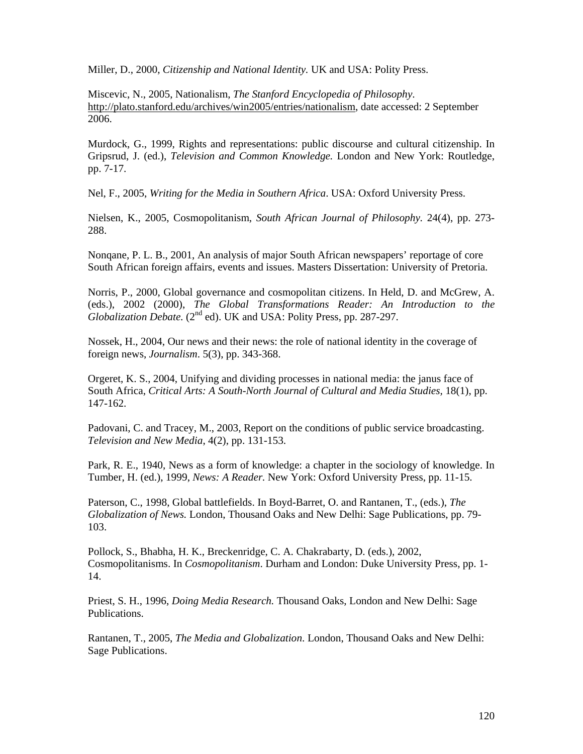Miller, D., 2000, *Citizenship and National Identity.* UK and USA: Polity Press.

Miscevic, N., 2005, Nationalism, *The Stanford Encyclopedia of Philosophy*. http://plato.stanford.edu/archives/win2005/entries/nationalism, date accessed: 2 September 2006.

Murdock, G., 1999, Rights and representations: public discourse and cultural citizenship. In Gripsrud, J. (ed.), *Television and Common Knowledge.* London and New York: Routledge, pp. 7-17.

Nel, F., 2005, *Writing for the Media in Southern Africa*. USA: Oxford University Press.

Nielsen, K., 2005, Cosmopolitanism, *South African Journal of Philosophy.* 24(4), pp. 273- 288.

Nonqane, P. L. B., 2001, An analysis of major South African newspapers' reportage of core South African foreign affairs, events and issues. Masters Dissertation: University of Pretoria.

Norris, P., 2000, Global governance and cosmopolitan citizens. In Held, D. and McGrew, A. (eds.), 2002 (2000), *The Global Transformations Reader: An Introduction to the Globalization Debate.* (2<sup>nd</sup> ed). UK and USA: Polity Press, pp. 287-297.

Nossek, H., 2004, Our news and their news: the role of national identity in the coverage of foreign news, *Journalism*. 5(3), pp. 343-368.

Orgeret, K. S., 2004, Unifying and dividing processes in national media: the janus face of South Africa, *Critical Arts: A South-North Journal of Cultural and Media Studies,* 18(1), pp. 147-162.

Padovani, C. and Tracey, M., 2003, Report on the conditions of public service broadcasting. *Television and New Media*, 4(2), pp. 131-153.

Park, R. E., 1940, News as a form of knowledge: a chapter in the sociology of knowledge. In Tumber, H. (ed.), 1999, *News: A Reader.* New York: Oxford University Press, pp. 11-15.

Paterson, C., 1998, Global battlefields. In Boyd-Barret, O. and Rantanen, T., (eds.), *The Globalization of News.* London, Thousand Oaks and New Delhi: Sage Publications, pp. 79- 103.

Pollock, S., Bhabha, H. K., Breckenridge, C. A. Chakrabarty, D. (eds.), 2002, Cosmopolitanisms. In *Cosmopolitanism*. Durham and London: Duke University Press, pp. 1- 14.

Priest, S. H., 1996, *Doing Media Research.* Thousand Oaks, London and New Delhi: Sage Publications.

Rantanen, T., 2005, *The Media and Globalization*. London, Thousand Oaks and New Delhi: Sage Publications.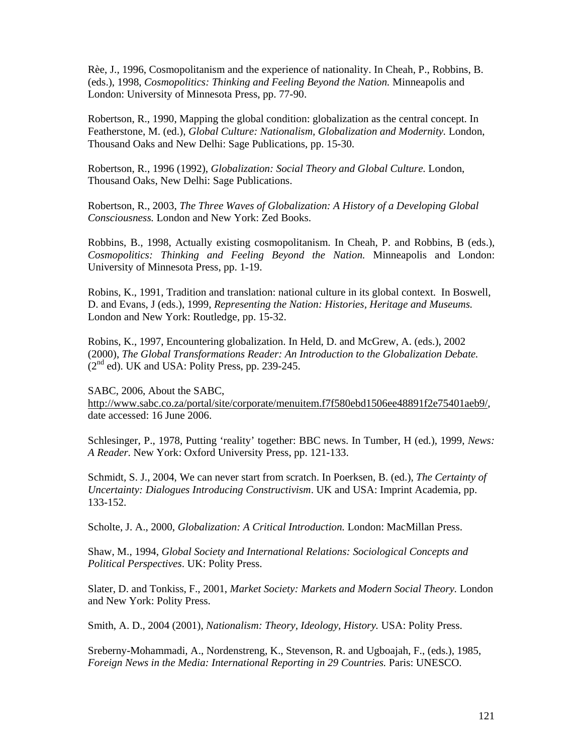Rèe, J., 1996, Cosmopolitanism and the experience of nationality. In Cheah, P., Robbins, B. (eds.), 1998, *Cosmopolitics: Thinking and Feeling Beyond the Nation.* Minneapolis and London: University of Minnesota Press, pp. 77-90.

Robertson, R., 1990, Mapping the global condition: globalization as the central concept. In Featherstone, M. (ed.), *Global Culture: Nationalism, Globalization and Modernity.* London, Thousand Oaks and New Delhi: Sage Publications, pp. 15-30.

Robertson, R., 1996 (1992), *Globalization: Social Theory and Global Culture.* London, Thousand Oaks, New Delhi: Sage Publications.

Robertson, R., 2003, *The Three Waves of Globalization: A History of a Developing Global Consciousness.* London and New York: Zed Books.

Robbins, B., 1998, Actually existing cosmopolitanism. In Cheah, P. and Robbins, B (eds.), *Cosmopolitics: Thinking and Feeling Beyond the Nation.* Minneapolis and London: University of Minnesota Press, pp. 1-19.

Robins, K., 1991, Tradition and translation: national culture in its global context. In Boswell, D. and Evans, J (eds.), 1999, *Representing the Nation: Histories, Heritage and Museums.*  London and New York: Routledge, pp. 15-32.

Robins, K., 1997, Encountering globalization. In Held, D. and McGrew, A. (eds.), 2002 (2000), *The Global Transformations Reader: An Introduction to the Globalization Debate.*   $(2^{nd}$  ed). UK and USA: Polity Press, pp. 239-245.

SABC, 2006, About the SABC, http://www.sabc.co.za/portal/site/corporate/menuitem.f7f580ebd1506ee48891f2e75401aeb9/, date accessed: 16 June 2006.

Schlesinger, P., 1978, Putting 'reality' together: BBC news. In Tumber, H (ed.), 1999, *News: A Reader.* New York: Oxford University Press, pp. 121-133.

Schmidt, S. J., 2004, We can never start from scratch. In Poerksen, B. (ed.), *The Certainty of Uncertainty: Dialogues Introducing Constructivism*. UK and USA: Imprint Academia, pp. 133-152.

Scholte, J. A., 2000, *Globalization: A Critical Introduction.* London: MacMillan Press.

Shaw, M., 1994, *Global Society and International Relations: Sociological Concepts and Political Perspectives*. UK: Polity Press.

Slater, D. and Tonkiss, F., 2001, *Market Society: Markets and Modern Social Theory.* London and New York: Polity Press.

Smith, A. D., 2004 (2001), *Nationalism: Theory, Ideology, History.* USA: Polity Press.

Sreberny-Mohammadi, A., Nordenstreng, K., Stevenson, R. and Ugboajah, F., (eds.), 1985, *Foreign News in the Media: International Reporting in 29 Countries.* Paris: UNESCO.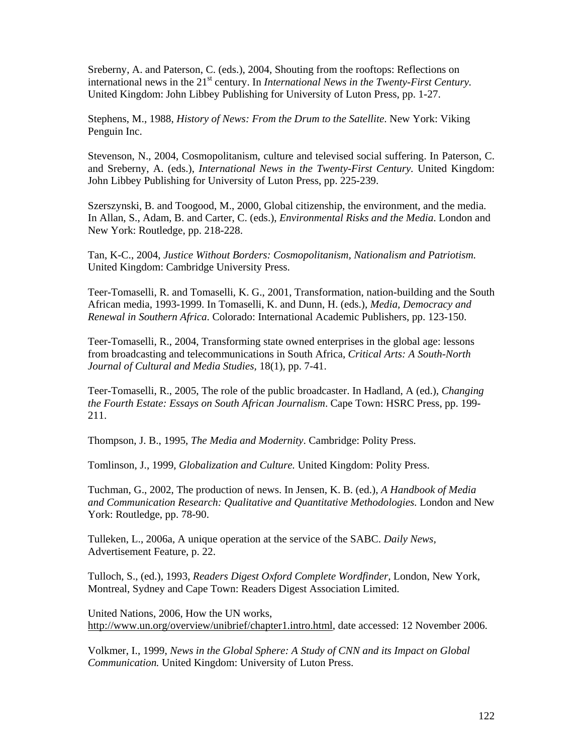Sreberny, A. and Paterson, C. (eds.), 2004, Shouting from the rooftops: Reflections on international news in the 21<sup>st</sup> century. In *International News in the Twenty-First Century*. United Kingdom: John Libbey Publishing for University of Luton Press, pp. 1-27.

Stephens, M., 1988, *History of News: From the Drum to the Satellite*. New York: Viking Penguin Inc.

Stevenson, N., 2004, Cosmopolitanism, culture and televised social suffering. In Paterson, C. and Sreberny, A. (eds.), *International News in the Twenty-First Century.* United Kingdom: John Libbey Publishing for University of Luton Press, pp. 225-239.

Szerszynski, B. and Toogood, M., 2000, Global citizenship, the environment, and the media. In Allan, S., Adam, B. and Carter, C. (eds.), *Environmental Risks and the Media*. London and New York: Routledge, pp. 218-228.

Tan, K-C., 2004, *Justice Without Borders: Cosmopolitanism, Nationalism and Patriotism.*  United Kingdom: Cambridge University Press.

Teer-Tomaselli, R. and Tomaselli, K. G., 2001, Transformation, nation-building and the South African media, 1993-1999. In Tomaselli, K. and Dunn, H. (eds.), *Media, Democracy and Renewal in Southern Africa*. Colorado: International Academic Publishers, pp. 123-150.

Teer-Tomaselli, R., 2004, Transforming state owned enterprises in the global age: lessons from broadcasting and telecommunications in South Africa, *Critical Arts: A South-North Journal of Cultural and Media Studies,* 18(1), pp. 7-41.

Teer-Tomaselli, R., 2005, The role of the public broadcaster. In Hadland, A (ed.), *Changing the Fourth Estate: Essays on South African Journalism*. Cape Town: HSRC Press, pp. 199- 211.

Thompson, J. B., 1995, *The Media and Modernity*. Cambridge: Polity Press.

Tomlinson, J., 1999, *Globalization and Culture.* United Kingdom: Polity Press.

Tuchman, G., 2002, The production of news. In Jensen, K. B. (ed.), *A Handbook of Media and Communication Research: Qualitative and Quantitative Methodologies.* London and New York: Routledge, pp. 78-90.

Tulleken, L., 2006a, A unique operation at the service of the SABC. *Daily News,* Advertisement Feature, p. 22.

Tulloch, S., (ed.), 1993, *Readers Digest Oxford Complete Wordfinder,* London, New York, Montreal, Sydney and Cape Town: Readers Digest Association Limited.

United Nations, 2006, How the UN works, http://www.un.org/overview/unibrief/chapter1.intro.html, date accessed: 12 November 2006.

Volkmer, I., 1999, *News in the Global Sphere: A Study of CNN and its Impact on Global Communication.* United Kingdom: University of Luton Press.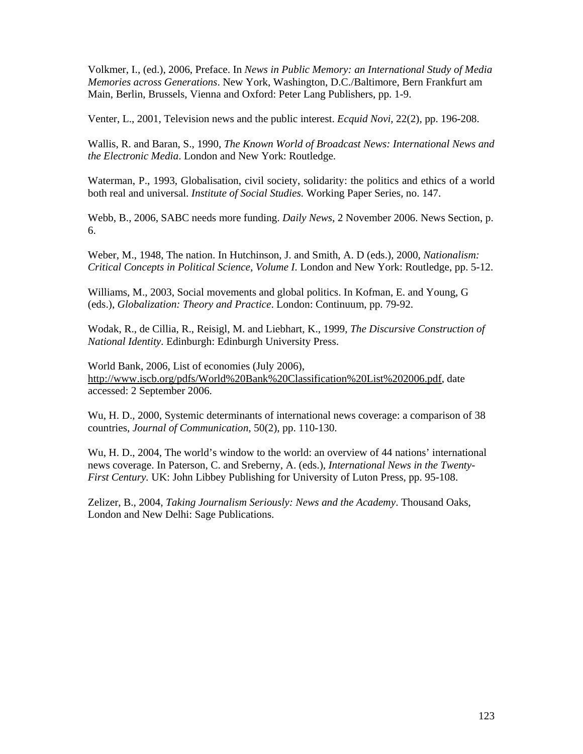Volkmer, I., (ed.), 2006, Preface. In *News in Public Memory: an International Study of Media Memories across Generations*. New York, Washington, D.C./Baltimore, Bern Frankfurt am Main, Berlin, Brussels, Vienna and Oxford: Peter Lang Publishers, pp. 1-9.

Venter, L., 2001, Television news and the public interest. *Ecquid Novi*, 22(2), pp. 196-208.

Wallis, R. and Baran, S., 1990, *The Known World of Broadcast News: International News and the Electronic Media*. London and New York: Routledge.

Waterman, P., 1993, Globalisation, civil society, solidarity: the politics and ethics of a world both real and universal. *Institute of Social Studies.* Working Paper Series, no. 147.

Webb, B., 2006, SABC needs more funding. *Daily News*, 2 November 2006. News Section, p. 6.

Weber, M., 1948, The nation. In Hutchinson, J. and Smith, A. D (eds.), 2000, *Nationalism: Critical Concepts in Political Science, Volume I*. London and New York: Routledge, pp. 5-12.

Williams, M., 2003, Social movements and global politics. In Kofman, E. and Young, G (eds.), *Globalization: Theory and Practice*. London: Continuum, pp. 79-92.

Wodak, R., de Cillia, R., Reisigl, M. and Liebhart, K., 1999, *The Discursive Construction of National Identity*. Edinburgh: Edinburgh University Press.

World Bank, 2006, List of economies (July 2006), http://www.iscb.org/pdfs/World%20Bank%20Classification%20List%202006.pdf, date accessed: 2 September 2006.

Wu, H. D., 2000, Systemic determinants of international news coverage: a comparison of 38 countries, *Journal of Communication*, 50(2), pp. 110-130.

Wu, H. D., 2004, The world's window to the world: an overview of 44 nations' international news coverage. In Paterson, C. and Sreberny, A. (eds.), *International News in the Twenty-First Century.* UK: John Libbey Publishing for University of Luton Press, pp. 95-108.

Zelizer, B., 2004, *Taking Journalism Seriously: News and the Academy*. Thousand Oaks, London and New Delhi: Sage Publications.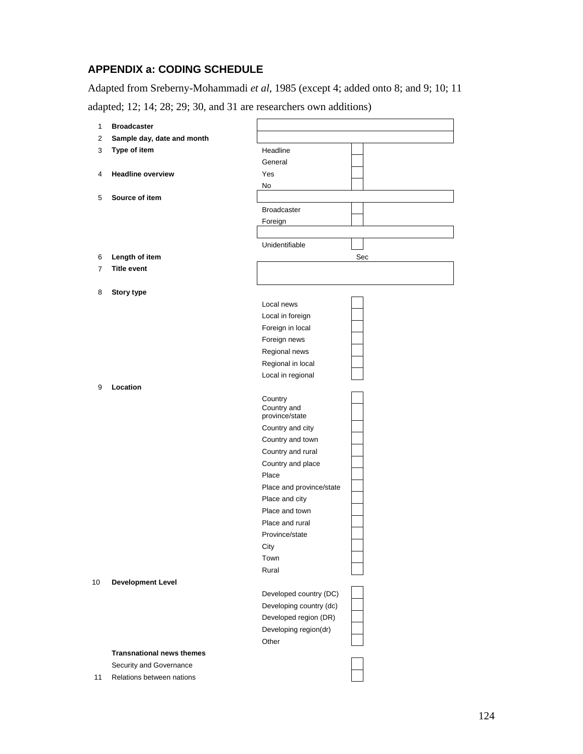### **APPENDIX a: CODING SCHEDULE**

Adapted from Sreberny-Mohammadi *et al,* 1985 (except 4; added onto 8; and 9; 10; 11

adapted; 12; 14; 28; 29; 30, and 31 are researchers own additions)

| $\mathbf{1}$   | <b>Broadcaster</b>               |                          |     |
|----------------|----------------------------------|--------------------------|-----|
| $\overline{2}$ | Sample day, date and month       |                          |     |
| 3              | Type of item                     | Headline                 |     |
|                |                                  | General                  |     |
| 4              | <b>Headline overview</b>         | Yes                      |     |
|                |                                  | No                       |     |
| 5              | Source of item                   |                          |     |
|                |                                  | <b>Broadcaster</b>       |     |
|                |                                  | Foreign                  |     |
|                |                                  |                          |     |
|                |                                  | Unidentifiable           |     |
| 6              | Length of item                   |                          | Sec |
| $\overline{7}$ | <b>Title event</b>               |                          |     |
|                |                                  |                          |     |
| 8              | <b>Story type</b>                |                          |     |
|                |                                  | Local news               |     |
|                |                                  | Local in foreign         |     |
|                |                                  | Foreign in local         |     |
|                |                                  | Foreign news             |     |
|                |                                  | Regional news            |     |
|                |                                  | Regional in local        |     |
|                | Location                         | Local in regional        |     |
| 9              |                                  |                          |     |
|                |                                  | Country<br>Country and   |     |
|                |                                  | province/state           |     |
|                |                                  | Country and city         |     |
|                |                                  | Country and town         |     |
|                |                                  | Country and rural        |     |
|                |                                  | Country and place        |     |
|                |                                  | Place                    |     |
|                |                                  | Place and province/state |     |
|                |                                  | Place and city           |     |
|                |                                  | Place and town           |     |
|                |                                  | Place and rural          |     |
|                |                                  | Province/state           |     |
|                |                                  | City                     |     |
|                |                                  | Town<br>Rural            |     |
|                | <b>Development Level</b>         |                          |     |
| 10             |                                  | Developed country (DC)   |     |
|                |                                  | Developing country (dc)  |     |
|                |                                  | Developed region (DR)    |     |
|                |                                  | Developing region(dr)    |     |
|                |                                  | Other                    |     |
|                | <b>Transnational news themes</b> |                          |     |
|                | Security and Governance          |                          |     |
| 11             | Relations between nations        |                          |     |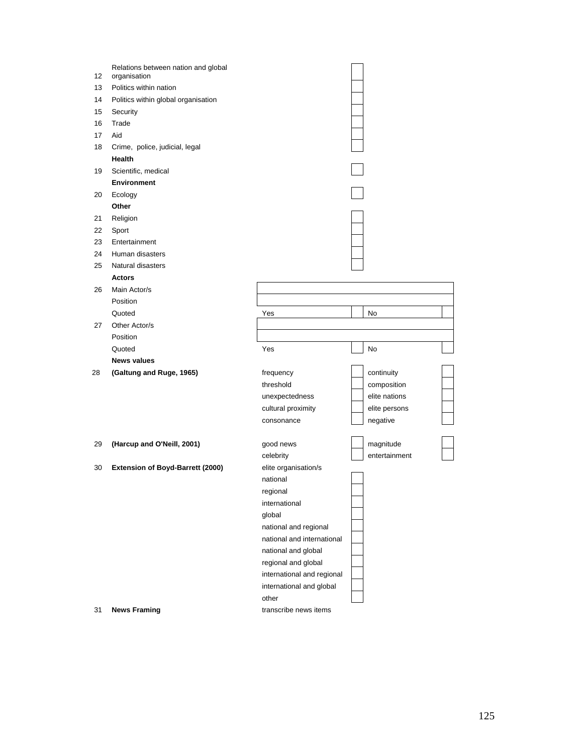| 12 | Relations between nation and global<br>organisation |                            |               |
|----|-----------------------------------------------------|----------------------------|---------------|
| 13 | Politics within nation                              |                            |               |
| 14 | Politics within global organisation                 |                            |               |
| 15 | Security                                            |                            |               |
| 16 | Trade                                               |                            |               |
| 17 | Aid                                                 |                            |               |
| 18 | Crime, police, judicial, legal                      |                            |               |
|    | Health                                              |                            |               |
| 19 | Scientific, medical                                 |                            |               |
|    | <b>Environment</b>                                  |                            |               |
| 20 | Ecology                                             |                            |               |
|    | Other                                               |                            |               |
| 21 | Religion                                            |                            |               |
| 22 | Sport                                               |                            |               |
| 23 | Entertainment                                       |                            |               |
| 24 | Human disasters                                     |                            |               |
| 25 | Natural disasters                                   |                            |               |
|    | <b>Actors</b>                                       |                            |               |
| 26 | Main Actor/s                                        |                            |               |
|    | Position                                            |                            |               |
|    | Quoted                                              | Yes                        | No            |
| 27 | Other Actor/s                                       |                            |               |
|    | Position                                            |                            |               |
|    | Quoted                                              | Yes                        | No            |
|    | <b>News values</b>                                  |                            |               |
| 28 | (Galtung and Ruge, 1965)                            | frequency                  | continuity    |
|    |                                                     | threshold                  | composition   |
|    |                                                     | unexpectedness             | elite nations |
|    |                                                     | cultural proximity         | elite persons |
|    |                                                     | consonance                 | negative      |
|    |                                                     |                            |               |
| 29 | (Harcup and O'Neill, 2001)                          | good news                  | magnitude     |
|    |                                                     | celebrity                  | entertainment |
| 30 | Extension of Boyd-Barrett (2000)                    | elite organisation/s       |               |
|    |                                                     | national                   |               |
|    |                                                     | regional                   |               |
|    |                                                     | international              |               |
|    |                                                     | global                     |               |
|    |                                                     | national and regional      |               |
|    |                                                     | national and international |               |
|    |                                                     | national and global        |               |
|    |                                                     | regional and global        |               |
|    |                                                     | international and regional |               |
|    |                                                     | international and global   |               |
|    |                                                     | other                      |               |
| 31 | <b>News Framing</b>                                 | transcribe news items      |               |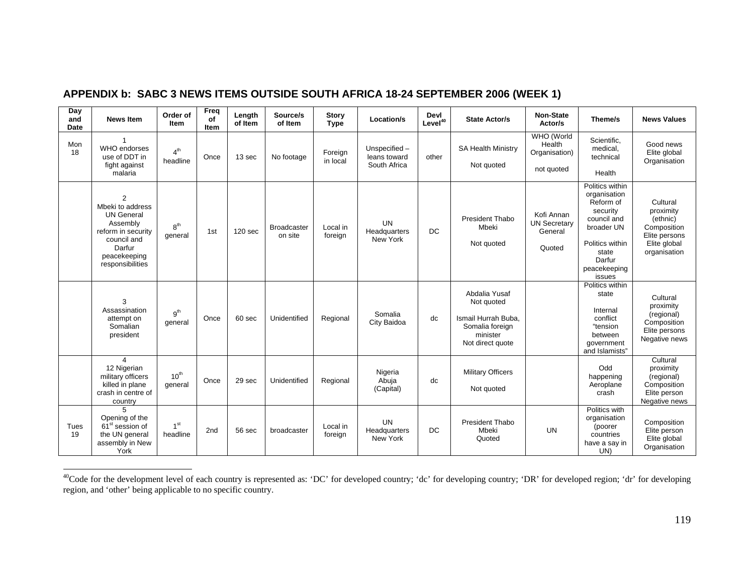| Day<br>and<br><b>Date</b> | <b>News Item</b>                                                                                                                                       | Order of<br>Item            | Freq<br>of<br>Item | Length<br>of Item  | Source/s<br>of Item           | <b>Story</b><br><b>Type</b> | Location/s                                    | Devl<br>Level <sup>40</sup> | <b>State Actor/s</b>                                                                                  | <b>Non-State</b><br>Actor/s                            | Theme/s                                                                                                                                               | <b>News Values</b>                                                                                |
|---------------------------|--------------------------------------------------------------------------------------------------------------------------------------------------------|-----------------------------|--------------------|--------------------|-------------------------------|-----------------------------|-----------------------------------------------|-----------------------------|-------------------------------------------------------------------------------------------------------|--------------------------------------------------------|-------------------------------------------------------------------------------------------------------------------------------------------------------|---------------------------------------------------------------------------------------------------|
| Mon<br>18                 | $\overline{1}$<br>WHO endorses<br>use of DDT in<br>fight against<br>malaria                                                                            | 4 <sup>th</sup><br>headline | Once               | 13 sec             | No footage                    | Foreign<br>in local         | Unspecified -<br>leans toward<br>South Africa | other                       | <b>SA Health Ministry</b><br>Not quoted                                                               | WHO (World<br>Health<br>Organisation)<br>not quoted    | Scientific,<br>medical.<br>technical<br>Health                                                                                                        | Good news<br>Elite global<br>Organisation                                                         |
|                           | $\overline{2}$<br>Mbeki to address<br><b>UN General</b><br>Assembly<br>reform in security<br>council and<br>Darfur<br>peacekeeping<br>responsibilities | $R^{th}$<br>general         | 1st                | 120 <sub>sec</sub> | <b>Broadcaster</b><br>on site | Local in<br>foreign         | <b>UN</b><br>Headquarters<br>New York         | <b>DC</b>                   | President Thabo<br>Mbeki<br>Not quoted                                                                | Kofi Annan<br><b>UN Secretarv</b><br>General<br>Quoted | Politics within<br>organisation<br>Reform of<br>security<br>council and<br>broader UN<br>Politics within<br>state<br>Darfur<br>peacekeeping<br>issues | Cultural<br>proximity<br>(ethnic)<br>Composition<br>Elite persons<br>Elite global<br>organisation |
|                           | 3<br>Assassination<br>attempt on<br>Somalian<br>president                                                                                              | gth<br>general              | Once               | 60 sec             | Unidentified                  | Regional                    | Somalia<br>City Baidoa                        | dc                          | Abdalia Yusaf<br>Not quoted<br>Ismail Hurrah Buba.<br>Somalia foreign<br>minister<br>Not direct quote |                                                        | Politics within<br>state<br>Internal<br>conflict<br>"tension<br>between<br>government<br>and Islamists"                                               | Cultural<br>proximity<br>(regional)<br>Composition<br>Elite persons<br>Negative news              |
|                           | $\overline{4}$<br>12 Nigerian<br>military officers<br>killed in plane<br>crash in centre of<br>country                                                 | $10^{th}$<br>qeneral        | Once               | 29 sec             | Unidentified                  | Regional                    | Nigeria<br>Abuja<br>(Capital)                 | dc                          | <b>Military Officers</b><br>Not quoted                                                                |                                                        | Odd<br>happening<br>Aeroplane<br>crash                                                                                                                | Cultural<br>proximity<br>(regional)<br>Composition<br>Elite person<br>Negative news               |
| Tues<br>19                | 5<br>Opening of the<br>61 <sup>st</sup> session of<br>the UN general<br>assembly in New<br>York                                                        | 1 <sup>st</sup><br>headline | 2 <sub>nd</sub>    | 56 sec             | broadcaster                   | Local in<br>foreign         | <b>UN</b><br>Headquarters<br>New York         | <b>DC</b>                   | President Thabo<br>Mbeki<br>Quoted                                                                    | <b>UN</b>                                              | Politics with<br>organisation<br>(poorer<br>countries<br>have a say in<br>UN)                                                                         | Composition<br>Elite person<br>Elite global<br>Organisation                                       |

## **APPENDIX b: SABC 3 NEWS ITEMS OUTSIDE SOUTH AFRICA 18-24 SEPTEMBER 2006 (WEEK 1)**

<sup>&</sup>lt;sup>40</sup>Code for the development level of each country is represented as: 'DC' for developed country; 'dc' for developing country; 'DR' for developed region; 'dr' for developing region, and 'other' being applicable to no specific country.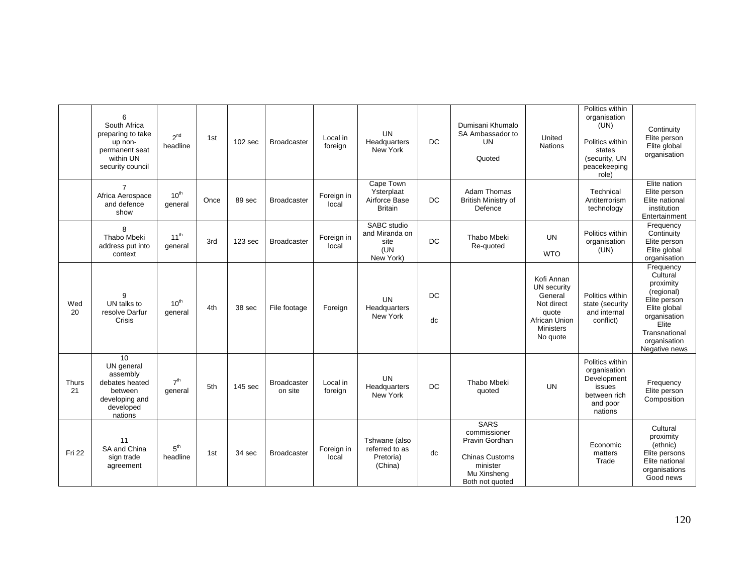|                    | 6<br>South Africa<br>preparing to take<br>up non-<br>permanent seat<br>within UN<br>security council | $2^{nd}$<br>headline        | 1st  | 102 sec            | <b>Broadcaster</b>            | Local in<br>foreign | <b>UN</b><br>Headquarters<br>New York                      | <b>DC</b> | Dumisani Khumalo<br>SA Ambassador to<br>UN<br>Quoted                                                                 | United<br><b>Nations</b>                                                                                     | Politics within<br>organisation<br>(UN)<br>Politics within<br>states<br>(security, UN<br>peacekeeping<br>role) | Continuity<br>Elite person<br>Elite global<br>organisation                                                                                                  |
|--------------------|------------------------------------------------------------------------------------------------------|-----------------------------|------|--------------------|-------------------------------|---------------------|------------------------------------------------------------|-----------|----------------------------------------------------------------------------------------------------------------------|--------------------------------------------------------------------------------------------------------------|----------------------------------------------------------------------------------------------------------------|-------------------------------------------------------------------------------------------------------------------------------------------------------------|
|                    | $\overline{7}$<br>Africa Aerospace<br>and defence<br>show                                            | 10 <sup>th</sup><br>general | Once | 89 sec             | Broadcaster                   | Foreign in<br>local | Cape Town<br>Ysterplaat<br>Airforce Base<br><b>Britain</b> | DC        | <b>Adam Thomas</b><br><b>British Ministry of</b><br>Defence                                                          |                                                                                                              | Technical<br>Antiterrorism<br>technology                                                                       | Elite nation<br>Elite person<br>Elite national<br>institution<br>Entertainment                                                                              |
|                    | 8<br>Thabo Mbeki<br>address put into<br>context                                                      | 11 <sup>th</sup><br>general | 3rd  | 123 <sub>sec</sub> | <b>Broadcaster</b>            | Foreign in<br>local | SABC studio<br>and Miranda on<br>site<br>(UN<br>New York)  | <b>DC</b> | <b>Thabo Mbeki</b><br>Re-quoted                                                                                      | <b>UN</b><br><b>WTO</b>                                                                                      | Politics within<br>organisation<br>(UN)                                                                        | Frequency<br>Continuity<br>Elite person<br>Elite global<br>organisation                                                                                     |
| Wed<br>20          | q<br>UN talks to<br>resolve Darfur<br>Crisis                                                         | $10^{th}$<br>general        | 4th  | 38 sec             | File footage                  | Foreign             | <b>UN</b><br>Headquarters<br>New York                      | DC.<br>dc |                                                                                                                      | Kofi Annan<br>UN security<br>General<br>Not direct<br>quote<br>African Union<br><b>Ministers</b><br>No quote | Politics within<br>state (security<br>and internal<br>conflict)                                                | Frequency<br>Cultural<br>proximity<br>(regional)<br>Elite person<br>Elite global<br>organisation<br>Elite<br>Transnational<br>organisation<br>Negative news |
| <b>Thurs</b><br>21 | 10<br>UN general<br>assembly<br>debates heated<br>between<br>developing and<br>developed<br>nations  | 7 <sup>th</sup><br>general  | 5th  | 145 sec            | <b>Broadcaster</b><br>on site | Local in<br>foreign | <b>UN</b><br>Headquarters<br>New York                      | <b>DC</b> | <b>Thabo Mbeki</b><br>quoted                                                                                         | <b>UN</b>                                                                                                    | Politics within<br>organisation<br>Development<br>issues<br>between rich<br>and poor<br>nations                | Frequency<br>Elite person<br>Composition                                                                                                                    |
| Fri 22             | 11<br>SA and China<br>sign trade<br>agreement                                                        | 5 <sup>th</sup><br>headline | 1st  | 34 sec             | <b>Broadcaster</b>            | Foreign in<br>local | Tshwane (also<br>referred to as<br>Pretoria)<br>(China)    | dc        | <b>SARS</b><br>commissioner<br>Pravin Gordhan<br><b>Chinas Customs</b><br>minister<br>Mu Xinsheng<br>Both not quoted |                                                                                                              | Economic<br>matters<br>Trade                                                                                   | Cultural<br>proximity<br>(ethnic)<br>Elite persons<br>Elite national<br>organisations<br>Good news                                                          |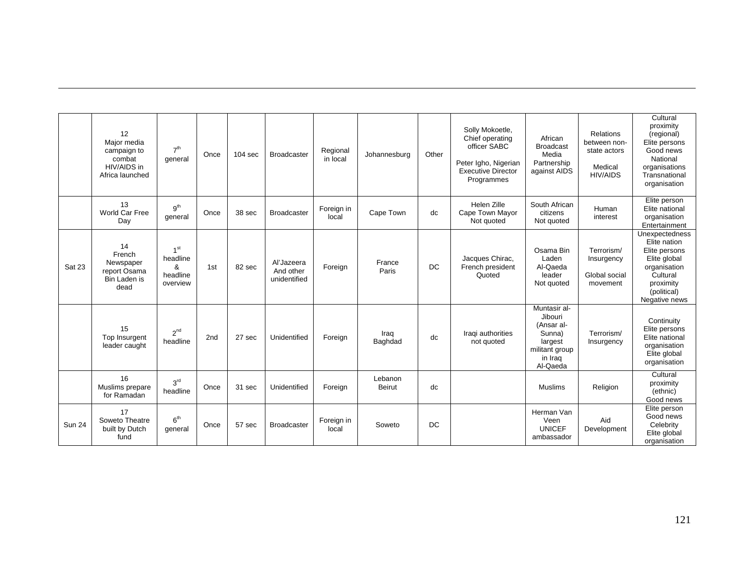|               | 12<br>Maior media<br>campaign to<br>combat<br>HIV/AIDS in<br>Africa launched | 7 <sup>th</sup><br>general                               | Once | 104 <sub>sec</sub> | <b>Broadcaster</b>                      | Regional<br>in local | Johannesburg             | Other | Solly Mokoetle,<br>Chief operating<br>officer SABC<br>Peter Igho, Nigerian<br><b>Executive Director</b><br>Programmes | African<br><b>Broadcast</b><br>Media<br>Partnership<br>against AIDS                                 | Relations<br>between non-<br>state actors<br>Medical<br><b>HIV/AIDS</b> | Cultural<br>proximity<br>(regional)<br>Elite persons<br>Good news<br>National<br>organisations<br>Transnational<br>organisation          |
|---------------|------------------------------------------------------------------------------|----------------------------------------------------------|------|--------------------|-----------------------------------------|----------------------|--------------------------|-------|-----------------------------------------------------------------------------------------------------------------------|-----------------------------------------------------------------------------------------------------|-------------------------------------------------------------------------|------------------------------------------------------------------------------------------------------------------------------------------|
|               | 13<br>World Car Free<br>Day                                                  | 9 <sup>th</sup><br>general                               | Once | 38 sec             | <b>Broadcaster</b>                      | Foreign in<br>local  | Cape Town                | dc    | Helen Zille<br>Cape Town Mayor<br>Not quoted                                                                          | South African<br>citizens<br>Not quoted                                                             | Human<br>interest                                                       | Elite person<br>Elite national<br>organisation<br>Entertainment                                                                          |
| <b>Sat 23</b> | 14<br>French<br>Newspaper<br>report Osama<br>Bin Laden is<br>dead            | 1 <sup>st</sup><br>headline<br>&<br>headline<br>overview | 1st  | 82 sec             | Al'Jazeera<br>And other<br>unidentified | Foreign              | France<br>Paris          | DC    | Jacques Chirac,<br>French president<br>Quoted                                                                         | Osama Bin<br>Laden<br>Al-Qaeda<br>leader<br>Not quoted                                              | Terrorism/<br>Insurgency<br>Global social<br>movement                   | Unexpectedness<br>Elite nation<br>Elite persons<br>Elite global<br>organisation<br>Cultural<br>proximity<br>(political)<br>Negative news |
|               | 15<br>Top Insurgent<br>leader caught                                         | $2^{nd}$<br>headline                                     | 2nd  | 27 sec             | Unidentified                            | Foreign              | Iraq<br>Baghdad          | dc    | Iraqi authorities<br>not quoted                                                                                       | Muntasir al-<br>Jibouri<br>(Ansar al-<br>Sunna)<br>largest<br>militant group<br>in Iraq<br>Al-Qaeda | Terrorism/<br>Insurgency                                                | Continuity<br>Elite persons<br>Elite national<br>organisation<br>Elite global<br>organisation                                            |
|               | 16<br>Muslims prepare<br>for Ramadan                                         | 3 <sup>rd</sup><br>headline                              | Once | 31 sec             | Unidentified                            | Foreign              | Lebanon<br><b>Beirut</b> | dc    |                                                                                                                       | <b>Muslims</b>                                                                                      | Religion                                                                | Cultural<br>proximity<br>(ethnic)<br>Good news                                                                                           |
| <b>Sun 24</b> | 17<br>Soweto Theatre<br>built by Dutch<br>fund                               | 6 <sup>th</sup><br>general                               | Once | 57 sec             | <b>Broadcaster</b>                      | Foreign in<br>local  | Soweto                   | DC    |                                                                                                                       | Herman Van<br>Veen<br><b>UNICEF</b><br>ambassador                                                   | Aid<br>Development                                                      | Elite person<br>Good news<br>Celebrity<br>Elite global<br>organisation                                                                   |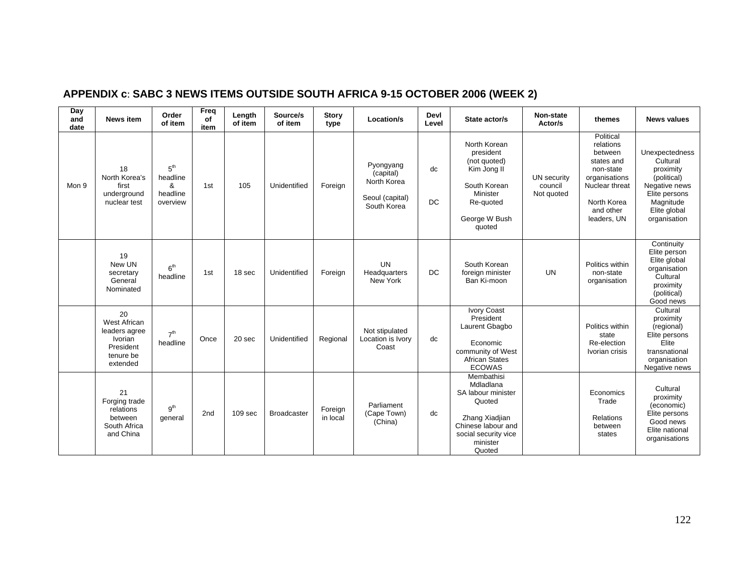| APPENDIX c: SABC 3 NEWS ITEMS OUTSIDE SOUTH AFRICA 9-15 OCTOBER 2006 (WEEK 2) |  |
|-------------------------------------------------------------------------------|--|
|-------------------------------------------------------------------------------|--|

| Day<br>and<br>date | <b>News item</b>                                                                     | Order<br>of item                                         | Freq<br>of<br>item | Length<br>of item | Source/s<br>of item | <b>Story</b><br>type | Location/s                                                              | Devl<br>Level   | State actor/s                                                                                                                                 | Non-state<br>Actor/s                 | themes                                                                                                                                     | <b>News values</b>                                                                                                                    |
|--------------------|--------------------------------------------------------------------------------------|----------------------------------------------------------|--------------------|-------------------|---------------------|----------------------|-------------------------------------------------------------------------|-----------------|-----------------------------------------------------------------------------------------------------------------------------------------------|--------------------------------------|--------------------------------------------------------------------------------------------------------------------------------------------|---------------------------------------------------------------------------------------------------------------------------------------|
| Mon 9              | 18<br>North Korea's<br>first<br>underground<br>nuclear test                          | 5 <sup>th</sup><br>headline<br>&<br>headline<br>overview | 1st                | 105               | Unidentified        | Foreign              | Pyongyang<br>(capital)<br>North Korea<br>Seoul (capital)<br>South Korea | dc<br><b>DC</b> | North Korean<br>president<br>(not quoted)<br>Kim Jong II<br>South Korean<br>Minister<br>Re-quoted<br>George W Bush<br>quoted                  | UN security<br>council<br>Not quoted | Political<br>relations<br>between<br>states and<br>non-state<br>organisations<br>Nuclear threat<br>North Korea<br>and other<br>leaders, UN | Unexpectedness<br>Cultural<br>proximity<br>(political)<br>Negative news<br>Elite persons<br>Magnitude<br>Elite global<br>organisation |
|                    | 19<br>New UN<br>secretary<br>General<br>Nominated                                    | 6 <sup>th</sup><br>headline                              | 1st                | 18 sec            | Unidentified        | Foreign              | <b>UN</b><br>Headquarters<br>New York                                   | <b>DC</b>       | South Korean<br>foreign minister<br>Ban Ki-moon                                                                                               | <b>UN</b>                            | Politics within<br>non-state<br>organisation                                                                                               | Continuity<br>Elite person<br>Elite global<br>organisation<br>Cultural<br>proximity<br>(political)<br>Good news                       |
|                    | 20<br>West African<br>leaders agree<br>Ivorian<br>President<br>tenure be<br>extended | 7 <sup>th</sup><br>headline                              | Once               | 20 sec            | Unidentified        | Regional             | Not stipulated<br>Location is Ivory<br>Coast                            | dc              | Ivory Coast<br>President<br>Laurent Gbagbo<br>Economic<br>community of West<br><b>African States</b><br><b>ECOWAS</b>                         |                                      | Politics within<br>state<br>Re-election<br>Ivorian crisis                                                                                  | Cultural<br>proximity<br>(regional)<br>Elite persons<br>Elite<br>transnational<br>organisation<br>Negative news                       |
|                    | 21<br>Forging trade<br>relations<br>between<br>South Africa<br>and China             | g <sup>th</sup><br>general                               | 2nd                | 109 sec           | <b>Broadcaster</b>  | Foreign<br>in local  | Parliament<br>(Cape Town)<br>(China)                                    | dc              | Membathisi<br>Mdladlana<br>SA labour minister<br>Quoted<br>Zhang Xiadjian<br>Chinese labour and<br>social security vice<br>minister<br>Quoted |                                      | Economics<br>Trade<br>Relations<br>between<br>states                                                                                       | Cultural<br>proximity<br>(economic)<br>Elite persons<br>Good news<br>Elite national<br>organisations                                  |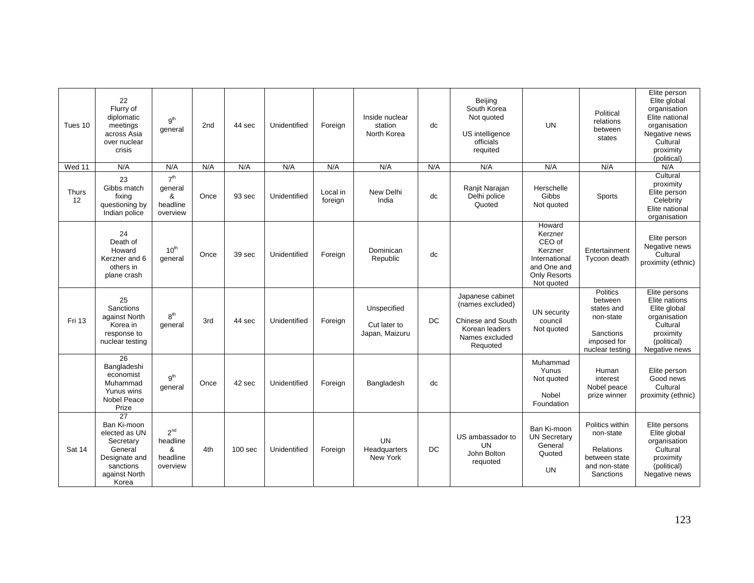| Tues 10            | 22<br>Flurry of<br>diplomatic<br>meetings<br>across Asia<br>over nuclear<br>crisis                                              | g <sup>th</sup><br>general                               | 2 <sub>nd</sub> | 44 sec             | Unidentified | Foreign             | Inside nuclear<br>station<br>North Korea      | dc        | Beijing<br>South Korea<br>Not quoted<br>US intelligence<br>officials<br>requited                                 | <b>UN</b>                                                                                                   | Political<br>relations<br>between<br>states                                                                 | Elite person<br>Elite global<br>organisation<br>Elite national<br>organisation<br>Negative news<br>Cultural<br>proximity<br>(political) |
|--------------------|---------------------------------------------------------------------------------------------------------------------------------|----------------------------------------------------------|-----------------|--------------------|--------------|---------------------|-----------------------------------------------|-----------|------------------------------------------------------------------------------------------------------------------|-------------------------------------------------------------------------------------------------------------|-------------------------------------------------------------------------------------------------------------|-----------------------------------------------------------------------------------------------------------------------------------------|
| Wed 11             | N/A                                                                                                                             | N/A                                                      | N/A             | N/A                | N/A          | N/A                 | N/A                                           | N/A       | N/A                                                                                                              | N/A                                                                                                         | N/A                                                                                                         | N/A                                                                                                                                     |
| <b>Thurs</b><br>12 | 23<br>Gibbs match<br>fixing<br>questioning by<br>Indian police                                                                  | 7 <sup>th</sup><br>qeneral<br>&<br>headline<br>overview  | Once            | 93 sec             | Unidentified | Local in<br>foreign | New Delhi<br>India                            | dc        | Ranjit Narajan<br>Delhi police<br>Quoted                                                                         | Herschelle<br>Gibbs<br>Not quoted                                                                           | <b>Sports</b>                                                                                               | Cultural<br>proximity<br>Elite person<br>Celebrity<br>Elite national<br>organisation                                                    |
|                    | 24<br>Death of<br>Howard<br>Kerzner and 6<br>others in<br>plane crash                                                           | 10 <sup>th</sup><br>general                              | Once            | 39 sec             | Unidentified | Foreign             | Dominican<br>Republic                         | dc        |                                                                                                                  | Howard<br>Kerzner<br>CEO of<br>Kerzner<br>International<br>and One and<br><b>Only Resorts</b><br>Not quoted | Entertainment<br>Tycoon death                                                                               | Elite person<br>Negative news<br>Cultural<br>proximity (ethnic)                                                                         |
| Fri 13             | 25<br>Sanctions<br>against North<br>Korea in<br>response to<br>nuclear testing                                                  | 8 <sup>th</sup><br>general                               | 3rd             | 44 sec             | Unidentified | Foreign             | Unspecified<br>Cut later to<br>Japan, Maizuru | <b>DC</b> | Japanese cabinet<br>(names excluded)<br><b>Chinese and South</b><br>Korean leaders<br>Names excluded<br>Requoted | UN security<br>council<br>Not quoted                                                                        | <b>Politics</b><br>between<br>states and<br>non-state<br><b>Sanctions</b><br>imposed for<br>nuclear testing | Elite persons<br>Elite nations<br>Elite global<br>organisation<br>Cultural<br>proximity<br>(political)<br>Negative news                 |
|                    | $\overline{26}$<br>Bangladeshi<br>economist<br>Muhammad<br>Yunus wins<br><b>Nobel Peace</b><br>Prize                            | 9 <sup>th</sup><br>general                               | Once            | 42 sec             | Unidentified | Foreign             | Bangladesh                                    | dc        |                                                                                                                  | Muhammad<br>Yunus<br>Not quoted<br>Nobel<br>Foundation                                                      | Human<br>interest<br>Nobel peace<br>prize winner                                                            | Elite person<br>Good news<br>Cultural<br>proximity (ethnic)                                                                             |
| Sat 14             | $\overline{27}$<br>Ban Ki-moon<br>elected as UN<br>Secretary<br>General<br>Designate and<br>sanctions<br>against North<br>Korea | 2 <sup>nd</sup><br>headline<br>&<br>headline<br>overview | 4th             | 100 <sub>sec</sub> | Unidentified | Foreign             | <b>UN</b><br>Headquarters<br>New York         | DC        | US ambassador to<br><b>UN</b><br>John Bolton<br>requoted                                                         | Ban Ki-moon<br><b>UN Secretary</b><br>General<br>Quoted<br><b>UN</b>                                        | Politics within<br>non-state<br><b>Relations</b><br>between state<br>and non-state<br>Sanctions             | Elite persons<br>Elite global<br>organisation<br>Cultural<br>proximity<br>(political)<br>Negative news                                  |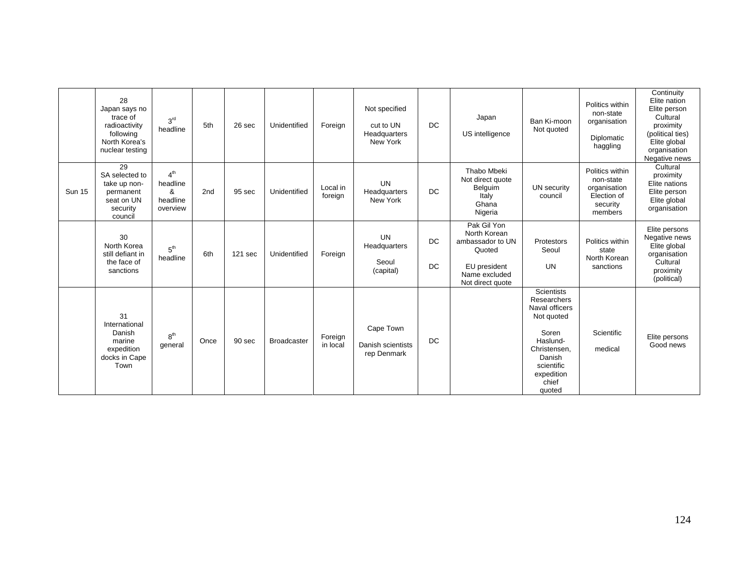|               | 28<br>Japan says no<br>trace of<br>radioactivity<br>following<br>North Korea's<br>nuclear testing | 3 <sup>rd</sup><br>headline                              | 5th  | 26 sec  | Unidentified       | Foreign             | Not specified<br>cut to UN<br>Headquarters<br>New York | <b>DC</b>       | Japan<br>US intelligence                                                                                       | Ban Ki-moon<br>Not quoted                                                                                                                                      | Politics within<br>non-state<br>organisation<br>Diplomatic<br>haggling             | Continuity<br>Elite nation<br>Elite person<br>Cultural<br>proximity<br>(political ties)<br>Elite global<br>organisation<br>Negative news |
|---------------|---------------------------------------------------------------------------------------------------|----------------------------------------------------------|------|---------|--------------------|---------------------|--------------------------------------------------------|-----------------|----------------------------------------------------------------------------------------------------------------|----------------------------------------------------------------------------------------------------------------------------------------------------------------|------------------------------------------------------------------------------------|------------------------------------------------------------------------------------------------------------------------------------------|
| <b>Sun 15</b> | 29<br>SA selected to<br>take up non-<br>permanent<br>seat on UN<br>security<br>council            | 4 <sup>th</sup><br>headline<br>&<br>headline<br>overview | 2nd  | 95 sec  | Unidentified       | Local in<br>foreign | <b>UN</b><br>Headquarters<br>New York                  | <b>DC</b>       | Thabo Mbeki<br>Not direct quote<br>Belguim<br>Italy<br>Ghana<br>Nigeria                                        | UN security<br>council                                                                                                                                         | Politics within<br>non-state<br>organisation<br>Election of<br>security<br>members | Cultural<br>proximity<br>Elite nations<br>Elite person<br>Elite global<br>organisation                                                   |
|               | 30<br>North Korea<br>still defiant in<br>the face of<br>sanctions                                 | 5 <sup>th</sup><br>headline                              | 6th  | 121 sec | Unidentified       | Foreign             | <b>UN</b><br>Headquarters<br>Seoul<br>(capital)        | DC<br><b>DC</b> | Pak Gil Yon<br>North Korean<br>ambassador to UN<br>Quoted<br>EU president<br>Name excluded<br>Not direct quote | Protestors<br>Seoul<br><b>UN</b>                                                                                                                               | Politics within<br>state<br>North Korean<br>sanctions                              | Elite persons<br>Negative news<br>Elite global<br>organisation<br>Cultural<br>proximity<br>(political)                                   |
|               | 31<br>International<br>Danish<br>marine<br>expedition<br>docks in Cape<br>Town                    | 8 <sup>th</sup><br>general                               | Once | 90 sec  | <b>Broadcaster</b> | Foreign<br>in local | Cape Town<br>Danish scientists<br>rep Denmark          | <b>DC</b>       |                                                                                                                | <b>Scientists</b><br>Researchers<br>Naval officers<br>Not quoted<br>Soren<br>Haslund-<br>Christensen,<br>Danish<br>scientific<br>expedition<br>chief<br>quoted | Scientific<br>medical                                                              | Elite persons<br>Good news                                                                                                               |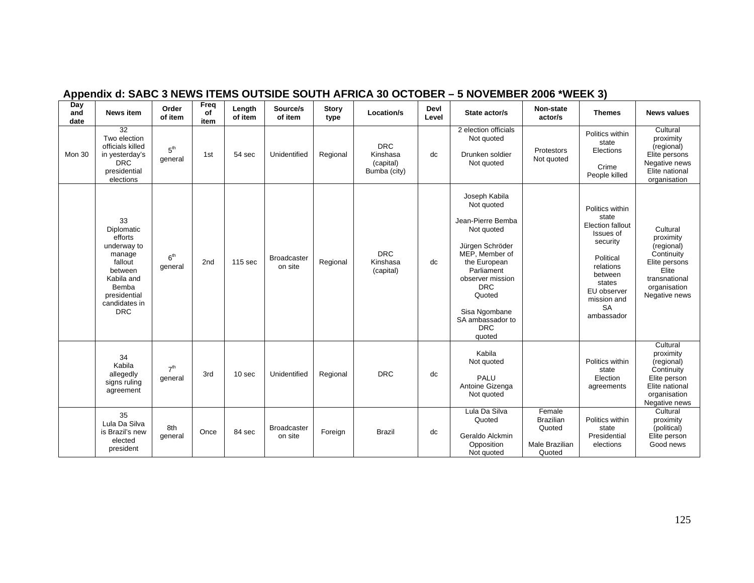| Day<br>and<br>date | <b>News item</b>                                                                                                                                 | Order<br>of item           | Freq<br>of<br>item | Length<br>of item | Source/s<br>of item           | <b>Story</b><br>type | Location/s                                          | Devl<br>Level | State actor/s                                                                                                                                                                                                                              | Non-state<br>actor/s                                             | <b>Themes</b>                                                                                                                                                                        | <b>News values</b>                                                                                                            |
|--------------------|--------------------------------------------------------------------------------------------------------------------------------------------------|----------------------------|--------------------|-------------------|-------------------------------|----------------------|-----------------------------------------------------|---------------|--------------------------------------------------------------------------------------------------------------------------------------------------------------------------------------------------------------------------------------------|------------------------------------------------------------------|--------------------------------------------------------------------------------------------------------------------------------------------------------------------------------------|-------------------------------------------------------------------------------------------------------------------------------|
| Mon 30             | $\overline{32}$<br>Two election<br>officials killed<br>in yesterday's<br><b>DRC</b><br>presidential<br>elections                                 | 5 <sup>th</sup><br>general | 1st                | 54 sec            | Unidentified                  | Regional             | <b>DRC</b><br>Kinshasa<br>(capital)<br>Bumba (city) | dc            | 2 election officials<br>Not quoted<br>Drunken soldier<br>Not quoted                                                                                                                                                                        | Protestors<br>Not quoted                                         | Politics within<br>state<br>Elections<br>Crime<br>People killed                                                                                                                      | Cultural<br>proximity<br>(regional)<br>Elite persons<br>Negative news<br>Elite national<br>organisation                       |
|                    | 33<br>Diplomatic<br>efforts<br>underway to<br>manage<br>fallout<br>between<br>Kabila and<br>Bemba<br>presidential<br>candidates in<br><b>DRC</b> | 6 <sup>th</sup><br>general | 2nd                | 115 sec           | <b>Broadcaster</b><br>on site | Regional             | <b>DRC</b><br>Kinshasa<br>(capital)                 | dc            | Joseph Kabila<br>Not quoted<br>Jean-Pierre Bemba<br>Not quoted<br>Jürgen Schröder<br>MEP, Member of<br>the European<br>Parliament<br>observer mission<br><b>DRC</b><br>Quoted<br>Sisa Ngombane<br>SA ambassador to<br><b>DRC</b><br>quoted |                                                                  | Politics within<br>state<br><b>Election fallout</b><br>Issues of<br>security<br>Political<br>relations<br>between<br>states<br>EU observer<br>mission and<br><b>SA</b><br>ambassador | Cultural<br>proximity<br>(regional)<br>Continuity<br>Elite persons<br>Elite<br>transnational<br>organisation<br>Negative news |
|                    | 34<br>Kabila<br>allegedly<br>signs ruling<br>agreement                                                                                           | 7 <sup>th</sup><br>general | 3rd                | 10 sec            | Unidentified                  | Regional             | <b>DRC</b>                                          | dc            | Kabila<br>Not quoted<br>PALU<br>Antoine Gizenga<br>Not quoted                                                                                                                                                                              |                                                                  | Politics within<br>state<br>Election<br>agreements                                                                                                                                   | Cultural<br>proximity<br>(regional)<br>Continuity<br>Elite person<br>Elite national<br>organisation<br>Negative news          |
|                    | 35<br>Lula Da Silva<br>is Brazil's new<br>elected<br>president                                                                                   | 8th<br>general             | Once               | 84 sec            | <b>Broadcaster</b><br>on site | Foreign              | <b>Brazil</b>                                       | dc            | Lula Da Silva<br>Quoted<br>Geraldo Alckmin<br>Opposition<br>Not quoted                                                                                                                                                                     | Female<br><b>Brazilian</b><br>Quoted<br>Male Brazilian<br>Quoted | Politics within<br>state<br>Presidential<br>elections                                                                                                                                | Cultural<br>proximity<br>(political)<br>Elite person<br>Good news                                                             |

## **Appendix d: SABC 3 NEWS ITEMS OUTSIDE SOUTH AFRICA 30 OCTOBER – 5 NOVEMBER 2006 \*WEEK 3)**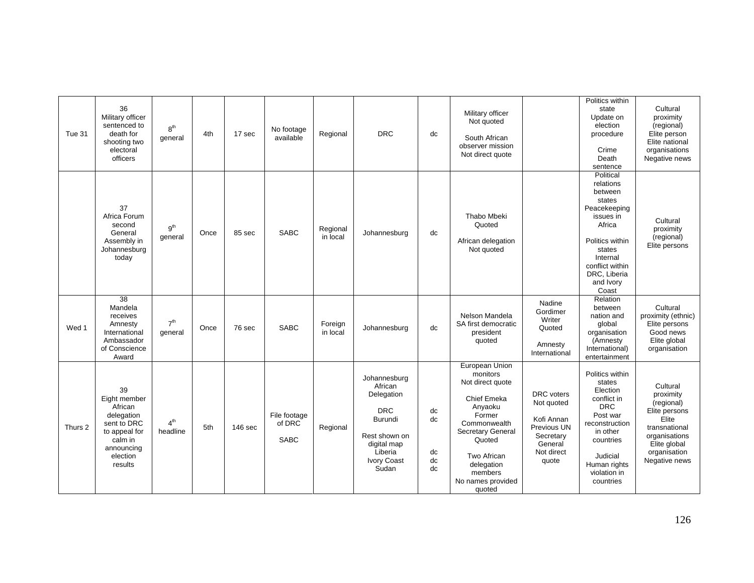| Tue 31  | 36<br>Military officer<br>sentenced to<br>death for<br>shooting two<br>electoral<br>officers                                | 8 <sup>th</sup><br>general  | 4th  | 17 sec  | No footage<br>available               | Regional             | <b>DRC</b>                                                                                                                               | dc                         | Military officer<br>Not quoted<br>South African<br>observer mission<br>Not direct quote                                                                                                                         |                                                                                                             | Politics within<br>state<br>Update on<br>election<br>procedure<br>Crime<br>Death<br>sentence                                                                                         | Cultural<br>proximity<br>(regional)<br>Elite person<br>Elite national<br>organisations<br>Negative news                                          |
|---------|-----------------------------------------------------------------------------------------------------------------------------|-----------------------------|------|---------|---------------------------------------|----------------------|------------------------------------------------------------------------------------------------------------------------------------------|----------------------------|-----------------------------------------------------------------------------------------------------------------------------------------------------------------------------------------------------------------|-------------------------------------------------------------------------------------------------------------|--------------------------------------------------------------------------------------------------------------------------------------------------------------------------------------|--------------------------------------------------------------------------------------------------------------------------------------------------|
|         | 37<br>Africa Forum<br>second<br>General<br>Assembly in<br>Johannesburg<br>today                                             | 9 <sup>th</sup><br>qeneral  | Once | 85 sec  | <b>SABC</b>                           | Regional<br>in local | Johannesburg                                                                                                                             | dc                         | Thabo Mbeki<br>Quoted<br>African delegation<br>Not quoted                                                                                                                                                       |                                                                                                             | Political<br>relations<br>between<br>states<br>Peacekeeping<br>issues in<br>Africa<br>Politics within<br>states<br>Internal<br>conflict within<br>DRC, Liberia<br>and Ivory<br>Coast | Cultural<br>proximity<br>(regional)<br>Elite persons                                                                                             |
| Wed 1   | 38<br>Mandela<br>receives<br>Amnesty<br>International<br>Ambassador<br>of Conscience<br>Award                               | 7 <sup>th</sup><br>general  | Once | 76 sec  | <b>SABC</b>                           | Foreign<br>in local  | Johannesburg                                                                                                                             | dc                         | Nelson Mandela<br>SA first democratic<br>president<br>quoted                                                                                                                                                    | Nadine<br>Gordimer<br>Writer<br>Quoted<br>Amnesty<br>International                                          | Relation<br>between<br>nation and<br>global<br>organisation<br>(Amnesty<br>International)<br>entertainment                                                                           | Cultural<br>proximity (ethnic)<br>Elite persons<br>Good news<br>Elite global<br>organisation                                                     |
| Thurs 2 | 39<br>Eight member<br>African<br>delegation<br>sent to DRC<br>to appeal for<br>calm in<br>announcing<br>election<br>results | 4 <sup>th</sup><br>headline | 5th  | 146 sec | File footage<br>of DRC<br><b>SABC</b> | Regional             | Johannesburg<br>African<br>Delegation<br><b>DRC</b><br>Burundi<br>Rest shown on<br>digital map<br>Liberia<br><b>Ivory Coast</b><br>Sudan | dc<br>dc<br>dc<br>dc<br>dc | European Union<br>monitors<br>Not direct quote<br>Chief Emeka<br>Anyaoku<br>Former<br>Commonwealth<br><b>Secretary General</b><br>Quoted<br>Two African<br>delegation<br>members<br>No names provided<br>quoted | <b>DRC</b> voters<br>Not quoted<br>Kofi Annan<br>Previous UN<br>Secretary<br>General<br>Not direct<br>quote | Politics within<br>states<br>Election<br>conflict in<br><b>DRC</b><br>Post war<br>reconstruction<br>in other<br>countries<br>Judicial<br>Human rights<br>violation in<br>countries   | Cultural<br>proximity<br>(regional)<br>Elite persons<br>Elite<br>transnational<br>organisations<br>Elite global<br>organisation<br>Negative news |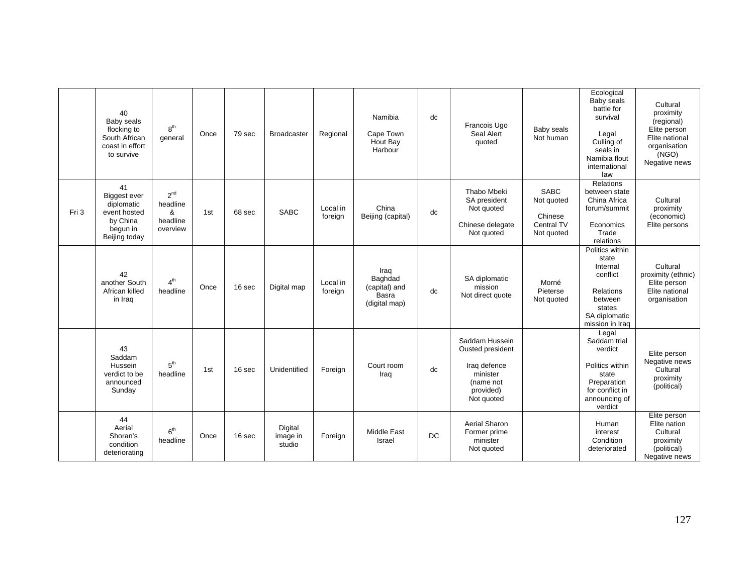|       | 40<br>Baby seals<br>flocking to<br>South African<br>coast in effort<br>to survive                | 8 <sup>th</sup><br>general                               | Once | 79 sec | <b>Broadcaster</b>            | Regional            | Namibia<br>Cape Town<br>Hout Bay<br>Harbour                | dc | Francois Ugo<br>Seal Alert<br>quoted                                                                   | Baby seals<br>Not human                                          | Ecological<br>Baby seals<br>battle for<br>survival<br>Legal<br>Culling of<br>seals in<br>Namibia flout<br>international<br>law | Cultural<br>proximity<br>(regional)<br>Elite person<br>Elite national<br>organisation<br>(NGO)<br>Negative news |
|-------|--------------------------------------------------------------------------------------------------|----------------------------------------------------------|------|--------|-------------------------------|---------------------|------------------------------------------------------------|----|--------------------------------------------------------------------------------------------------------|------------------------------------------------------------------|--------------------------------------------------------------------------------------------------------------------------------|-----------------------------------------------------------------------------------------------------------------|
| Fri 3 | 41<br><b>Biggest ever</b><br>diplomatic<br>event hosted<br>by China<br>begun in<br>Beijing today | 2 <sup>nd</sup><br>headline<br>&<br>headline<br>overview | 1st  | 68 sec | <b>SABC</b>                   | Local in<br>foreign | China<br>Beijing (capital)                                 | dc | Thabo Mbeki<br>SA president<br>Not quoted<br>Chinese delegate<br>Not quoted                            | <b>SABC</b><br>Not quoted<br>Chinese<br>Central TV<br>Not quoted | Relations<br>between state<br>China Africa<br>forum/summit<br>Economics<br>Trade<br>relations                                  | Cultural<br>proximity<br>(economic)<br>Elite persons                                                            |
|       | 42<br>another South<br>African killed<br>in Iraq                                                 | 4 <sup>th</sup><br>headline                              | Once | 16 sec | Digital map                   | Local in<br>foreign | Iraq<br>Baghdad<br>(capital) and<br>Basra<br>(digital map) | dc | SA diplomatic<br>mission<br>Not direct quote                                                           | Morné<br>Pieterse<br>Not quoted                                  | Politics within<br>state<br>Internal<br>conflict<br><b>Relations</b><br>between<br>states<br>SA diplomatic<br>mission in Iraq  | Cultural<br>proximity (ethnic)<br>Elite person<br>Elite national<br>organisation                                |
|       | 43<br>Saddam<br>Hussein<br>verdict to be<br>announced<br>Sunday                                  | 5 <sup>th</sup><br>headline                              | 1st  | 16 sec | Unidentified                  | Foreign             | Court room<br>Iraq                                         | dc | Saddam Hussein<br>Ousted president<br>Iraq defence<br>minister<br>(name not<br>provided)<br>Not quoted |                                                                  | Legal<br>Saddam trial<br>verdict<br>Politics within<br>state<br>Preparation<br>for conflict in<br>announcing of<br>verdict     | Elite person<br>Negative news<br>Cultural<br>proximity<br>(political)                                           |
|       | 44<br>Aerial<br>Shoran's<br>condition<br>deteriorating                                           | 6 <sup>th</sup><br>headline                              | Once | 16 sec | Digital<br>image in<br>studio | Foreign             | <b>Middle East</b><br>Israel                               | DC | <b>Aerial Sharon</b><br>Former prime<br>minister<br>Not quoted                                         |                                                                  | Human<br>interest<br>Condition<br>deteriorated                                                                                 | Elite person<br>Elite nation<br>Cultural<br>proximity<br>(political)<br>Negative news                           |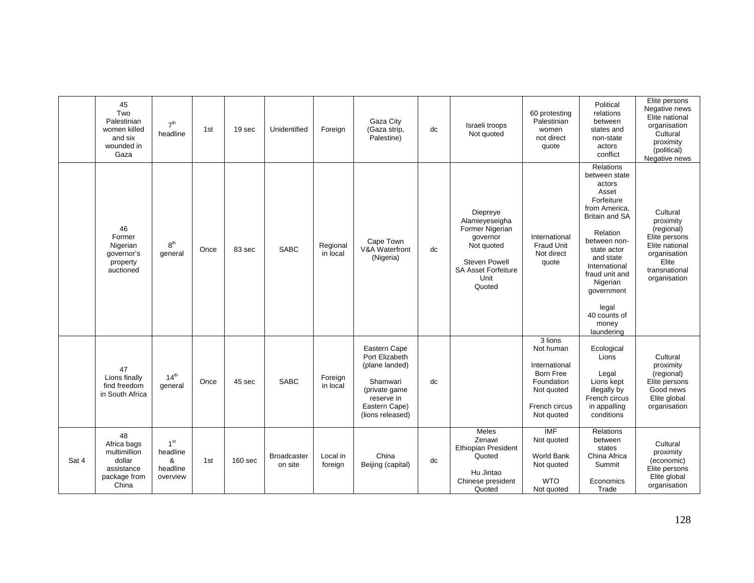|       | 45<br>Two<br>Palestinian<br>women killed<br>and six<br>wounded in<br>Gaza          | 7 <sup>th</sup><br>headline                              | 1st  | 19 sec         | Unidentified           | Foreign              | Gaza City<br>(Gaza strip,<br>Palestine)                                                                                          | dc | Israeli troops<br>Not quoted                                                                                                                    | 60 protesting<br>Palestinian<br>women<br>not direct<br>quote                                                         | Political<br>relations<br>between<br>states and<br>non-state<br>actors<br>conflict                                                                                                                                                                                                | Elite persons<br>Negative news<br>Elite national<br>organisation<br>Cultural<br>proximity<br>(political)<br>Negative news        |
|-------|------------------------------------------------------------------------------------|----------------------------------------------------------|------|----------------|------------------------|----------------------|----------------------------------------------------------------------------------------------------------------------------------|----|-------------------------------------------------------------------------------------------------------------------------------------------------|----------------------------------------------------------------------------------------------------------------------|-----------------------------------------------------------------------------------------------------------------------------------------------------------------------------------------------------------------------------------------------------------------------------------|----------------------------------------------------------------------------------------------------------------------------------|
|       | 46<br>Former<br>Nigerian<br>governor's<br>property<br>auctioned                    | 8 <sup>th</sup><br>general                               | Once | 83 sec         | <b>SABC</b>            | Regional<br>in local | Cape Town<br>V&A Waterfront<br>(Nigeria)                                                                                         | dc | Diepreye<br>Alamieyeseigha<br>Former Nigerian<br>governor<br>Not quoted<br><b>Steven Powell</b><br><b>SA Asset Forfeiture</b><br>Unit<br>Quoted | International<br>Fraud Unit<br>Not direct<br>quote                                                                   | <b>Relations</b><br>between state<br>actors<br>Asset<br>Forfeiture<br>from America,<br><b>Britain and SA</b><br>Relation<br>between non-<br>state actor<br>and state<br>International<br>fraud unit and<br>Nigerian<br>government<br>legal<br>40 counts of<br>money<br>laundering | Cultural<br>proximity<br>(regional)<br>Elite persons<br>Elite national<br>organisation<br>Elite<br>transnational<br>organisation |
|       | 47<br>Lions finally<br>find freedom<br>in South Africa                             | 14 <sup>th</sup><br>general                              | Once | 45 sec         | <b>SABC</b>            | Foreign<br>in local  | Eastern Cape<br>Port Elizabeth<br>(plane landed)<br>Shamwari<br>(private game<br>reserve in<br>Eastern Cape)<br>(lions released) | dc |                                                                                                                                                 | 3 lions<br>Not human<br>International<br><b>Born Free</b><br>Foundation<br>Not quoted<br>French circus<br>Not quoted | Ecological<br>Lions<br>Legal<br>Lions kept<br>illegally by<br>French circus<br>in appalling<br>conditions                                                                                                                                                                         | Cultural<br>proximity<br>(regional)<br>Elite persons<br>Good news<br>Elite global<br>organisation                                |
| Sat 4 | 48<br>Africa bags<br>multimillion<br>dollar<br>assistance<br>package from<br>China | 1 <sup>st</sup><br>headline<br>&<br>headline<br>overview | 1st  | <b>160 sec</b> | Broadcaster<br>on site | Local in<br>foreign  | China<br>Beijing (capital)                                                                                                       | dc | <b>Meles</b><br>Zenawi<br><b>Ethiopian President</b><br>Quoted<br>Hu Jintao<br>Chinese president<br>Quoted                                      | IMF<br>Not quoted<br><b>World Bank</b><br>Not quoted<br><b>WTO</b><br>Not quoted                                     | Relations<br>between<br>states<br>China Africa<br>Summit<br>Economics<br>Trade                                                                                                                                                                                                    | Cultural<br>proximity<br>(economic)<br>Elite persons<br>Elite global<br>organisation                                             |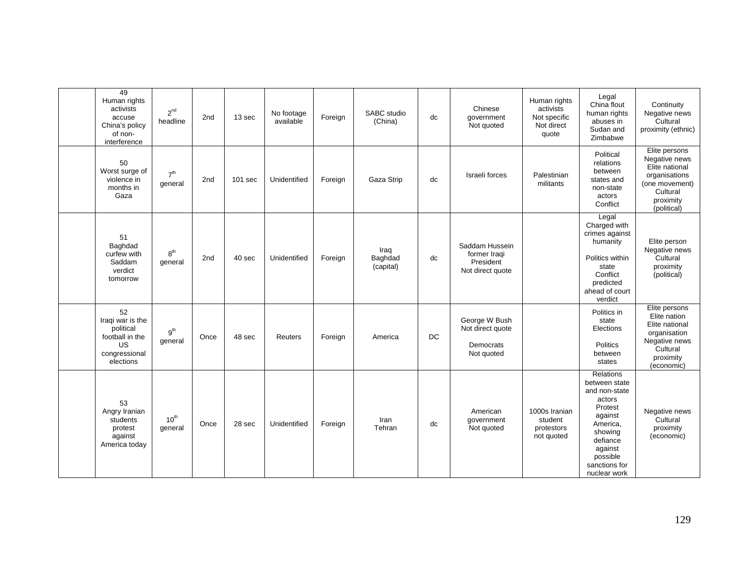| 49<br>Human rights<br>activists<br>accuse<br>China's policy<br>of non-<br>interference     | 2 <sup>nd</sup><br>headline | 2nd  | 13 sec  | No footage<br>available | Foreign | SABC studio<br>(China)       | dc | Chinese<br>government<br>Not quoted                             | Human rights<br>activists<br>Not specific<br>Not direct<br>quote | Legal<br>China flout<br>human rights<br>abuses in<br>Sudan and<br>Zimbabwe                                                                                             | Continuity<br>Negative news<br>Cultural<br>proximity (ethnic)                                                               |
|--------------------------------------------------------------------------------------------|-----------------------------|------|---------|-------------------------|---------|------------------------------|----|-----------------------------------------------------------------|------------------------------------------------------------------|------------------------------------------------------------------------------------------------------------------------------------------------------------------------|-----------------------------------------------------------------------------------------------------------------------------|
| 50<br>Worst surge of<br>violence in<br>months in<br>Gaza                                   | 7 <sup>th</sup><br>general  | 2nd  | 101 sec | Unidentified            | Foreign | Gaza Strip                   | dc | Israeli forces                                                  | Palestinian<br>militants                                         | Political<br>relations<br>between<br>states and<br>non-state<br>actors<br>Conflict                                                                                     | Elite persons<br>Negative news<br>Elite national<br>organisations<br>(one movement)<br>Cultural<br>proximity<br>(political) |
| 51<br>Baghdad<br>curfew with<br>Saddam<br>verdict<br>tomorrow                              | 8 <sup>th</sup><br>general  | 2nd  | 40 sec  | Unidentified            | Foreign | Iraq<br>Baghdad<br>(capital) | dc | Saddam Hussein<br>former Iraqi<br>President<br>Not direct quote |                                                                  | Legal<br>Charged with<br>crimes against<br>humanity<br>Politics within<br>state<br>Conflict<br>predicted<br>ahead of court<br>verdict                                  | Elite person<br>Negative news<br>Cultural<br>proximity<br>(political)                                                       |
| 52<br>Iraqi war is the<br>political<br>football in the<br>US<br>congressional<br>elections | 9 <sup>th</sup><br>general  | Once | 48 sec  | Reuters                 | Foreign | America                      | DC | George W Bush<br>Not direct quote<br>Democrats<br>Not quoted    |                                                                  | Politics in<br>state<br>Elections<br><b>Politics</b><br>between<br>states                                                                                              | Elite persons<br>Elite nation<br>Elite national<br>organisation<br>Negative news<br>Cultural<br>proximity<br>(economic)     |
| 53<br>Angry Iranian<br>students<br>protest<br>against<br>America today                     | 10 <sup>th</sup><br>general | Once | 28 sec  | Unidentified            | Foreign | Iran<br>Tehran               | dc | American<br>government<br>Not quoted                            | 1000s Iranian<br>student<br>protestors<br>not quoted             | Relations<br>between state<br>and non-state<br>actors<br>Protest<br>against<br>America,<br>showing<br>defiance<br>against<br>possible<br>sanctions for<br>nuclear work | Negative news<br>Cultural<br>proximity<br>(economic)                                                                        |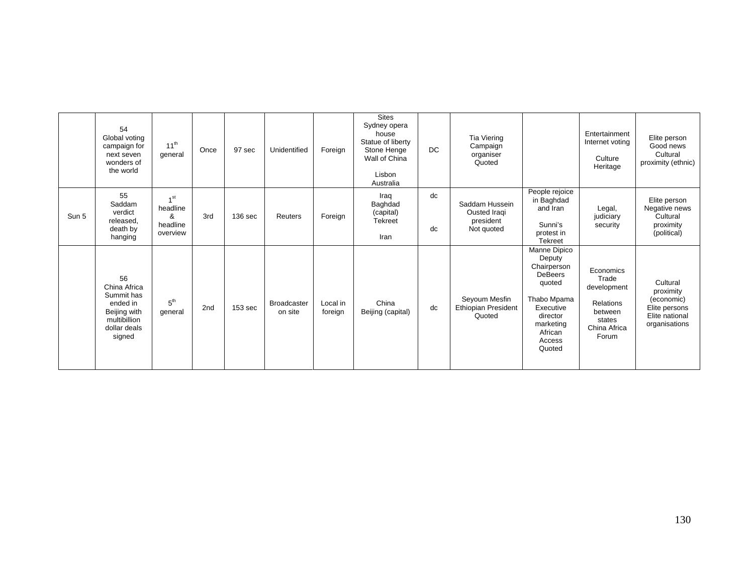|       | 54<br>Global voting<br>campaign for<br>next seven<br>wonders of<br>the world                           | $11^{th}$<br>general                                     | Once | 97 sec             | Unidentified                  | Foreign             | <b>Sites</b><br>Sydney opera<br>house<br>Statue of liberty<br>Stone Henge<br>Wall of China<br>Lisbon<br>Australia | DC.      | Tia Viering<br>Campaign<br>organiser<br>Quoted            |                                                                                                                                                       | Entertainment<br>Internet voting<br>Culture<br>Heritage                                             | Elite person<br>Good news<br>Cultural<br>proximity (ethnic)                             |
|-------|--------------------------------------------------------------------------------------------------------|----------------------------------------------------------|------|--------------------|-------------------------------|---------------------|-------------------------------------------------------------------------------------------------------------------|----------|-----------------------------------------------------------|-------------------------------------------------------------------------------------------------------------------------------------------------------|-----------------------------------------------------------------------------------------------------|-----------------------------------------------------------------------------------------|
| Sun 5 | 55<br>Saddam<br>verdict<br>released,<br>death by<br>hanging                                            | 1 <sub>st</sub><br>headline<br>&<br>headline<br>overview | 3rd  | 136 sec            | Reuters                       | Foreign             | Iraq<br>Baghdad<br>(capital)<br><b>Tekreet</b><br>Iran                                                            | dc<br>dc | Saddam Hussein<br>Ousted Iragi<br>president<br>Not quoted | People rejoice<br>in Baghdad<br>and Iran<br>Sunni's<br>protest in<br><b>Tekreet</b>                                                                   | Legal,<br>judiciary<br>security                                                                     | Elite person<br>Negative news<br>Cultural<br>proximity<br>(political)                   |
|       | 56<br>China Africa<br>Summit has<br>ended in<br>Beijing with<br>multibillion<br>dollar deals<br>signed | 5 <sup>th</sup><br>general                               | 2nd  | 153 <sub>sec</sub> | <b>Broadcaster</b><br>on site | Local in<br>foreign | China<br>Beijing (capital)                                                                                        | dc       | Seyoum Mesfin<br>Ethiopian President<br>Quoted            | Manne Dipico<br>Deputy<br>Chairperson<br><b>DeBeers</b><br>quoted<br>Thabo Mpama<br>Executive<br>director<br>marketing<br>African<br>Access<br>Quoted | Economics<br>Trade<br>development<br><b>Relations</b><br>between<br>states<br>China Africa<br>Forum | Cultural<br>proximity<br>(economic)<br>Elite persons<br>Elite national<br>organisations |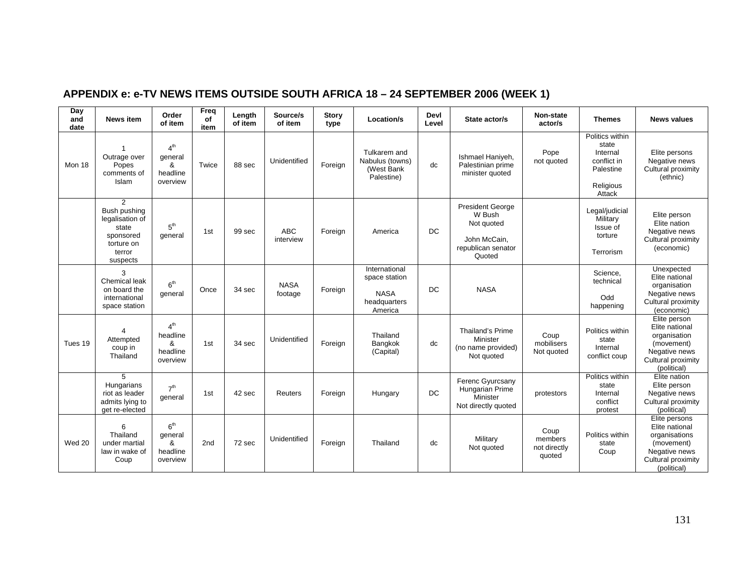| Day<br>and<br>date | <b>News item</b>                                                                               | Order<br>of item                                         | Freq<br>of<br>item | Length<br>of item | Source/s<br>of item     | <b>Story</b><br>type | Location/s                                                               | Devl<br>Level | State actor/s                                                                                   | <b>Non-state</b><br>actor/s               | <b>Themes</b>                                                                           | <b>News values</b>                                                                                                   |
|--------------------|------------------------------------------------------------------------------------------------|----------------------------------------------------------|--------------------|-------------------|-------------------------|----------------------|--------------------------------------------------------------------------|---------------|-------------------------------------------------------------------------------------------------|-------------------------------------------|-----------------------------------------------------------------------------------------|----------------------------------------------------------------------------------------------------------------------|
| Mon 18             | Outrage over<br>Popes<br>comments of<br>Islam                                                  | 4 <sup>th</sup><br>general<br>&<br>headline<br>overview  | Twice              | 88 sec            | Unidentified            | Foreign              | Tulkarem and<br>Nabulus (towns)<br>(West Bank<br>Palestine)              | dc            | Ishmael Haniyeh,<br>Palestinian prime<br>minister quoted                                        | Pope<br>not quoted                        | Politics within<br>state<br>Internal<br>conflict in<br>Palestine<br>Religious<br>Attack | Elite persons<br>Negative news<br>Cultural proximity<br>(ethnic)                                                     |
|                    | 2<br>Bush pushing<br>legalisation of<br>state<br>sponsored<br>torture on<br>terror<br>suspects | 5 <sup>th</sup><br>general                               | 1st                | 99 sec            | <b>ABC</b><br>interview | Foreign              | America                                                                  | DC            | <b>President George</b><br>W Bush<br>Not quoted<br>John McCain,<br>republican senator<br>Quoted |                                           | Legal/judicial<br>Military<br>Issue of<br>torture<br>Terrorism                          | Elite person<br>Elite nation<br>Negative news<br>Cultural proximity<br>(economic)                                    |
|                    | 3<br><b>Chemical leak</b><br>on board the<br>international<br>space station                    | 6 <sup>th</sup><br>general                               | Once               | 34 sec            | <b>NASA</b><br>footage  | Foreign              | International<br>space station<br><b>NASA</b><br>headquarters<br>America | <b>DC</b>     | <b>NASA</b>                                                                                     |                                           | Science.<br>technical<br>Odd<br>happening                                               | Unexpected<br>Elite national<br>organisation<br>Negative news<br>Cultural proximity<br>(economic)                    |
| Tues 19            | 4<br>Attempted<br>coup in<br>Thailand                                                          | 4 <sup>th</sup><br>headline<br>&<br>headline<br>overview | 1st                | 34 sec            | Unidentified            | Foreign              | Thailand<br>Bangkok<br>(Capital)                                         | dc            | Thailand's Prime<br>Minister<br>(no name provided)<br>Not quoted                                | Coup<br>mobilisers<br>Not quoted          | Politics within<br>state<br>Internal<br>conflict coup                                   | Elite person<br>Elite national<br>organisation<br>(movement)<br>Negative news<br>Cultural proximity<br>(political)   |
|                    | 5<br>Hungarians<br>riot as leader<br>admits lying to<br>get re-elected                         | 7 <sup>th</sup><br>general                               | 1st                | 42 sec            | Reuters                 | Foreign              | Hungary                                                                  | DC            | Ferenc Gyurcsany<br>Hungarian Prime<br>Minister<br>Not directly quoted                          | protestors                                | Politics within<br>state<br>Internal<br>conflict<br>protest                             | Elite nation<br>Elite person<br>Negative news<br>Cultural proximity<br>(political)                                   |
| Wed 20             | 6<br>Thailand<br>under martial<br>law in wake of<br>Coup                                       | 6 <sup>th</sup><br>general<br>&<br>headline<br>overview  | 2nd                | 72 sec            | Unidentified            | Foreign              | Thailand                                                                 | dc            | Military<br>Not quoted                                                                          | Coup<br>members<br>not directly<br>quoted | Politics within<br>state<br>Coup                                                        | Elite persons<br>Elite national<br>organisations<br>(movement)<br>Negative news<br>Cultural proximity<br>(political) |

# **APPENDIX e: e-TV NEWS ITEMS OUTSIDE SOUTH AFRICA 18 – 24 SEPTEMBER 2006 (WEEK 1)**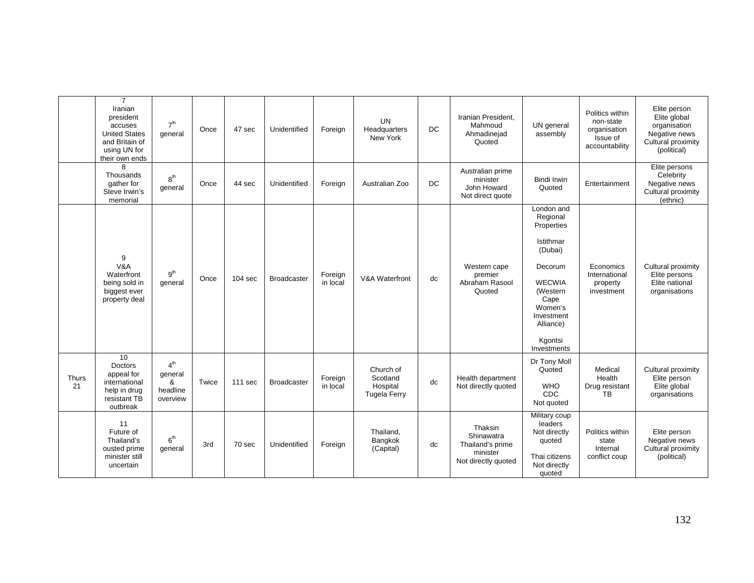|             | $\overline{7}$<br>Iranian<br>president<br>accuses<br><b>United States</b><br>and Britain of<br>using UN for<br>their own ends | 7 <sup>th</sup><br>general                              | Once  | 47 sec             | Unidentified       | Foreign             | <b>UN</b><br>Headquarters<br>New York                    | DC.       | Iranian President.<br>Mahmoud<br>Ahmadinejad<br>Quoted                       | UN general<br>assembly                                                                                                                                                       | Politics within<br>non-state<br>organisation<br>Issue of<br>accountability | Elite person<br>Elite global<br>organisation<br>Negative news<br>Cultural proximity<br>(political) |
|-------------|-------------------------------------------------------------------------------------------------------------------------------|---------------------------------------------------------|-------|--------------------|--------------------|---------------------|----------------------------------------------------------|-----------|------------------------------------------------------------------------------|------------------------------------------------------------------------------------------------------------------------------------------------------------------------------|----------------------------------------------------------------------------|----------------------------------------------------------------------------------------------------|
|             | 8<br>Thousands<br>gather for<br>Steve Irwin's<br>memorial                                                                     | 8 <sup>th</sup><br>general                              | Once  | 44 sec             | Unidentified       | Foreign             | Australian Zoo                                           | <b>DC</b> | Australian prime<br>minister<br>John Howard<br>Not direct quote              | <b>Bindi Irwin</b><br>Quoted                                                                                                                                                 | Entertainment                                                              | Elite persons<br>Celebrity<br>Negative news<br>Cultural proximity<br>(ethnic)                      |
|             | 9<br>V&A<br>Waterfront<br>being sold in<br>biggest ever<br>property deal                                                      | 9 <sup>th</sup><br>general                              | Once  | 104 <sub>sec</sub> | <b>Broadcaster</b> | Foreign<br>in local | V&A Waterfront                                           | dc        | Western cape<br>premier<br>Abraham Rasool<br>Quoted                          | London and<br>Regional<br>Properties<br>Istithmar<br>(Dubai)<br>Decorum<br><b>WECWIA</b><br>(Western<br>Cape<br>Women's<br>Investment<br>Alliance)<br>Kgontsi<br>Investments | Economics<br>International<br>property<br>investment                       | Cultural proximity<br>Elite persons<br>Elite national<br>organisations                             |
| Thurs<br>21 | $\overline{10}$<br>Doctors<br>appeal for<br>international<br>help in drug<br>resistant TB<br>outbreak                         | 4 <sup>th</sup><br>general<br>&<br>headline<br>overview | Twice | 111 sec            | <b>Broadcaster</b> | Foreign<br>in local | Church of<br>Scotland<br>Hospital<br><b>Tugela Ferry</b> | dc        | Health department<br>Not directly quoted                                     | Dr Tony Moll<br>Quoted<br><b>WHO</b><br><b>CDC</b><br>Not quoted                                                                                                             | Medical<br>Health<br>Drug resistant<br><b>TB</b>                           | Cultural proximity<br>Elite person<br>Elite global<br>organisations                                |
|             | 11<br>Future of<br>Thailand's<br>ousted prime<br>minister still<br>uncertain                                                  | 6 <sup>th</sup><br>general                              | 3rd   | 70 sec             | Unidentified       | Foreign             | Thailand,<br>Bangkok<br>(Capital)                        | dc        | Thaksin<br>Shinawatra<br>Thailand's prime<br>minister<br>Not directly quoted | Military coup<br>leaders<br>Not directly<br>quoted<br>Thai citizens<br>Not directly<br>quoted                                                                                | Politics within<br>state<br>Internal<br>conflict coup                      | Elite person<br>Negative news<br>Cultural proximity<br>(political)                                 |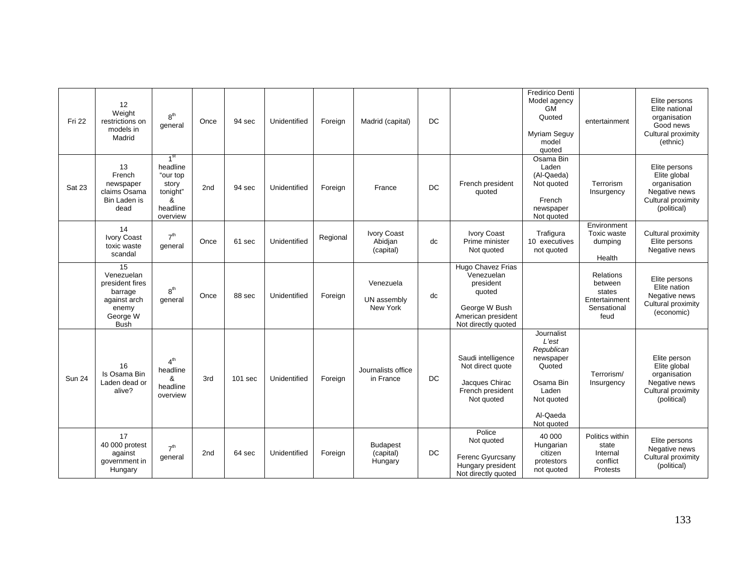| <b>Fri 22</b> | 12<br>Weight<br>restrictions on<br>models in<br>Madrid                                             | 8 <sup>th</sup><br>general                                                                | Once            | 94 sec    | Unidentified | Foreign  | Madrid (capital)                           | DC  |                                                                                                                      | <b>Fredirico Denti</b><br>Model agency<br>GM<br>Quoted<br>Myriam Seguy<br>model<br>quoted                              | entertainment                                                                 | Elite persons<br>Elite national<br>organisation<br>Good news<br>Cultural proximity<br>(ethnic)      |
|---------------|----------------------------------------------------------------------------------------------------|-------------------------------------------------------------------------------------------|-----------------|-----------|--------------|----------|--------------------------------------------|-----|----------------------------------------------------------------------------------------------------------------------|------------------------------------------------------------------------------------------------------------------------|-------------------------------------------------------------------------------|-----------------------------------------------------------------------------------------------------|
| Sat 23        | 13<br>French<br>newspaper<br>claims Osama<br>Bin Laden is<br>dead                                  | 1 <sup>st</sup><br>headline<br>"our top<br>story<br>tonight"<br>&<br>headline<br>overview | 2 <sub>nd</sub> | 94 sec    | Unidentified | Foreign  | France                                     | DC  | French president<br>quoted                                                                                           | Osama Bin<br>Laden<br>(Al-Qaeda)<br>Not quoted<br>French<br>newspaper<br>Not quoted                                    | Terrorism<br>Insurgency                                                       | Elite persons<br>Elite global<br>organisation<br>Negative news<br>Cultural proximity<br>(political) |
|               | 14<br><b>Ivory Coast</b><br>toxic waste<br>scandal                                                 | 7 <sup>th</sup><br>general                                                                | Once            | 61 sec    | Unidentified | Regional | <b>Ivory Coast</b><br>Abidjan<br>(capital) | dc  | <b>Ivory Coast</b><br>Prime minister<br>Not quoted                                                                   | Trafigura<br>10 executives<br>not quoted                                                                               | Environment<br>Toxic waste<br>dumping<br>Health                               | Cultural proximity<br>Elite persons<br>Negative news                                                |
|               | 15<br>Venezuelan<br>president fires<br>barrage<br>against arch<br>enemy<br>George W<br><b>Bush</b> | 8 <sup>th</sup><br>general                                                                | Once            | 88 sec    | Unidentified | Foreign  | Venezuela<br>UN assembly<br>New York       | dc  | Hugo Chavez Frias<br>Venezuelan<br>president<br>quoted<br>George W Bush<br>American president<br>Not directly quoted |                                                                                                                        | <b>Relations</b><br>between<br>states<br>Entertainment<br>Sensational<br>feud | Elite persons<br>Elite nation<br>Negative news<br>Cultural proximity<br>(economic)                  |
| <b>Sun 24</b> | 16<br>Is Osama Bin<br>Laden dead or<br>alive?                                                      | 4 <sup>th</sup><br>headline<br>&<br>headline<br>overview                                  | 3rd             | $101$ sec | Unidentified | Foreign  | Journalists office<br>in France            | DC. | Saudi intelligence<br>Not direct quote<br>Jacques Chirac<br>French president<br>Not quoted                           | Journalist<br>L'est<br>Republican<br>newspaper<br>Quoted<br>Osama Bin<br>Laden<br>Not quoted<br>Al-Qaeda<br>Not quoted | Terrorism/<br>Insurgency                                                      | Elite person<br>Elite global<br>organisation<br>Negative news<br>Cultural proximity<br>(political)  |
|               | 17<br>40 000 protest<br>against<br>government in<br>Hungary                                        | 7 <sup>th</sup><br>general                                                                | 2 <sub>nd</sub> | 64 sec    | Unidentified | Foreign  | <b>Budapest</b><br>(capital)<br>Hungary    | DC. | Police<br>Not quoted<br>Ferenc Gyurcsany<br>Hungary president<br>Not directly quoted                                 | 40 000<br>Hungarian<br>citizen<br>protestors<br>not quoted                                                             | Politics within<br>state<br>Internal<br>conflict<br>Protests                  | Elite persons<br>Negative news<br>Cultural proximity<br>(political)                                 |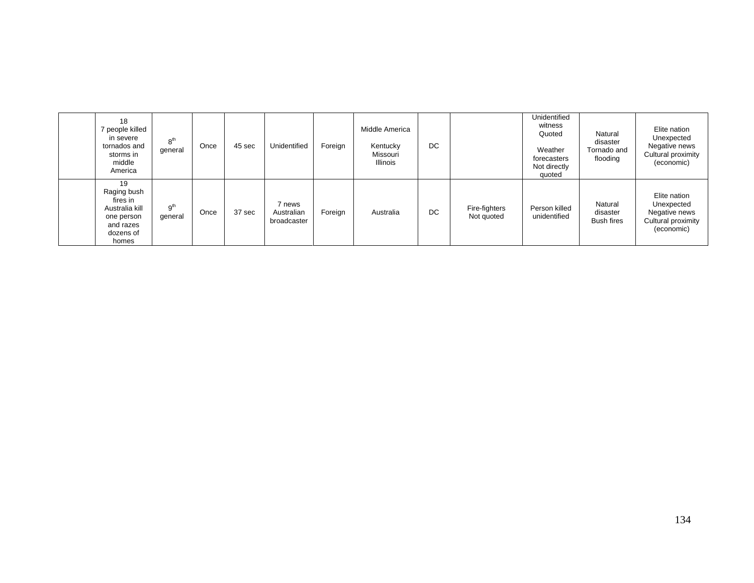| 18<br>7 people killed<br>in severe<br>tornados and<br>storms in<br>middle<br>America             | 8 <sup>th</sup><br>general | Once | 45 sec | Unidentified                        | Foreign | Middle America<br>Kentucky<br>Missouri<br><b>Illinois</b> | DC |                             | Unidentified<br>witness<br>Quoted<br>Weather<br>forecasters<br>Not directly<br>quoted | Natural<br>disaster<br>Tornado and<br>flooding | Elite nation<br>Unexpected<br>Negative news<br>Cultural proximity<br>(economic) |
|--------------------------------------------------------------------------------------------------|----------------------------|------|--------|-------------------------------------|---------|-----------------------------------------------------------|----|-----------------------------|---------------------------------------------------------------------------------------|------------------------------------------------|---------------------------------------------------------------------------------|
| 19<br>Raging bush<br>fires in<br>Australia kill<br>one person<br>and razes<br>dozens of<br>homes | 9 <sup>th</sup><br>general | Once | 37 sec | 7 news<br>Australian<br>broadcaster | Foreign | Australia                                                 | DC | Fire-fighters<br>Not quoted | Person killed<br>unidentified                                                         | Natural<br>disaster<br><b>Bush fires</b>       | Elite nation<br>Unexpected<br>Negative news<br>Cultural proximity<br>(economic) |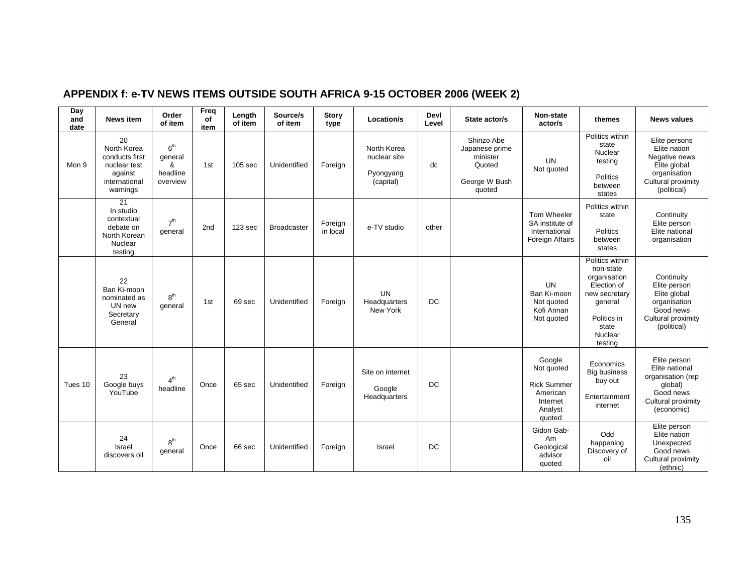| Day<br>and<br>date | <b>News item</b>                                                                            | Order<br>of item                                        | Freq<br>of<br>item | Length<br>of item | Source/s<br>of item | <b>Story</b><br>type | Location/s                                            | Devl<br>Level | State actor/s                                                                 | <b>Non-state</b><br>actor/s                                                             | themes                                                                                                                                | <b>News values</b>                                                                                                  |
|--------------------|---------------------------------------------------------------------------------------------|---------------------------------------------------------|--------------------|-------------------|---------------------|----------------------|-------------------------------------------------------|---------------|-------------------------------------------------------------------------------|-----------------------------------------------------------------------------------------|---------------------------------------------------------------------------------------------------------------------------------------|---------------------------------------------------------------------------------------------------------------------|
| Mon 9              | 20<br>North Korea<br>conducts first<br>nuclear test<br>against<br>international<br>warnings | 6 <sup>th</sup><br>general<br>&<br>headline<br>overview | 1st                | 105 sec           | Unidentified        | Foreign              | North Korea<br>nuclear site<br>Pyongyang<br>(capital) | dc            | Shinzo Abe<br>Japanese prime<br>minister<br>Quoted<br>George W Bush<br>quoted | <b>UN</b><br>Not quoted                                                                 | Politics within<br>state<br>Nuclear<br>testing<br>Politics<br>between<br>states                                                       | Elite persons<br>Elite nation<br>Negative news<br>Elite global<br>organisation<br>Cultural proximity<br>(political) |
|                    | 21<br>In studio<br>contextual<br>debate on<br>North Korean<br>Nuclear<br>testing            | 7 <sup>th</sup><br>general                              | 2 <sub>nd</sub>    | 123 sec           | <b>Broadcaster</b>  | Foreign<br>in local  | e-TV studio                                           | other         |                                                                               | Tom Wheeler<br>SA institute of<br>International<br><b>Foreign Affairs</b>               | Politics within<br>state<br>Politics<br>between<br>states                                                                             | Continuity<br>Elite person<br>Elite national<br>organisation                                                        |
|                    | 22<br>Ban Ki-moon<br>nominated as<br>UN new<br>Secretary<br>General                         | 8 <sup>th</sup><br>general                              | 1st                | 69 sec            | Unidentified        | Foreign              | UN<br>Headquarters<br>New York                        | DC            |                                                                               | <b>UN</b><br>Ban Ki-moon<br>Not quoted<br>Kofi Annan<br>Not quoted                      | Politics within<br>non-state<br>organisation<br>Election of<br>new secretary<br>general<br>Politics in<br>state<br>Nuclear<br>testing | Continuity<br>Elite person<br>Elite global<br>organisation<br>Good news<br>Cultural proximity<br>(political)        |
| Tues 10            | 23<br>Google buys<br>YouTube                                                                | 4 <sup>th</sup><br>headline                             | Once               | 65 sec            | Unidentified        | Foreign              | Site on internet<br>Google<br>Headquarters            | DC            |                                                                               | Google<br>Not quoted<br><b>Rick Summer</b><br>American<br>Internet<br>Analyst<br>quoted | Economics<br><b>Big business</b><br>buy out<br>Entertainment<br>internet                                                              | Elite person<br>Elite national<br>organisation (rep<br>qlobal)<br>Good news<br>Cultural proximity<br>(economic)     |
|                    | 24<br>Israel<br>discovers oil                                                               | 8 <sup>th</sup><br>general                              | Once               | 66 sec            | Unidentified        | Foreign              | Israel                                                | DC            |                                                                               | Gidon Gab-<br>Am<br>Geological<br>advisor<br>quoted                                     | Odd<br>happening<br>Discovery of<br>oil                                                                                               | Elite person<br>Elite nation<br>Unexpected<br>Good news<br>Cultural proximity<br>(ethnic)                           |

### **APPENDIX f: e-TV NEWS ITEMS OUTSIDE SOUTH AFRICA 9-15 OCTOBER 2006 (WEEK 2)**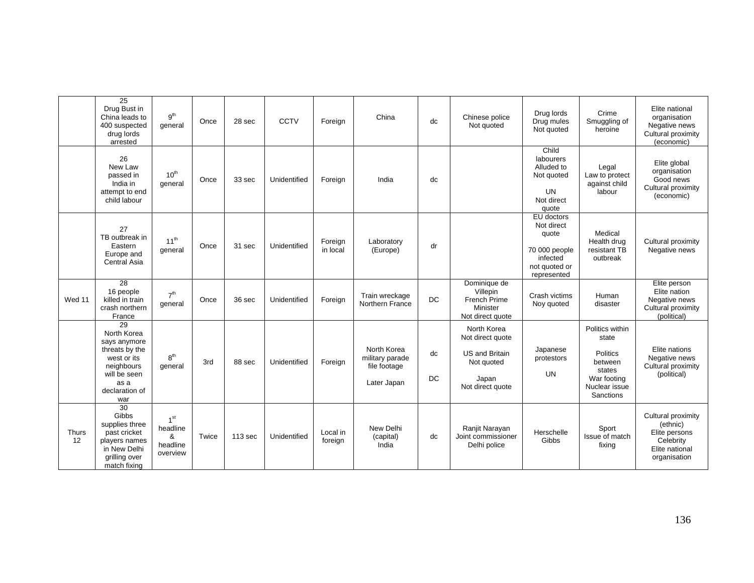|             | $\overline{25}$<br>Drug Bust in<br>China leads to<br>400 suspected<br>drug lords<br>arrested                                      | 9 <sup>th</sup><br>general                               | Once  | 28 sec  | CCTV         | Foreign             | China                                                         | dc              | Chinese police<br>Not quoted                                                                        | Drug lords<br>Drug mules<br>Not quoted                                                         | Crime<br>Smuggling of<br>heroine                                                                       | Elite national<br>organisation<br>Negative news<br>Cultural proximity<br>(economic)            |
|-------------|-----------------------------------------------------------------------------------------------------------------------------------|----------------------------------------------------------|-------|---------|--------------|---------------------|---------------------------------------------------------------|-----------------|-----------------------------------------------------------------------------------------------------|------------------------------------------------------------------------------------------------|--------------------------------------------------------------------------------------------------------|------------------------------------------------------------------------------------------------|
|             | 26<br>New Law<br>passed in<br>India in<br>attempt to end<br>child labour                                                          | $10^{th}$<br>general                                     | Once  | 33 sec  | Unidentified | Foreign             | India                                                         | dc              |                                                                                                     | Child<br><b>labourers</b><br>Alluded to<br>Not quoted<br><b>UN</b><br>Not direct<br>quote      | Legal<br>Law to protect<br>against child<br>labour                                                     | Elite global<br>organisation<br>Good news<br>Cultural proximity<br>(economic)                  |
|             | 27<br>TB outbreak in<br>Eastern<br>Europe and<br><b>Central Asia</b>                                                              | $11^{th}$<br>general                                     | Once  | 31 sec  | Unidentified | Foreign<br>in local | Laboratory<br>(Europe)                                        | dr              |                                                                                                     | EU doctors<br>Not direct<br>quote<br>70 000 people<br>infected<br>not quoted or<br>represented | Medical<br>Health drug<br>resistant TB<br>outbreak                                                     | Cultural proximity<br>Negative news                                                            |
| Wed 11      | 28<br>16 people<br>killed in train<br>crash northern<br>France                                                                    | 7 <sup>th</sup><br>general                               | Once  | 36 sec  | Unidentified | Foreign             | Train wreckage<br>Northern France                             | <b>DC</b>       | Dominique de<br>Villepin<br>French Prime<br>Minister<br>Not direct quote                            | Crash victims<br>Noy quoted                                                                    | Human<br>disaster                                                                                      | Elite person<br>Elite nation<br>Negative news<br>Cultural proximity<br>(political)             |
|             | 29<br>North Korea<br>says anymore<br>threats by the<br>west or its<br>neighbours<br>will be seen<br>as a<br>declaration of<br>war | $R^{th}$<br>general                                      | 3rd   | 88 sec  | Unidentified | Foreign             | North Korea<br>military parade<br>file footage<br>Later Japan | dc<br><b>DC</b> | North Korea<br>Not direct quote<br><b>US and Britain</b><br>Not quoted<br>Japan<br>Not direct quote | Japanese<br>protestors<br><b>UN</b>                                                            | Politics within<br>state<br>Politics<br>between<br>states<br>War footing<br>Nuclear issue<br>Sanctions | Elite nations<br>Negative news<br>Cultural proximity<br>(political)                            |
| Thurs<br>12 | $\overline{30}$<br>Gibbs<br>supplies three<br>past cricket<br>players names<br>in New Delhi<br>grilling over<br>match fixing      | 1 <sup>st</sup><br>headline<br>&<br>headline<br>overview | Twice | 113 sec | Unidentified | Local in<br>foreign | New Delhi<br>(capital)<br>India                               | dc              | Ranjit Narayan<br>Joint commissioner<br>Delhi police                                                | Herschelle<br>Gibbs                                                                            | Sport<br>Issue of match<br>fixing                                                                      | Cultural proximity<br>(ethnic)<br>Elite persons<br>Celebrity<br>Elite national<br>organisation |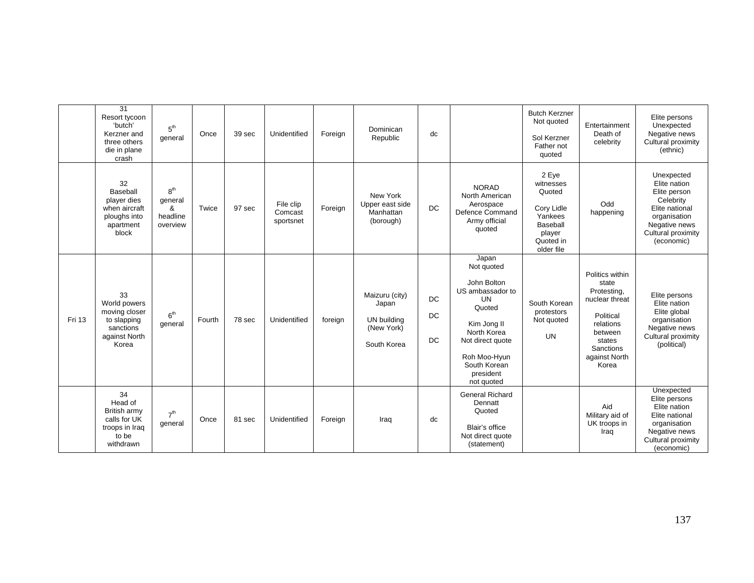|        | $\overline{31}$<br>Resort tycoon<br>'butch'<br>Kerzner and<br>three others<br>die in plane<br>crash | 5 <sup>th</sup><br>general                              | Once   | 39 sec | Unidentified                      | Foreign | Dominican<br>Republic                                               | dc                     |                                                                                                                                                                                            | <b>Butch Kerzner</b><br>Not quoted<br>Sol Kerzner<br>Father not<br>quoted                              | Entertainment<br>Death of<br>celebrity                                                                                                          | Elite persons<br>Unexpected<br>Negative news<br>Cultural proximity<br>(ethnic)                                                                 |
|--------|-----------------------------------------------------------------------------------------------------|---------------------------------------------------------|--------|--------|-----------------------------------|---------|---------------------------------------------------------------------|------------------------|--------------------------------------------------------------------------------------------------------------------------------------------------------------------------------------------|--------------------------------------------------------------------------------------------------------|-------------------------------------------------------------------------------------------------------------------------------------------------|------------------------------------------------------------------------------------------------------------------------------------------------|
|        | 32<br>Baseball<br>player dies<br>when aircraft<br>ploughs into<br>apartment<br>block                | 8 <sup>th</sup><br>general<br>&<br>headline<br>overview | Twice  | 97 sec | File clip<br>Comcast<br>sportsnet | Foreign | New York<br>Upper east side<br>Manhattan<br>(borough)               | <b>DC</b>              | <b>NORAD</b><br>North American<br>Aerospace<br>Defence Command<br>Army official<br>quoted                                                                                                  | 2 Eye<br>witnesses<br>Quoted<br>Cory Lidle<br>Yankees<br>Baseball<br>player<br>Quoted in<br>older file | Odd<br>happening                                                                                                                                | Unexpected<br>Elite nation<br>Elite person<br>Celebrity<br>Elite national<br>organisation<br>Negative news<br>Cultural proximity<br>(economic) |
| Fri 13 | 33<br>World powers<br>moving closer<br>to slapping<br>sanctions<br>against North<br>Korea           | 6 <sup>th</sup><br>general                              | Fourth | 78 sec | Unidentified                      | foreign | Maizuru (city)<br>Japan<br>UN building<br>(New York)<br>South Korea | DC<br>DC.<br><b>DC</b> | Japan<br>Not quoted<br>John Bolton<br>US ambassador to<br><b>UN</b><br>Quoted<br>Kim Jong II<br>North Korea<br>Not direct quote<br>Roh Moo-Hyun<br>South Korean<br>president<br>not quoted | South Korean<br>protestors<br>Not quoted<br><b>UN</b>                                                  | Politics within<br>state<br>Protesting,<br>nuclear threat<br>Political<br>relations<br>between<br>states<br>Sanctions<br>against North<br>Korea | Elite persons<br>Elite nation<br>Elite global<br>organisation<br>Negative news<br>Cultural proximity<br>(political)                            |
|        | 34<br>Head of<br>British army<br>calls for UK<br>troops in Iraq<br>to be<br>withdrawn               | 7 <sup>th</sup><br>general                              | Once   | 81 sec | Unidentified                      | Foreign | Iraq                                                                | dc                     | <b>General Richard</b><br>Dennatt<br>Quoted<br>Blair's office<br>Not direct quote<br>(statement)                                                                                           |                                                                                                        | Aid<br>Military aid of<br>UK troops in<br>Iraq                                                                                                  | Unexpected<br>Elite persons<br>Elite nation<br>Elite national<br>organisation<br>Negative news<br>Cultural proximity<br>(economic)             |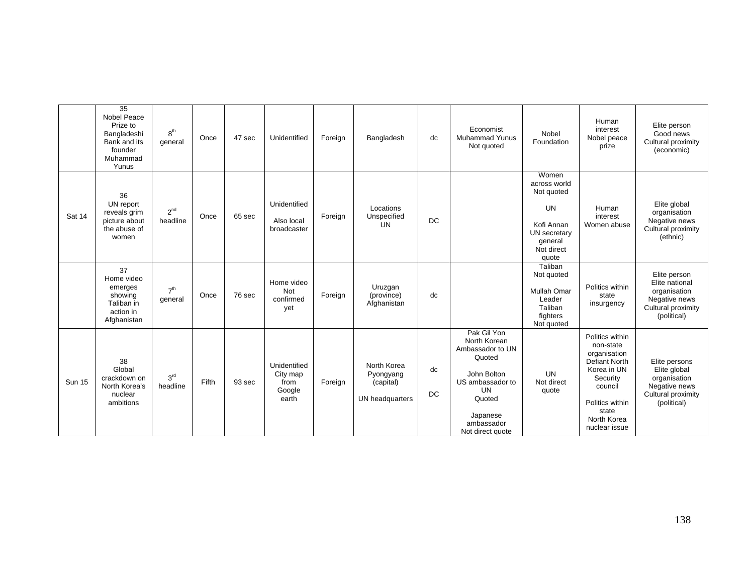|               | $\overline{35}$<br>Nobel Peace<br>Prize to<br>Bangladeshi<br>Bank and its<br>founder<br>Muhammad<br>Yunus | 8 <sup>th</sup><br>general  | Once  | 47 sec | Unidentified                                        | Foreign | Bangladesh                                               | dc              | Economist<br><b>Muhammad Yunus</b><br>Not quoted                                                                                                                  | Nobel<br>Foundation                                                                                              | Human<br>interest<br>Nobel peace<br>prize                                                                                                                              | Elite person<br>Good news<br>Cultural proximity<br>(economic)                                        |
|---------------|-----------------------------------------------------------------------------------------------------------|-----------------------------|-------|--------|-----------------------------------------------------|---------|----------------------------------------------------------|-----------------|-------------------------------------------------------------------------------------------------------------------------------------------------------------------|------------------------------------------------------------------------------------------------------------------|------------------------------------------------------------------------------------------------------------------------------------------------------------------------|------------------------------------------------------------------------------------------------------|
| Sat 14        | 36<br>UN report<br>reveals grim<br>picture about<br>the abuse of<br>women                                 | $2^{nd}$<br>headline        | Once  | 65 sec | Unidentified<br>Also local<br>broadcaster           | Foreign | Locations<br>Unspecified<br><b>UN</b>                    | DC              |                                                                                                                                                                   | Women<br>across world<br>Not quoted<br><b>UN</b><br>Kofi Annan<br>UN secretary<br>general<br>Not direct<br>quote | Human<br>interest<br>Women abuse                                                                                                                                       | Elite global<br>organisation<br>Negative news<br>Cultural proximity<br>(ethnic)                      |
|               | 37<br>Home video<br>emerges<br>showing<br>Taliban in<br>action in<br>Afghanistan                          | 7 <sup>th</sup><br>general  | Once  | 76 sec | Home video<br>Not<br>confirmed<br>yet               | Foreign | Uruzgan<br>(province)<br>Afghanistan                     | dc              |                                                                                                                                                                   | Taliban<br>Not quoted<br>Mullah Omar<br>Leader<br>Taliban<br>fighters<br>Not quoted                              | Politics within<br>state<br>insurgency                                                                                                                                 | Elite person<br>Elite national<br>organisation<br>Negative news<br>Cultural proximity<br>(political) |
| <b>Sun 15</b> | 38<br>Global<br>crackdown on<br>North Korea's<br>nuclear<br>ambitions                                     | 3 <sup>rd</sup><br>headline | Fifth | 93 sec | Unidentified<br>City map<br>from<br>Google<br>earth | Foreign | North Korea<br>Pyongyang<br>(capital)<br>UN headquarters | dc<br><b>DC</b> | Pak Gil Yon<br>North Korean<br>Ambassador to UN<br>Quoted<br>John Bolton<br>US ambassador to<br><b>UN</b><br>Quoted<br>Japanese<br>ambassador<br>Not direct quote | <b>UN</b><br>Not direct<br>quote                                                                                 | Politics within<br>non-state<br>organisation<br><b>Defiant North</b><br>Korea in UN<br>Security<br>council<br>Politics within<br>state<br>North Korea<br>nuclear issue | Elite persons<br>Elite global<br>organisation<br>Negative news<br>Cultural proximity<br>(political)  |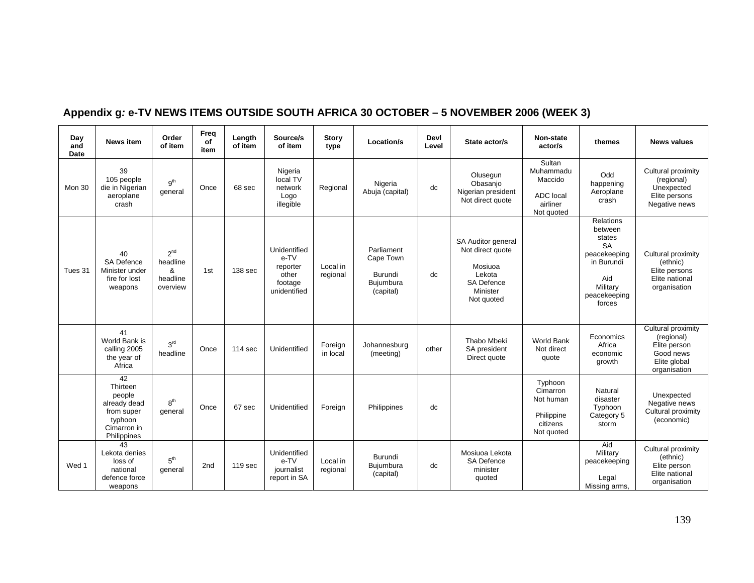| Day<br>and<br>Date | <b>News item</b>                                                                                | Order<br>of item                                         | Frea<br>of<br>item | Length<br>of item | Source/s<br>of item                                                  | <b>Story</b><br>type | Location/s                                                   | Devl<br>Level | State actor/s                                                                                              | Non-state<br>actor/s                                                     | themes                                                                                                                 | <b>News values</b>                                                                            |
|--------------------|-------------------------------------------------------------------------------------------------|----------------------------------------------------------|--------------------|-------------------|----------------------------------------------------------------------|----------------------|--------------------------------------------------------------|---------------|------------------------------------------------------------------------------------------------------------|--------------------------------------------------------------------------|------------------------------------------------------------------------------------------------------------------------|-----------------------------------------------------------------------------------------------|
| Mon 30             | 39<br>105 people<br>die in Nigerian<br>aeroplane<br>crash                                       | g <sup>th</sup><br>qeneral                               | Once               | 68 sec            | Nigeria<br>local TV<br>network<br>Logo<br>illegible                  | Regional             | Nigeria<br>Abuja (capital)                                   | dc            | Olusegun<br>Obasanjo<br>Nigerian president<br>Not direct quote                                             | Sultan<br>Muhammadu<br>Maccido<br>ADC local<br>airliner<br>Not quoted    | Odd<br>happening<br>Aeroplane<br>crash                                                                                 | Cultural proximity<br>(regional)<br>Unexpected<br>Elite persons<br>Negative news              |
| Tues 31            | 40<br>SA Defence<br>Minister under<br>fire for lost<br>weapons                                  | 2 <sup>nd</sup><br>headline<br>&<br>headline<br>overview | 1st                | 138 sec           | Unidentified<br>e-TV<br>reporter<br>other<br>footage<br>unidentified | Local in<br>regional | Parliament<br>Cape Town<br>Burundi<br>Bujumbura<br>(capital) | dc            | SA Auditor general<br>Not direct quote<br>Mosiuoa<br>Lekota<br><b>SA Defence</b><br>Minister<br>Not quoted |                                                                          | Relations<br>between<br>states<br><b>SA</b><br>peacekeeping<br>in Burundi<br>Aid<br>Military<br>peacekeeping<br>forces | Cultural proximity<br>(ethnic)<br>Elite persons<br>Elite national<br>organisation             |
|                    | 41<br>World Bank is<br>calling 2005<br>the year of<br>Africa                                    | 3 <sup>rd</sup><br>headline                              | Once               | 114 sec           | Unidentified                                                         | Foreign<br>in local  | Johannesburg<br>(meeting)                                    | other         | Thabo Mbeki<br>SA president<br>Direct quote                                                                | <b>World Bank</b><br>Not direct<br>quote                                 | Economics<br>Africa<br>economic<br>growth                                                                              | Cultural proximity<br>(regional)<br>Elite person<br>Good news<br>Elite global<br>organisation |
|                    | 42<br>Thirteen<br>people<br>already dead<br>from super<br>typhoon<br>Cimarron in<br>Philippines | 8 <sup>th</sup><br>general                               | Once               | 67 sec            | Unidentified                                                         | Foreign              | Philippines                                                  | dc            |                                                                                                            | Typhoon<br>Cimarron<br>Not human<br>Philippine<br>citizens<br>Not quoted | Natural<br>disaster<br>Typhoon<br>Category 5<br>storm                                                                  | Unexpected<br>Negative news<br>Cultural proximity<br>(economic)                               |
| Wed 1              | 43<br>Lekota denies<br>loss of<br>national<br>defence force<br>weapons                          | 5 <sup>th</sup><br>general                               | 2nd                | 119 sec           | Unidentified<br>e-TV<br>journalist<br>report in SA                   | Local in<br>regional | Burundi<br>Bujumbura<br>(capital)                            | dc            | Mosiuoa Lekota<br><b>SA Defence</b><br>minister<br>quoted                                                  |                                                                          | Aid<br>Military<br>peacekeeping<br>Legal<br>Missing arms,                                                              | Cultural proximity<br>(ethnic)<br>Elite person<br>Elite national<br>organisation              |

## **Appendix g***:* **e-TV NEWS ITEMS OUTSIDE SOUTH AFRICA 30 OCTOBER – 5 NOVEMBER 2006 (WEEK 3)**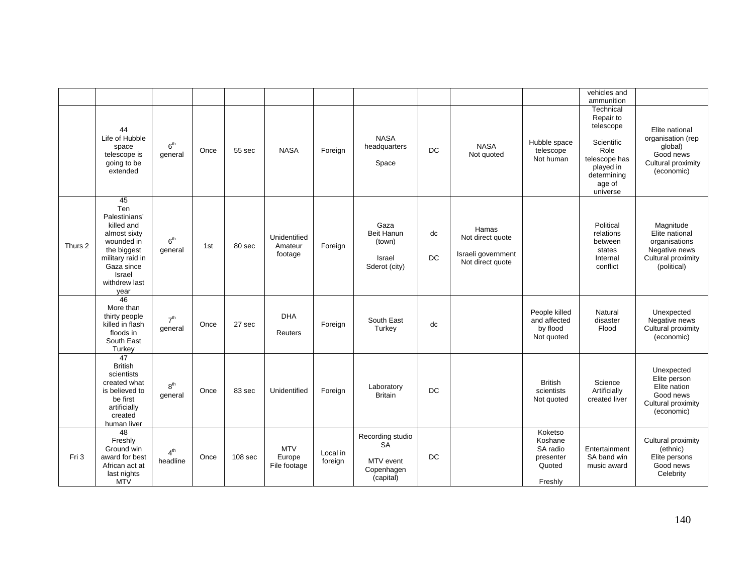|         |                                                                                                                                                            |                             |      |                    |                                      |                     |                                                                       |                 |                                                                     |                                                                  | vehicles and<br>ammunition                                                                                                   |                                                                                                    |
|---------|------------------------------------------------------------------------------------------------------------------------------------------------------------|-----------------------------|------|--------------------|--------------------------------------|---------------------|-----------------------------------------------------------------------|-----------------|---------------------------------------------------------------------|------------------------------------------------------------------|------------------------------------------------------------------------------------------------------------------------------|----------------------------------------------------------------------------------------------------|
|         | 44<br>Life of Hubble<br>space<br>telescope is<br>going to be<br>extended                                                                                   | 6 <sup>th</sup><br>general  | Once | 55 sec             | <b>NASA</b>                          | Foreign             | <b>NASA</b><br>headquarters<br>Space                                  | <b>DC</b>       | <b>NASA</b><br>Not quoted                                           | Hubble space<br>telescope<br>Not human                           | Technical<br>Repair to<br>telescope<br>Scientific<br>Role<br>telescope has<br>played in<br>determining<br>age of<br>universe | Elite national<br>organisation (rep<br>global)<br>Good news<br>Cultural proximity<br>(economic)    |
| Thurs 2 | 45<br>Ten<br>Palestinians'<br>killed and<br>almost sixty<br>wounded in<br>the biggest<br>military raid in<br>Gaza since<br>Israel<br>withdrew last<br>year | 6 <sup>th</sup><br>general  | 1st  | 80 sec             | Unidentified<br>Amateur<br>footage   | Foreign             | Gaza<br><b>Beit Hanun</b><br>(town)<br>Israel<br>Sderot (city)        | dc<br><b>DC</b> | Hamas<br>Not direct quote<br>Israeli government<br>Not direct quote |                                                                  | Political<br>relations<br>between<br>states<br>Internal<br>conflict                                                          | Magnitude<br>Elite national<br>organisations<br>Negative news<br>Cultural proximity<br>(political) |
|         | 46<br>More than<br>thirty people<br>killed in flash<br>floods in<br>South East<br>Turkey                                                                   | 7 <sup>th</sup><br>general  | Once | 27 sec             | <b>DHA</b><br>Reuters                | Foreign             | South East<br>Turkey                                                  | dc              |                                                                     | People killed<br>and affected<br>by flood<br>Not quoted          | Natural<br>disaster<br>Flood                                                                                                 | Unexpected<br>Negative news<br>Cultural proximity<br>(economic)                                    |
|         | $\overline{47}$<br><b>British</b><br>scientists<br>created what<br>is believed to<br>be first<br>artificially<br>created<br>human liver                    | 8 <sup>th</sup><br>general  | Once | 83 sec             | Unidentified                         | Foreign             | Laboratory<br><b>Britain</b>                                          | <b>DC</b>       |                                                                     | <b>British</b><br>scientists<br>Not quoted                       | Science<br>Artificially<br>created liver                                                                                     | Unexpected<br>Elite person<br>Elite nation<br>Good news<br>Cultural proximity<br>(economic)        |
| Fri 3   | $\overline{48}$<br>Freshly<br>Ground win<br>award for best<br>African act at<br>last nights<br><b>MTV</b>                                                  | 4 <sup>th</sup><br>headline | Once | 108 <sub>sec</sub> | <b>MTV</b><br>Europe<br>File footage | Local in<br>foreign | Recording studio<br><b>SA</b><br>MTV event<br>Copenhagen<br>(capital) | DC              |                                                                     | Koketso<br>Koshane<br>SA radio<br>presenter<br>Quoted<br>Freshly | Entertainment<br>SA band win<br>music award                                                                                  | Cultural proximity<br>(ethnic)<br>Elite persons<br>Good news<br>Celebrity                          |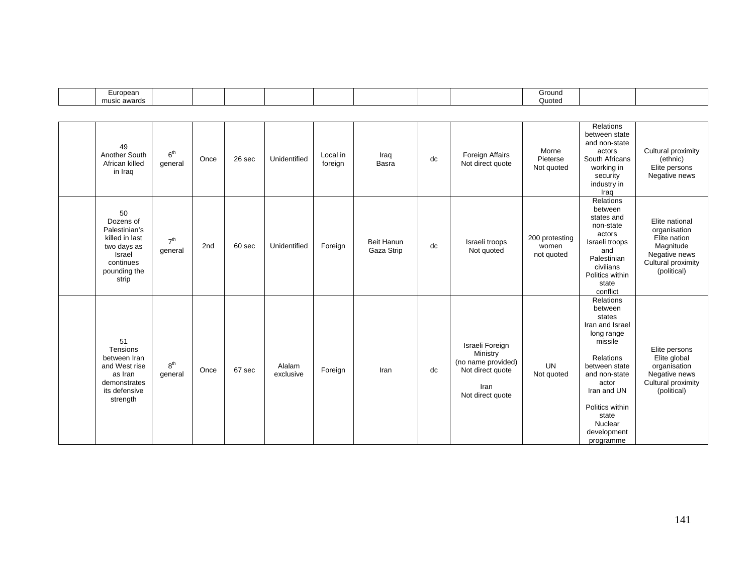| $\epsilon$ uropean<br>$-$<br>and the contract of the contract of |  |  |  |  | Ground |  |
|------------------------------------------------------------------|--|--|--|--|--------|--|
| music awards                                                     |  |  |  |  | Quoted |  |

| 49<br>Another South<br>African killed<br>in Iraq                                                                  | 6 <sup>th</sup><br>general | Once | 26 sec | Unidentified        | Local in<br>foreign | Iraq<br>Basra                   | dc | Foreign Affairs<br>Not direct quote                                                               | Morne<br>Pieterse<br>Not quoted       | Relations<br>between state<br>and non-state<br>actors<br>South Africans<br>working in<br>security<br>industry in<br>Iraq                                                                                             | Cultural proximity<br>(ethnic)<br>Elite persons<br>Negative news                                                  |
|-------------------------------------------------------------------------------------------------------------------|----------------------------|------|--------|---------------------|---------------------|---------------------------------|----|---------------------------------------------------------------------------------------------------|---------------------------------------|----------------------------------------------------------------------------------------------------------------------------------------------------------------------------------------------------------------------|-------------------------------------------------------------------------------------------------------------------|
| 50<br>Dozens of<br>Palestinian's<br>killed in last<br>two days as<br>Israel<br>continues<br>pounding the<br>strip | 7 <sup>th</sup><br>general | 2nd  | 60 sec | Unidentified        | Foreign             | <b>Beit Hanun</b><br>Gaza Strip | dc | Israeli troops<br>Not quoted                                                                      | 200 protesting<br>women<br>not quoted | Relations<br>between<br>states and<br>non-state<br>actors<br>Israeli troops<br>and<br>Palestinian<br>civilians<br>Politics within<br>state<br>conflict                                                               | Elite national<br>organisation<br>Elite nation<br>Magnitude<br>Negative news<br>Cultural proximity<br>(political) |
| 51<br>Tensions<br>between Iran<br>and West rise<br>as Iran<br>demonstrates<br>its defensive<br>strength           | 8 <sup>th</sup><br>general | Once | 67 sec | Alalam<br>exclusive | Foreign             | Iran                            | dc | Israeli Foreign<br>Ministry<br>(no name provided)<br>Not direct quote<br>Iran<br>Not direct quote | <b>UN</b><br>Not quoted               | Relations<br>between<br>states<br>Iran and Israel<br>long range<br>missile<br>Relations<br>between state<br>and non-state<br>actor<br>Iran and UN<br>Politics within<br>state<br>Nuclear<br>development<br>programme | Elite persons<br>Elite global<br>organisation<br>Negative news<br>Cultural proximity<br>(political)               |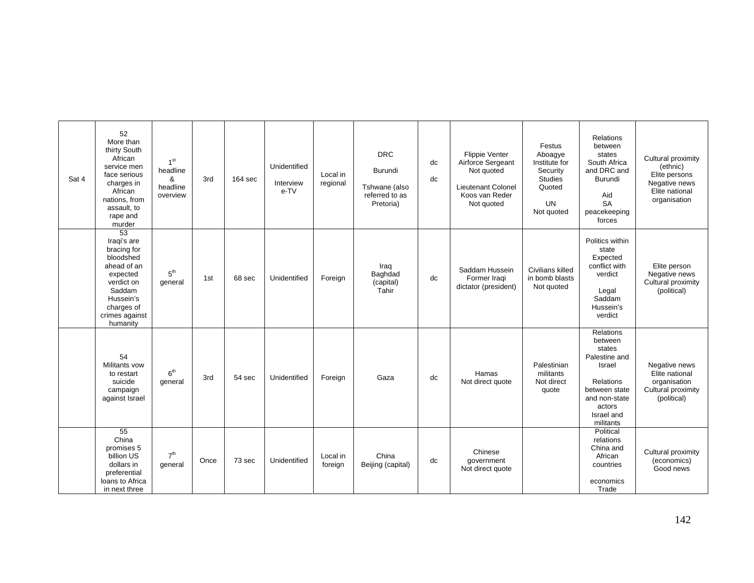| Sat 4 | 52<br>More than<br>thirty South<br>African<br>service men<br>face serious<br>charges in<br>African<br>nations, from<br>assault, to<br>rape and<br>murder               | 1 <sup>st</sup><br>headline<br>&<br>headline<br>overview | 3rd  | $164$ sec | Unidentified<br>Interview<br>e-TV | Local in<br>regional | <b>DRC</b><br>Burundi<br>Tshwane (also<br>referred to as<br>Pretoria) | dc<br>dc | Flippie Venter<br>Airforce Sergeant<br>Not quoted<br>Lieutenant Colonel<br>Koos van Reder<br>Not quoted | Festus<br>Aboagye<br>Institute for<br>Security<br><b>Studies</b><br>Quoted<br><b>UN</b><br>Not quoted | Relations<br>between<br>states<br>South Africa<br>and DRC and<br>Burundi<br>Aid<br><b>SA</b><br>peacekeeping<br>forces                                      | Cultural proximity<br>(ethnic)<br>Elite persons<br>Negative news<br>Elite national<br>organisation |
|-------|------------------------------------------------------------------------------------------------------------------------------------------------------------------------|----------------------------------------------------------|------|-----------|-----------------------------------|----------------------|-----------------------------------------------------------------------|----------|---------------------------------------------------------------------------------------------------------|-------------------------------------------------------------------------------------------------------|-------------------------------------------------------------------------------------------------------------------------------------------------------------|----------------------------------------------------------------------------------------------------|
|       | $\overline{53}$<br>Iraqi's are<br>bracing for<br>bloodshed<br>ahead of an<br>expected<br>verdict on<br>Saddam<br>Hussein's<br>charges of<br>crimes against<br>humanity | 5 <sup>th</sup><br>general                               | 1st  | 68 sec    | Unidentified                      | Foreign              | Iraq<br>Baghdad<br>(capital)<br>Tahir                                 | dc       | Saddam Hussein<br>Former Iraqi<br>dictator (president)                                                  | Civilians killed<br>in bomb blasts<br>Not quoted                                                      | Politics within<br>state<br>Expected<br>conflict with<br>verdict<br>Legal<br>Saddam<br>Hussein's<br>verdict                                                 | Elite person<br>Negative news<br>Cultural proximity<br>(political)                                 |
|       | 54<br>Militants vow<br>to restart<br>suicide<br>campaign<br>against Israel                                                                                             | 6 <sup>th</sup><br>general                               | 3rd  | 54 sec    | Unidentified                      | Foreign              | Gaza                                                                  | dc       | Hamas<br>Not direct quote                                                                               | Palestinian<br>militants<br>Not direct<br>quote                                                       | <b>Relations</b><br>between<br>states<br>Palestine and<br>Israel<br><b>Relations</b><br>between state<br>and non-state<br>actors<br>Israel and<br>militants | Negative news<br>Elite national<br>organisation<br>Cultural proximity<br>(political)               |
|       | $\overline{55}$<br>China<br>promises 5<br>billion US<br>dollars in<br>preferential<br>loans to Africa<br>in next three                                                 | 7 <sup>th</sup><br>general                               | Once | 73 sec    | Unidentified                      | Local in<br>foreign  | China<br>Beijing (capital)                                            | dc       | Chinese<br>government<br>Not direct quote                                                               |                                                                                                       | Political<br>relations<br>China and<br>African<br>countries<br>economics<br>Trade                                                                           | Cultural proximity<br>(economics)<br>Good news                                                     |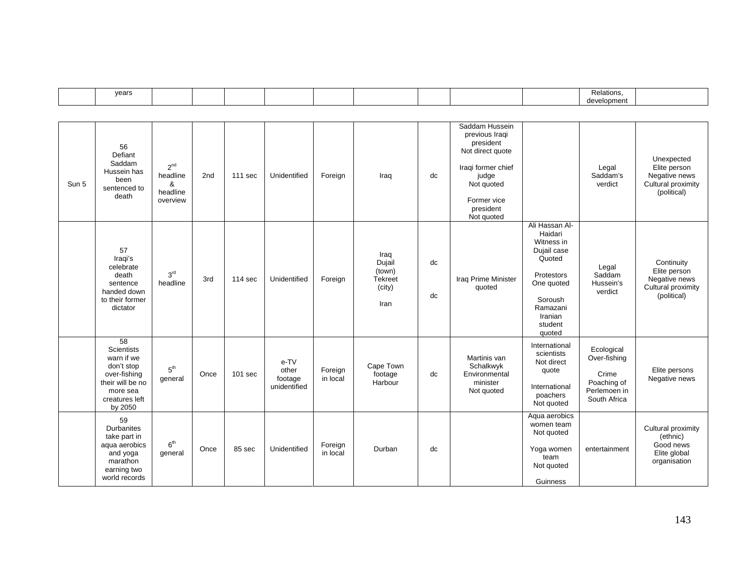|  | vears |  |  |  |  |  |  |  |  |  | :lationr<br>development |  |
|--|-------|--|--|--|--|--|--|--|--|--|-------------------------|--|
|--|-------|--|--|--|--|--|--|--|--|--|-------------------------|--|

| Sun 5 | 56<br>Defiant<br>Saddam<br>Hussein has<br>been<br>sentenced to<br>death                                                                       | $2^{nd}$<br>headline<br>&<br>headline<br>overview | 2 <sub>nd</sub> | 111 sec            | Unidentified                             | Foreign             | Iraq                                                         | dc       | Saddam Hussein<br>previous Iraqi<br>president<br>Not direct quote<br>Iraqi former chief<br>judge<br>Not quoted<br>Former vice<br>president<br>Not quoted |                                                                                                                                                     | Legal<br>Saddam's<br>verdict                                                       | Unexpected<br>Elite person<br>Negative news<br>Cultural proximity<br>(political) |
|-------|-----------------------------------------------------------------------------------------------------------------------------------------------|---------------------------------------------------|-----------------|--------------------|------------------------------------------|---------------------|--------------------------------------------------------------|----------|----------------------------------------------------------------------------------------------------------------------------------------------------------|-----------------------------------------------------------------------------------------------------------------------------------------------------|------------------------------------------------------------------------------------|----------------------------------------------------------------------------------|
|       | 57<br>Iraqi's<br>celebrate<br>death<br>sentence<br>handed down<br>to their former<br>dictator                                                 | 3 <sup>rd</sup><br>headline                       | 3rd             | 114 <sub>sec</sub> | Unidentified                             | Foreign             | Iraq<br>Dujail<br>(town)<br><b>Tekreet</b><br>(city)<br>Iran | dc<br>dc | Iraq Prime Minister<br>quoted                                                                                                                            | Ali Hassan Al-<br>Haidari<br>Witness in<br>Dujail case<br>Quoted<br>Protestors<br>One quoted<br>Soroush<br>Ramazani<br>Iranian<br>student<br>quoted | Legal<br>Saddam<br>Hussein's<br>verdict                                            | Continuity<br>Elite person<br>Negative news<br>Cultural proximity<br>(political) |
|       | $\overline{58}$<br><b>Scientists</b><br>warn if we<br>don't stop<br>over-fishing<br>their will be no<br>more sea<br>creatures left<br>by 2050 | 5 <sup>th</sup><br>general                        | Once            | $101$ sec          | e-TV<br>other<br>footage<br>unidentified | Foreign<br>in local | Cape Town<br>footage<br>Harbour                              | dc       | Martinis van<br>Schalkwyk<br>Environmental<br>minister<br>Not quoted                                                                                     | International<br>scientists<br>Not direct<br>quote<br>International<br>poachers<br>Not quoted                                                       | Ecological<br>Over-fishing<br>Crime<br>Poaching of<br>Perlemoen in<br>South Africa | Elite persons<br>Negative news                                                   |
|       | 59<br><b>Durbanites</b><br>take part in<br>aqua aerobics<br>and yoga<br>marathon<br>earning two<br>world records                              | 6 <sup>th</sup><br>general                        | Once            | 85 sec             | Unidentified                             | Foreign<br>in local | Durban                                                       | dc       |                                                                                                                                                          | Aqua aerobics<br>women team<br>Not quoted<br>Yoga women<br>team<br>Not quoted<br>Guinness                                                           | entertainment                                                                      | Cultural proximity<br>(ethnic)<br>Good news<br>Elite global<br>organisation      |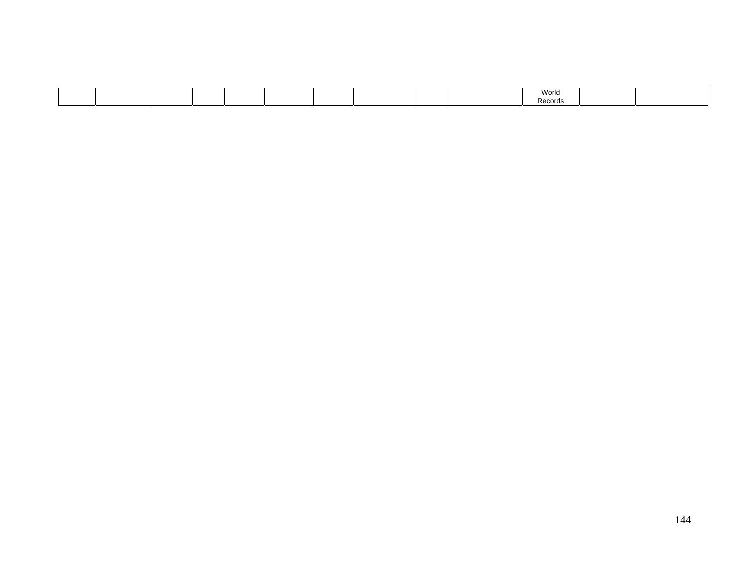|  |  |  |  |  |  |  |  |  |  | World<br>Recoras |  |  |
|--|--|--|--|--|--|--|--|--|--|------------------|--|--|
|--|--|--|--|--|--|--|--|--|--|------------------|--|--|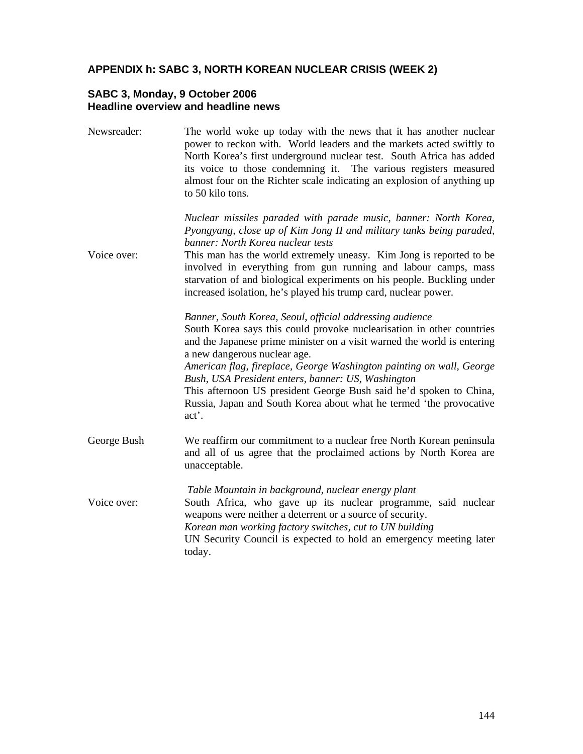### **APPENDIX h: SABC 3, NORTH KOREAN NUCLEAR CRISIS (WEEK 2)**

### **SABC 3, Monday, 9 October 2006 Headline overview and headline news**

Newsreader: The world woke up today with the news that it has another nuclear power to reckon with. World leaders and the markets acted swiftly to North Korea's first underground nuclear test. South Africa has added its voice to those condemning it. The various registers measured almost four on the Richter scale indicating an explosion of anything up to 50 kilo tons.

> *Nuclear missiles paraded with parade music, banner: North Korea, Pyongyang, close up of Kim Jong II and military tanks being paraded, banner: North Korea nuclear tests*

Voice over: This man has the world extremely uneasy. Kim Jong is reported to be involved in everything from gun running and labour camps, mass starvation of and biological experiments on his people. Buckling under increased isolation, he's played his trump card, nuclear power.

> *Banner, South Korea, Seoul*, *official addressing audience*  South Korea says this could provoke nuclearisation in other countries and the Japanese prime minister on a visit warned the world is entering a new dangerous nuclear age.

> *American flag, fireplace, George Washington painting on wall, George Bush, USA President enters, banner: US, Washington*

> This afternoon US president George Bush said he'd spoken to China, Russia, Japan and South Korea about what he termed 'the provocative act'.

George Bush We reaffirm our commitment to a nuclear free North Korean peninsula and all of us agree that the proclaimed actions by North Korea are unacceptable.

 *Table Mountain in background, nuclear energy plant* Voice over: South Africa, who gave up its nuclear programme, said nuclear weapons were neither a deterrent or a source of security. *Korean man working factory switches, cut to UN building*  UN Security Council is expected to hold an emergency meeting later today.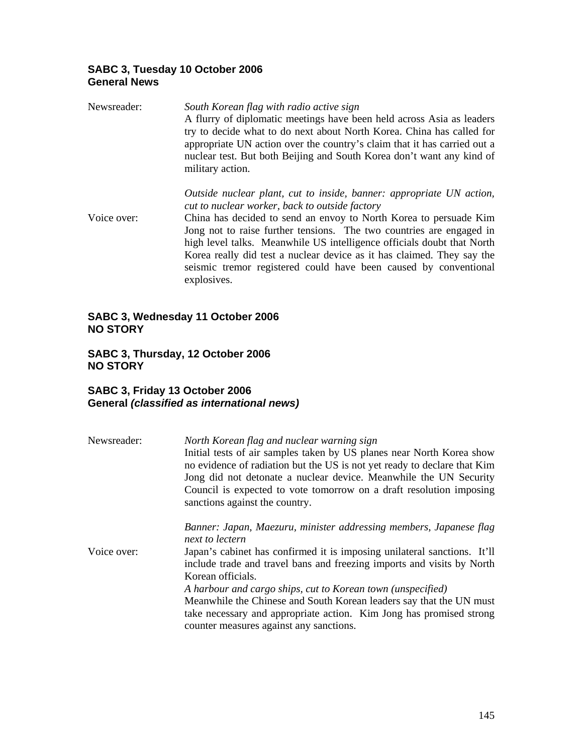## **SABC 3, Tuesday 10 October 2006 General News**

| Newsreader: | South Korean flag with radio active sign<br>A flurry of diplomatic meetings have been held across Asia as leaders<br>try to decide what to do next about North Korea. China has called for<br>appropriate UN action over the country's claim that it has carried out a<br>nuclear test. But both Beijing and South Korea don't want any kind of<br>military action.                                                                                                                                        |
|-------------|------------------------------------------------------------------------------------------------------------------------------------------------------------------------------------------------------------------------------------------------------------------------------------------------------------------------------------------------------------------------------------------------------------------------------------------------------------------------------------------------------------|
| Voice over: | Outside nuclear plant, cut to inside, banner: appropriate UN action,<br>cut to nuclear worker, back to outside factory<br>China has decided to send an envoy to North Korea to persuade Kim<br>Jong not to raise further tensions. The two countries are engaged in<br>high level talks. Meanwhile US intelligence officials doubt that North<br>Korea really did test a nuclear device as it has claimed. They say the<br>seismic tremor registered could have been caused by conventional<br>explosives. |

### **SABC 3, Wednesday 11 October 2006 NO STORY**

## **SABC 3, Thursday, 12 October 2006 NO STORY**

## **SABC 3, Friday 13 October 2006 General** *(classified as international news)*

| Newsreader: | North Korean flag and nuclear warning sign<br>Initial tests of air samples taken by US planes near North Korea show<br>no evidence of radiation but the US is not yet ready to declare that Kim<br>Jong did not detonate a nuclear device. Meanwhile the UN Security<br>Council is expected to vote tomorrow on a draft resolution imposing<br>sanctions against the country.                                                                                                                                            |
|-------------|--------------------------------------------------------------------------------------------------------------------------------------------------------------------------------------------------------------------------------------------------------------------------------------------------------------------------------------------------------------------------------------------------------------------------------------------------------------------------------------------------------------------------|
| Voice over: | Banner: Japan, Maezuru, minister addressing members, Japanese flag<br>next to lectern<br>Japan's cabinet has confirmed it is imposing unilateral sanctions. It'll<br>include trade and travel bans and freezing imports and visits by North<br>Korean officials.<br>A harbour and cargo ships, cut to Korean town (unspecified)<br>Meanwhile the Chinese and South Korean leaders say that the UN must<br>take necessary and appropriate action. Kim Jong has promised strong<br>counter measures against any sanctions. |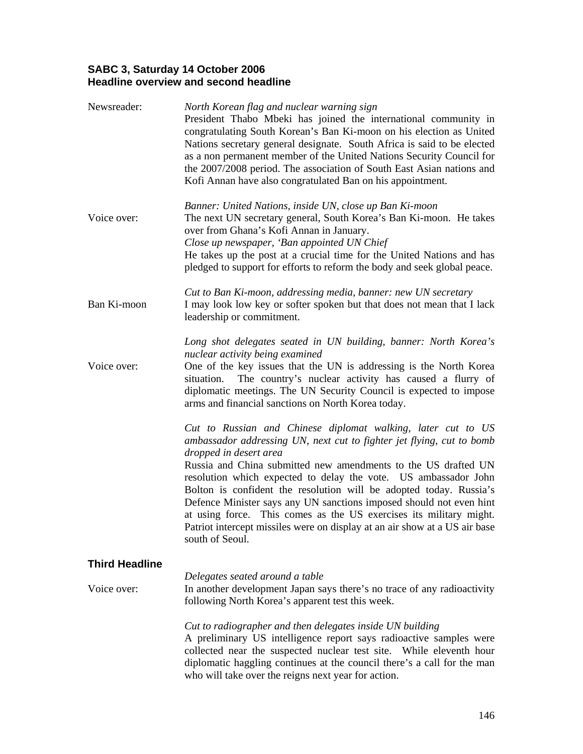### **SABC 3, Saturday 14 October 2006 Headline overview and second headline**

| Newsreader:           | North Korean flag and nuclear warning sign<br>President Thabo Mbeki has joined the international community in<br>congratulating South Korean's Ban Ki-moon on his election as United<br>Nations secretary general designate. South Africa is said to be elected<br>as a non permanent member of the United Nations Security Council for<br>the 2007/2008 period. The association of South East Asian nations and<br>Kofi Annan have also congratulated Ban on his appointment.                                                                                                                                           |
|-----------------------|--------------------------------------------------------------------------------------------------------------------------------------------------------------------------------------------------------------------------------------------------------------------------------------------------------------------------------------------------------------------------------------------------------------------------------------------------------------------------------------------------------------------------------------------------------------------------------------------------------------------------|
| Voice over:           | Banner: United Nations, inside UN, close up Ban Ki-moon<br>The next UN secretary general, South Korea's Ban Ki-moon. He takes<br>over from Ghana's Kofi Annan in January.<br>Close up newspaper, 'Ban appointed UN Chief<br>He takes up the post at a crucial time for the United Nations and has<br>pledged to support for efforts to reform the body and seek global peace.                                                                                                                                                                                                                                            |
| Ban Ki-moon           | Cut to Ban Ki-moon, addressing media, banner: new UN secretary<br>I may look low key or softer spoken but that does not mean that I lack<br>leadership or commitment.                                                                                                                                                                                                                                                                                                                                                                                                                                                    |
| Voice over:           | Long shot delegates seated in UN building, banner: North Korea's<br>nuclear activity being examined<br>One of the key issues that the UN is addressing is the North Korea<br>The country's nuclear activity has caused a flurry of<br>situation.<br>diplomatic meetings. The UN Security Council is expected to impose<br>arms and financial sanctions on North Korea today.                                                                                                                                                                                                                                             |
|                       | Cut to Russian and Chinese diplomat walking, later cut to US<br>ambassador addressing UN, next cut to fighter jet flying, cut to bomb<br>dropped in desert area<br>Russia and China submitted new amendments to the US drafted UN<br>resolution which expected to delay the vote. US ambassador John<br>Bolton is confident the resolution will be adopted today. Russia's<br>Defence Minister says any UN sanctions imposed should not even hint<br>at using force. This comes as the US exercises its military might.<br>Patriot intercept missiles were on display at an air show at a US air base<br>south of Seoul. |
| <b>Third Headline</b> |                                                                                                                                                                                                                                                                                                                                                                                                                                                                                                                                                                                                                          |
| Voice over:           | Delegates seated around a table<br>In another development Japan says there's no trace of any radioactivity<br>following North Korea's apparent test this week.                                                                                                                                                                                                                                                                                                                                                                                                                                                           |
|                       | Cut to radiographer and then delegates inside UN building<br>A preliminary US intelligence report says radioactive samples were<br>collected near the suspected nuclear test site. While eleventh hour<br>diplomatic haggling continues at the council there's a call for the man<br>who will take over the reigns next year for action.                                                                                                                                                                                                                                                                                 |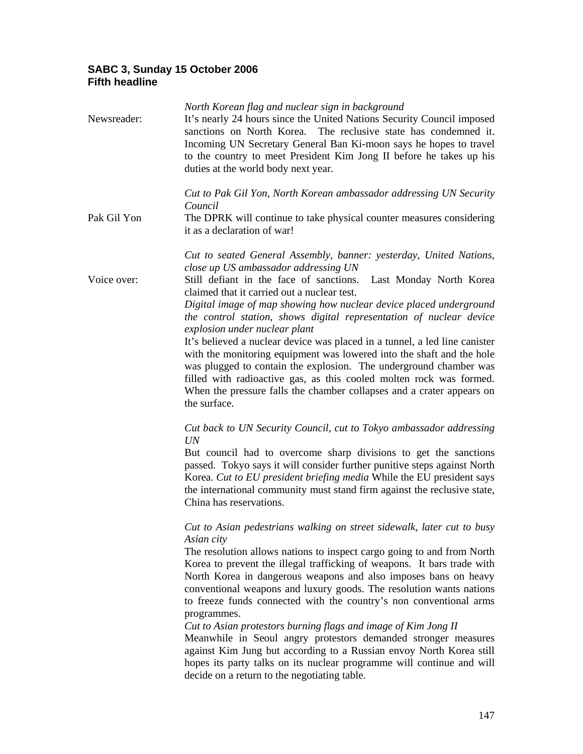### **SABC 3, Sunday 15 October 2006 Fifth headline**

| Newsreader: | North Korean flag and nuclear sign in background<br>It's nearly 24 hours since the United Nations Security Council imposed<br>sanctions on North Korea. The reclusive state has condemned it.<br>Incoming UN Secretary General Ban Ki-moon says he hopes to travel<br>to the country to meet President Kim Jong II before he takes up his<br>duties at the world body next year.                                                                                                                                                                                                                                                                                                                                                                                                                          |
|-------------|-----------------------------------------------------------------------------------------------------------------------------------------------------------------------------------------------------------------------------------------------------------------------------------------------------------------------------------------------------------------------------------------------------------------------------------------------------------------------------------------------------------------------------------------------------------------------------------------------------------------------------------------------------------------------------------------------------------------------------------------------------------------------------------------------------------|
| Pak Gil Yon | Cut to Pak Gil Yon, North Korean ambassador addressing UN Security<br>Council<br>The DPRK will continue to take physical counter measures considering<br>it as a declaration of war!                                                                                                                                                                                                                                                                                                                                                                                                                                                                                                                                                                                                                      |
| Voice over: | Cut to seated General Assembly, banner: yesterday, United Nations,<br>close up US ambassador addressing UN<br>Still defiant in the face of sanctions.<br>Last Monday North Korea<br>claimed that it carried out a nuclear test.<br>Digital image of map showing how nuclear device placed underground<br>the control station, shows digital representation of nuclear device<br>explosion under nuclear plant<br>It's believed a nuclear device was placed in a tunnel, a led line canister<br>with the monitoring equipment was lowered into the shaft and the hole<br>was plugged to contain the explosion. The underground chamber was<br>filled with radioactive gas, as this cooled molten rock was formed.<br>When the pressure falls the chamber collapses and a crater appears on<br>the surface. |
|             | Cut back to UN Security Council, cut to Tokyo ambassador addressing<br>UN<br>But council had to overcome sharp divisions to get the sanctions<br>passed. Tokyo says it will consider further punitive steps against North<br>Korea. Cut to EU president briefing media While the EU president says<br>the international community must stand firm against the reclusive state,<br>China has reservations.<br>Cut to Asian pedestrians walking on street sidewalk, later cut to busy                                                                                                                                                                                                                                                                                                                       |
|             | Asian city<br>The resolution allows nations to inspect cargo going to and from North<br>Korea to prevent the illegal trafficking of weapons. It bars trade with<br>North Korea in dangerous weapons and also imposes bans on heavy<br>conventional weapons and luxury goods. The resolution wants nations<br>to freeze funds connected with the country's non conventional arms<br>programmes.<br>Cut to Asian protestors burning flags and image of Kim Jong II<br>Meanwhile in Seoul angry protestors demanded stronger measures<br>against Kim Jung but according to a Russian envoy North Korea still<br>hopes its party talks on its nuclear programme will continue and will<br>decide on a return to the negotiating table.                                                                        |
|             |                                                                                                                                                                                                                                                                                                                                                                                                                                                                                                                                                                                                                                                                                                                                                                                                           |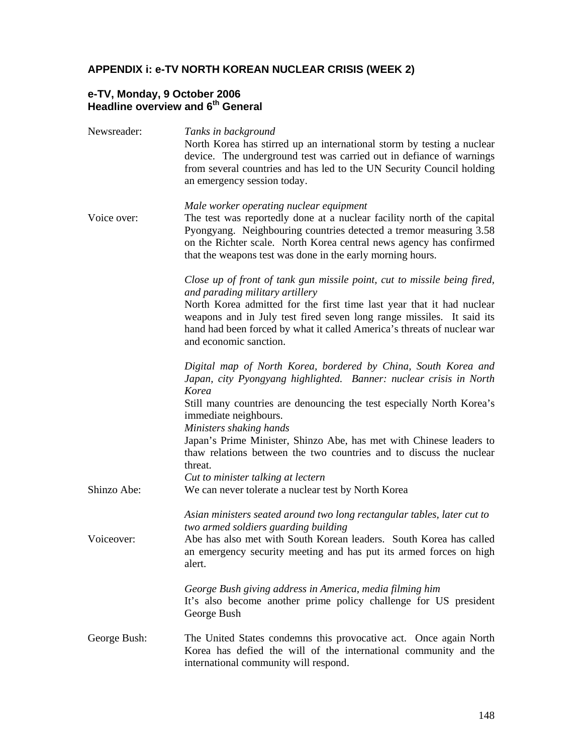## **APPENDIX i: e-TV NORTH KOREAN NUCLEAR CRISIS (WEEK 2)**

### **e-TV, Monday, 9 October 2006 Headline overview and 6th General**

| Newsreader:  | Tanks in background<br>North Korea has stirred up an international storm by testing a nuclear<br>device. The underground test was carried out in defiance of warnings<br>from several countries and has led to the UN Security Council holding<br>an emergency session today.                                                                                      |
|--------------|--------------------------------------------------------------------------------------------------------------------------------------------------------------------------------------------------------------------------------------------------------------------------------------------------------------------------------------------------------------------|
| Voice over:  | Male worker operating nuclear equipment<br>The test was reportedly done at a nuclear facility north of the capital<br>Pyongyang. Neighbouring countries detected a tremor measuring 3.58<br>on the Richter scale. North Korea central news agency has confirmed<br>that the weapons test was done in the early morning hours.                                      |
|              | Close up of front of tank gun missile point, cut to missile being fired,<br>and parading military artillery<br>North Korea admitted for the first time last year that it had nuclear<br>weapons and in July test fired seven long range missiles. It said its<br>hand had been forced by what it called America's threats of nuclear war<br>and economic sanction. |
|              | Digital map of North Korea, bordered by China, South Korea and<br>Japan, city Pyongyang highlighted. Banner: nuclear crisis in North<br>Korea<br>Still many countries are denouncing the test especially North Korea's<br>immediate neighbours.                                                                                                                    |
|              | Ministers shaking hands<br>Japan's Prime Minister, Shinzo Abe, has met with Chinese leaders to<br>thaw relations between the two countries and to discuss the nuclear<br>threat.<br>Cut to minister talking at lectern                                                                                                                                             |
| Shinzo Abe:  | We can never tolerate a nuclear test by North Korea                                                                                                                                                                                                                                                                                                                |
| Voiceover:   | Asian ministers seated around two long rectangular tables, later cut to<br>two armed soldiers guarding building<br>Abe has also met with South Korean leaders. South Korea has called<br>an emergency security meeting and has put its armed forces on high<br>alert.                                                                                              |
|              | George Bush giving address in America, media filming him<br>It's also become another prime policy challenge for US president<br>George Bush                                                                                                                                                                                                                        |
| George Bush: | The United States condemns this provocative act. Once again North<br>Korea has defied the will of the international community and the<br>international community will respond.                                                                                                                                                                                     |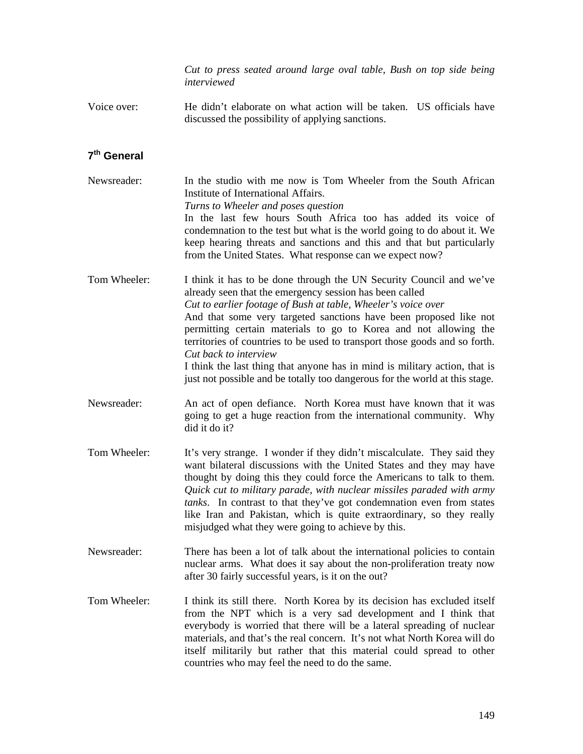*Cut to press seated around large oval table, Bush on top side being interviewed*

Voice over: He didn't elaborate on what action will be taken. US officials have discussed the possibility of applying sanctions.

# **7th General**

| Newsreader:  | In the studio with me now is Tom Wheeler from the South African<br>Institute of International Affairs.<br>Turns to Wheeler and poses question<br>In the last few hours South Africa too has added its voice of<br>condemnation to the test but what is the world going to do about it. We<br>keep hearing threats and sanctions and this and that but particularly<br>from the United States. What response can we expect now?                                                                                                                                                                               |
|--------------|--------------------------------------------------------------------------------------------------------------------------------------------------------------------------------------------------------------------------------------------------------------------------------------------------------------------------------------------------------------------------------------------------------------------------------------------------------------------------------------------------------------------------------------------------------------------------------------------------------------|
| Tom Wheeler: | I think it has to be done through the UN Security Council and we've<br>already seen that the emergency session has been called<br>Cut to earlier footage of Bush at table, Wheeler's voice over<br>And that some very targeted sanctions have been proposed like not<br>permitting certain materials to go to Korea and not allowing the<br>territories of countries to be used to transport those goods and so forth.<br>Cut back to interview<br>I think the last thing that anyone has in mind is military action, that is<br>just not possible and be totally too dangerous for the world at this stage. |
| Newsreader:  | An act of open defiance. North Korea must have known that it was<br>going to get a huge reaction from the international community. Why<br>did it do it?                                                                                                                                                                                                                                                                                                                                                                                                                                                      |
| Tom Wheeler: | It's very strange. I wonder if they didn't miscalculate. They said they<br>want bilateral discussions with the United States and they may have<br>thought by doing this they could force the Americans to talk to them.<br>Quick cut to military parade, with nuclear missiles paraded with army<br>tanks. In contrast to that they've got condemnation even from states<br>like Iran and Pakistan, which is quite extraordinary, so they really<br>misjudged what they were going to achieve by this.                                                                                                       |
| Newsreader:  | There has been a lot of talk about the international policies to contain<br>nuclear arms. What does it say about the non-proliferation treaty now<br>after 30 fairly successful years, is it on the out?                                                                                                                                                                                                                                                                                                                                                                                                     |

Tom Wheeler: I think its still there. North Korea by its decision has excluded itself from the NPT which is a very sad development and I think that everybody is worried that there will be a lateral spreading of nuclear materials, and that's the real concern. It's not what North Korea will do itself militarily but rather that this material could spread to other countries who may feel the need to do the same.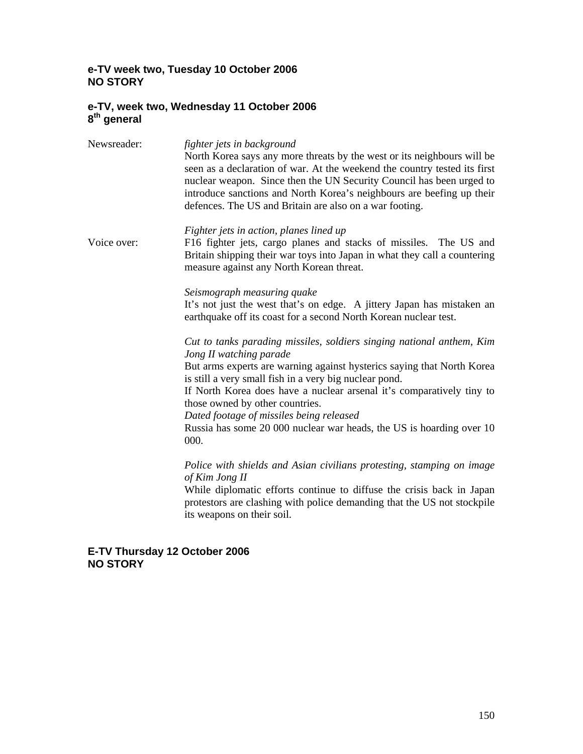### **e-TV week two, Tuesday 10 October 2006 NO STORY**

### **e-TV, week two, Wednesday 11 October 2006 8th general**

| Newsreader: | fighter jets in background<br>North Korea says any more threats by the west or its neighbours will be<br>seen as a declaration of war. At the weekend the country tested its first<br>nuclear weapon. Since then the UN Security Council has been urged to<br>introduce sanctions and North Korea's neighbours are beefing up their<br>defences. The US and Britain are also on a war footing.                                                                               |
|-------------|------------------------------------------------------------------------------------------------------------------------------------------------------------------------------------------------------------------------------------------------------------------------------------------------------------------------------------------------------------------------------------------------------------------------------------------------------------------------------|
| Voice over: | Fighter jets in action, planes lined up<br>F16 fighter jets, cargo planes and stacks of missiles. The US and<br>Britain shipping their war toys into Japan in what they call a countering<br>measure against any North Korean threat.                                                                                                                                                                                                                                        |
|             | Seismograph measuring quake<br>It's not just the west that's on edge. A jittery Japan has mistaken an<br>earthquake off its coast for a second North Korean nuclear test.                                                                                                                                                                                                                                                                                                    |
|             | Cut to tanks parading missiles, soldiers singing national anthem, Kim<br>Jong II watching parade<br>But arms experts are warning against hysterics saying that North Korea<br>is still a very small fish in a very big nuclear pond.<br>If North Korea does have a nuclear arsenal it's comparatively tiny to<br>those owned by other countries.<br>Dated footage of missiles being released<br>Russia has some 20 000 nuclear war heads, the US is hoarding over 10<br>000. |
|             | Police with shields and Asian civilians protesting, stamping on image<br>of Kim Jong II<br>While diplomatic efforts continue to diffuse the crisis back in Japan<br>protestors are clashing with police demanding that the US not stockpile<br>its weapons on their soil.                                                                                                                                                                                                    |

### **E-TV Thursday 12 October 2006 NO STORY**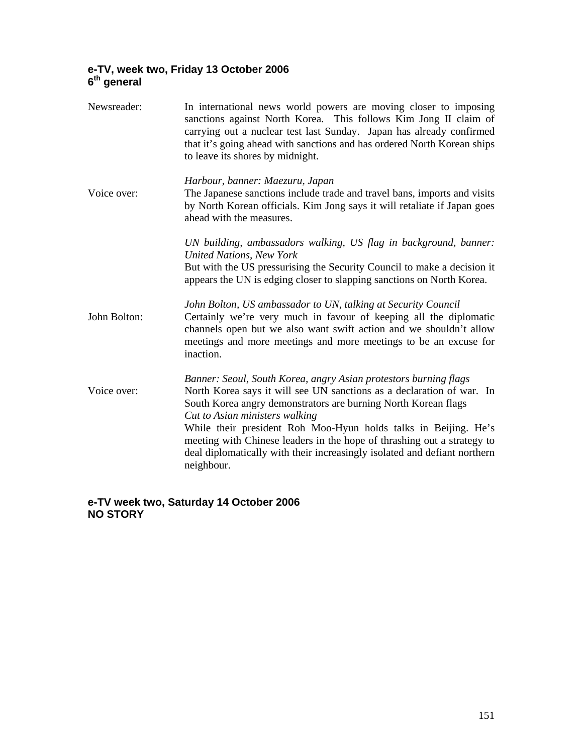### **e-TV, week two, Friday 13 October 2006 6th general**

| Newsreader:  | In international news world powers are moving closer to imposing<br>sanctions against North Korea. This follows Kim Jong II claim of<br>carrying out a nuclear test last Sunday. Japan has already confirmed<br>that it's going ahead with sanctions and has ordered North Korean ships<br>to leave its shores by midnight.                                                                                                                                                            |
|--------------|----------------------------------------------------------------------------------------------------------------------------------------------------------------------------------------------------------------------------------------------------------------------------------------------------------------------------------------------------------------------------------------------------------------------------------------------------------------------------------------|
| Voice over:  | Harbour, banner: Maezuru, Japan<br>The Japanese sanctions include trade and travel bans, imports and visits<br>by North Korean officials. Kim Jong says it will retaliate if Japan goes<br>ahead with the measures.                                                                                                                                                                                                                                                                    |
|              | UN building, ambassadors walking, US flag in background, banner:<br><b>United Nations, New York</b><br>But with the US pressurising the Security Council to make a decision it<br>appears the UN is edging closer to slapping sanctions on North Korea.                                                                                                                                                                                                                                |
| John Bolton: | John Bolton, US ambassador to UN, talking at Security Council<br>Certainly we're very much in favour of keeping all the diplomatic<br>channels open but we also want swift action and we shouldn't allow<br>meetings and more meetings and more meetings to be an excuse for<br>inaction.                                                                                                                                                                                              |
| Voice over:  | Banner: Seoul, South Korea, angry Asian protestors burning flags<br>North Korea says it will see UN sanctions as a declaration of war. In<br>South Korea angry demonstrators are burning North Korean flags<br>Cut to Asian ministers walking<br>While their president Roh Moo-Hyun holds talks in Beijing. He's<br>meeting with Chinese leaders in the hope of thrashing out a strategy to<br>deal diplomatically with their increasingly isolated and defiant northern<br>neighbour. |

**e-TV week two, Saturday 14 October 2006 NO STORY**